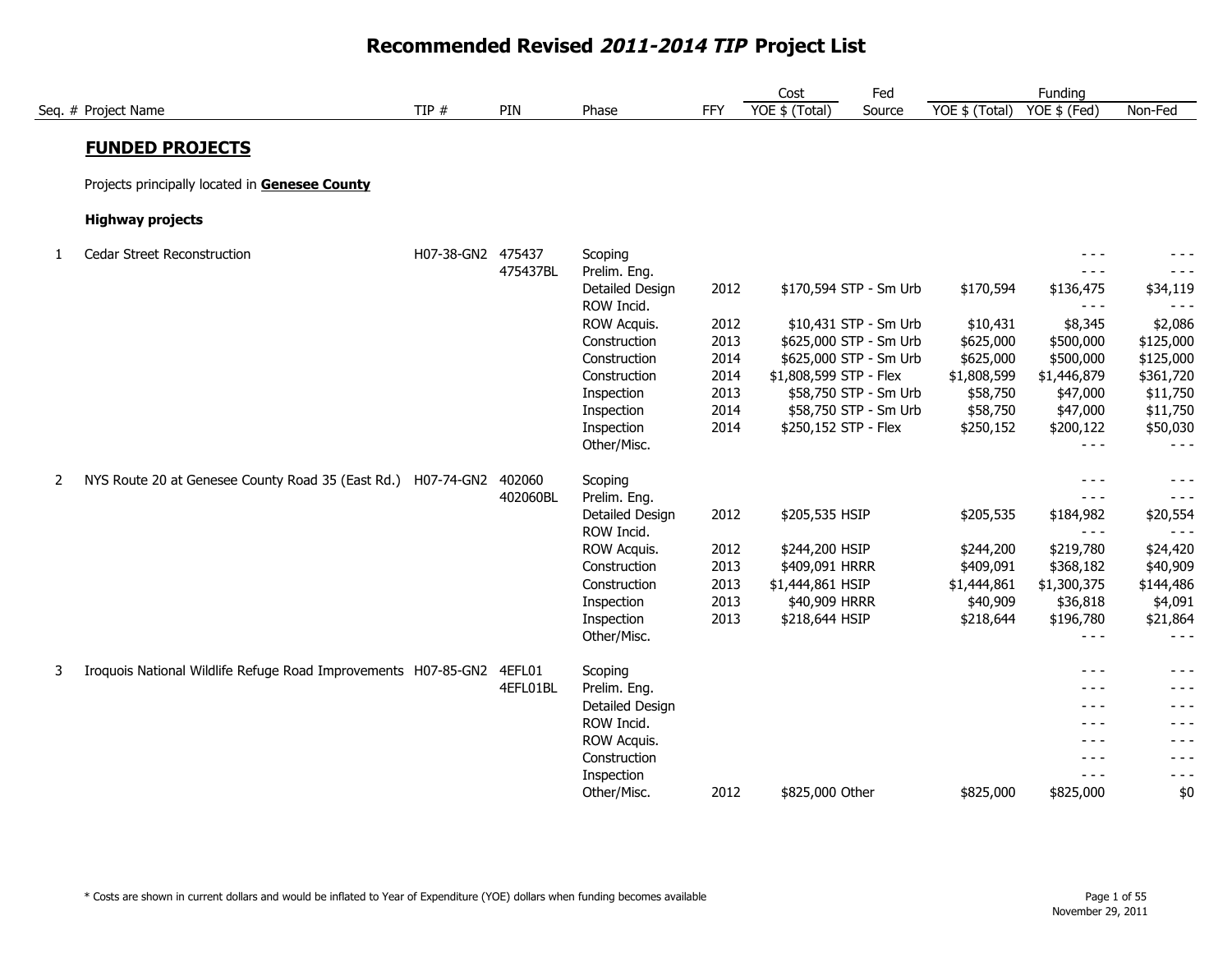|   |                                                                |                   |          |                               |            | Cost                   | Fed                    |                | Funding              |                     |
|---|----------------------------------------------------------------|-------------------|----------|-------------------------------|------------|------------------------|------------------------|----------------|----------------------|---------------------|
|   | Seq. # Project Name                                            | TIP $#$           | PIN      | Phase                         | <b>FFY</b> | YOE \$ (Total)         | Source                 | YOE \$ (Total) | YOE \$ (Fed)         | Non-Fed             |
|   | <b>FUNDED PROJECTS</b>                                         |                   |          |                               |            |                        |                        |                |                      |                     |
|   |                                                                |                   |          |                               |            |                        |                        |                |                      |                     |
|   | Projects principally located in Genesee County                 |                   |          |                               |            |                        |                        |                |                      |                     |
|   | <b>Highway projects</b>                                        |                   |          |                               |            |                        |                        |                |                      |                     |
| 1 | Cedar Street Reconstruction                                    | H07-38-GN2 475437 |          | Scoping                       |            |                        |                        |                | $- - -$              |                     |
|   |                                                                |                   | 475437BL | Prelim. Eng.                  |            |                        |                        |                | $- - -$              | - - -               |
|   |                                                                |                   |          | Detailed Design               | 2012       |                        | \$170,594 STP - Sm Urb | \$170,594      | \$136,475            | \$34,119            |
|   |                                                                |                   |          | ROW Incid.                    |            |                        |                        |                | $- - -$              | $- - -$             |
|   |                                                                |                   |          | ROW Acquis.                   | 2012       |                        | \$10,431 STP - Sm Urb  | \$10,431       | \$8,345              | \$2,086             |
|   |                                                                |                   |          | Construction                  | 2013       |                        | \$625,000 STP - Sm Urb | \$625,000      | \$500,000            | \$125,000           |
|   |                                                                |                   |          | Construction                  | 2014       |                        | \$625,000 STP - Sm Urb | \$625,000      | \$500,000            | \$125,000           |
|   |                                                                |                   |          | Construction                  | 2014       | \$1,808,599 STP - Flex |                        | \$1,808,599    | \$1,446,879          | \$361,720           |
|   |                                                                |                   |          | Inspection                    | 2013       |                        | \$58,750 STP - Sm Urb  | \$58,750       | \$47,000             | \$11,750            |
|   |                                                                |                   |          | Inspection                    | 2014       |                        | \$58,750 STP - Sm Urb  | \$58,750       | \$47,000             | \$11,750            |
|   |                                                                |                   |          | Inspection                    | 2014       | \$250,152 STP - Flex   |                        | \$250,152      | \$200,122            | \$50,030            |
|   |                                                                |                   |          | Other/Misc.                   |            |                        |                        |                | $- - -$              | $- - -$             |
| 2 | NYS Route 20 at Genesee County Road 35 (East Rd.)              | H07-74-GN2        | 402060   | Scoping                       |            |                        |                        |                | $- - -$              | - - -               |
|   |                                                                |                   | 402060BL | Prelim. Eng.                  |            |                        |                        |                | $- - -$              | - - -               |
|   |                                                                |                   |          | Detailed Design<br>ROW Incid. | 2012       | \$205,535 HSIP         |                        | \$205,535      | \$184,982<br>$- - -$ | \$20,554<br>$- - -$ |
|   |                                                                |                   |          | ROW Acquis.                   | 2012       | \$244,200 HSIP         |                        | \$244,200      | \$219,780            | \$24,420            |
|   |                                                                |                   |          | Construction                  | 2013       | \$409,091 HRRR         |                        | \$409,091      | \$368,182            | \$40,909            |
|   |                                                                |                   |          | Construction                  | 2013       | \$1,444,861 HSIP       |                        | \$1,444,861    | \$1,300,375          | \$144,486           |
|   |                                                                |                   |          | Inspection                    | 2013       | \$40,909 HRRR          |                        | \$40,909       | \$36,818             | \$4,091             |
|   |                                                                |                   |          | Inspection                    | 2013       | \$218,644 HSIP         |                        | \$218,644      | \$196,780            | \$21,864            |
|   |                                                                |                   |          | Other/Misc.                   |            |                        |                        |                | $- - -$              | $- - -$             |
| 3 | Iroquois National Wildlife Refuge Road Improvements H07-85-GN2 |                   | 4EFL01   | Scoping                       |            |                        |                        |                | $- - -$              | - - -               |
|   |                                                                |                   | 4EFL01BL | Prelim. Eng.                  |            |                        |                        |                | - - -                | - - -               |
|   |                                                                |                   |          | Detailed Design               |            |                        |                        |                | $- - -$              | - - -               |
|   |                                                                |                   |          | ROW Incid.                    |            |                        |                        |                | - - -                | - - -               |
|   |                                                                |                   |          | ROW Acquis.                   |            |                        |                        |                | $- - -$              | - - -               |
|   |                                                                |                   |          | Construction                  |            |                        |                        |                | - - -                | - - -               |
|   |                                                                |                   |          | Inspection                    |            |                        |                        |                | $- - -$              | - - -               |
|   |                                                                |                   |          | Other/Misc.                   | 2012       | \$825,000 Other        |                        | \$825,000      | \$825,000            | \$0                 |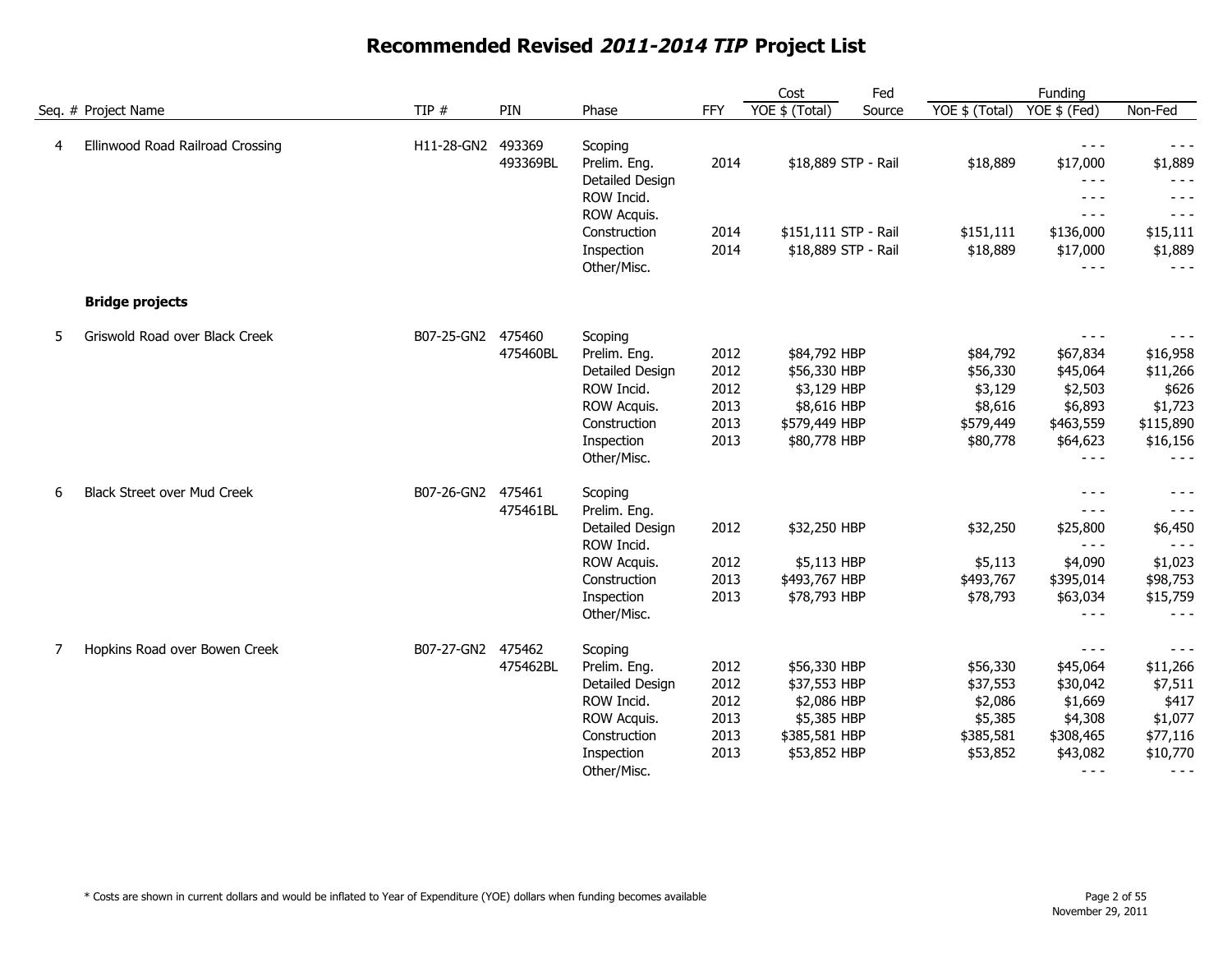|   |                                    |            |          |                 |            | Cost                 | Fed    |                | Funding       |           |
|---|------------------------------------|------------|----------|-----------------|------------|----------------------|--------|----------------|---------------|-----------|
|   | Seq. # Project Name                | TIP #      | PIN      | Phase           | <b>FFY</b> | $YOE$ \$ (Total)     | Source | YOE \$ (Total) | YOE \$ (Fed)  | Non-Fed   |
| 4 | Ellinwood Road Railroad Crossing   | H11-28-GN2 | 493369   | Scoping         |            |                      |        |                | $- - -$       | $- - -$   |
|   |                                    |            | 493369BL | Prelim. Eng.    | 2014       | \$18,889 STP - Rail  |        | \$18,889       | \$17,000      | \$1,889   |
|   |                                    |            |          | Detailed Design |            |                      |        |                | $- - -$       | $- - -$   |
|   |                                    |            |          | ROW Incid.      |            |                      |        |                | $- - -$       | $- - -$   |
|   |                                    |            |          | ROW Acquis.     |            |                      |        |                | $- - -$       | $- - -$   |
|   |                                    |            |          | Construction    | 2014       | \$151,111 STP - Rail |        | \$151,111      | \$136,000     | \$15,111  |
|   |                                    |            |          | Inspection      | 2014       | \$18,889 STP - Rail  |        | \$18,889       | \$17,000      | \$1,889   |
|   |                                    |            |          | Other/Misc.     |            |                      |        |                | $- - -$       | $- - -$   |
|   | <b>Bridge projects</b>             |            |          |                 |            |                      |        |                |               |           |
| 5 | Griswold Road over Black Creek     | B07-25-GN2 | 475460   | Scoping         |            |                      |        |                | $\frac{1}{2}$ | $- - -$   |
|   |                                    |            | 475460BL | Prelim. Eng.    | 2012       | \$84,792 HBP         |        | \$84,792       | \$67,834      | \$16,958  |
|   |                                    |            |          | Detailed Design | 2012       | \$56,330 HBP         |        | \$56,330       | \$45,064      | \$11,266  |
|   |                                    |            |          | ROW Incid.      | 2012       | \$3,129 HBP          |        | \$3,129        | \$2,503       | \$626     |
|   |                                    |            |          | ROW Acquis.     | 2013       | \$8,616 HBP          |        | \$8,616        | \$6,893       | \$1,723   |
|   |                                    |            |          | Construction    | 2013       | \$579,449 HBP        |        | \$579,449      | \$463,559     | \$115,890 |
|   |                                    |            |          | Inspection      | 2013       | \$80,778 HBP         |        | \$80,778       | \$64,623      | \$16,156  |
|   |                                    |            |          | Other/Misc.     |            |                      |        |                | $- - -$       | $- - -$   |
| 6 | <b>Black Street over Mud Creek</b> | B07-26-GN2 | 475461   | Scoping         |            |                      |        |                | $- - -$       |           |
|   |                                    |            | 475461BL | Prelim. Eng.    |            |                      |        |                | $- - -$       | $- - -$   |
|   |                                    |            |          | Detailed Design | 2012       | \$32,250 HBP         |        | \$32,250       | \$25,800      | \$6,450   |
|   |                                    |            |          | ROW Incid.      |            |                      |        |                | $- - -$       | $- - -$   |
|   |                                    |            |          | ROW Acquis.     | 2012       | \$5,113 HBP          |        | \$5,113        | \$4,090       | \$1,023   |
|   |                                    |            |          | Construction    | 2013       | \$493,767 HBP        |        | \$493,767      | \$395,014     | \$98,753  |
|   |                                    |            |          | Inspection      | 2013       | \$78,793 HBP         |        | \$78,793       | \$63,034      | \$15,759  |
|   |                                    |            |          | Other/Misc.     |            |                      |        |                | $- - -$       | $- - -$   |
| 7 | Hopkins Road over Bowen Creek      | B07-27-GN2 | 475462   | Scoping         |            |                      |        |                | $- - -$       | $- - -$   |
|   |                                    |            | 475462BL | Prelim. Eng.    | 2012       | \$56,330 HBP         |        | \$56,330       | \$45,064      | \$11,266  |
|   |                                    |            |          | Detailed Design | 2012       | \$37,553 HBP         |        | \$37,553       | \$30,042      | \$7,511   |
|   |                                    |            |          | ROW Incid.      | 2012       | \$2,086 HBP          |        | \$2,086        | \$1,669       | \$417     |
|   |                                    |            |          | ROW Acquis.     | 2013       | \$5,385 HBP          |        | \$5,385        | \$4,308       | \$1,077   |
|   |                                    |            |          | Construction    | 2013       | \$385,581 HBP        |        | \$385,581      | \$308,465     | \$77,116  |
|   |                                    |            |          | Inspection      | 2013       | \$53,852 HBP         |        | \$53,852       | \$43,082      | \$10,770  |
|   |                                    |            |          | Other/Misc.     |            |                      |        |                | $- - -$       | $- - -$   |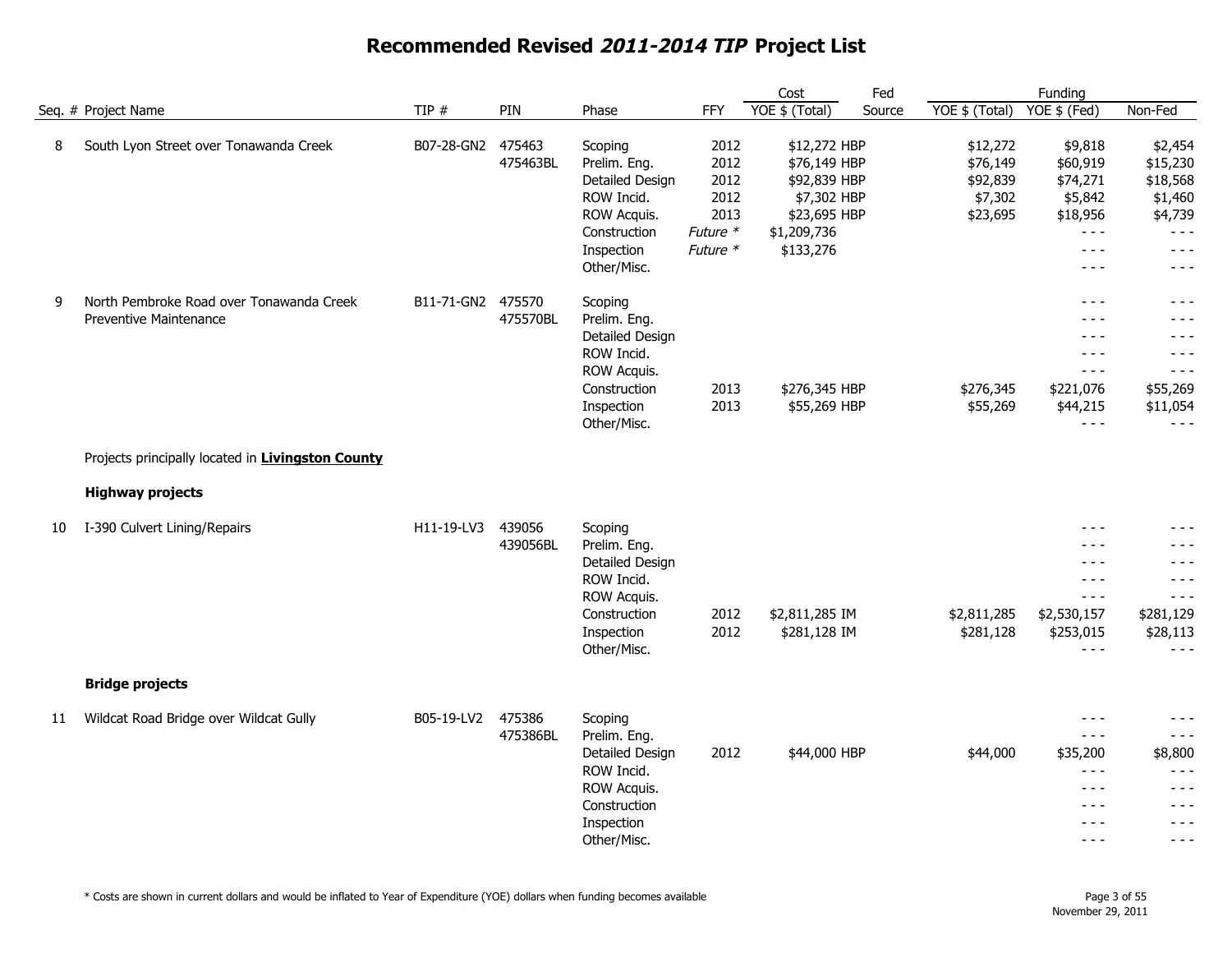|    |                                                                           |                   |                    |                                                                                                                      |                                                              | Cost                                                                                                    | Fed    |                                                         | Funding                                                                                    |                                                                                        |
|----|---------------------------------------------------------------------------|-------------------|--------------------|----------------------------------------------------------------------------------------------------------------------|--------------------------------------------------------------|---------------------------------------------------------------------------------------------------------|--------|---------------------------------------------------------|--------------------------------------------------------------------------------------------|----------------------------------------------------------------------------------------|
|    | Seq. # Project Name                                                       | TIP#              | PIN                | Phase                                                                                                                | <b>FFY</b>                                                   | YOE \$ (Total)                                                                                          | Source | YOE \$ (Total)                                          | YOE \$ (Fed)                                                                               | Non-Fed                                                                                |
| 8  | South Lyon Street over Tonawanda Creek                                    | B07-28-GN2 475463 | 475463BL           | Scoping<br>Prelim. Eng.<br>Detailed Design<br>ROW Incid.<br>ROW Acquis.<br>Construction<br>Inspection<br>Other/Misc. | 2012<br>2012<br>2012<br>2012<br>2013<br>Future *<br>Future * | \$12,272 HBP<br>\$76,149 HBP<br>\$92,839 HBP<br>\$7,302 HBP<br>\$23,695 HBP<br>\$1,209,736<br>\$133,276 |        | \$12,272<br>\$76,149<br>\$92,839<br>\$7,302<br>\$23,695 | \$9,818<br>\$60,919<br>\$74,271<br>\$5,842<br>\$18,956<br>$- - -$<br>$- - -$<br>$- - -$    | \$2,454<br>\$15,230<br>\$18,568<br>\$1,460<br>\$4,739<br>$- - -$<br>$- - -$<br>$- - -$ |
| 9  | North Pembroke Road over Tonawanda Creek<br><b>Preventive Maintenance</b> | B11-71-GN2 475570 | 475570BL           | Scoping<br>Prelim. Eng.<br>Detailed Design<br>ROW Incid.<br>ROW Acquis.<br>Construction<br>Inspection<br>Other/Misc. | 2013<br>2013                                                 | \$276,345 HBP<br>\$55,269 HBP                                                                           |        | \$276,345<br>\$55,269                                   | $- - -$<br>- - -<br>$- - -$<br>$- - -$<br>$- - -$<br>\$221,076<br>\$44,215<br>$- - -$      | $- - -$<br>- - -<br>- - -<br>$- - -$<br>$- - -$<br>\$55,269<br>\$11,054<br>$- - -$     |
|    | Projects principally located in Livingston County                         |                   |                    |                                                                                                                      |                                                              |                                                                                                         |        |                                                         |                                                                                            |                                                                                        |
|    | <b>Highway projects</b>                                                   |                   |                    |                                                                                                                      |                                                              |                                                                                                         |        |                                                         |                                                                                            |                                                                                        |
| 10 | I-390 Culvert Lining/Repairs                                              | H11-19-LV3        | 439056<br>439056BL | Scoping<br>Prelim. Eng.<br>Detailed Design<br>ROW Incid.<br>ROW Acquis.<br>Construction<br>Inspection<br>Other/Misc. | 2012<br>2012                                                 | \$2,811,285 IM<br>\$281,128 IM                                                                          |        | \$2,811,285<br>\$281,128                                | $- - -$<br>$- - -$<br>$- - -$<br>$- - -$<br>$- - -$<br>\$2,530,157<br>\$253,015<br>$- - -$ | - - -<br>- - -<br>- - -<br>- - -<br>$- - -$<br>\$281,129<br>\$28,113<br>$- - -$        |
|    | <b>Bridge projects</b>                                                    |                   |                    |                                                                                                                      |                                                              |                                                                                                         |        |                                                         |                                                                                            |                                                                                        |
| 11 | Wildcat Road Bridge over Wildcat Gully                                    | B05-19-LV2        | 475386<br>475386BL | Scoping<br>Prelim. Eng.<br>Detailed Design<br>ROW Incid.<br>ROW Acquis.<br>Construction<br>Inspection<br>Other/Misc. | 2012                                                         | \$44,000 HBP                                                                                            |        | \$44,000                                                | $- - -$<br>$- - -$<br>\$35,200<br>$- - -$<br>$- - -$<br>- - -<br>$- - -$<br>$- - -$        | - - -<br>$- - -$<br>\$8,800<br>- - -<br>$- - -$<br>- - -<br>- - -<br>$- - -$           |

\* Costs are shown in current dollars and would be inflated to Year of Expenditure (YOE) dollars when funding becomes available Page 3 of 55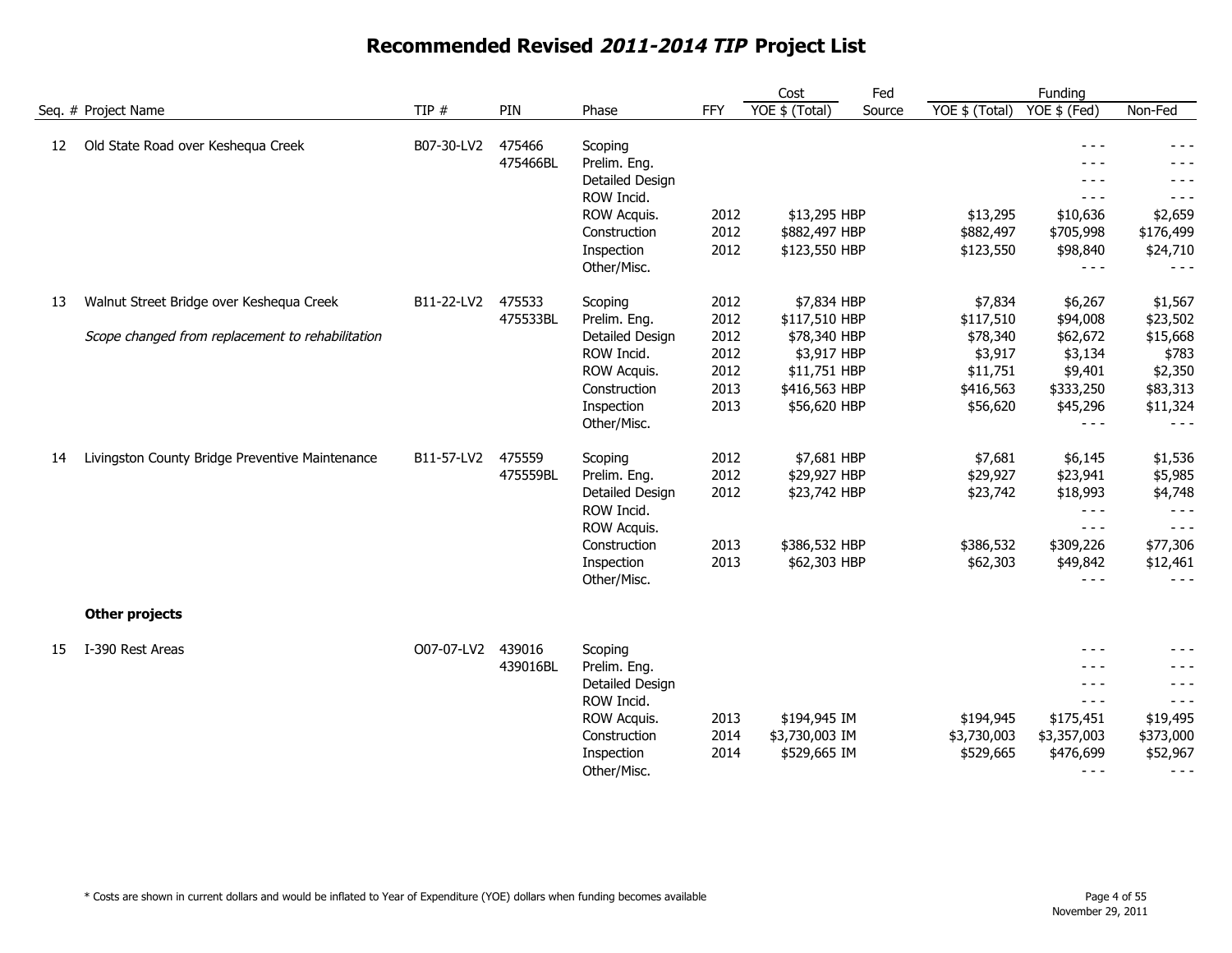|    |                                                                                              |            |                    |                                                                                                                      |                                                      | Cost                                                                                                         | Fed    |                                                                                  | Funding                                                                                                                                                                                                                                                                                                                                                                                                                                                                        |                                                                                        |
|----|----------------------------------------------------------------------------------------------|------------|--------------------|----------------------------------------------------------------------------------------------------------------------|------------------------------------------------------|--------------------------------------------------------------------------------------------------------------|--------|----------------------------------------------------------------------------------|--------------------------------------------------------------------------------------------------------------------------------------------------------------------------------------------------------------------------------------------------------------------------------------------------------------------------------------------------------------------------------------------------------------------------------------------------------------------------------|----------------------------------------------------------------------------------------|
|    | Seq. # Project Name                                                                          | TIP $#$    | PIN                | Phase                                                                                                                | FFY                                                  | YOE \$ (Total)                                                                                               | Source | YOE \$ (Total)                                                                   | YOE \$ (Fed)                                                                                                                                                                                                                                                                                                                                                                                                                                                                   | Non-Fed                                                                                |
| 12 | Old State Road over Keshequa Creek                                                           | B07-30-LV2 | 475466<br>475466BL | Scoping<br>Prelim. Eng.<br>Detailed Design<br>ROW Incid.<br>ROW Acquis.<br>Construction<br>Inspection                | 2012<br>2012<br>2012                                 | \$13,295 HBP<br>\$882,497 HBP<br>\$123,550 HBP                                                               |        | \$13,295<br>\$882,497<br>\$123,550                                               | $- - -$<br>$- - -$<br>$- - -$<br>\$10,636<br>\$705,998<br>\$98,840                                                                                                                                                                                                                                                                                                                                                                                                             | $- - -$<br>$- - -$<br>- - -<br>\$2,659<br>\$176,499<br>\$24,710                        |
|    |                                                                                              |            |                    | Other/Misc.                                                                                                          |                                                      |                                                                                                              |        |                                                                                  | $- - -$                                                                                                                                                                                                                                                                                                                                                                                                                                                                        | $- - -$                                                                                |
| 13 | Walnut Street Bridge over Keshequa Creek<br>Scope changed from replacement to rehabilitation | B11-22-LV2 | 475533<br>475533BL | Scoping<br>Prelim. Eng.<br>Detailed Design<br>ROW Incid.<br>ROW Acquis.<br>Construction<br>Inspection<br>Other/Misc. | 2012<br>2012<br>2012<br>2012<br>2012<br>2013<br>2013 | \$7,834 HBP<br>\$117,510 HBP<br>\$78,340 HBP<br>\$3,917 HBP<br>\$11,751 HBP<br>\$416,563 HBP<br>\$56,620 HBP |        | \$7,834<br>\$117,510<br>\$78,340<br>\$3,917<br>\$11,751<br>\$416,563<br>\$56,620 | \$6,267<br>\$94,008<br>\$62,672<br>\$3,134<br>\$9,401<br>\$333,250<br>\$45,296<br>$- - -$                                                                                                                                                                                                                                                                                                                                                                                      | \$1,567<br>\$23,502<br>\$15,668<br>\$783<br>\$2,350<br>\$83,313<br>\$11,324<br>$- - -$ |
| 14 | Livingston County Bridge Preventive Maintenance                                              | B11-57-LV2 | 475559<br>475559BL | Scoping<br>Prelim. Eng.<br>Detailed Design<br>ROW Incid.<br>ROW Acquis.<br>Construction<br>Inspection<br>Other/Misc. | 2012<br>2012<br>2012<br>2013<br>2013                 | \$7,681 HBP<br>\$29,927 HBP<br>\$23,742 HBP<br>\$386,532 HBP<br>\$62,303 HBP                                 |        | \$7,681<br>\$29,927<br>\$23,742<br>\$386,532<br>\$62,303                         | \$6,145<br>\$23,941<br>\$18,993<br>$- - -$<br>$\frac{1}{2} \frac{1}{2} \frac{1}{2} \frac{1}{2} \frac{1}{2} \frac{1}{2} \frac{1}{2} \frac{1}{2} \frac{1}{2} \frac{1}{2} \frac{1}{2} \frac{1}{2} \frac{1}{2} \frac{1}{2} \frac{1}{2} \frac{1}{2} \frac{1}{2} \frac{1}{2} \frac{1}{2} \frac{1}{2} \frac{1}{2} \frac{1}{2} \frac{1}{2} \frac{1}{2} \frac{1}{2} \frac{1}{2} \frac{1}{2} \frac{1}{2} \frac{1}{2} \frac{1}{2} \frac{1}{2} \frac{$<br>\$309,226<br>\$49,842<br>$- - -$ | \$1,536<br>\$5,985<br>\$4,748<br>$- - -$<br>$- - -$<br>\$77,306<br>\$12,461<br>$- - -$ |
|    | <b>Other projects</b>                                                                        |            |                    |                                                                                                                      |                                                      |                                                                                                              |        |                                                                                  |                                                                                                                                                                                                                                                                                                                                                                                                                                                                                |                                                                                        |
| 15 | I-390 Rest Areas                                                                             | O07-07-LV2 | 439016<br>439016BL | Scoping<br>Prelim. Eng.<br>Detailed Design<br>ROW Incid.<br>ROW Acquis.<br>Construction<br>Inspection<br>Other/Misc. | 2013<br>2014<br>2014                                 | \$194,945 IM<br>\$3,730,003 IM<br>\$529,665 IM                                                               |        | \$194,945<br>\$3,730,003<br>\$529,665                                            | - - -<br>- - -<br>$- - -$<br>$- - -$<br>\$175,451<br>\$3,357,003<br>\$476,699<br>$- - -$                                                                                                                                                                                                                                                                                                                                                                                       | $- - -$<br>$- - -$<br>\$19,495<br>\$373,000<br>\$52,967<br>$- - -$                     |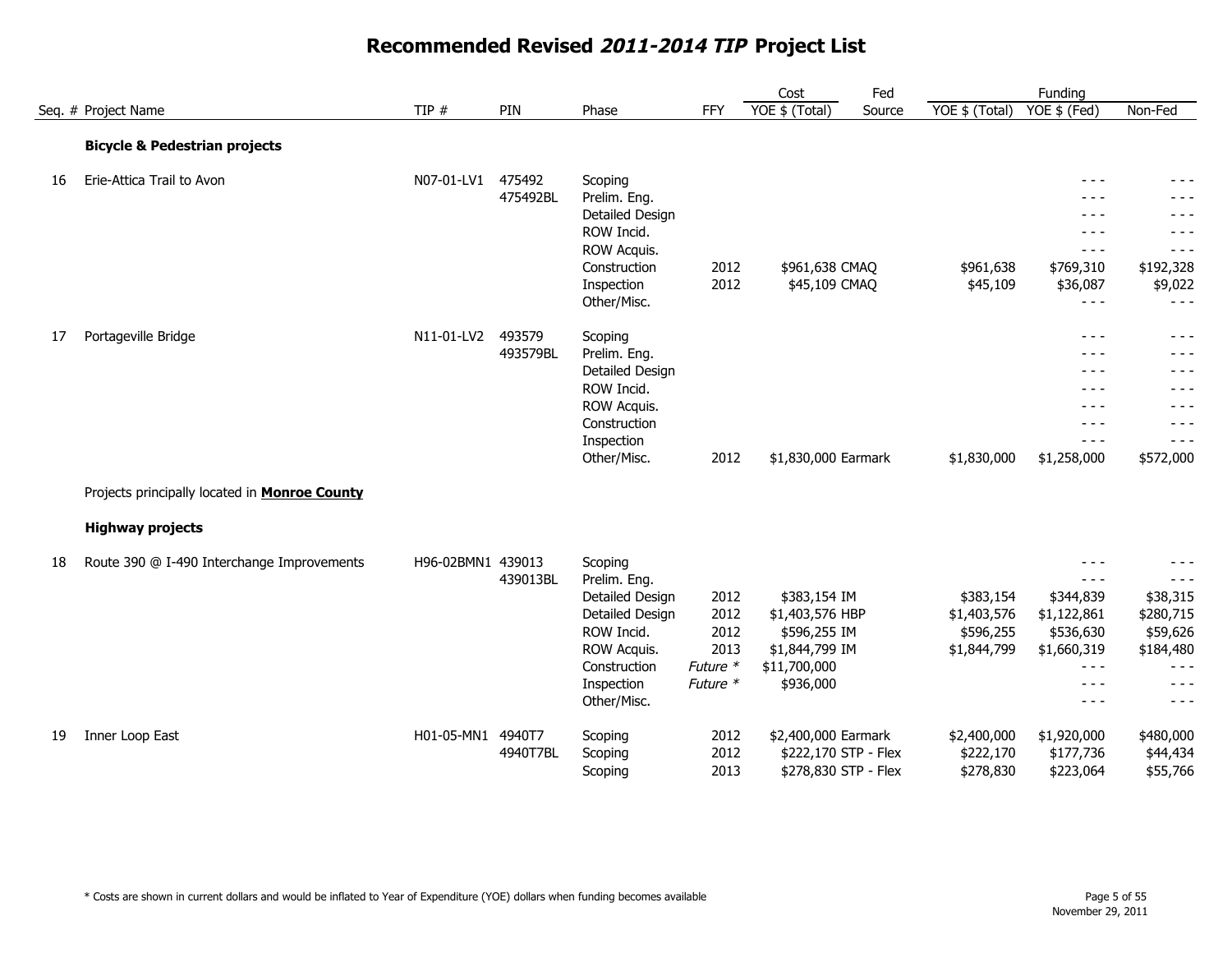|    |                                                      |                   |                    |                                                                                                                                         |                                                      | Fed<br>Cost                                                                                    |                                                      | Funding                                                                                                                                                                                                                                                                                                                                                                                                                                                           |                                                                                          |
|----|------------------------------------------------------|-------------------|--------------------|-----------------------------------------------------------------------------------------------------------------------------------------|------------------------------------------------------|------------------------------------------------------------------------------------------------|------------------------------------------------------|-------------------------------------------------------------------------------------------------------------------------------------------------------------------------------------------------------------------------------------------------------------------------------------------------------------------------------------------------------------------------------------------------------------------------------------------------------------------|------------------------------------------------------------------------------------------|
|    | Seq. # Project Name                                  | TIP $#$           | PIN                | Phase                                                                                                                                   | FFY                                                  | YOE \$ (Total)<br>Source                                                                       | YOE \$ (Total)                                       | YOE \$ (Fed)                                                                                                                                                                                                                                                                                                                                                                                                                                                      | Non-Fed                                                                                  |
|    | <b>Bicycle &amp; Pedestrian projects</b>             |                   |                    |                                                                                                                                         |                                                      |                                                                                                |                                                      |                                                                                                                                                                                                                                                                                                                                                                                                                                                                   |                                                                                          |
| 16 | Erie-Attica Trail to Avon                            | N07-01-LV1        | 475492<br>475492BL | Scoping<br>Prelim. Eng.<br>Detailed Design<br>ROW Incid.<br>ROW Acquis.<br>Construction<br>Inspection                                   | 2012<br>2012                                         | \$961,638 CMAQ<br>\$45,109 CMAQ                                                                | \$961,638<br>\$45,109                                | $- - -$<br>$- - -$<br>$- - -$<br>$- - -$<br>$\frac{1}{2} \frac{1}{2} \frac{1}{2} \frac{1}{2} \frac{1}{2} \frac{1}{2} \frac{1}{2} \frac{1}{2} \frac{1}{2} \frac{1}{2} \frac{1}{2} \frac{1}{2} \frac{1}{2} \frac{1}{2} \frac{1}{2} \frac{1}{2} \frac{1}{2} \frac{1}{2} \frac{1}{2} \frac{1}{2} \frac{1}{2} \frac{1}{2} \frac{1}{2} \frac{1}{2} \frac{1}{2} \frac{1}{2} \frac{1}{2} \frac{1}{2} \frac{1}{2} \frac{1}{2} \frac{1}{2} \frac{$<br>\$769,310<br>\$36,087 | - - -<br>$- - -$<br>- - -<br>- - -<br>$- - -$<br>\$192,328<br>\$9,022                    |
| 17 | Portageville Bridge                                  | N11-01-LV2        | 493579<br>493579BL | Other/Misc.<br>Scoping<br>Prelim. Eng.<br>Detailed Design<br>ROW Incid.<br>ROW Acquis.<br>Construction<br>Inspection<br>Other/Misc.     | 2012                                                 | \$1,830,000 Earmark                                                                            | \$1,830,000                                          | $- - -$<br>$- - -$<br>- - -<br>$- - -$<br>- - -<br>$- - -$<br>$- - -$<br>$- - -$<br>\$1,258,000                                                                                                                                                                                                                                                                                                                                                                   | $- - -$<br>- - -<br>- - -<br>- - -<br>- - -<br>- - -<br>- - -<br>- - -<br>\$572,000      |
|    | Projects principally located in <b>Monroe County</b> |                   |                    |                                                                                                                                         |                                                      |                                                                                                |                                                      |                                                                                                                                                                                                                                                                                                                                                                                                                                                                   |                                                                                          |
|    | <b>Highway projects</b>                              |                   |                    |                                                                                                                                         |                                                      |                                                                                                |                                                      |                                                                                                                                                                                                                                                                                                                                                                                                                                                                   |                                                                                          |
| 18 | Route 390 @ I-490 Interchange Improvements           | H96-02BMN1 439013 | 439013BL           | Scoping<br>Prelim. Eng.<br>Detailed Design<br>Detailed Design<br>ROW Incid.<br>ROW Acquis.<br>Construction<br>Inspection<br>Other/Misc. | 2012<br>2012<br>2012<br>2013<br>Future *<br>Future * | \$383,154 IM<br>\$1,403,576 HBP<br>\$596,255 IM<br>\$1,844,799 IM<br>\$11,700,000<br>\$936,000 | \$383,154<br>\$1,403,576<br>\$596,255<br>\$1,844,799 | $- - -$<br>$- - -$<br>\$344,839<br>\$1,122,861<br>\$536,630<br>\$1,660,319<br>$- - -$<br>$- - -$<br>$- - -$                                                                                                                                                                                                                                                                                                                                                       | - - -<br>\$38,315<br>\$280,715<br>\$59,626<br>\$184,480<br>$- - -$<br>$- - -$<br>$- - -$ |
| 19 | Inner Loop East                                      | H01-05-MN1 4940T7 | 4940T7BL           | Scoping<br>Scoping<br>Scoping                                                                                                           | 2012<br>2012<br>2013                                 | \$2,400,000 Earmark<br>\$222,170 STP - Flex<br>\$278,830 STP - Flex                            | \$2,400,000<br>\$222,170<br>\$278,830                | \$1,920,000<br>\$177,736<br>\$223,064                                                                                                                                                                                                                                                                                                                                                                                                                             | \$480,000<br>\$44,434<br>\$55,766                                                        |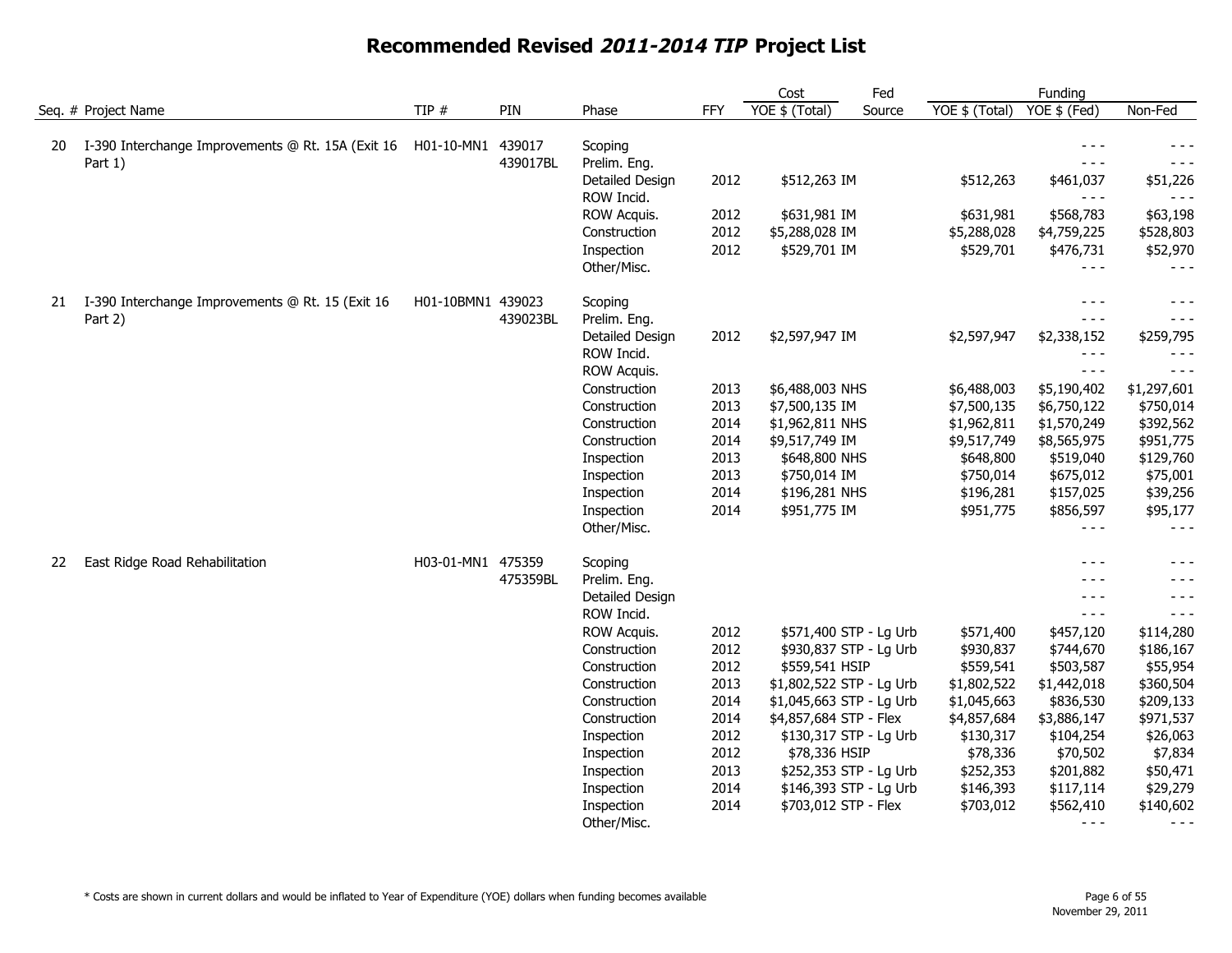|    |                                                              |                   |          |                               |            | Cost                     | Fed    |                | Funding                                                                                                                                                                                                                                                                                                                                                                                                     |                      |
|----|--------------------------------------------------------------|-------------------|----------|-------------------------------|------------|--------------------------|--------|----------------|-------------------------------------------------------------------------------------------------------------------------------------------------------------------------------------------------------------------------------------------------------------------------------------------------------------------------------------------------------------------------------------------------------------|----------------------|
|    | Seq. # Project Name                                          | TIP #             | PIN      | Phase                         | <b>FFY</b> | YOE \$ (Total)           | Source | YOE \$ (Total) | YOE \$ (Fed)                                                                                                                                                                                                                                                                                                                                                                                                | Non-Fed              |
| 20 | I-390 Interchange Improvements @ Rt. 15A (Exit 16<br>Part 1) | H01-10-MN1 439017 | 439017BL | Scoping<br>Prelim. Eng.       |            |                          |        |                | $- - -$<br>$  -$                                                                                                                                                                                                                                                                                                                                                                                            | $- - -$              |
|    |                                                              |                   |          | Detailed Design<br>ROW Incid. | 2012       | \$512,263 IM             |        | \$512,263      | \$461,037<br>$- - -$                                                                                                                                                                                                                                                                                                                                                                                        | \$51,226             |
|    |                                                              |                   |          | ROW Acquis.                   | 2012       | \$631,981 IM             |        | \$631,981      | \$568,783                                                                                                                                                                                                                                                                                                                                                                                                   | \$63,198             |
|    |                                                              |                   |          | Construction                  | 2012       | \$5,288,028 IM           |        | \$5,288,028    | \$4,759,225                                                                                                                                                                                                                                                                                                                                                                                                 | \$528,803            |
|    |                                                              |                   |          | Inspection<br>Other/Misc.     | 2012       | \$529,701 IM             |        | \$529,701      | \$476,731<br>$- - -$                                                                                                                                                                                                                                                                                                                                                                                        | \$52,970<br>$- - -$  |
| 21 | I-390 Interchange Improvements @ Rt. 15 (Exit 16             | H01-10BMN1 439023 |          | Scoping                       |            |                          |        |                | $- - -$                                                                                                                                                                                                                                                                                                                                                                                                     | $- - -$              |
|    | Part 2)                                                      |                   | 439023BL | Prelim. Eng.                  |            |                          |        |                | $  -$                                                                                                                                                                                                                                                                                                                                                                                                       | $- - -$              |
|    |                                                              |                   |          | Detailed Design               | 2012       | \$2,597,947 IM           |        | \$2,597,947    | \$2,338,152<br>$\frac{1}{2} \frac{1}{2} \frac{1}{2} \frac{1}{2} \frac{1}{2} \frac{1}{2} \frac{1}{2} \frac{1}{2} \frac{1}{2} \frac{1}{2} \frac{1}{2} \frac{1}{2} \frac{1}{2} \frac{1}{2} \frac{1}{2} \frac{1}{2} \frac{1}{2} \frac{1}{2} \frac{1}{2} \frac{1}{2} \frac{1}{2} \frac{1}{2} \frac{1}{2} \frac{1}{2} \frac{1}{2} \frac{1}{2} \frac{1}{2} \frac{1}{2} \frac{1}{2} \frac{1}{2} \frac{1}{2} \frac{$ | \$259,795<br>$- - -$ |
|    |                                                              |                   |          | ROW Incid.<br>ROW Acquis.     |            |                          |        |                | $- - -$                                                                                                                                                                                                                                                                                                                                                                                                     | $- - -$              |
|    |                                                              |                   |          | Construction                  | 2013       | \$6,488,003 NHS          |        | \$6,488,003    | \$5,190,402                                                                                                                                                                                                                                                                                                                                                                                                 | \$1,297,601          |
|    |                                                              |                   |          | Construction                  | 2013       | \$7,500,135 IM           |        | \$7,500,135    | \$6,750,122                                                                                                                                                                                                                                                                                                                                                                                                 | \$750,014            |
|    |                                                              |                   |          | Construction                  | 2014       | \$1,962,811 NHS          |        | \$1,962,811    | \$1,570,249                                                                                                                                                                                                                                                                                                                                                                                                 | \$392,562            |
|    |                                                              |                   |          | Construction                  | 2014       | \$9,517,749 IM           |        | \$9,517,749    | \$8,565,975                                                                                                                                                                                                                                                                                                                                                                                                 | \$951,775            |
|    |                                                              |                   |          | Inspection                    | 2013       | \$648,800 NHS            |        | \$648,800      | \$519,040                                                                                                                                                                                                                                                                                                                                                                                                   | \$129,760            |
|    |                                                              |                   |          | Inspection                    | 2013       | \$750,014 IM             |        | \$750,014      | \$675,012                                                                                                                                                                                                                                                                                                                                                                                                   | \$75,001             |
|    |                                                              |                   |          | Inspection                    | 2014       | \$196,281 NHS            |        | \$196,281      | \$157,025                                                                                                                                                                                                                                                                                                                                                                                                   | \$39,256             |
|    |                                                              |                   |          | Inspection<br>Other/Misc.     | 2014       | \$951,775 IM             |        | \$951,775      | \$856,597<br>$- - -$                                                                                                                                                                                                                                                                                                                                                                                        | \$95,177<br>$- - -$  |
| 22 | East Ridge Road Rehabilitation                               | H03-01-MN1 475359 |          | Scoping                       |            |                          |        |                | $- - -$                                                                                                                                                                                                                                                                                                                                                                                                     | $- - -$              |
|    |                                                              |                   | 475359BL | Prelim. Eng.                  |            |                          |        |                | $- - -$                                                                                                                                                                                                                                                                                                                                                                                                     | $- - -$              |
|    |                                                              |                   |          | Detailed Design<br>ROW Incid. |            |                          |        |                | $- - -$<br>$  -$                                                                                                                                                                                                                                                                                                                                                                                            | $- - -$<br>$- - -$   |
|    |                                                              |                   |          | ROW Acquis.                   | 2012       | \$571,400 STP - Lg Urb   |        | \$571,400      | \$457,120                                                                                                                                                                                                                                                                                                                                                                                                   | \$114,280            |
|    |                                                              |                   |          | Construction                  | 2012       | \$930,837 STP - Lg Urb   |        | \$930,837      | \$744,670                                                                                                                                                                                                                                                                                                                                                                                                   | \$186,167            |
|    |                                                              |                   |          | Construction                  | 2012       | \$559,541 HSIP           |        | \$559,541      | \$503,587                                                                                                                                                                                                                                                                                                                                                                                                   | \$55,954             |
|    |                                                              |                   |          | Construction                  | 2013       | \$1,802,522 STP - Lg Urb |        | \$1,802,522    | \$1,442,018                                                                                                                                                                                                                                                                                                                                                                                                 | \$360,504            |
|    |                                                              |                   |          | Construction                  | 2014       | \$1,045,663 STP - Lg Urb |        | \$1,045,663    | \$836,530                                                                                                                                                                                                                                                                                                                                                                                                   | \$209,133            |
|    |                                                              |                   |          | Construction                  | 2014       | \$4,857,684 STP - Flex   |        | \$4,857,684    | \$3,886,147                                                                                                                                                                                                                                                                                                                                                                                                 | \$971,537            |
|    |                                                              |                   |          | Inspection                    | 2012       | \$130,317 STP - Lg Urb   |        | \$130,317      | \$104,254                                                                                                                                                                                                                                                                                                                                                                                                   | \$26,063             |
|    |                                                              |                   |          | Inspection                    | 2012       | \$78,336 HSIP            |        | \$78,336       | \$70,502                                                                                                                                                                                                                                                                                                                                                                                                    | \$7,834              |
|    |                                                              |                   |          | Inspection                    | 2013       | \$252,353 STP - Lg Urb   |        | \$252,353      | \$201,882                                                                                                                                                                                                                                                                                                                                                                                                   | \$50,471             |
|    |                                                              |                   |          | Inspection                    | 2014       | \$146,393 STP - Lg Urb   |        | \$146,393      | \$117,114                                                                                                                                                                                                                                                                                                                                                                                                   | \$29,279             |
|    |                                                              |                   |          | Inspection                    | 2014       | \$703,012 STP - Flex     |        | \$703,012      | \$562,410                                                                                                                                                                                                                                                                                                                                                                                                   | \$140,602            |
|    |                                                              |                   |          | Other/Misc.                   |            |                          |        |                | $- - -$                                                                                                                                                                                                                                                                                                                                                                                                     | $- - -$              |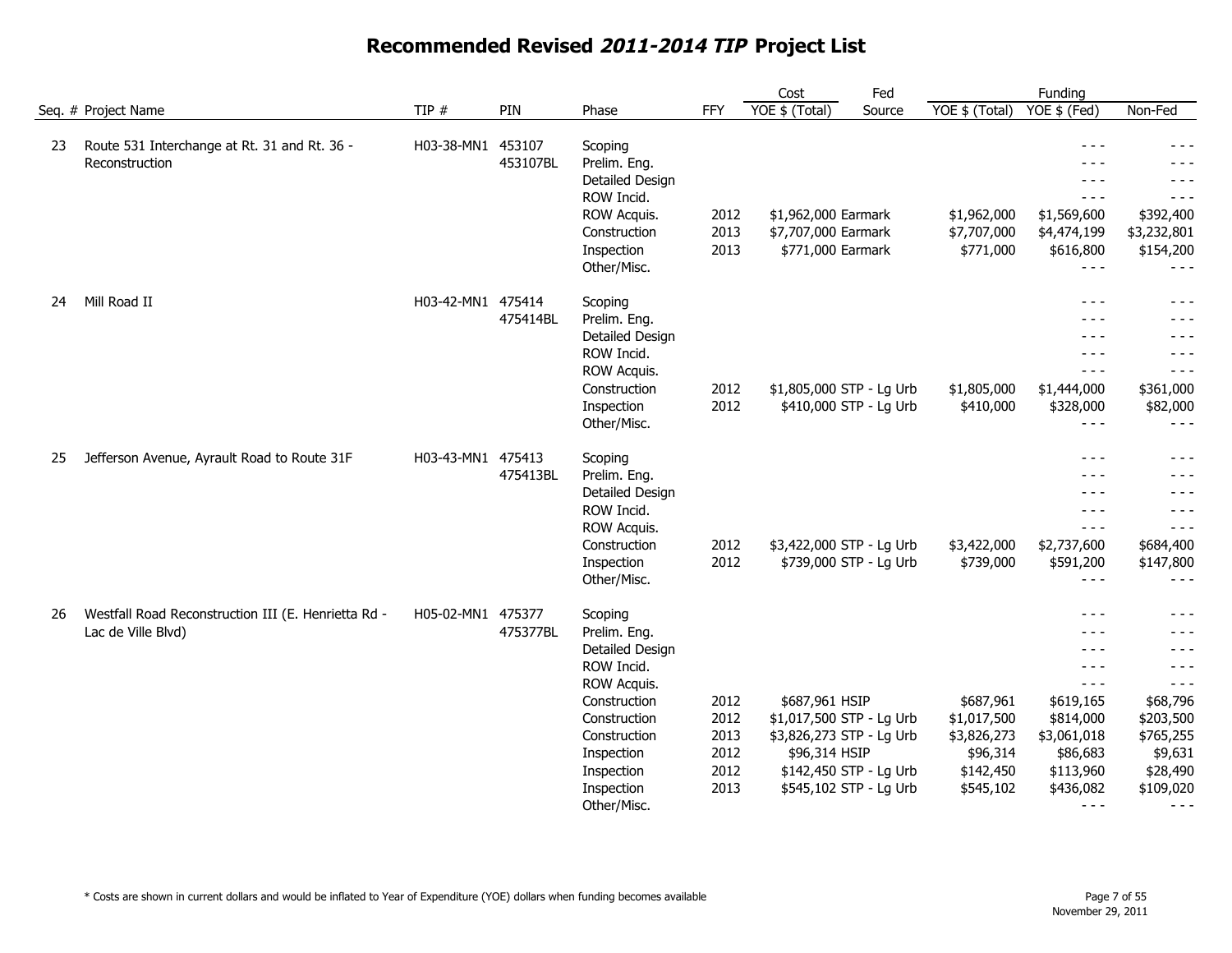|    |                                                                           |                   |                    |                                                                                                                                                                                  |                                              | Cost                                                                                                                                        | Fed    |                                                                               | Funding                                                                                                                                                                                                                                                                                                                                                                                                                                                                                                                          |                                                                                                                                          |
|----|---------------------------------------------------------------------------|-------------------|--------------------|----------------------------------------------------------------------------------------------------------------------------------------------------------------------------------|----------------------------------------------|---------------------------------------------------------------------------------------------------------------------------------------------|--------|-------------------------------------------------------------------------------|----------------------------------------------------------------------------------------------------------------------------------------------------------------------------------------------------------------------------------------------------------------------------------------------------------------------------------------------------------------------------------------------------------------------------------------------------------------------------------------------------------------------------------|------------------------------------------------------------------------------------------------------------------------------------------|
|    | Seq. # Project Name                                                       | TIP #             | PIN                | Phase                                                                                                                                                                            | <b>FFY</b>                                   | YOE \$ (Total)                                                                                                                              | Source | YOE \$ (Total)                                                                | YOE \$ (Fed)                                                                                                                                                                                                                                                                                                                                                                                                                                                                                                                     | Non-Fed                                                                                                                                  |
| 23 | Route 531 Interchange at Rt. 31 and Rt. 36 -<br>Reconstruction            | H03-38-MN1        | 453107<br>453107BL | Scoping<br>Prelim. Eng.<br>Detailed Design<br>ROW Incid.<br>ROW Acquis.<br>Construction<br>Inspection<br>Other/Misc.                                                             | 2012<br>2013<br>2013                         | \$1,962,000 Earmark<br>\$7,707,000 Earmark<br>\$771,000 Earmark                                                                             |        | \$1,962,000<br>\$7,707,000<br>\$771,000                                       | $- - -$<br>$- - -$<br>$- - -$<br>$  -$<br>\$1,569,600<br>\$4,474,199<br>\$616,800<br>$- - -$                                                                                                                                                                                                                                                                                                                                                                                                                                     | $- - -$<br>$- - -$<br>$- - -$<br>$- - -$<br>\$392,400<br>\$3,232,801<br>\$154,200<br>$- - -$                                             |
| 24 | Mill Road II                                                              | H03-42-MN1 475414 | 475414BL           | Scoping<br>Prelim. Eng.<br>Detailed Design<br>ROW Incid.<br>ROW Acquis.<br>Construction<br>Inspection<br>Other/Misc.                                                             | 2012<br>2012                                 | \$1,805,000 STP - Lg Urb<br>\$410,000 STP - Lg Urb                                                                                          |        | \$1,805,000<br>\$410,000                                                      | $- - -$<br>$- - -$<br>$- - -$<br>$- - -$<br>$- - -$<br>\$1,444,000<br>\$328,000<br>$- - -$                                                                                                                                                                                                                                                                                                                                                                                                                                       | $- - -$<br>$- - -$<br>$- - -$<br>$- - -$<br>$- - -$<br>\$361,000<br>\$82,000<br>$- - -$                                                  |
| 25 | Jefferson Avenue, Ayrault Road to Route 31F                               | H03-43-MN1 475413 | 475413BL           | Scoping<br>Prelim. Eng.<br>Detailed Design<br>ROW Incid.<br>ROW Acquis.<br>Construction<br>Inspection<br>Other/Misc.                                                             | 2012<br>2012                                 | \$3,422,000 STP - Lg Urb<br>\$739,000 STP - Lg Urb                                                                                          |        | \$3,422,000<br>\$739,000                                                      | $- - -$<br>$- - -$<br>$- - -$<br>$- - -$<br>$- - -$<br>\$2,737,600<br>\$591,200<br>$\frac{1}{2} \frac{1}{2} \frac{1}{2} \frac{1}{2} \frac{1}{2} \frac{1}{2} \frac{1}{2} \frac{1}{2} \frac{1}{2} \frac{1}{2} \frac{1}{2} \frac{1}{2} \frac{1}{2} \frac{1}{2} \frac{1}{2} \frac{1}{2} \frac{1}{2} \frac{1}{2} \frac{1}{2} \frac{1}{2} \frac{1}{2} \frac{1}{2} \frac{1}{2} \frac{1}{2} \frac{1}{2} \frac{1}{2} \frac{1}{2} \frac{1}{2} \frac{1}{2} \frac{1}{2} \frac{1}{2} \frac{$                                                  | - - -<br>$- - -$<br>- - -<br>$- - -$<br>$- - -$<br>\$684,400<br>\$147,800<br>$- - -$                                                     |
| 26 | Westfall Road Reconstruction III (E. Henrietta Rd -<br>Lac de Ville Blvd) | H05-02-MN1 475377 | 475377BL           | Scoping<br>Prelim. Eng.<br>Detailed Design<br>ROW Incid.<br>ROW Acquis.<br>Construction<br>Construction<br>Construction<br>Inspection<br>Inspection<br>Inspection<br>Other/Misc. | 2012<br>2012<br>2013<br>2012<br>2012<br>2013 | \$687,961 HSIP<br>\$1,017,500 STP - Lg Urb<br>\$3,826,273 STP - Lg Urb<br>\$96,314 HSIP<br>\$142,450 STP - Lg Urb<br>\$545,102 STP - Lg Urb |        | \$687,961<br>\$1,017,500<br>\$3,826,273<br>\$96,314<br>\$142,450<br>\$545,102 | $- - -$<br>$- - -$<br>$- - -$<br>$- - -$<br>$\frac{1}{2} \frac{1}{2} \frac{1}{2} \frac{1}{2} \frac{1}{2} \frac{1}{2} \frac{1}{2} \frac{1}{2} \frac{1}{2} \frac{1}{2} \frac{1}{2} \frac{1}{2} \frac{1}{2} \frac{1}{2} \frac{1}{2} \frac{1}{2} \frac{1}{2} \frac{1}{2} \frac{1}{2} \frac{1}{2} \frac{1}{2} \frac{1}{2} \frac{1}{2} \frac{1}{2} \frac{1}{2} \frac{1}{2} \frac{1}{2} \frac{1}{2} \frac{1}{2} \frac{1}{2} \frac{1}{2} \frac{$<br>\$619,165<br>\$814,000<br>\$3,061,018<br>\$86,683<br>\$113,960<br>\$436,082<br>$  -$ | $- - -$<br>$- - -$<br>$- - -$<br>$- - -$<br>$- - -$<br>\$68,796<br>\$203,500<br>\$765,255<br>\$9,631<br>\$28,490<br>\$109,020<br>$- - -$ |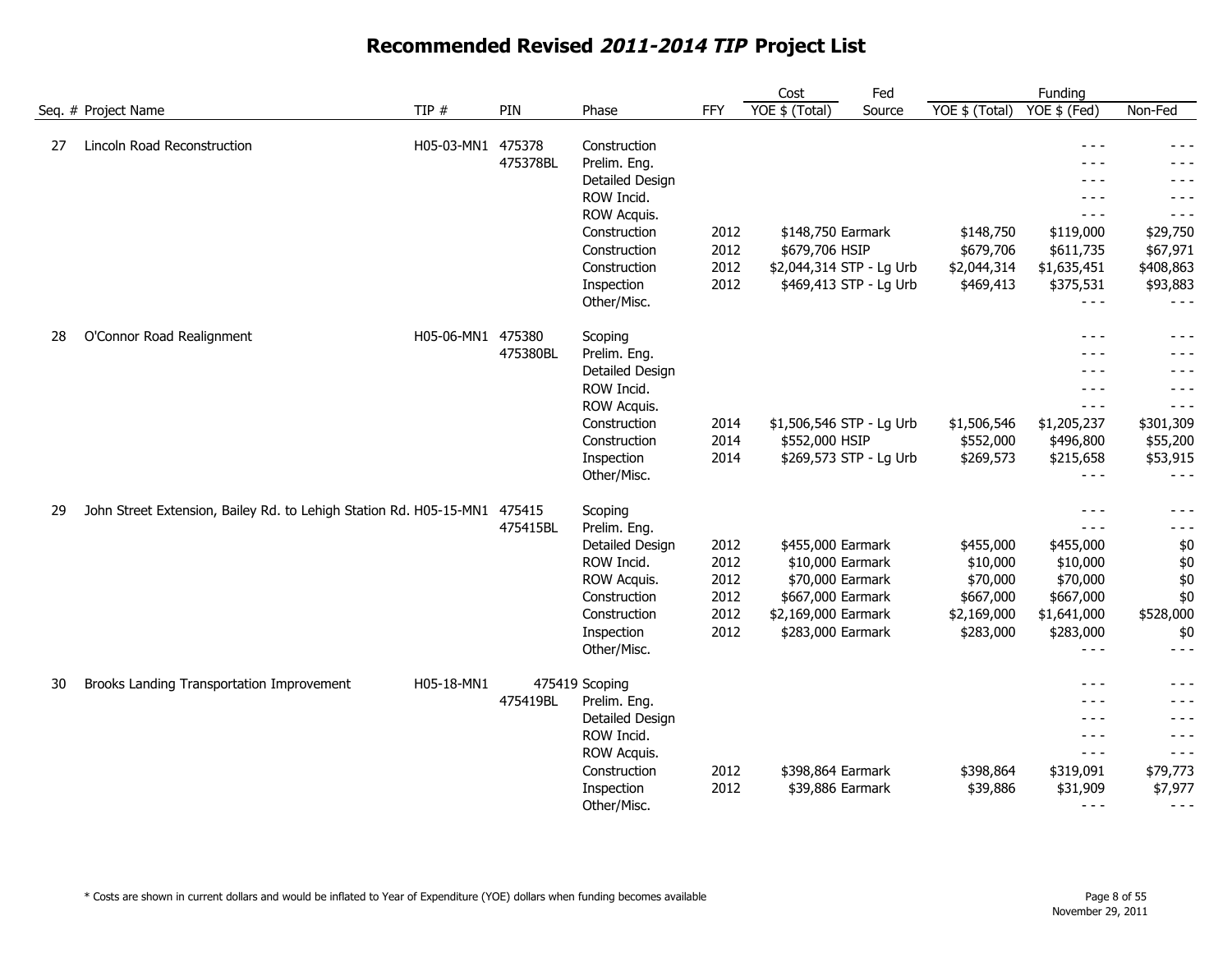|    |                                                                    |                   |                    |                                                                                                                                                           |                                              | Cost                                                                                                                       | Fed    |                                                                            | Funding                                                                                                            |                                                                                                  |
|----|--------------------------------------------------------------------|-------------------|--------------------|-----------------------------------------------------------------------------------------------------------------------------------------------------------|----------------------------------------------|----------------------------------------------------------------------------------------------------------------------------|--------|----------------------------------------------------------------------------|--------------------------------------------------------------------------------------------------------------------|--------------------------------------------------------------------------------------------------|
|    | Seq. # Project Name                                                | TIP $#$           | PIN                | Phase                                                                                                                                                     | <b>FFY</b>                                   | YOE \$ (Total)                                                                                                             | Source | YOE \$ (Total)                                                             | YOE \$ (Fed)                                                                                                       | Non-Fed                                                                                          |
| 27 | Lincoln Road Reconstruction                                        | H05-03-MN1 475378 | 475378BL           | Construction<br>Prelim. Eng.<br>Detailed Design<br>ROW Incid.<br>ROW Acquis.<br>Construction<br>Construction<br>Construction<br>Inspection<br>Other/Misc. | 2012<br>2012<br>2012<br>2012                 | \$148,750 Earmark<br>\$679,706 HSIP<br>\$2,044,314 STP - Lg Urb<br>\$469,413 STP - Lg Urb                                  |        | \$148,750<br>\$679,706<br>\$2,044,314<br>\$469,413                         | $- - -$<br>$- - -$<br>- - -<br>$- - -$<br>$- - -$<br>\$119,000<br>\$611,735<br>\$1,635,451<br>\$375,531<br>$- - -$ | - - -<br>- - -<br>$- - -$<br>$- - -$<br>\$29,750<br>\$67,971<br>\$408,863<br>\$93,883<br>$- - -$ |
| 28 | O'Connor Road Realignment                                          | H05-06-MN1 475380 | 475380BL           | Scoping<br>Prelim. Eng.<br>Detailed Design<br>ROW Incid.<br>ROW Acquis.<br>Construction<br>Construction<br>Inspection<br>Other/Misc.                      | 2014<br>2014<br>2014                         | \$1,506,546 STP - Lg Urb<br>\$552,000 HSIP<br>\$269,573 STP - Lg Urb                                                       |        | \$1,506,546<br>\$552,000<br>\$269,573                                      | $- - -$<br>$- - -$<br>$- - -$<br>$- - -$<br>$- - -$<br>\$1,205,237<br>\$496,800<br>\$215,658<br>$- - -$            | - - -<br>- - -<br>$- - -$<br>$- - -$<br>\$301,309<br>\$55,200<br>\$53,915<br>$- - -$             |
| 29 | John Street Extension, Bailey Rd. to Lehigh Station Rd. H05-15-MN1 |                   | 475415<br>475415BL | Scoping<br>Prelim. Eng.<br>Detailed Design<br>ROW Incid.<br>ROW Acquis.<br>Construction<br>Construction<br>Inspection<br>Other/Misc.                      | 2012<br>2012<br>2012<br>2012<br>2012<br>2012 | \$455,000 Earmark<br>\$10,000 Earmark<br>\$70,000 Earmark<br>\$667,000 Earmark<br>\$2,169,000 Earmark<br>\$283,000 Earmark |        | \$455,000<br>\$10,000<br>\$70,000<br>\$667,000<br>\$2,169,000<br>\$283,000 | $- - -$<br>$- - -$<br>\$455,000<br>\$10,000<br>\$70,000<br>\$667,000<br>\$1,641,000<br>\$283,000<br>$- - -$        | - - -<br>$- - -$<br>\$0<br>\$0<br>\$0<br>\$0<br>\$528,000<br>\$0<br>$- - -$                      |
| 30 | Brooks Landing Transportation Improvement                          | H05-18-MN1        | 475419BL           | 475419 Scoping<br>Prelim. Eng.<br>Detailed Design<br>ROW Incid.<br>ROW Acquis.<br>Construction<br>Inspection<br>Other/Misc.                               | 2012<br>2012                                 | \$398,864 Earmark<br>\$39,886 Earmark                                                                                      |        | \$398,864<br>\$39,886                                                      | $- - -$<br>$- - -$<br>$- - -$<br>$- - -$<br>$- - -$<br>\$319,091<br>\$31,909<br>$- - -$                            | - - -<br>- - -<br>$- - -$<br>$- - -$<br>$- - -$<br>\$79,773<br>\$7,977<br>$- - -$                |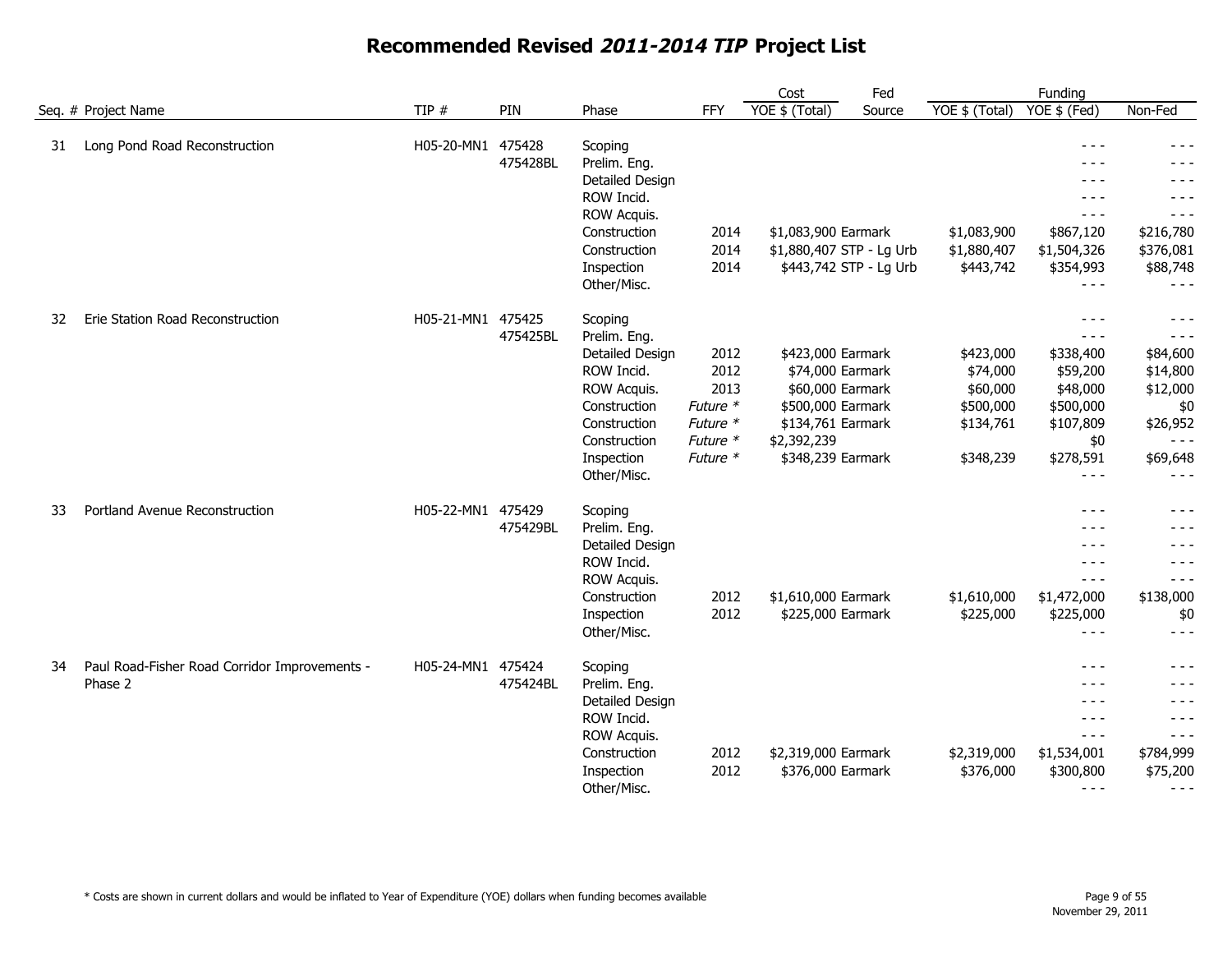|    |                                                          |                   |                    |                                                                                                                                                      |                                                                      | Cost                                                                                                                                    | Fed    |                                                                          | Funding                                                                                                        |                                                                                                      |
|----|----------------------------------------------------------|-------------------|--------------------|------------------------------------------------------------------------------------------------------------------------------------------------------|----------------------------------------------------------------------|-----------------------------------------------------------------------------------------------------------------------------------------|--------|--------------------------------------------------------------------------|----------------------------------------------------------------------------------------------------------------|------------------------------------------------------------------------------------------------------|
|    | Seq. # Project Name                                      | TIP $#$           | PIN                | Phase                                                                                                                                                | <b>FFY</b>                                                           | YOE \$ (Total)                                                                                                                          | Source | YOE \$ (Total)                                                           | YOE \$ (Fed)                                                                                                   | Non-Fed                                                                                              |
| 31 | Long Pond Road Reconstruction                            | H05-20-MN1        | 475428<br>475428BL | Scoping<br>Prelim. Eng.<br>Detailed Design<br>ROW Incid.<br>ROW Acquis.<br>Construction<br>Construction<br>Inspection<br>Other/Misc.                 | 2014<br>2014<br>2014                                                 | \$1,083,900 Earmark<br>\$1,880,407 STP - Lg Urb<br>\$443,742 STP - Lg Urb                                                               |        | \$1,083,900<br>\$1,880,407<br>\$443,742                                  | $- - -$<br>$- - -$<br>$- - -$<br>$- - -$<br>$  -$<br>\$867,120<br>\$1,504,326<br>\$354,993<br>$- - -$          | $- - -$<br>$- - -$<br>$- - -$<br>$- - -$<br>$- - -$<br>\$216,780<br>\$376,081<br>\$88,748<br>$- - -$ |
| 32 | Erie Station Road Reconstruction                         | H05-21-MN1        | 475425<br>475425BL | Scoping<br>Prelim. Eng.<br>Detailed Design<br>ROW Incid.<br>ROW Acquis.<br>Construction<br>Construction<br>Construction<br>Inspection<br>Other/Misc. | 2012<br>2012<br>2013<br>Future *<br>Future *<br>Future *<br>Future * | \$423,000 Earmark<br>\$74,000 Earmark<br>\$60,000 Earmark<br>\$500,000 Earmark<br>\$134,761 Earmark<br>\$2,392,239<br>\$348,239 Earmark |        | \$423,000<br>\$74,000<br>\$60,000<br>\$500,000<br>\$134,761<br>\$348,239 | $- - -$<br>$  -$<br>\$338,400<br>\$59,200<br>\$48,000<br>\$500,000<br>\$107,809<br>\$0<br>\$278,591<br>$- - -$ | $- - -$<br>$- - -$<br>\$84,600<br>\$14,800<br>\$12,000<br>\$0<br>\$26,952<br>\$69,648                |
| 33 | Portland Avenue Reconstruction                           | H05-22-MN1        | 475429<br>475429BL | Scoping<br>Prelim. Eng.<br>Detailed Design<br>ROW Incid.<br>ROW Acquis.<br>Construction<br>Inspection<br>Other/Misc.                                 | 2012<br>2012                                                         | \$1,610,000 Earmark<br>\$225,000 Earmark                                                                                                |        | \$1,610,000<br>\$225,000                                                 | $- - -$<br>$- - -$<br>$- - -$<br>$- - -$<br>$  -$<br>\$1,472,000<br>\$225,000<br>$\frac{1}{2}$                 | $- - -$<br>$- - -$<br>$- - -$<br>$- - -$<br>$- - -$<br>\$138,000<br>\$0<br>$- - -$                   |
| 34 | Paul Road-Fisher Road Corridor Improvements -<br>Phase 2 | H05-24-MN1 475424 | 475424BL           | Scoping<br>Prelim. Eng.<br>Detailed Design<br>ROW Incid.<br>ROW Acquis.<br>Construction<br>Inspection<br>Other/Misc.                                 | 2012<br>2012                                                         | \$2,319,000 Earmark<br>\$376,000 Earmark                                                                                                |        | \$2,319,000<br>\$376,000                                                 | $- - -$<br>- - -<br>$- - -$<br>$  -$<br>$- - -$<br>\$1,534,001<br>\$300,800<br>$- - -$                         | $- - -$<br>- - -<br>$- - -$<br>$- - -$<br>\$784,999<br>\$75,200<br>$- - -$                           |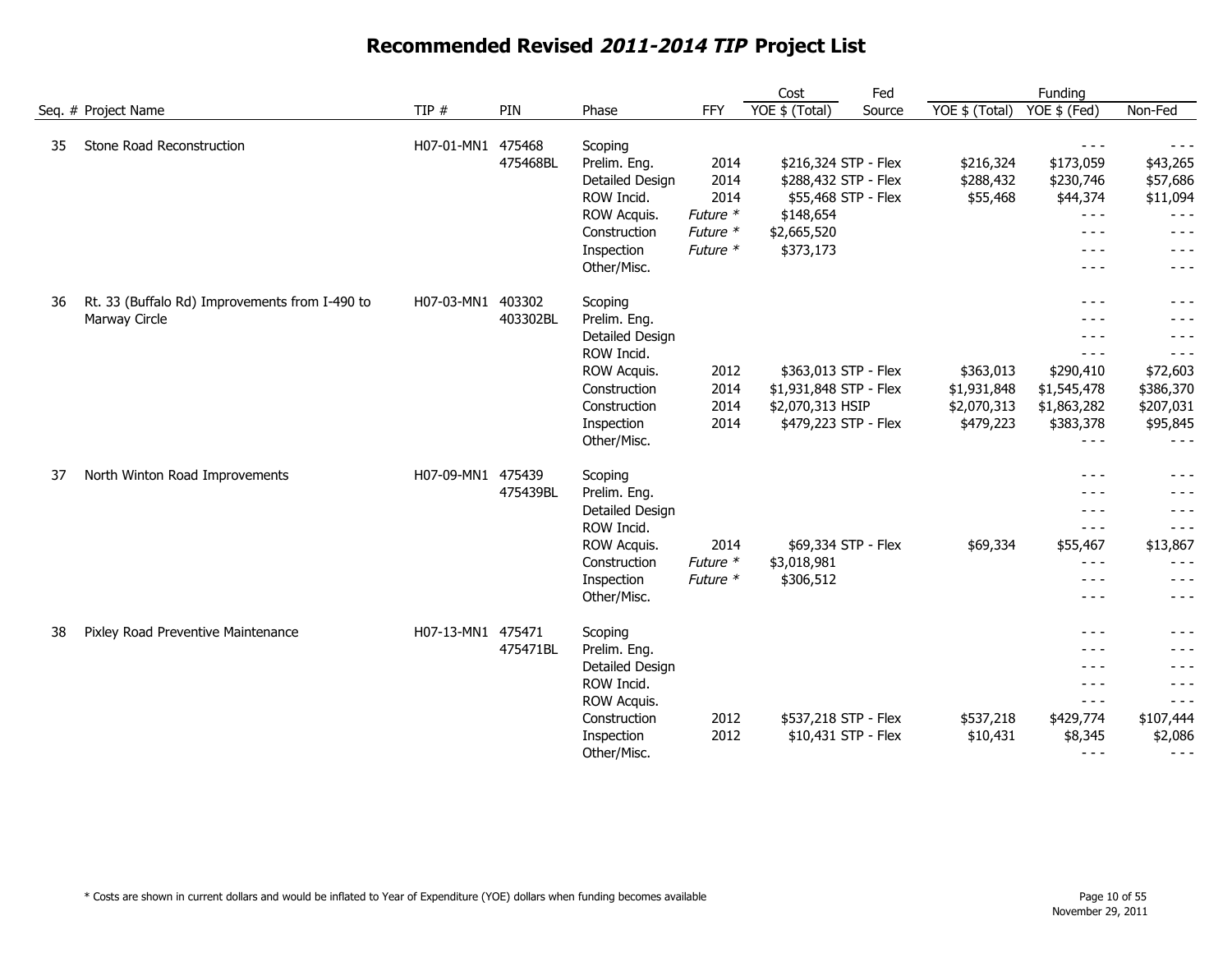|    |                                                |                   |          |                 |            | Cost                   | Fed    |                | Funding            |           |
|----|------------------------------------------------|-------------------|----------|-----------------|------------|------------------------|--------|----------------|--------------------|-----------|
|    | Seq. # Project Name                            | TIP $#$           | PIN      | Phase           | <b>FFY</b> | YOE \$ (Total)         | Source | YOE \$ (Total) | YOE \$ (Fed)       | Non-Fed   |
| 35 | Stone Road Reconstruction                      | H07-01-MN1        | 475468   | Scoping         |            |                        |        |                | $- - -$            | $- - -$   |
|    |                                                |                   | 475468BL | Prelim. Eng.    | 2014       | \$216,324 STP - Flex   |        | \$216,324      | \$173,059          | \$43,265  |
|    |                                                |                   |          | Detailed Design | 2014       | \$288,432 STP - Flex   |        | \$288,432      | \$230,746          | \$57,686  |
|    |                                                |                   |          | ROW Incid.      | 2014       | \$55,468 STP - Flex    |        | \$55,468       | \$44,374           | \$11,094  |
|    |                                                |                   |          | ROW Acquis.     | Future *   | \$148,654              |        |                | $\frac{1}{2}$      | $- - -$   |
|    |                                                |                   |          | Construction    | Future *   | \$2,665,520            |        |                | $- - -$            | - - -     |
|    |                                                |                   |          | Inspection      | Future *   | \$373,173              |        |                | $- - -$            | $- - -$   |
|    |                                                |                   |          | Other/Misc.     |            |                        |        |                | $- - -$            | $- - -$   |
| 36 | Rt. 33 (Buffalo Rd) Improvements from I-490 to | H07-03-MN1 403302 |          | Scoping         |            |                        |        |                | $- - -$            | - - -     |
|    | Marway Circle                                  |                   | 403302BL | Prelim. Eng.    |            |                        |        |                | $- - -$            | $- - -$   |
|    |                                                |                   |          | Detailed Design |            |                        |        |                | $- - -$            | - - -     |
|    |                                                |                   |          | ROW Incid.      |            |                        |        |                | $- - -$            | $- - -$   |
|    |                                                |                   |          | ROW Acquis.     | 2012       | \$363,013 STP - Flex   |        | \$363,013      | \$290,410          | \$72,603  |
|    |                                                |                   |          | Construction    | 2014       | \$1,931,848 STP - Flex |        | \$1,931,848    | \$1,545,478        | \$386,370 |
|    |                                                |                   |          | Construction    | 2014       | \$2,070,313 HSIP       |        | \$2,070,313    | \$1,863,282        | \$207,031 |
|    |                                                |                   |          | Inspection      | 2014       | \$479,223 STP - Flex   |        | \$479,223      | \$383,378          | \$95,845  |
|    |                                                |                   |          | Other/Misc.     |            |                        |        |                | $- - -$            | $- - -$   |
| 37 | North Winton Road Improvements                 | H07-09-MN1 475439 |          | Scoping         |            |                        |        |                | $- - -$            | $- - -$   |
|    |                                                |                   | 475439BL | Prelim. Eng.    |            |                        |        |                | $- - -$            | - - -     |
|    |                                                |                   |          | Detailed Design |            |                        |        |                | $- - -$            | - - -     |
|    |                                                |                   |          | ROW Incid.      |            |                        |        |                | $- - -$            | $- - -$   |
|    |                                                |                   |          | ROW Acquis.     | 2014       | \$69,334 STP - Flex    |        | \$69,334       | \$55,467           | \$13,867  |
|    |                                                |                   |          | Construction    | Future *   | \$3,018,981            |        |                | $- - -$            | - - -     |
|    |                                                |                   |          | Inspection      | Future *   | \$306,512              |        |                | $- - -$            | - - -     |
|    |                                                |                   |          | Other/Misc.     |            |                        |        |                | $- - -$            | $- - -$   |
| 38 |                                                | H07-13-MN1 475471 |          |                 |            |                        |        |                |                    | - - -     |
|    | Pixley Road Preventive Maintenance             |                   |          | Scoping         |            |                        |        |                | $- - -$<br>$- - -$ | $- - -$   |
|    |                                                |                   | 475471BL | Prelim. Eng.    |            |                        |        |                |                    |           |
|    |                                                |                   |          | Detailed Design |            |                        |        |                | $- - -$            | $- - -$   |
|    |                                                |                   |          | ROW Incid.      |            |                        |        |                | $- - -$            | $- - -$   |
|    |                                                |                   |          | ROW Acquis.     |            |                        |        |                | $- - -$            | $- - -$   |
|    |                                                |                   |          | Construction    | 2012       | \$537,218 STP - Flex   |        | \$537,218      | \$429,774          | \$107,444 |
|    |                                                |                   |          | Inspection      | 2012       | \$10,431 STP - Flex    |        | \$10,431       | \$8,345            | \$2,086   |
|    |                                                |                   |          | Other/Misc.     |            |                        |        |                | $- - -$            | $- - -$   |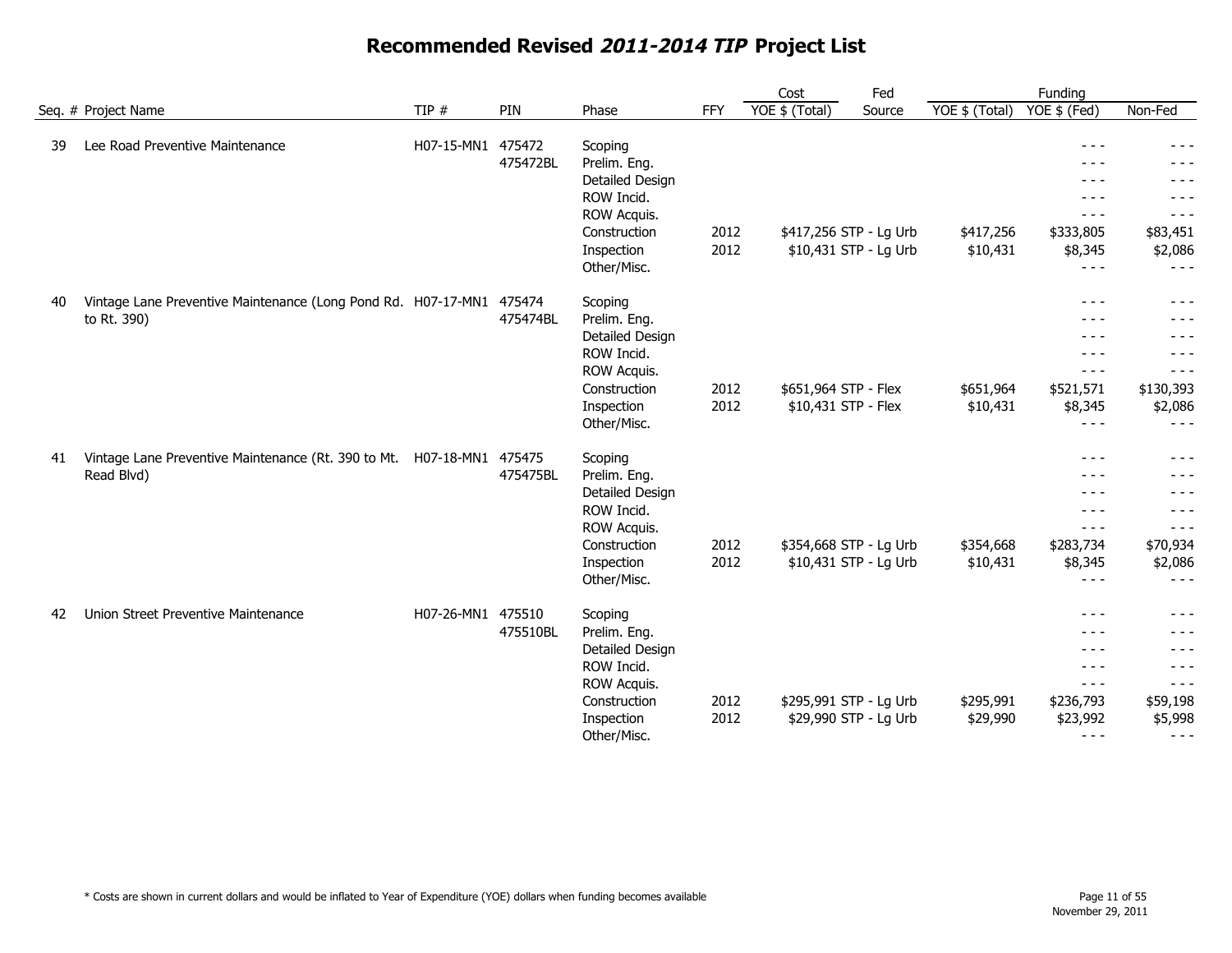|    |                                                                       |                   | PIN      |                 |      | Cost                 | Fed                    |                | Funding       |           |
|----|-----------------------------------------------------------------------|-------------------|----------|-----------------|------|----------------------|------------------------|----------------|---------------|-----------|
|    | Seq. # Project Name                                                   | TIP $#$           |          | Phase           | FFY  | YOE \$ (Total)       | Source                 | YOE \$ (Total) | YOE \$ (Fed)  | Non-Fed   |
| 39 | Lee Road Preventive Maintenance                                       | H07-15-MN1        | 475472   | Scoping         |      |                      |                        |                | $- - -$       |           |
|    |                                                                       |                   | 475472BL | Prelim. Eng.    |      |                      |                        |                |               |           |
|    |                                                                       |                   |          | Detailed Design |      |                      |                        |                | - - -         | - - -     |
|    |                                                                       |                   |          | ROW Incid.      |      |                      |                        |                | - - -         |           |
|    |                                                                       |                   |          | ROW Acquis.     |      |                      |                        |                | $- - -$       | $- - -$   |
|    |                                                                       |                   |          | Construction    | 2012 |                      | \$417,256 STP - Lg Urb | \$417,256      | \$333,805     | \$83,451  |
|    |                                                                       |                   |          | Inspection      | 2012 |                      | \$10,431 STP - Lg Urb  | \$10,431       | \$8,345       | \$2,086   |
|    |                                                                       |                   |          | Other/Misc.     |      |                      |                        |                | $  -$         | $- - -$   |
| 40 | Vintage Lane Preventive Maintenance (Long Pond Rd. H07-17-MN1         |                   | 475474   | Scoping         |      |                      |                        |                | $- - -$       | $- - -$   |
|    | to Rt. 390)                                                           |                   | 475474BL | Prelim. Eng.    |      |                      |                        |                | $- - -$       |           |
|    |                                                                       |                   |          | Detailed Design |      |                      |                        |                | $- - -$       | $- - -$   |
|    |                                                                       |                   |          | ROW Incid.      |      |                      |                        |                | $- - -$       |           |
|    |                                                                       |                   |          | ROW Acquis.     |      |                      |                        |                | $\frac{1}{2}$ | $- - -$   |
|    |                                                                       |                   |          | Construction    | 2012 | \$651,964 STP - Flex |                        | \$651,964      | \$521,571     | \$130,393 |
|    |                                                                       |                   |          | Inspection      | 2012 | \$10,431 STP - Flex  |                        | \$10,431       | \$8,345       | \$2,086   |
|    |                                                                       |                   |          | Other/Misc.     |      |                      |                        |                | $- - -$       | $- - -$   |
| 41 | Vintage Lane Preventive Maintenance (Rt. 390 to Mt. H07-18-MN1 475475 |                   |          | Scoping         |      |                      |                        |                | $- - -$       | - - -     |
|    | Read Blvd)                                                            |                   | 475475BL | Prelim. Eng.    |      |                      |                        |                | $  -$         | $  -$     |
|    |                                                                       |                   |          | Detailed Design |      |                      |                        |                | $- - -$       | - - -     |
|    |                                                                       |                   |          | ROW Incid.      |      |                      |                        |                | $- - -$       | - - -     |
|    |                                                                       |                   |          | ROW Acquis.     |      |                      |                        |                | $- - -$       | - - -     |
|    |                                                                       |                   |          | Construction    | 2012 |                      | \$354,668 STP - Lg Urb | \$354,668      | \$283,734     | \$70,934  |
|    |                                                                       |                   |          | Inspection      | 2012 |                      | \$10,431 STP - Lg Urb  | \$10,431       | \$8,345       | \$2,086   |
|    |                                                                       |                   |          | Other/Misc.     |      |                      |                        |                | $- - -$       | $- - -$   |
| 42 | Union Street Preventive Maintenance                                   | H07-26-MN1 475510 |          | Scoping         |      |                      |                        |                | $- - -$       | $- - -$   |
|    |                                                                       |                   | 475510BL | Prelim. Eng.    |      |                      |                        |                | $- - -$       | $- - -$   |
|    |                                                                       |                   |          | Detailed Design |      |                      |                        |                | $- - -$       | $- - -$   |
|    |                                                                       |                   |          | ROW Incid.      |      |                      |                        |                | $- - -$       | $- - -$   |
|    |                                                                       |                   |          | ROW Acquis.     |      |                      |                        |                | $- - -$       | $- - -$   |
|    |                                                                       |                   |          | Construction    | 2012 |                      | \$295,991 STP - Lg Urb | \$295,991      | \$236,793     | \$59,198  |
|    |                                                                       |                   |          | Inspection      | 2012 |                      | \$29,990 STP - Lg Urb  | \$29,990       | \$23,992      | \$5,998   |
|    |                                                                       |                   |          | Other/Misc.     |      |                      |                        |                | $- - -$       | $- - -$   |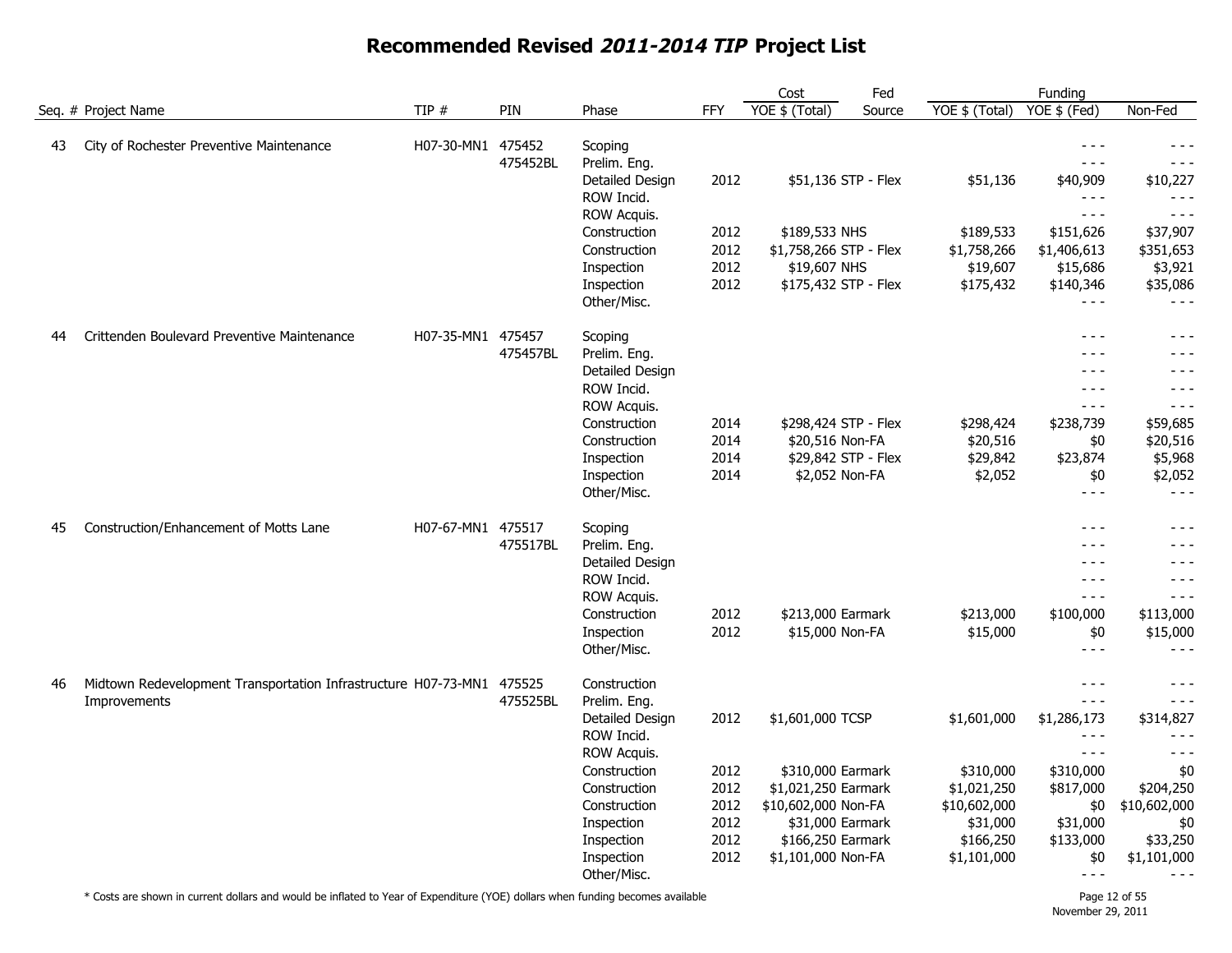|    |                                                                       |                   |          |                                 |              | Cost                                   | Fed    |                         | Funding                 |                         |
|----|-----------------------------------------------------------------------|-------------------|----------|---------------------------------|--------------|----------------------------------------|--------|-------------------------|-------------------------|-------------------------|
|    | Seg. # Project Name                                                   | TIP #             | PIN      | Phase                           | <b>FFY</b>   | YOE \$ (Total)                         | Source | YOE \$ (Total)          | $YOE$ \$ (Fed)          | Non-Fed                 |
| 43 | City of Rochester Preventive Maintenance                              | H07-30-MN1 475452 | 475452BL | Scoping<br>Prelim. Eng.         |              |                                        |        |                         | $- - -$<br>$- - -$      | - - -<br>- - -          |
|    |                                                                       |                   |          | Detailed Design                 | 2012         | \$51,136 STP - Flex                    |        | \$51,136                | \$40,909                | \$10,227                |
|    |                                                                       |                   |          | ROW Incid.                      |              |                                        |        |                         | $- - -$                 | $- - -$                 |
|    |                                                                       |                   |          | ROW Acquis.                     |              |                                        |        |                         | $- - -$                 | $- - -$                 |
|    |                                                                       |                   |          | Construction                    | 2012         | \$189,533 NHS                          |        | \$189,533               | \$151,626               | \$37,907                |
|    |                                                                       |                   |          | Construction<br>Inspection      | 2012<br>2012 | \$1,758,266 STP - Flex<br>\$19,607 NHS |        | \$1,758,266<br>\$19,607 | \$1,406,613<br>\$15,686 | \$351,653<br>\$3,921    |
|    |                                                                       |                   |          | Inspection                      | 2012         | \$175,432 STP - Flex                   |        | \$175,432               | \$140,346               | \$35,086                |
|    |                                                                       |                   |          | Other/Misc.                     |              |                                        |        |                         | $- - -$                 | $- - -$                 |
| 44 | Crittenden Boulevard Preventive Maintenance                           | H07-35-MN1 475457 |          | Scoping                         |              |                                        |        |                         | $- - -$                 | $- - -$                 |
|    |                                                                       |                   | 475457BL | Prelim. Eng.                    |              |                                        |        |                         | $- - -$                 | - - -                   |
|    |                                                                       |                   |          | Detailed Design                 |              |                                        |        |                         | $- - -$                 | $- - -$                 |
|    |                                                                       |                   |          | ROW Incid.<br>ROW Acquis.       |              |                                        |        |                         | $- - -$<br>$- - -$      | - - -<br>$- - -$        |
|    |                                                                       |                   |          | Construction                    | 2014         | \$298,424 STP - Flex                   |        | \$298,424               | \$238,739               | \$59,685                |
|    |                                                                       |                   |          | Construction                    | 2014         | \$20,516 Non-FA                        |        | \$20,516                | \$0                     | \$20,516                |
|    |                                                                       |                   |          | Inspection                      | 2014         | \$29,842 STP - Flex                    |        | \$29,842                | \$23,874                | \$5,968                 |
|    |                                                                       |                   |          | Inspection                      | 2014         | \$2,052 Non-FA                         |        | \$2,052                 | \$0                     | \$2,052                 |
|    |                                                                       |                   |          | Other/Misc.                     |              |                                        |        |                         | $- - -$                 | $- - -$                 |
| 45 | Construction/Enhancement of Motts Lane                                | H07-67-MN1 475517 |          | Scoping                         |              |                                        |        |                         | $- - -$                 | - - -                   |
|    |                                                                       |                   | 475517BL | Prelim. Eng.<br>Detailed Design |              |                                        |        |                         | $- - -$<br>$- - -$      | $- -$<br>- - -          |
|    |                                                                       |                   |          | ROW Incid.                      |              |                                        |        |                         | $- - -$                 | $- - -$                 |
|    |                                                                       |                   |          | ROW Acquis.                     |              |                                        |        |                         | $- - -$                 | - - -                   |
|    |                                                                       |                   |          | Construction                    | 2012         | \$213,000 Earmark                      |        | \$213,000               | \$100,000               | \$113,000               |
|    |                                                                       |                   |          | Inspection                      | 2012         | \$15,000 Non-FA                        |        | \$15,000                | \$0                     | \$15,000                |
|    |                                                                       |                   |          | Other/Misc.                     |              |                                        |        |                         | $- - -$                 | - - -                   |
| 46 | Midtown Redevelopment Transportation Infrastructure H07-73-MN1 475525 |                   | 475525BL | Construction                    |              |                                        |        |                         | $- - -$<br>$- - -$      | $- - -$<br>$- - -$      |
|    | Improvements                                                          |                   |          | Prelim. Eng.<br>Detailed Design | 2012         | \$1,601,000 TCSP                       |        | \$1,601,000             | \$1,286,173             | \$314,827               |
|    |                                                                       |                   |          | ROW Incid.                      |              |                                        |        |                         | $- - -$                 | - - -                   |
|    |                                                                       |                   |          | ROW Acquis.                     |              |                                        |        |                         | $- - -$                 | $- - -$                 |
|    |                                                                       |                   |          | Construction                    | 2012         | \$310,000 Earmark                      |        | \$310,000               | \$310,000               | \$0                     |
|    |                                                                       |                   |          | Construction                    | 2012         | \$1,021,250 Earmark                    |        | \$1,021,250             | \$817,000               | \$204,250               |
|    |                                                                       |                   |          | Construction                    | 2012         | \$10,602,000 Non-FA                    |        | \$10,602,000            | \$0                     | \$10,602,000            |
|    |                                                                       |                   |          | Inspection                      | 2012         | \$31,000 Earmark<br>\$166,250 Earmark  |        | \$31,000<br>\$166,250   | \$31,000                | \$0                     |
|    |                                                                       |                   |          | Inspection<br>Inspection        | 2012<br>2012 | \$1,101,000 Non-FA                     |        | \$1,101,000             | \$133,000<br>\$0        | \$33,250<br>\$1,101,000 |
|    |                                                                       |                   |          | Other/Misc.                     |              |                                        |        |                         | $- - -$                 | $- - -$                 |
|    |                                                                       |                   |          |                                 |              |                                        |        |                         |                         |                         |

\* Costs are shown in current dollars and would be inflated to Year of Expenditure (YOE) dollars when funding becomes available Page 12 of 55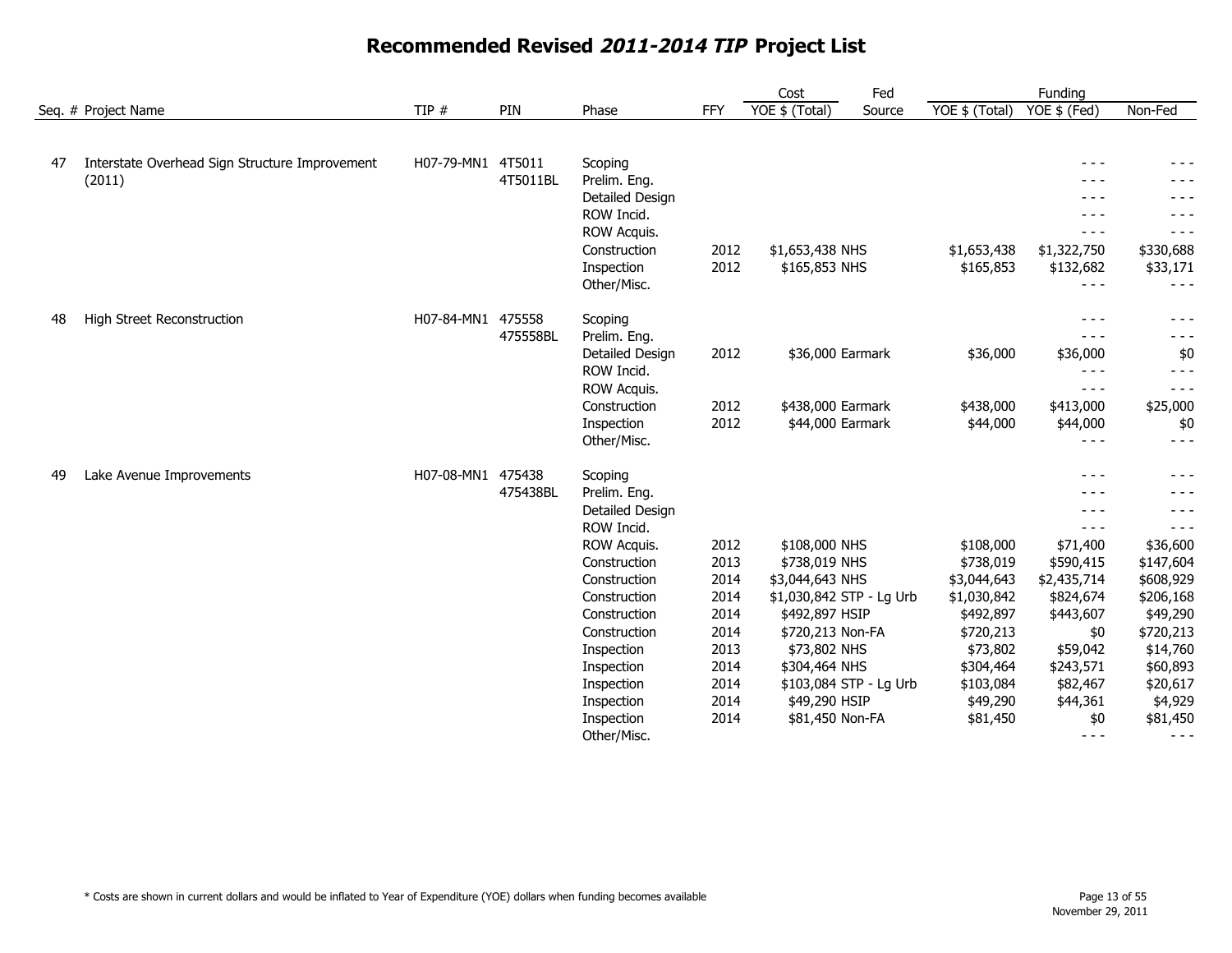|    |                                                          |                   |          |                          |              | Cost                             | Fed                    |                | Funding          |                     |
|----|----------------------------------------------------------|-------------------|----------|--------------------------|--------------|----------------------------------|------------------------|----------------|------------------|---------------------|
|    | Seq. # Project Name                                      | TIP #             | PIN      | Phase                    | FFY          | YOE \$ (Total)                   | Source                 | YOE \$ (Total) | YOE \$ (Fed)     | Non-Fed             |
|    |                                                          |                   |          |                          |              |                                  |                        |                |                  |                     |
| 47 | Interstate Overhead Sign Structure Improvement<br>(2011) | H07-79-MN1 4T5011 | 4T5011BL | Scoping<br>Prelim. Eng.  |              |                                  |                        |                | $- - -$<br>- - - | - - -               |
|    |                                                          |                   |          | Detailed Design          |              |                                  |                        |                | - - -            | - - -               |
|    |                                                          |                   |          | ROW Incid.               |              |                                  |                        |                | - - -            |                     |
|    |                                                          |                   |          | ROW Acquis.              |              |                                  |                        |                | $- - -$          | - - -               |
|    |                                                          |                   |          | Construction             | 2012         | \$1,653,438 NHS                  |                        | \$1,653,438    | \$1,322,750      | \$330,688           |
|    |                                                          |                   |          | Inspection               | 2012         | \$165,853 NHS                    |                        | \$165,853      | \$132,682        | \$33,171            |
|    |                                                          |                   |          | Other/Misc.              |              |                                  |                        |                | $- - -$          | - - -               |
| 48 | High Street Reconstruction                               | H07-84-MN1 475558 |          | Scoping                  |              |                                  |                        |                | $- - -$          | - - -               |
|    |                                                          |                   | 475558BL | Prelim. Eng.             |              |                                  |                        |                | $- - -$          | - - -               |
|    |                                                          |                   |          | Detailed Design          | 2012         | \$36,000 Earmark                 |                        | \$36,000       | \$36,000         | \$0                 |
|    |                                                          |                   |          | ROW Incid.               |              |                                  |                        |                | $- - -$          | $- - -$             |
|    |                                                          |                   |          | ROW Acquis.              |              |                                  |                        |                | $- - -$          | $- - -$             |
|    |                                                          |                   |          | Construction             | 2012         | \$438,000 Earmark                |                        | \$438,000      | \$413,000        | \$25,000            |
|    |                                                          |                   |          | Inspection               | 2012         | \$44,000 Earmark                 |                        | \$44,000       | \$44,000         | \$0                 |
|    |                                                          |                   |          | Other/Misc.              |              |                                  |                        |                | $- - -$          | $- - -$             |
| 49 | Lake Avenue Improvements                                 | H07-08-MN1 475438 |          | Scoping                  |              |                                  |                        |                |                  | - - -               |
|    |                                                          |                   | 475438BL | Prelim. Eng.             |              |                                  |                        |                |                  | - - -               |
|    |                                                          |                   |          | Detailed Design          |              |                                  |                        |                | $- - -$          |                     |
|    |                                                          |                   |          | ROW Incid.               |              |                                  |                        |                | $- - -$          | - - -               |
|    |                                                          |                   |          | <b>ROW Acquis.</b>       | 2012         | \$108,000 NHS                    |                        | \$108,000      | \$71,400         | \$36,600            |
|    |                                                          |                   |          | Construction             | 2013         | \$738,019 NHS                    |                        | \$738,019      | \$590,415        | \$147,604           |
|    |                                                          |                   |          | Construction             | 2014         | \$3,044,643 NHS                  |                        | \$3,044,643    | \$2,435,714      | \$608,929           |
|    |                                                          |                   |          | Construction             | 2014         | \$1,030,842 STP - Lg Urb         |                        | \$1,030,842    | \$824,674        | \$206,168           |
|    |                                                          |                   |          | Construction             | 2014         | \$492,897 HSIP                   |                        | \$492,897      | \$443,607        | \$49,290            |
|    |                                                          |                   |          | Construction             | 2014         | \$720,213 Non-FA                 |                        | \$720,213      | \$0              | \$720,213           |
|    |                                                          |                   |          | Inspection               | 2013         | \$73,802 NHS                     |                        | \$73,802       | \$59,042         | \$14,760            |
|    |                                                          |                   |          | Inspection               | 2014         | \$304,464 NHS                    |                        | \$304,464      | \$243,571        | \$60,893            |
|    |                                                          |                   |          | Inspection               | 2014<br>2014 |                                  | \$103,084 STP - Lg Urb | \$103,084      | \$82,467         | \$20,617            |
|    |                                                          |                   |          | Inspection<br>Inspection | 2014         | \$49,290 HSIP<br>\$81,450 Non-FA |                        | \$49,290       | \$44,361         | \$4,929<br>\$81,450 |
|    |                                                          |                   |          | Other/Misc.              |              |                                  |                        | \$81,450       | \$0<br>$- - -$   | $- - -$             |
|    |                                                          |                   |          |                          |              |                                  |                        |                |                  |                     |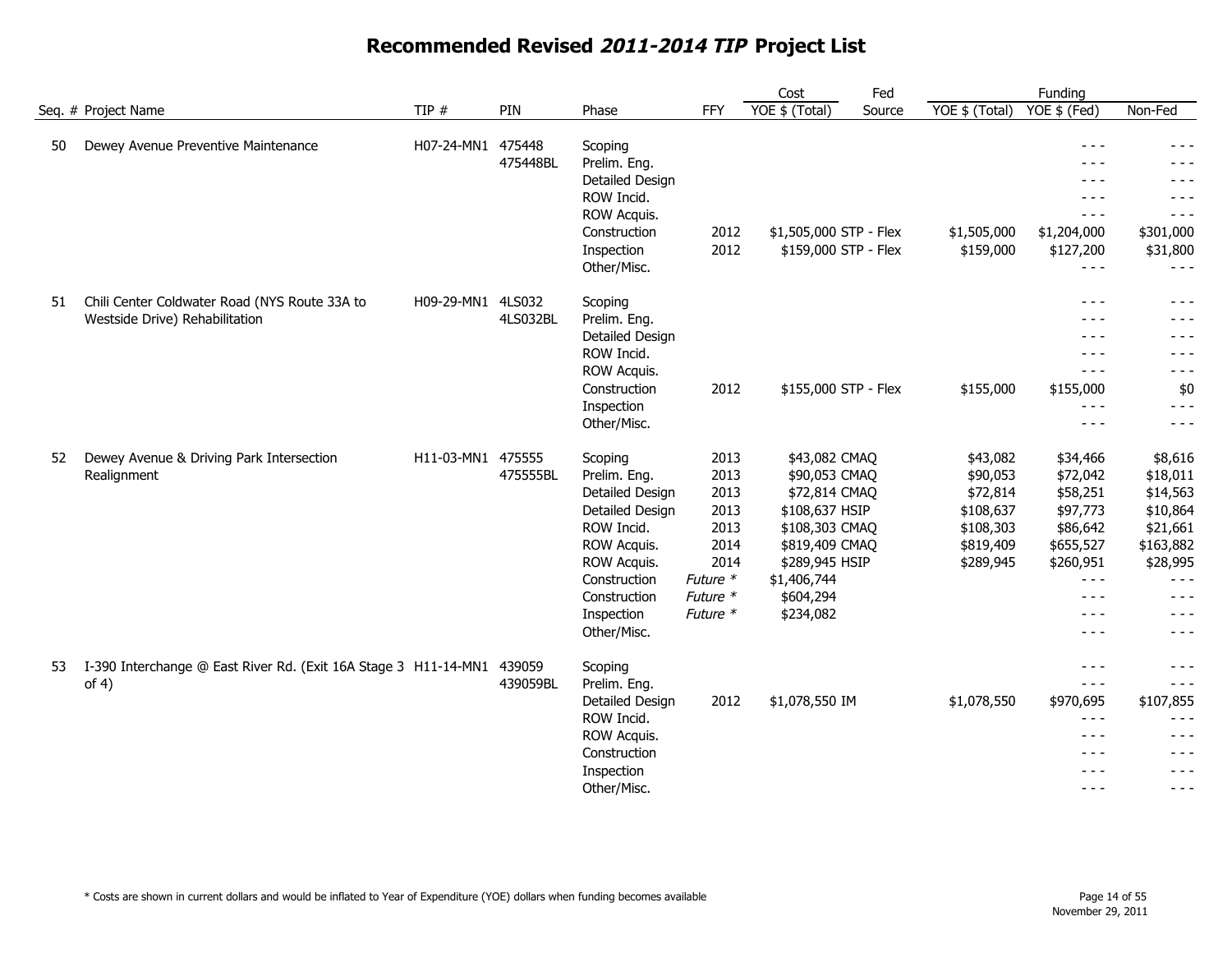|    |                                                                                 |                   |                    |                                                                                                                                                                        |                                                                                          | Cost                                                                                                                                                             | Fed    |                                                                                      | Funding                                                                                                                                                                                                                                                                                                                                                                                                                                                                   |                                                                                                                              |
|----|---------------------------------------------------------------------------------|-------------------|--------------------|------------------------------------------------------------------------------------------------------------------------------------------------------------------------|------------------------------------------------------------------------------------------|------------------------------------------------------------------------------------------------------------------------------------------------------------------|--------|--------------------------------------------------------------------------------------|---------------------------------------------------------------------------------------------------------------------------------------------------------------------------------------------------------------------------------------------------------------------------------------------------------------------------------------------------------------------------------------------------------------------------------------------------------------------------|------------------------------------------------------------------------------------------------------------------------------|
|    | Seq. # Project Name                                                             | TIP $#$           | PIN                | Phase                                                                                                                                                                  | <b>FFY</b>                                                                               | YOE \$ (Total)                                                                                                                                                   | Source | YOE \$ (Total)                                                                       | YOE \$ (Fed)                                                                                                                                                                                                                                                                                                                                                                                                                                                              | Non-Fed                                                                                                                      |
| 50 | Dewey Avenue Preventive Maintenance                                             | H07-24-MN1 475448 | 475448BL           | Scoping<br>Prelim. Eng.<br>Detailed Design<br>ROW Incid.<br>ROW Acquis.<br>Construction<br>Inspection<br>Other/Misc.                                                   | 2012<br>2012                                                                             | \$1,505,000 STP - Flex<br>\$159,000 STP - Flex                                                                                                                   |        | \$1,505,000<br>\$159,000                                                             | $- - -$<br>$- - -$<br>$- - -$<br>$- - -$<br>$- - -$<br>\$1,204,000<br>\$127,200<br>$- - -$                                                                                                                                                                                                                                                                                                                                                                                | $- - -$<br>$- - -$<br>- - -<br>$- - -$<br>$- - -$<br>\$301,000<br>\$31,800<br>$- - -$                                        |
| 51 | Chili Center Coldwater Road (NYS Route 33A to<br>Westside Drive) Rehabilitation | H09-29-MN1        | 4LS032<br>4LS032BL | Scoping<br>Prelim. Eng.<br>Detailed Design<br>ROW Incid.<br>ROW Acquis.<br>Construction<br>Inspection<br>Other/Misc.                                                   | 2012                                                                                     | \$155,000 STP - Flex                                                                                                                                             |        | \$155,000                                                                            | $- - -$<br>$- - -$<br>$- - -$<br>$- - -$<br>$- - -$<br>\$155,000<br>$- - -$<br>$- - -$                                                                                                                                                                                                                                                                                                                                                                                    | $- - -$<br>$- - -$<br>$- - -$<br>$- - -$<br>$- - -$<br>\$0<br>$- - -$<br>$- - -$                                             |
| 52 | Dewey Avenue & Driving Park Intersection<br>Realignment                         | H11-03-MN1 475555 | 475555BL           | Scoping<br>Prelim. Eng.<br>Detailed Design<br>Detailed Design<br>ROW Incid.<br>ROW Acquis.<br>ROW Acquis.<br>Construction<br>Construction<br>Inspection<br>Other/Misc. | 2013<br>2013<br>2013<br>2013<br>2013<br>2014<br>2014<br>Future *<br>Future *<br>Future * | \$43,082 CMAQ<br>\$90,053 CMAQ<br>\$72,814 CMAQ<br>\$108,637 HSIP<br>\$108,303 CMAQ<br>\$819,409 CMAQ<br>\$289,945 HSIP<br>\$1,406,744<br>\$604,294<br>\$234,082 |        | \$43,082<br>\$90,053<br>\$72,814<br>\$108,637<br>\$108,303<br>\$819,409<br>\$289,945 | \$34,466<br>\$72,042<br>\$58,251<br>\$97,773<br>\$86,642<br>\$655,527<br>\$260,951<br>$- - -$<br>$- - -$<br>$- - -$<br>$- - -$                                                                                                                                                                                                                                                                                                                                            | \$8,616<br>\$18,011<br>\$14,563<br>\$10,864<br>\$21,661<br>\$163,882<br>\$28,995<br>$- - -$<br>$- - -$<br>$- - -$<br>$- - -$ |
| 53 | I-390 Interchange @ East River Rd. (Exit 16A Stage 3 H11-14-MN1 439059<br>of 4) |                   | 439059BL           | Scoping<br>Prelim. Eng.<br>Detailed Design<br>ROW Incid.<br>ROW Acquis.<br>Construction<br>Inspection<br>Other/Misc.                                                   | 2012                                                                                     | \$1,078,550 IM                                                                                                                                                   |        | \$1,078,550                                                                          | $- - -$<br>$\frac{1}{2} \frac{1}{2} \frac{1}{2} \frac{1}{2} \frac{1}{2} \frac{1}{2} \frac{1}{2} \frac{1}{2} \frac{1}{2} \frac{1}{2} \frac{1}{2} \frac{1}{2} \frac{1}{2} \frac{1}{2} \frac{1}{2} \frac{1}{2} \frac{1}{2} \frac{1}{2} \frac{1}{2} \frac{1}{2} \frac{1}{2} \frac{1}{2} \frac{1}{2} \frac{1}{2} \frac{1}{2} \frac{1}{2} \frac{1}{2} \frac{1}{2} \frac{1}{2} \frac{1}{2} \frac{1}{2} \frac{$<br>\$970,695<br>$- - -$<br>$  -$<br>$- - -$<br>$- - -$<br>$- - -$ | $- - -$<br>$- - -$<br>\$107,855<br>$- - -$<br>$- - -$<br>$- - -$<br>$- - -$<br>$- - -$                                       |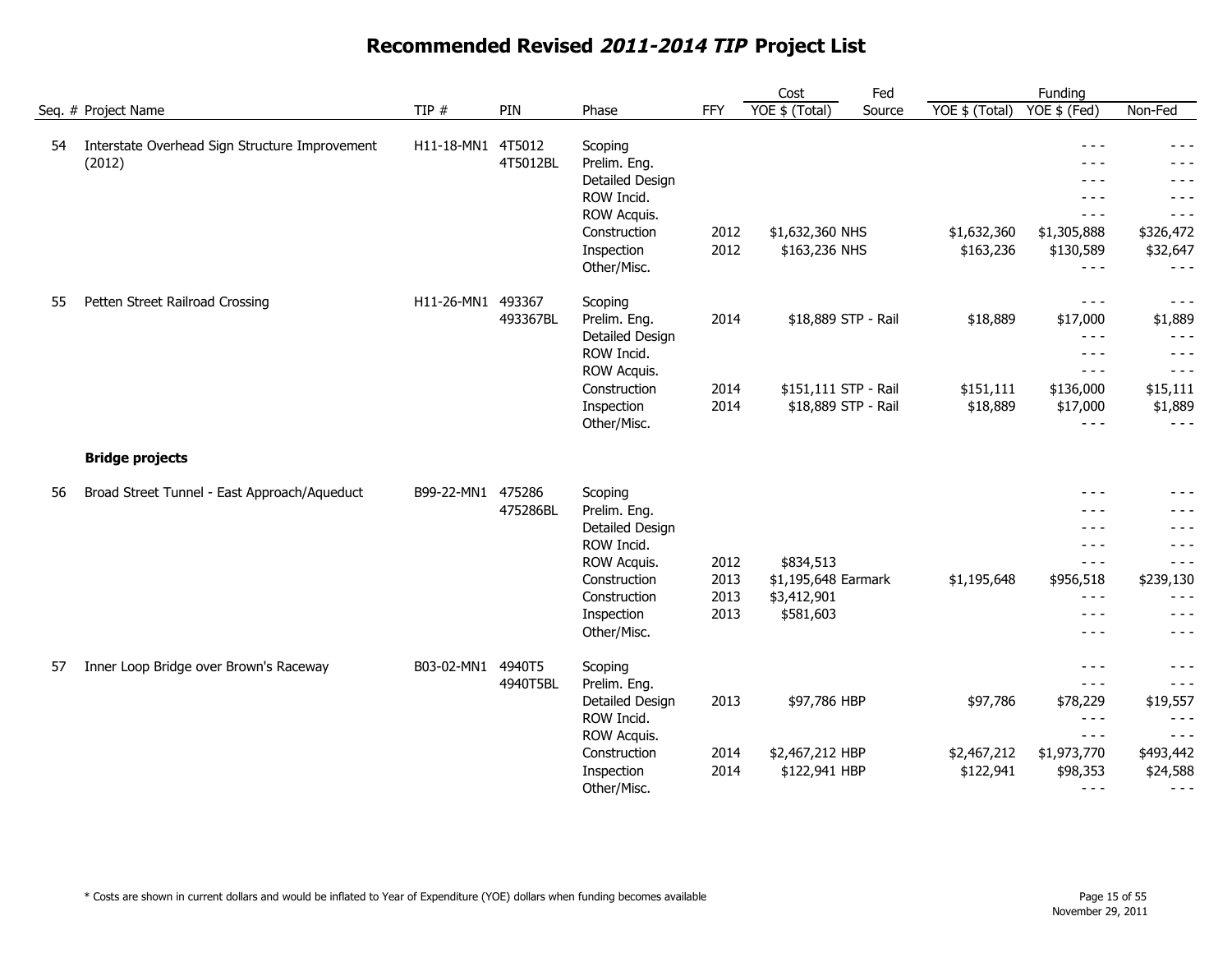|    |                                                          |                   |                    |                                                                                                                                      |                              | Cost                                                               | Fed    |                                      | Funding                                                                                         |                                                                                          |
|----|----------------------------------------------------------|-------------------|--------------------|--------------------------------------------------------------------------------------------------------------------------------------|------------------------------|--------------------------------------------------------------------|--------|--------------------------------------|-------------------------------------------------------------------------------------------------|------------------------------------------------------------------------------------------|
|    | Seq. # Project Name                                      | TIP $#$           | PIN                | Phase                                                                                                                                | <b>FFY</b>                   | YOE \$ (Total)                                                     | Source | YOE \$ (Total)                       | $YOE$ \$ (Fed)                                                                                  | Non-Fed                                                                                  |
| 54 | Interstate Overhead Sign Structure Improvement<br>(2012) | H11-18-MN1 4T5012 | 4T5012BL           | Scoping<br>Prelim. Eng.<br>Detailed Design<br>ROW Incid.<br>ROW Acquis.<br>Construction<br>Inspection<br>Other/Misc.                 | 2012<br>2012                 | \$1,632,360 NHS<br>\$163,236 NHS                                   |        | \$1,632,360<br>\$163,236             | $- - -$<br>$- - -$<br>$- - -$<br>$- - -$<br>$- - -$<br>\$1,305,888<br>\$130,589<br>$- - -$      | $- - -$<br>$- - -$<br>- - -<br>$- - -$<br>$- - -$<br>\$326,472<br>\$32,647<br>$- - -$    |
| 55 | Petten Street Railroad Crossing                          | H11-26-MN1        | 493367<br>493367BL | Scoping<br>Prelim. Eng.<br>Detailed Design<br>ROW Incid.<br>ROW Acquis.<br>Construction<br>Inspection<br>Other/Misc.                 | 2014<br>2014<br>2014         | \$18,889 STP - Rail<br>\$151,111 STP - Rail<br>\$18,889 STP - Rail |        | \$18,889<br>\$151,111<br>\$18,889    | $- - -$<br>\$17,000<br>$- - -$<br>$- - -$<br>$  -$<br>\$136,000<br>\$17,000<br>$- - -$          | $- - -$<br>\$1,889<br>$- - -$<br>$- - -$<br>$- - -$<br>\$15,111<br>\$1,889<br>$- - -$    |
|    | <b>Bridge projects</b>                                   |                   |                    |                                                                                                                                      |                              |                                                                    |        |                                      |                                                                                                 |                                                                                          |
| 56 | Broad Street Tunnel - East Approach/Aqueduct             | B99-22-MN1        | 475286<br>475286BL | Scoping<br>Prelim. Eng.<br>Detailed Design<br>ROW Incid.<br>ROW Acquis.<br>Construction<br>Construction<br>Inspection<br>Other/Misc. | 2012<br>2013<br>2013<br>2013 | \$834,513<br>\$1,195,648 Earmark<br>\$3,412,901<br>\$581,603       |        | \$1,195,648                          | $- - -$<br>- - -<br>$- - -$<br>$  -$<br>$\frac{1}{2}$<br>\$956,518<br>$  -$<br>$  -$<br>$- - -$ | $- - -$<br>$- - -$<br>$- - -$<br>$- - -$<br>\$239,130<br>$- - -$<br>$- - -$<br>$- - -$   |
| 57 | Inner Loop Bridge over Brown's Raceway                   | B03-02-MN1 4940T5 | 4940T5BL           | Scoping<br>Prelim. Eng.<br>Detailed Design<br>ROW Incid.<br>ROW Acquis.<br>Construction<br>Inspection<br>Other/Misc.                 | 2013<br>2014<br>2014         | \$97,786 HBP<br>\$2,467,212 HBP<br>\$122,941 HBP                   |        | \$97,786<br>\$2,467,212<br>\$122,941 | $- - -$<br>$- - -$<br>\$78,229<br>$- - -$<br>$  -$<br>\$1,973,770<br>\$98,353<br>$- - -$        | $- - -$<br>$- - -$<br>\$19,557<br>$- - -$<br>$- - -$<br>\$493,442<br>\$24,588<br>$- - -$ |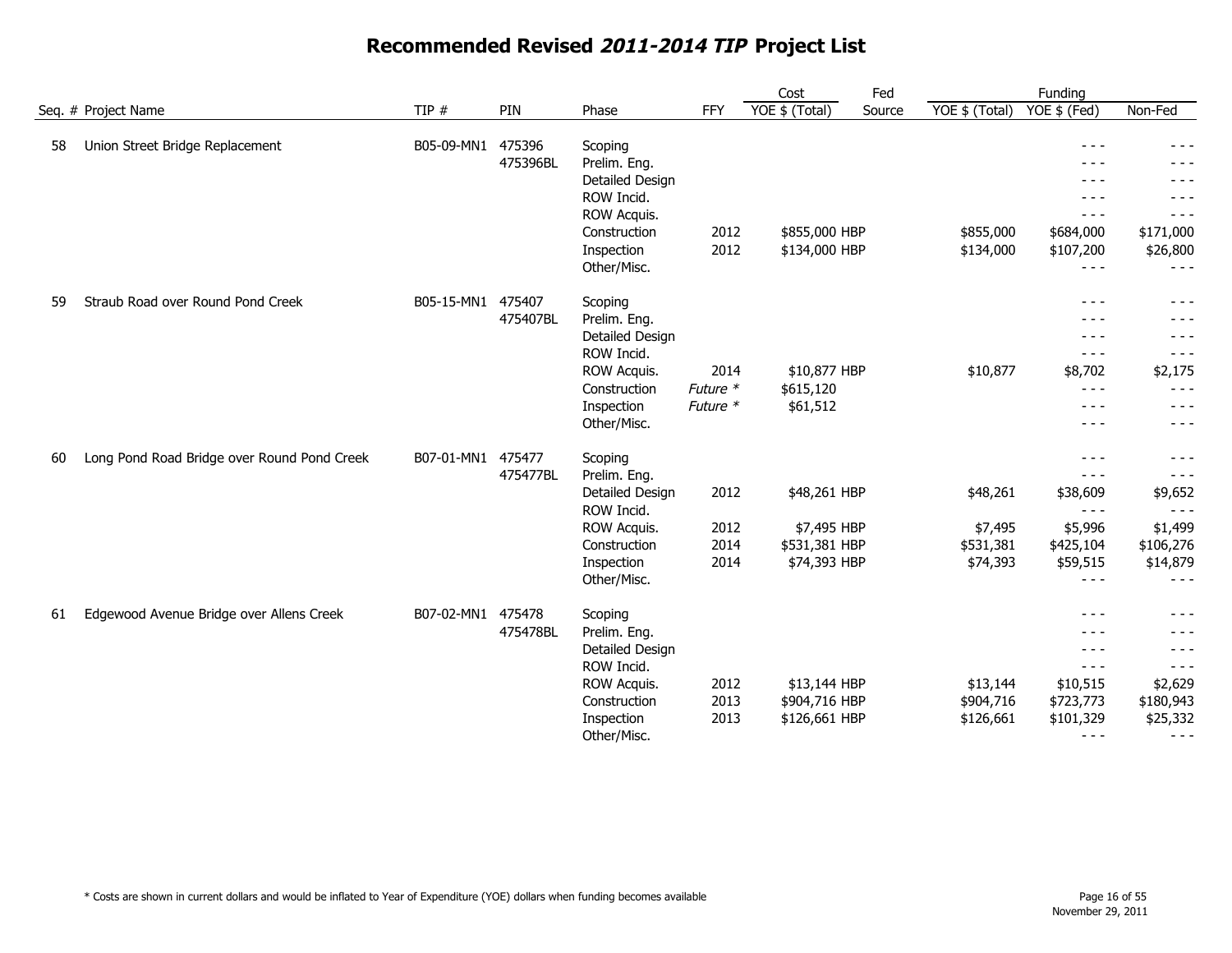|    |                                             |            |          |                            |                      | Cost           | Fed    |                | Funding                                                                                                                                                                                                                                                                                                                                                                                                 |                    |
|----|---------------------------------------------|------------|----------|----------------------------|----------------------|----------------|--------|----------------|---------------------------------------------------------------------------------------------------------------------------------------------------------------------------------------------------------------------------------------------------------------------------------------------------------------------------------------------------------------------------------------------------------|--------------------|
|    | Seq. # Project Name                         | TIP $#$    | PIN      | Phase                      | <b>FFY</b>           | YOE \$ (Total) | Source | YOE \$ (Total) | YOE \$ (Fed)                                                                                                                                                                                                                                                                                                                                                                                            | Non-Fed            |
| 58 | Union Street Bridge Replacement             | B05-09-MN1 | 475396   | Scoping                    |                      |                |        |                | $- - -$                                                                                                                                                                                                                                                                                                                                                                                                 | - - -              |
|    |                                             |            | 475396BL | Prelim. Eng.               |                      |                |        |                | - - -                                                                                                                                                                                                                                                                                                                                                                                                   |                    |
|    |                                             |            |          | Detailed Design            |                      |                |        |                | - - -                                                                                                                                                                                                                                                                                                                                                                                                   | - - -              |
|    |                                             |            |          | ROW Incid.                 |                      |                |        |                | $- - -$                                                                                                                                                                                                                                                                                                                                                                                                 | $- - -$            |
|    |                                             |            |          | ROW Acquis.                |                      |                |        |                | $- - -$                                                                                                                                                                                                                                                                                                                                                                                                 | $- - -$            |
|    |                                             |            |          | Construction               | 2012                 | \$855,000 HBP  |        | \$855,000      | \$684,000                                                                                                                                                                                                                                                                                                                                                                                               | \$171,000          |
|    |                                             |            |          | Inspection                 | 2012                 | \$134,000 HBP  |        | \$134,000      | \$107,200                                                                                                                                                                                                                                                                                                                                                                                               | \$26,800           |
|    |                                             |            |          | Other/Misc.                |                      |                |        |                | $\frac{1}{2}$                                                                                                                                                                                                                                                                                                                                                                                           | $- - -$            |
|    |                                             |            |          |                            |                      |                |        |                |                                                                                                                                                                                                                                                                                                                                                                                                         |                    |
| 59 | Straub Road over Round Pond Creek           | B05-15-MN1 | 475407   | Scoping                    |                      |                |        |                | $- - -$                                                                                                                                                                                                                                                                                                                                                                                                 | - - -              |
|    |                                             |            | 475407BL | Prelim. Eng.               |                      |                |        |                | $- - -$                                                                                                                                                                                                                                                                                                                                                                                                 |                    |
|    |                                             |            |          | Detailed Design            |                      |                |        |                | $- - -$                                                                                                                                                                                                                                                                                                                                                                                                 | $  -$              |
|    |                                             |            |          | ROW Incid.                 |                      |                |        |                | $- - -$                                                                                                                                                                                                                                                                                                                                                                                                 | $- - -$            |
|    |                                             |            |          | ROW Acquis.                | 2014                 | \$10,877 HBP   |        | \$10,877       | \$8,702<br>$\frac{1}{2} \frac{1}{2} \frac{1}{2} \frac{1}{2} \frac{1}{2} \frac{1}{2} \frac{1}{2} \frac{1}{2} \frac{1}{2} \frac{1}{2} \frac{1}{2} \frac{1}{2} \frac{1}{2} \frac{1}{2} \frac{1}{2} \frac{1}{2} \frac{1}{2} \frac{1}{2} \frac{1}{2} \frac{1}{2} \frac{1}{2} \frac{1}{2} \frac{1}{2} \frac{1}{2} \frac{1}{2} \frac{1}{2} \frac{1}{2} \frac{1}{2} \frac{1}{2} \frac{1}{2} \frac{1}{2} \frac{$ | \$2,175<br>$- - -$ |
|    |                                             |            |          | Construction<br>Inspection | Future *<br>Future * | \$615,120      |        |                | $- - -$                                                                                                                                                                                                                                                                                                                                                                                                 | $- - -$            |
|    |                                             |            |          | Other/Misc.                |                      | \$61,512       |        |                | $\frac{1}{2}$                                                                                                                                                                                                                                                                                                                                                                                           | $- - -$            |
|    |                                             |            |          |                            |                      |                |        |                |                                                                                                                                                                                                                                                                                                                                                                                                         |                    |
| 60 | Long Pond Road Bridge over Round Pond Creek | B07-01-MN1 | 475477   | Scoping                    |                      |                |        |                | $- - -$                                                                                                                                                                                                                                                                                                                                                                                                 | $- - -$            |
|    |                                             |            | 475477BL | Prelim. Eng.               |                      |                |        |                | $- - -$                                                                                                                                                                                                                                                                                                                                                                                                 | $- - -$            |
|    |                                             |            |          | Detailed Design            | 2012                 | \$48,261 HBP   |        | \$48,261       | \$38,609                                                                                                                                                                                                                                                                                                                                                                                                | \$9,652            |
|    |                                             |            |          | ROW Incid.                 |                      |                |        |                | $\frac{1}{2} \frac{1}{2} \frac{1}{2} \frac{1}{2} \frac{1}{2} \frac{1}{2} \frac{1}{2} \frac{1}{2} \frac{1}{2} \frac{1}{2} \frac{1}{2} \frac{1}{2} \frac{1}{2} \frac{1}{2} \frac{1}{2} \frac{1}{2} \frac{1}{2} \frac{1}{2} \frac{1}{2} \frac{1}{2} \frac{1}{2} \frac{1}{2} \frac{1}{2} \frac{1}{2} \frac{1}{2} \frac{1}{2} \frac{1}{2} \frac{1}{2} \frac{1}{2} \frac{1}{2} \frac{1}{2} \frac{$            | $- - -$            |
|    |                                             |            |          | <b>ROW Acquis.</b>         | 2012                 | \$7,495 HBP    |        | \$7,495        | \$5,996                                                                                                                                                                                                                                                                                                                                                                                                 | \$1,499            |
|    |                                             |            |          | Construction               | 2014                 | \$531,381 HBP  |        | \$531,381      | \$425,104                                                                                                                                                                                                                                                                                                                                                                                               | \$106,276          |
|    |                                             |            |          | Inspection                 | 2014                 | \$74,393 HBP   |        | \$74,393       | \$59,515                                                                                                                                                                                                                                                                                                                                                                                                | \$14,879           |
|    |                                             |            |          | Other/Misc.                |                      |                |        |                | $- - -$                                                                                                                                                                                                                                                                                                                                                                                                 | $- - -$            |
| 61 | Edgewood Avenue Bridge over Allens Creek    | B07-02-MN1 | 475478   | Scoping                    |                      |                |        |                | $- - -$                                                                                                                                                                                                                                                                                                                                                                                                 | $- - -$            |
|    |                                             |            | 475478BL | Prelim. Eng.               |                      |                |        |                | $- - -$                                                                                                                                                                                                                                                                                                                                                                                                 | - - -              |
|    |                                             |            |          | Detailed Design            |                      |                |        |                | $- - -$                                                                                                                                                                                                                                                                                                                                                                                                 | $- - -$            |
|    |                                             |            |          | ROW Incid.                 |                      |                |        |                | $- - -$                                                                                                                                                                                                                                                                                                                                                                                                 | $- - -$            |
|    |                                             |            |          | ROW Acquis.                | 2012                 | \$13,144 HBP   |        | \$13,144       | \$10,515                                                                                                                                                                                                                                                                                                                                                                                                | \$2,629            |
|    |                                             |            |          | Construction               | 2013                 | \$904,716 HBP  |        | \$904,716      | \$723,773                                                                                                                                                                                                                                                                                                                                                                                               | \$180,943          |
|    |                                             |            |          | Inspection                 | 2013                 | \$126,661 HBP  |        | \$126,661      | \$101,329                                                                                                                                                                                                                                                                                                                                                                                               | \$25,332           |
|    |                                             |            |          | Other/Misc.                |                      |                |        |                | $- - -$                                                                                                                                                                                                                                                                                                                                                                                                 | $- - -$            |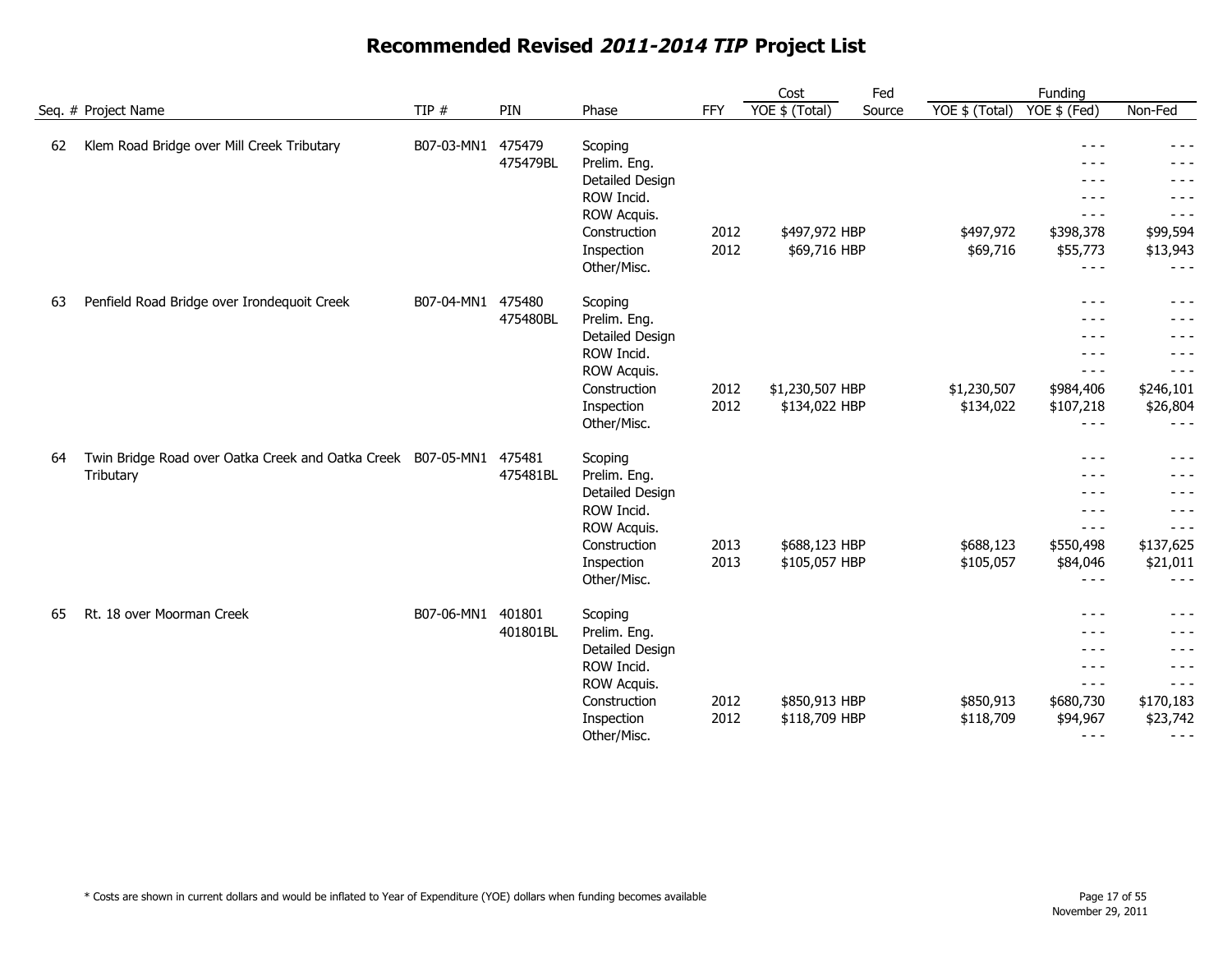|     |                                                              |            |          |                 |      | Cost            | Fed    |                | Funding       |           |
|-----|--------------------------------------------------------------|------------|----------|-----------------|------|-----------------|--------|----------------|---------------|-----------|
|     | Seq. # Project Name                                          | TIP $#$    | PIN      | Phase           | FFY  | YOE \$ (Total)  | Source | YOE \$ (Total) | YOE \$ (Fed)  | Non-Fed   |
| 62  | Klem Road Bridge over Mill Creek Tributary                   | B07-03-MN1 | 475479   | Scoping         |      |                 |        |                | $- - -$       |           |
|     |                                                              |            | 475479BL | Prelim. Eng.    |      |                 |        |                |               |           |
|     |                                                              |            |          | Detailed Design |      |                 |        |                | - - -         | - - -     |
|     |                                                              |            |          | ROW Incid.      |      |                 |        |                | - - -         | - - -     |
|     |                                                              |            |          | ROW Acquis.     |      |                 |        |                | $- - -$       | $- - -$   |
|     |                                                              |            |          | Construction    | 2012 | \$497,972 HBP   |        | \$497,972      | \$398,378     | \$99,594  |
|     |                                                              |            |          | Inspection      | 2012 | \$69,716 HBP    |        | \$69,716       | \$55,773      | \$13,943  |
|     |                                                              |            |          | Other/Misc.     |      |                 |        |                | $  -$         | $- - -$   |
| -63 | Penfield Road Bridge over Irondequoit Creek                  | B07-04-MN1 | 475480   | Scoping         |      |                 |        |                | $- - -$       | $- - -$   |
|     |                                                              |            | 475480BL | Prelim. Eng.    |      |                 |        |                | $- - -$       | - - -     |
|     |                                                              |            |          | Detailed Design |      |                 |        |                | $- - -$       | $- - -$   |
|     |                                                              |            |          | ROW Incid.      |      |                 |        |                | ---           | - - -     |
|     |                                                              |            |          | ROW Acquis.     |      |                 |        |                | $\frac{1}{2}$ | $- - -$   |
|     |                                                              |            |          | Construction    | 2012 | \$1,230,507 HBP |        | \$1,230,507    | \$984,406     | \$246,101 |
|     |                                                              |            |          | Inspection      | 2012 | \$134,022 HBP   |        | \$134,022      | \$107,218     | \$26,804  |
|     |                                                              |            |          | Other/Misc.     |      |                 |        |                | $- - -$       | $- - -$   |
| 64  | Twin Bridge Road over Oatka Creek and Oatka Creek B07-05-MN1 |            | 475481   | Scoping         |      |                 |        |                | $- - -$       | - - -     |
|     | Tributary                                                    |            | 475481BL | Prelim. Eng.    |      |                 |        |                | $  -$         | $  -$     |
|     |                                                              |            |          | Detailed Design |      |                 |        |                | $- - -$       | - - -     |
|     |                                                              |            |          | ROW Incid.      |      |                 |        |                | $- - -$       | $- - -$   |
|     |                                                              |            |          | ROW Acquis.     |      |                 |        |                | $- - -$       | - - -     |
|     |                                                              |            |          | Construction    | 2013 | \$688,123 HBP   |        | \$688,123      | \$550,498     | \$137,625 |
|     |                                                              |            |          | Inspection      | 2013 | \$105,057 HBP   |        | \$105,057      | \$84,046      | \$21,011  |
|     |                                                              |            |          | Other/Misc.     |      |                 |        |                | $- - -$       | $- - -$   |
| 65  | Rt. 18 over Moorman Creek                                    | B07-06-MN1 | 401801   | Scoping         |      |                 |        |                | $- - -$       | $- - -$   |
|     |                                                              |            | 401801BL | Prelim. Eng.    |      |                 |        |                | $- - -$       | - - -     |
|     |                                                              |            |          | Detailed Design |      |                 |        |                | $- - -$       | $- - -$   |
|     |                                                              |            |          | ROW Incid.      |      |                 |        |                | $- - -$       | $- - -$   |
|     |                                                              |            |          | ROW Acquis.     |      |                 |        |                | $- - -$       | $- - -$   |
|     |                                                              |            |          | Construction    | 2012 | \$850,913 HBP   |        | \$850,913      | \$680,730     | \$170,183 |
|     |                                                              |            |          | Inspection      | 2012 | \$118,709 HBP   |        | \$118,709      | \$94,967      | \$23,742  |
|     |                                                              |            |          | Other/Misc.     |      |                 |        |                | $- - -$       | $- - -$   |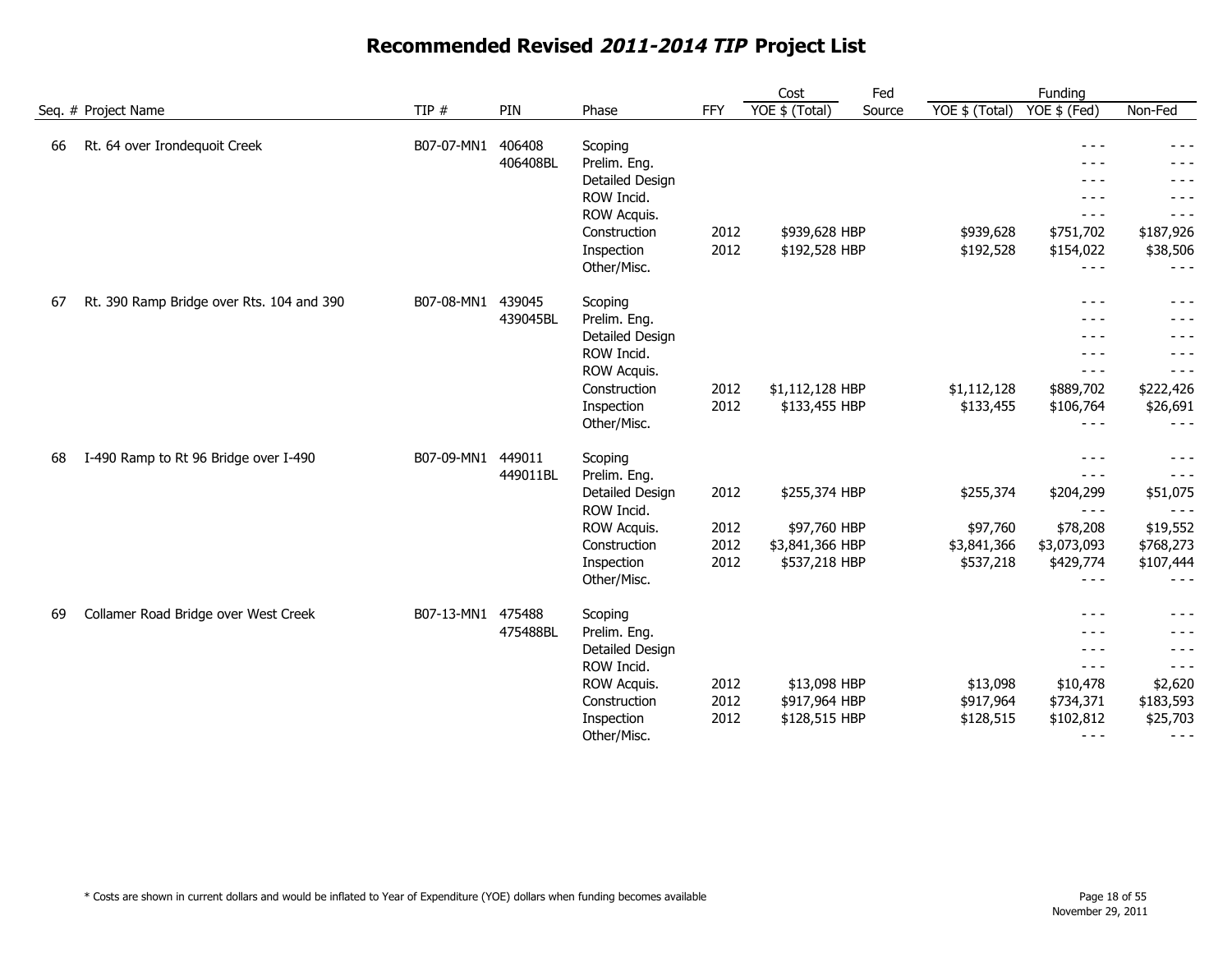|     |                                           |            |          |                               |      | Cost            | Fed    |                | Funding              |                     |
|-----|-------------------------------------------|------------|----------|-------------------------------|------|-----------------|--------|----------------|----------------------|---------------------|
|     | Seq. # Project Name                       | TIP $#$    | PIN      | Phase                         | FFY  | YOE \$ (Total)  | Source | YOE \$ (Total) | $YOE$ \$ (Fed)       | Non-Fed             |
| 66  | Rt. 64 over Irondequoit Creek             | B07-07-MN1 | 406408   | Scoping                       |      |                 |        |                | $- - -$              |                     |
|     |                                           |            | 406408BL | Prelim. Eng.                  |      |                 |        |                |                      |                     |
|     |                                           |            |          | Detailed Design               |      |                 |        |                | - - -                | - - -               |
|     |                                           |            |          | ROW Incid.                    |      |                 |        |                | - - -                |                     |
|     |                                           |            |          | ROW Acquis.                   |      |                 |        |                | $- - -$              | $- - -$             |
|     |                                           |            |          | Construction                  | 2012 | \$939,628 HBP   |        | \$939,628      | \$751,702            | \$187,926           |
|     |                                           |            |          | Inspection                    | 2012 | \$192,528 HBP   |        | \$192,528      | \$154,022            | \$38,506            |
|     |                                           |            |          | Other/Misc.                   |      |                 |        |                | $- - -$              | $- - -$             |
| -67 | Rt. 390 Ramp Bridge over Rts. 104 and 390 | B07-08-MN1 | 439045   | Scoping                       |      |                 |        |                | $- - -$              | $- - -$             |
|     |                                           |            | 439045BL | Prelim. Eng.                  |      |                 |        |                | $- - -$              | - - -               |
|     |                                           |            |          | Detailed Design               |      |                 |        |                | $- - -$              | $- - -$             |
|     |                                           |            |          | ROW Incid.                    |      |                 |        |                | ---                  | - - -               |
|     |                                           |            |          | ROW Acquis.                   |      |                 |        |                | $- - -$              | - - -               |
|     |                                           |            |          | Construction                  | 2012 | \$1,112,128 HBP |        | \$1,112,128    | \$889,702            | \$222,426           |
|     |                                           |            |          | Inspection                    | 2012 | \$133,455 HBP   |        | \$133,455      | \$106,764            | \$26,691            |
|     |                                           |            |          | Other/Misc.                   |      |                 |        |                | $- - -$              | $- - -$             |
| 68  | I-490 Ramp to Rt 96 Bridge over I-490     | B07-09-MN1 | 449011   | Scoping                       |      |                 |        |                | $- - -$              | $- - -$             |
|     |                                           |            | 449011BL | Prelim. Eng.                  |      |                 |        |                | $- - -$              | $  -$               |
|     |                                           |            |          | Detailed Design<br>ROW Incid. | 2012 | \$255,374 HBP   |        | \$255,374      | \$204,299<br>$- - -$ | \$51,075<br>$- - -$ |
|     |                                           |            |          | ROW Acquis.                   | 2012 | \$97,760 HBP    |        | \$97,760       | \$78,208             | \$19,552            |
|     |                                           |            |          | Construction                  | 2012 | \$3,841,366 HBP |        | \$3,841,366    | \$3,073,093          | \$768,273           |
|     |                                           |            |          | Inspection                    | 2012 | \$537,218 HBP   |        | \$537,218      | \$429,774            | \$107,444           |
|     |                                           |            |          | Other/Misc.                   |      |                 |        |                | $- - -$              | $- - -$             |
| 69  | Collamer Road Bridge over West Creek      | B07-13-MN1 | 475488   | Scoping                       |      |                 |        |                | $- - -$              | $- - -$             |
|     |                                           |            | 475488BL | Prelim. Eng.                  |      |                 |        |                | $- - -$              | - - -               |
|     |                                           |            |          | Detailed Design               |      |                 |        |                | $- - -$              | - - -               |
|     |                                           |            |          | ROW Incid.                    |      |                 |        |                | $- - -$              | $- - -$             |
|     |                                           |            |          | ROW Acquis.                   | 2012 | \$13,098 HBP    |        | \$13,098       | \$10,478             | \$2,620             |
|     |                                           |            |          | Construction                  | 2012 | \$917,964 HBP   |        | \$917,964      | \$734,371            | \$183,593           |
|     |                                           |            |          | Inspection                    | 2012 | \$128,515 HBP   |        | \$128,515      | \$102,812            | \$25,703            |
|     |                                           |            |          | Other/Misc.                   |      |                 |        |                | $- - -$              | $- - -$             |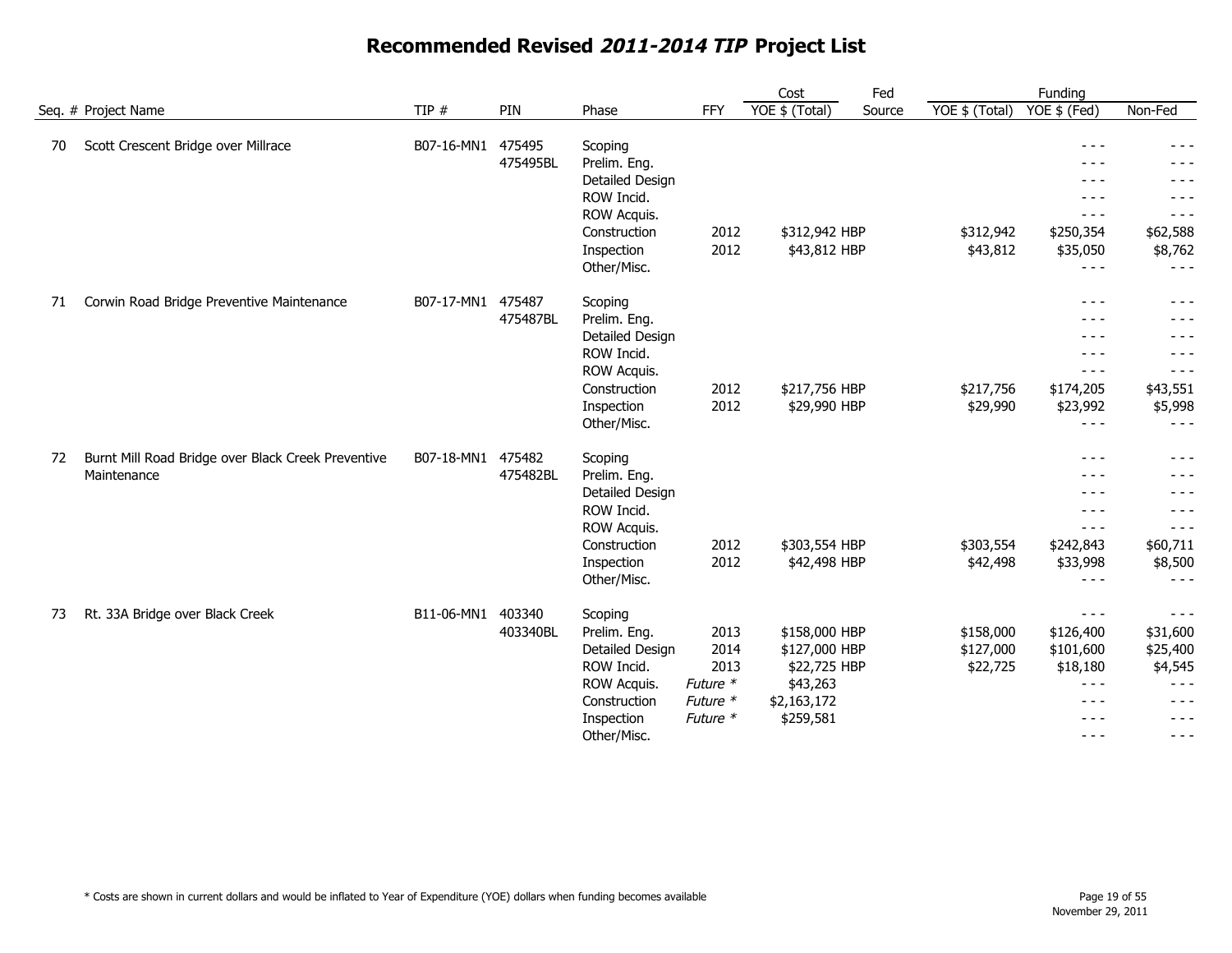|    |                                                    |            |          |                 |            | Cost           | Fed    |                | Funding       |          |
|----|----------------------------------------------------|------------|----------|-----------------|------------|----------------|--------|----------------|---------------|----------|
|    | Seq. # Project Name                                | TIP #      | PIN      | Phase           | <b>FFY</b> | YOE \$ (Total) | Source | YOE \$ (Total) | YOE \$ (Fed)  | Non-Fed  |
| 70 | Scott Crescent Bridge over Millrace                | B07-16-MN1 | 475495   | Scoping         |            |                |        |                | $- - -$       | $- - -$  |
|    |                                                    |            | 475495BL | Prelim. Eng.    |            |                |        |                | $- - -$       |          |
|    |                                                    |            |          | Detailed Design |            |                |        |                | - - -         |          |
|    |                                                    |            |          | ROW Incid.      |            |                |        |                | $- - -$       | $- - -$  |
|    |                                                    |            |          | ROW Acquis.     |            |                |        |                | $- - -$       | $- - -$  |
|    |                                                    |            |          | Construction    | 2012       | \$312,942 HBP  |        | \$312,942      | \$250,354     | \$62,588 |
|    |                                                    |            |          | Inspection      | 2012       | \$43,812 HBP   |        | \$43,812       | \$35,050      | \$8,762  |
|    |                                                    |            |          | Other/Misc.     |            |                |        |                | $- - -$       | $- - -$  |
| 71 | Corwin Road Bridge Preventive Maintenance          | B07-17-MN1 | 475487   | Scoping         |            |                |        |                | $- - -$       | - - -    |
|    |                                                    |            | 475487BL | Prelim. Eng.    |            |                |        |                | $- - -$       | $  -$    |
|    |                                                    |            |          | Detailed Design |            |                |        |                | $- - -$       | $- - -$  |
|    |                                                    |            |          | ROW Incid.      |            |                |        |                | $- - -$       | $- - -$  |
|    |                                                    |            |          | ROW Acquis.     |            |                |        |                | $- - -$       | $- - -$  |
|    |                                                    |            |          | Construction    | 2012       | \$217,756 HBP  |        | \$217,756      | \$174,205     | \$43,551 |
|    |                                                    |            |          | Inspection      | 2012       | \$29,990 HBP   |        | \$29,990       | \$23,992      | \$5,998  |
|    |                                                    |            |          | Other/Misc.     |            |                |        |                | $- - -$       | $- - -$  |
| 72 | Burnt Mill Road Bridge over Black Creek Preventive | B07-18-MN1 | 475482   | Scoping         |            |                |        |                | $- - -$       | $- - -$  |
|    | Maintenance                                        |            | 475482BL | Prelim. Eng.    |            |                |        |                | $- - -$       | $- - -$  |
|    |                                                    |            |          | Detailed Design |            |                |        |                | $- - -$       | $- - -$  |
|    |                                                    |            |          | ROW Incid.      |            |                |        |                | $- - -$       | - - -    |
|    |                                                    |            |          | ROW Acquis.     |            |                |        |                | $- - -$       | $- - -$  |
|    |                                                    |            |          | Construction    | 2012       | \$303,554 HBP  |        | \$303,554      | \$242,843     | \$60,711 |
|    |                                                    |            |          | Inspection      | 2012       | \$42,498 HBP   |        | \$42,498       | \$33,998      | \$8,500  |
|    |                                                    |            |          | Other/Misc.     |            |                |        |                | $- - -$       | $- - -$  |
| 73 | Rt. 33A Bridge over Black Creek                    | B11-06-MN1 | 403340   | Scoping         |            |                |        |                | $- - -$       | $- - -$  |
|    |                                                    |            | 403340BL | Prelim. Eng.    | 2013       | \$158,000 HBP  |        | \$158,000      | \$126,400     | \$31,600 |
|    |                                                    |            |          | Detailed Design | 2014       | \$127,000 HBP  |        | \$127,000      | \$101,600     | \$25,400 |
|    |                                                    |            |          | ROW Incid.      | 2013       | \$22,725 HBP   |        | \$22,725       | \$18,180      | \$4,545  |
|    |                                                    |            |          | ROW Acquis.     | Future *   | \$43,263       |        |                | $- - -$       | $- - -$  |
|    |                                                    |            |          | Construction    | Future *   | \$2,163,172    |        |                | $- - -$       | $- - -$  |
|    |                                                    |            |          | Inspection      | Future *   | \$259,581      |        |                | $- - -$       | $- - -$  |
|    |                                                    |            |          | Other/Misc.     |            |                |        |                | $\frac{1}{2}$ | $- - -$  |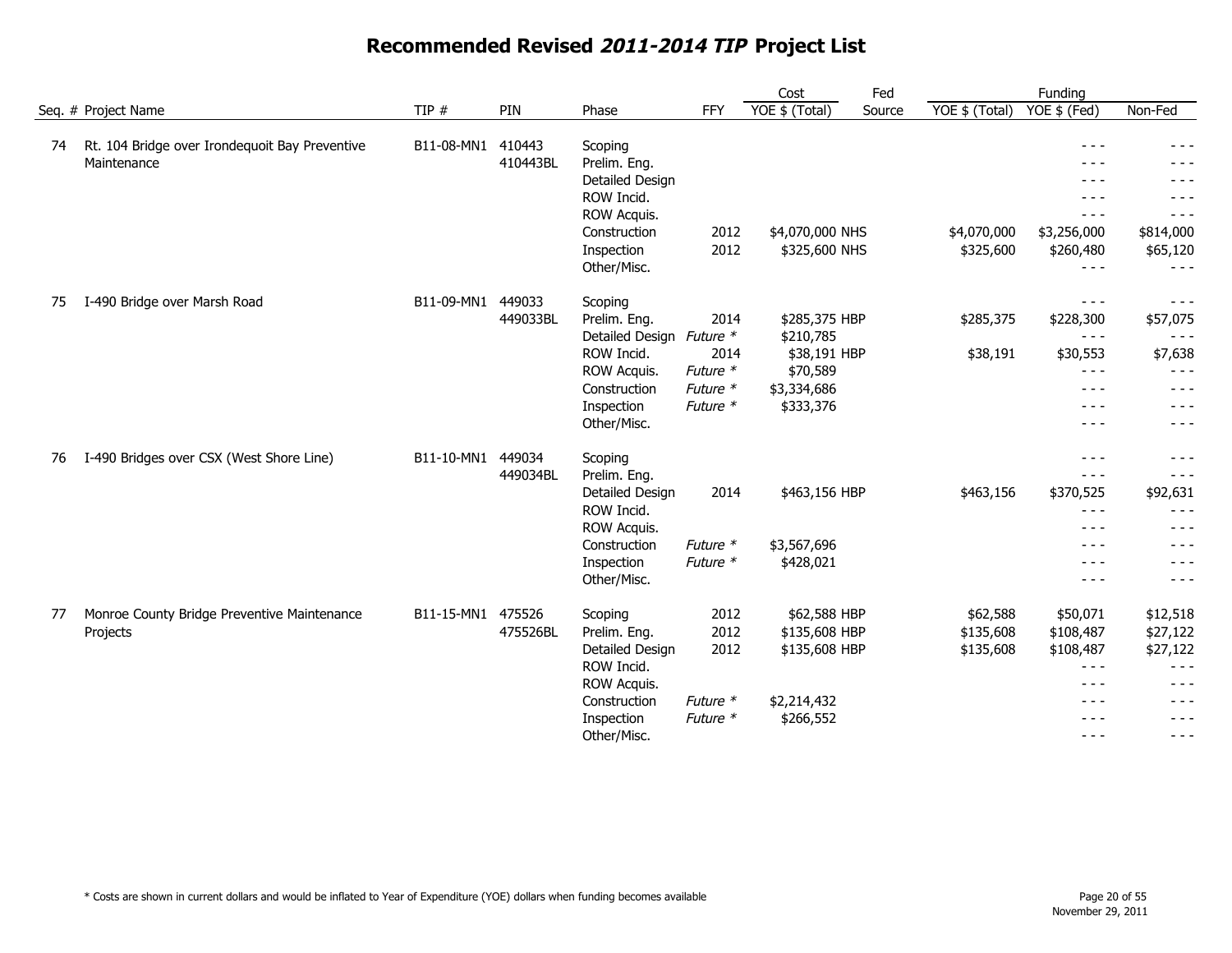|    |                                                               |                   |                    |                                                                                                                      |                                                              | Cost                                                                               | Fed    |                                    | Funding                                                                                          |                                                                                         |
|----|---------------------------------------------------------------|-------------------|--------------------|----------------------------------------------------------------------------------------------------------------------|--------------------------------------------------------------|------------------------------------------------------------------------------------|--------|------------------------------------|--------------------------------------------------------------------------------------------------|-----------------------------------------------------------------------------------------|
|    | Seq. # Project Name                                           | TIP #             | PIN                | Phase                                                                                                                | <b>FFY</b>                                                   | YOE \$ (Total)                                                                     | Source | YOE \$ (Total)                     | YOE \$ (Fed)                                                                                     | Non-Fed                                                                                 |
| 74 | Rt. 104 Bridge over Irondequoit Bay Preventive<br>Maintenance | B11-08-MN1        | 410443<br>410443BL | Scoping<br>Prelim. Eng.<br>Detailed Design<br>ROW Incid.<br>ROW Acquis.<br>Construction<br>Inspection<br>Other/Misc. | 2012<br>2012                                                 | \$4,070,000 NHS<br>\$325,600 NHS                                                   |        | \$4,070,000<br>\$325,600           | $- - -$<br>$- - -$<br>$- - -$<br>$- - -$<br>$- - -$<br>\$3,256,000<br>\$260,480<br>$\frac{1}{2}$ | - - -<br>- - -<br>- - -<br>$- - -$<br>$- - -$<br>\$814,000<br>\$65,120<br>$- - -$       |
| 75 | I-490 Bridge over Marsh Road                                  | B11-09-MN1        | 449033<br>449033BL | Scoping<br>Prelim. Eng.<br>Detailed Design<br>ROW Incid.<br>ROW Acquis.<br>Construction<br>Inspection<br>Other/Misc. | 2014<br>Future *<br>2014<br>Future *<br>Future *<br>Future * | \$285,375 HBP<br>\$210,785<br>\$38,191 HBP<br>\$70,589<br>\$3,334,686<br>\$333,376 |        | \$285,375<br>\$38,191              | $- - -$<br>\$228,300<br>$- - -$<br>\$30,553<br>$- - -$<br>$- - -$<br>$- - -$<br>$- - -$          | $- - -$<br>\$57,075<br>$- - -$<br>\$7,638<br>$- - -$<br>$- - -$<br>$- - -$<br>- - -     |
| 76 | I-490 Bridges over CSX (West Shore Line)                      | B11-10-MN1        | 449034<br>449034BL | Scoping<br>Prelim. Eng.<br>Detailed Design<br>ROW Incid.<br>ROW Acquis.<br>Construction<br>Inspection<br>Other/Misc. | 2014<br>Future *<br>Future *                                 | \$463,156 HBP<br>\$3,567,696<br>\$428,021                                          |        | \$463,156                          | $- - -$<br>$- - -$<br>\$370,525<br>$- - -$<br>$- - -$<br>$- - -$<br>$- - -$<br>$- - -$           | $- - -$<br>$- - -$<br>\$92,631<br>$- - -$<br>$- - -$<br>---<br>$- - -$<br>$- - -$       |
| 77 | Monroe County Bridge Preventive Maintenance<br>Projects       | B11-15-MN1 475526 | 475526BL           | Scoping<br>Prelim. Eng.<br>Detailed Design<br>ROW Incid.<br>ROW Acquis.<br>Construction<br>Inspection<br>Other/Misc. | 2012<br>2012<br>2012<br>Future *<br>Future *                 | \$62,588 HBP<br>\$135,608 HBP<br>\$135,608 HBP<br>\$2,214,432<br>\$266,552         |        | \$62,588<br>\$135,608<br>\$135,608 | \$50,071<br>\$108,487<br>\$108,487<br>$  -$<br>$- - -$<br>$- - -$<br>$- - -$<br>$- - -$          | \$12,518<br>\$27,122<br>\$27,122<br>$- - -$<br>$- - -$<br>$- - -$<br>$- - -$<br>$- - -$ |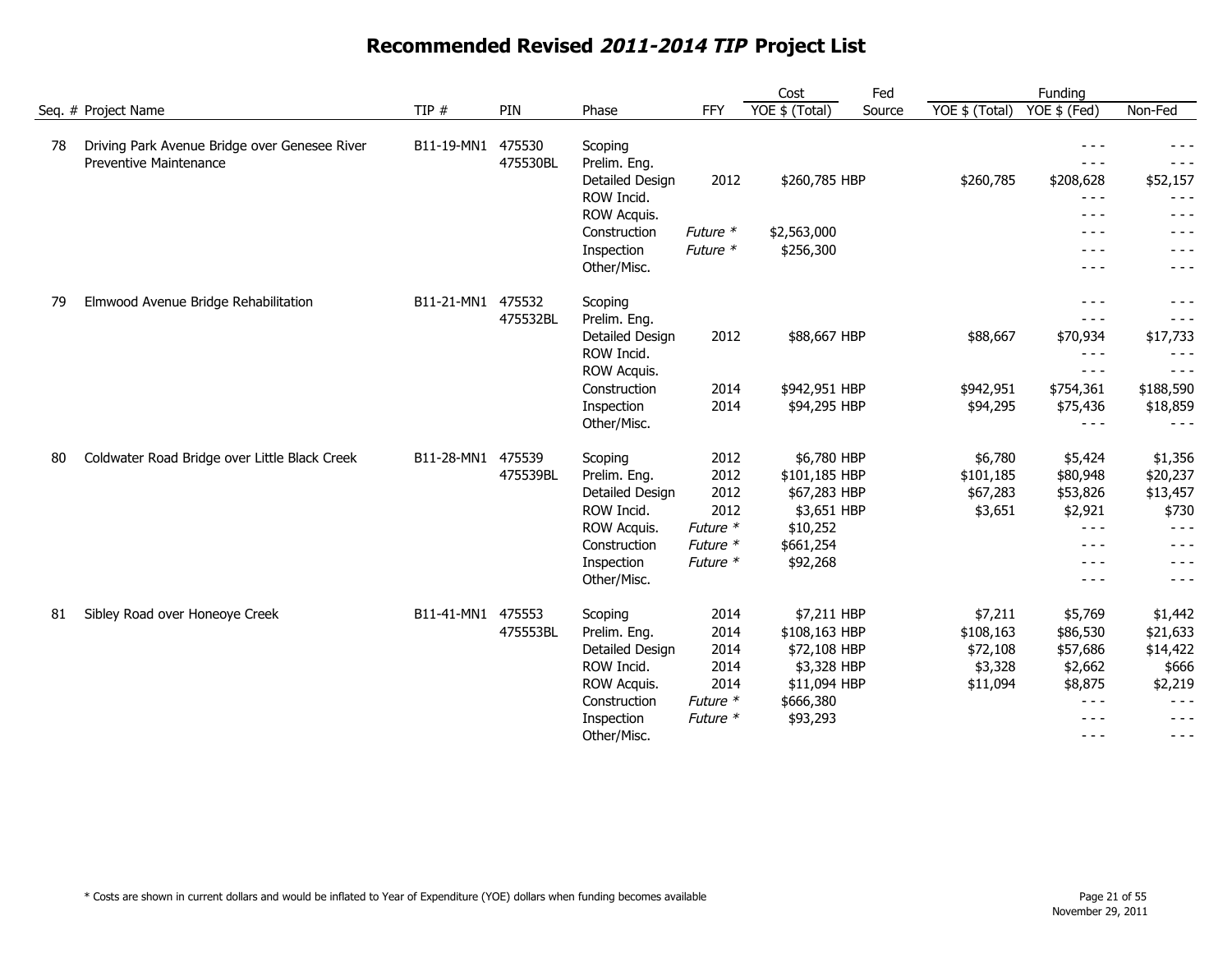|    |                                                                         |            |                    |                         |          | Cost           | Fed    |                | Funding                                                                                                                                                                                                                                                                                                                                                                                      |           |
|----|-------------------------------------------------------------------------|------------|--------------------|-------------------------|----------|----------------|--------|----------------|----------------------------------------------------------------------------------------------------------------------------------------------------------------------------------------------------------------------------------------------------------------------------------------------------------------------------------------------------------------------------------------------|-----------|
|    | Seq. # Project Name                                                     | TIP $#$    | PIN                | Phase                   | FFY      | YOE \$ (Total) | Source | YOE \$ (Total) | $\overline{YOE}$ \$ (Fed)                                                                                                                                                                                                                                                                                                                                                                    | Non-Fed   |
| 78 | Driving Park Avenue Bridge over Genesee River<br>Preventive Maintenance | B11-19-MN1 | 475530<br>475530BL | Scoping<br>Prelim. Eng. |          |                |        |                | $- - -$<br>$- - -$                                                                                                                                                                                                                                                                                                                                                                           | $- - -$   |
|    |                                                                         |            |                    | Detailed Design         | 2012     | \$260,785 HBP  |        | \$260,785      | \$208,628                                                                                                                                                                                                                                                                                                                                                                                    | \$52,157  |
|    |                                                                         |            |                    | ROW Incid.              |          |                |        |                | $\frac{1}{2} \frac{1}{2} \frac{1}{2} \frac{1}{2} \frac{1}{2} \frac{1}{2} \frac{1}{2} \frac{1}{2} \frac{1}{2} \frac{1}{2} \frac{1}{2} \frac{1}{2} \frac{1}{2} \frac{1}{2} \frac{1}{2} \frac{1}{2} \frac{1}{2} \frac{1}{2} \frac{1}{2} \frac{1}{2} \frac{1}{2} \frac{1}{2} \frac{1}{2} \frac{1}{2} \frac{1}{2} \frac{1}{2} \frac{1}{2} \frac{1}{2} \frac{1}{2} \frac{1}{2} \frac{1}{2} \frac{$ | - - -     |
|    |                                                                         |            |                    | ROW Acquis.             |          |                |        |                | $- - -$                                                                                                                                                                                                                                                                                                                                                                                      | - - -     |
|    |                                                                         |            |                    | Construction            | Future * | \$2,563,000    |        |                | $- - -$                                                                                                                                                                                                                                                                                                                                                                                      | - - -     |
|    |                                                                         |            |                    | Inspection              | Future * | \$256,300      |        |                | - - -                                                                                                                                                                                                                                                                                                                                                                                        | $- - -$   |
|    |                                                                         |            |                    | Other/Misc.             |          |                |        |                | $- - -$                                                                                                                                                                                                                                                                                                                                                                                      | $- - -$   |
| 79 | Elmwood Avenue Bridge Rehabilitation                                    | B11-21-MN1 | 475532             | Scoping                 |          |                |        |                | $- - -$                                                                                                                                                                                                                                                                                                                                                                                      | - - -     |
|    |                                                                         |            | 475532BL           | Prelim. Eng.            |          |                |        |                | $  -$                                                                                                                                                                                                                                                                                                                                                                                        | $- - -$   |
|    |                                                                         |            |                    | Detailed Design         | 2012     | \$88,667 HBP   |        | \$88,667       | \$70,934                                                                                                                                                                                                                                                                                                                                                                                     | \$17,733  |
|    |                                                                         |            |                    | ROW Incid.              |          |                |        |                | $\frac{1}{2} \frac{1}{2} \frac{1}{2} \frac{1}{2} \frac{1}{2} \frac{1}{2} \frac{1}{2} \frac{1}{2} \frac{1}{2} \frac{1}{2} \frac{1}{2} \frac{1}{2} \frac{1}{2} \frac{1}{2} \frac{1}{2} \frac{1}{2} \frac{1}{2} \frac{1}{2} \frac{1}{2} \frac{1}{2} \frac{1}{2} \frac{1}{2} \frac{1}{2} \frac{1}{2} \frac{1}{2} \frac{1}{2} \frac{1}{2} \frac{1}{2} \frac{1}{2} \frac{1}{2} \frac{1}{2} \frac{$ | $- - -$   |
|    |                                                                         |            |                    | ROW Acquis.             |          |                |        |                | $- - -$                                                                                                                                                                                                                                                                                                                                                                                      | $- - -$   |
|    |                                                                         |            |                    | Construction            | 2014     | \$942,951 HBP  |        | \$942,951      | \$754,361                                                                                                                                                                                                                                                                                                                                                                                    | \$188,590 |
|    |                                                                         |            |                    | Inspection              | 2014     | \$94,295 HBP   |        | \$94,295       | \$75,436                                                                                                                                                                                                                                                                                                                                                                                     | \$18,859  |
|    |                                                                         |            |                    | Other/Misc.             |          |                |        |                | $\frac{1}{2}$                                                                                                                                                                                                                                                                                                                                                                                | $- - -$   |
| 80 | Coldwater Road Bridge over Little Black Creek                           | B11-28-MN1 | 475539             | Scoping                 | 2012     | \$6,780 HBP    |        | \$6,780        | \$5,424                                                                                                                                                                                                                                                                                                                                                                                      | \$1,356   |
|    |                                                                         |            | 475539BL           | Prelim. Eng.            | 2012     | \$101,185 HBP  |        | \$101,185      | \$80,948                                                                                                                                                                                                                                                                                                                                                                                     | \$20,237  |
|    |                                                                         |            |                    | Detailed Design         | 2012     | \$67,283 HBP   |        | \$67,283       | \$53,826                                                                                                                                                                                                                                                                                                                                                                                     | \$13,457  |
|    |                                                                         |            |                    | ROW Incid.              | 2012     | \$3,651 HBP    |        | \$3,651        | \$2,921                                                                                                                                                                                                                                                                                                                                                                                      | \$730     |
|    |                                                                         |            |                    | ROW Acquis.             | Future * | \$10,252       |        |                | $\frac{1}{2}$                                                                                                                                                                                                                                                                                                                                                                                | $- - -$   |
|    |                                                                         |            |                    | Construction            | Future * | \$661,254      |        |                | $- - -$                                                                                                                                                                                                                                                                                                                                                                                      | $- - -$   |
|    |                                                                         |            |                    | Inspection              | Future * | \$92,268       |        |                | $\frac{1}{2} \frac{1}{2} \frac{1}{2} \frac{1}{2} \frac{1}{2} \frac{1}{2} \frac{1}{2} \frac{1}{2} \frac{1}{2} \frac{1}{2} \frac{1}{2} \frac{1}{2} \frac{1}{2} \frac{1}{2} \frac{1}{2} \frac{1}{2} \frac{1}{2} \frac{1}{2} \frac{1}{2} \frac{1}{2} \frac{1}{2} \frac{1}{2} \frac{1}{2} \frac{1}{2} \frac{1}{2} \frac{1}{2} \frac{1}{2} \frac{1}{2} \frac{1}{2} \frac{1}{2} \frac{1}{2} \frac{$ | $- - -$   |
|    |                                                                         |            |                    | Other/Misc.             |          |                |        |                | $- - -$                                                                                                                                                                                                                                                                                                                                                                                      | $- - -$   |
| 81 | Sibley Road over Honeoye Creek                                          | B11-41-MN1 | 475553             | Scoping                 | 2014     | \$7,211 HBP    |        | \$7,211        | \$5,769                                                                                                                                                                                                                                                                                                                                                                                      | \$1,442   |
|    |                                                                         |            | 475553BL           | Prelim. Eng.            | 2014     | \$108,163 HBP  |        | \$108,163      | \$86,530                                                                                                                                                                                                                                                                                                                                                                                     | \$21,633  |
|    |                                                                         |            |                    | Detailed Design         | 2014     | \$72,108 HBP   |        | \$72,108       | \$57,686                                                                                                                                                                                                                                                                                                                                                                                     | \$14,422  |
|    |                                                                         |            |                    | ROW Incid.              | 2014     | \$3,328 HBP    |        | \$3,328        | \$2,662                                                                                                                                                                                                                                                                                                                                                                                      | \$666     |
|    |                                                                         |            |                    | ROW Acquis.             | 2014     | \$11,094 HBP   |        | \$11,094       | \$8,875                                                                                                                                                                                                                                                                                                                                                                                      | \$2,219   |
|    |                                                                         |            |                    | Construction            | Future * | \$666,380      |        |                | $- - -$                                                                                                                                                                                                                                                                                                                                                                                      | $- - -$   |
|    |                                                                         |            |                    | Inspection              | Future * | \$93,293       |        |                | $- - -$                                                                                                                                                                                                                                                                                                                                                                                      | $- - -$   |
|    |                                                                         |            |                    | Other/Misc.             |          |                |        |                | $- - -$                                                                                                                                                                                                                                                                                                                                                                                      | - - -     |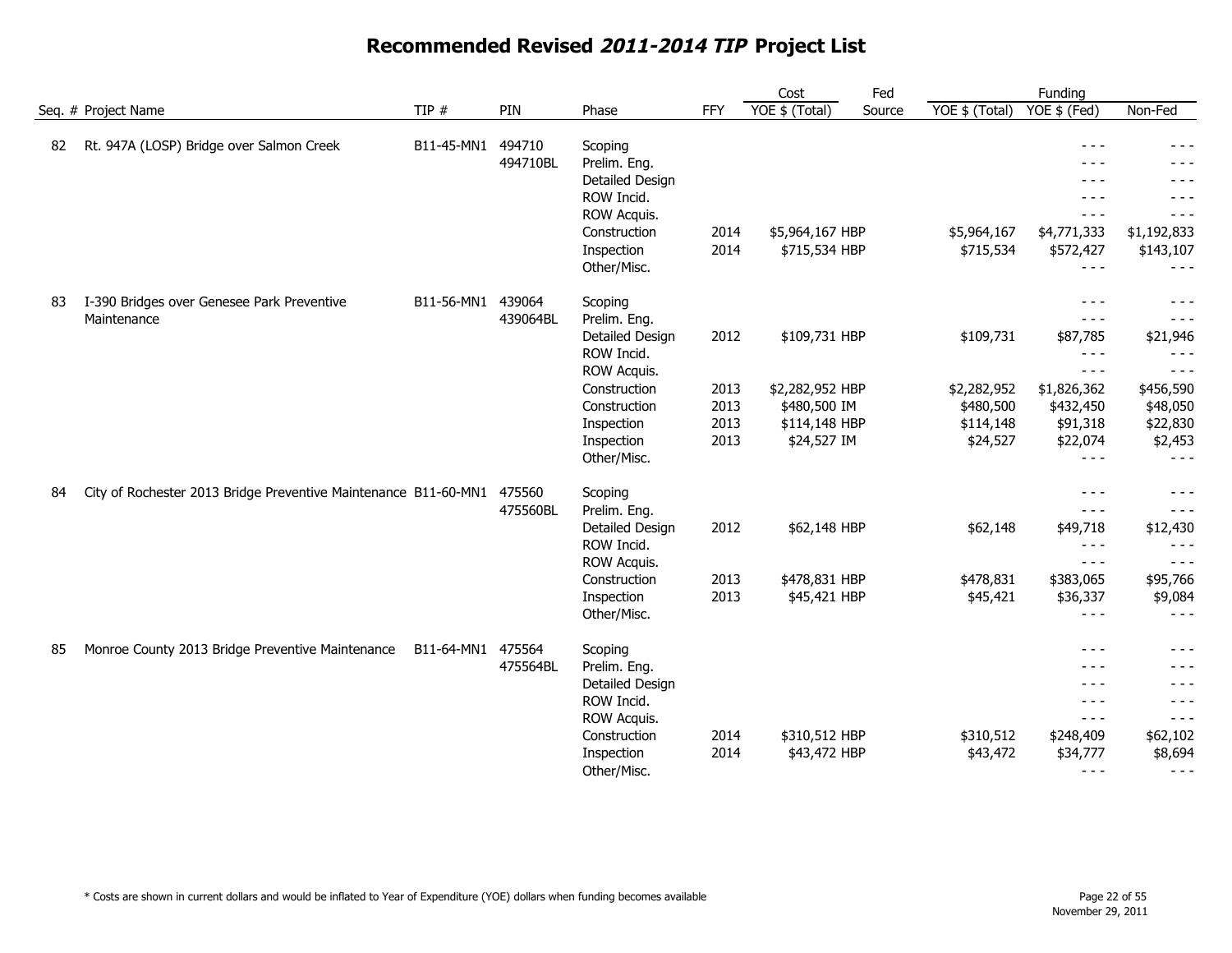|    |                                                                        |                   |                    |                                                                                                                                                    |                                      | Cost                                                                             | Fed    |                                                                | Funding                                                                                                                                                                                                                                                                                                                                                                                                                                                                             |                                                                                                                 |
|----|------------------------------------------------------------------------|-------------------|--------------------|----------------------------------------------------------------------------------------------------------------------------------------------------|--------------------------------------|----------------------------------------------------------------------------------|--------|----------------------------------------------------------------|-------------------------------------------------------------------------------------------------------------------------------------------------------------------------------------------------------------------------------------------------------------------------------------------------------------------------------------------------------------------------------------------------------------------------------------------------------------------------------------|-----------------------------------------------------------------------------------------------------------------|
|    | Seq. # Project Name                                                    | TIP $#$           | PIN                | Phase                                                                                                                                              | FFY                                  | YOE \$ (Total)                                                                   | Source | YOE \$ (Total)                                                 | YOE \$ (Fed)                                                                                                                                                                                                                                                                                                                                                                                                                                                                        | Non-Fed                                                                                                         |
| 82 | Rt. 947A (LOSP) Bridge over Salmon Creek                               | B11-45-MN1        | 494710<br>494710BL | Scoping<br>Prelim. Eng.<br>Detailed Design<br>ROW Incid.<br>ROW Acquis.<br>Construction<br>Inspection<br>Other/Misc.                               | 2014<br>2014                         | \$5,964,167 HBP<br>\$715,534 HBP                                                 |        | \$5,964,167<br>\$715,534                                       | $- - -$<br>$- - -$<br>$- - -$<br>$- - -$<br>$  -$<br>\$4,771,333<br>\$572,427<br>$\frac{1}{2} \frac{1}{2} \frac{1}{2} \frac{1}{2} \frac{1}{2} \frac{1}{2} \frac{1}{2} \frac{1}{2} \frac{1}{2} \frac{1}{2} \frac{1}{2} \frac{1}{2} \frac{1}{2} \frac{1}{2} \frac{1}{2} \frac{1}{2} \frac{1}{2} \frac{1}{2} \frac{1}{2} \frac{1}{2} \frac{1}{2} \frac{1}{2} \frac{1}{2} \frac{1}{2} \frac{1}{2} \frac{1}{2} \frac{1}{2} \frac{1}{2} \frac{1}{2} \frac{1}{2} \frac{1}{2} \frac{$       | $- - -$<br>- - -<br>- - -<br>$- - -$<br>\$1,192,833<br>\$143,107<br>$- - -$                                     |
| 83 | I-390 Bridges over Genesee Park Preventive<br>Maintenance              | B11-56-MN1        | 439064<br>439064BL | Scoping<br>Prelim. Eng.<br>Detailed Design<br>ROW Incid.<br>ROW Acquis.<br>Construction<br>Construction<br>Inspection<br>Inspection<br>Other/Misc. | 2012<br>2013<br>2013<br>2013<br>2013 | \$109,731 HBP<br>\$2,282,952 HBP<br>\$480,500 IM<br>\$114,148 HBP<br>\$24,527 IM |        | \$109,731<br>\$2,282,952<br>\$480,500<br>\$114,148<br>\$24,527 | $- - -$<br>$- - -$<br>\$87,785<br>$- - -$<br>$\frac{1}{2}$<br>\$1,826,362<br>\$432,450<br>\$91,318<br>\$22,074<br>$- - -$                                                                                                                                                                                                                                                                                                                                                           | $- - -$<br>$- - -$<br>\$21,946<br>$- - -$<br>$- - -$<br>\$456,590<br>\$48,050<br>\$22,830<br>\$2,453<br>$- - -$ |
| 84 | City of Rochester 2013 Bridge Preventive Maintenance B11-60-MN1 475560 |                   | 475560BL           | Scoping<br>Prelim. Eng.<br>Detailed Design<br>ROW Incid.<br>ROW Acquis.<br>Construction<br>Inspection<br>Other/Misc.                               | 2012<br>2013<br>2013                 | \$62,148 HBP<br>\$478,831 HBP<br>\$45,421 HBP                                    |        | \$62,148<br>\$478,831<br>\$45,421                              | $\frac{1}{2}$<br>$- - -$<br>\$49,718<br>$- - -$<br>$\frac{1}{2} \frac{1}{2} \frac{1}{2} \frac{1}{2} \frac{1}{2} \frac{1}{2} \frac{1}{2} \frac{1}{2} \frac{1}{2} \frac{1}{2} \frac{1}{2} \frac{1}{2} \frac{1}{2} \frac{1}{2} \frac{1}{2} \frac{1}{2} \frac{1}{2} \frac{1}{2} \frac{1}{2} \frac{1}{2} \frac{1}{2} \frac{1}{2} \frac{1}{2} \frac{1}{2} \frac{1}{2} \frac{1}{2} \frac{1}{2} \frac{1}{2} \frac{1}{2} \frac{1}{2} \frac{1}{2} \frac{$<br>\$383,065<br>\$36,337<br>$- - -$ | $- - -$<br>$- - -$<br>\$12,430<br>$- - -$<br>$- - -$<br>\$95,766<br>\$9,084<br>$- - -$                          |
| 85 | Monroe County 2013 Bridge Preventive Maintenance                       | B11-64-MN1 475564 | 475564BL           | Scoping<br>Prelim. Eng.<br>Detailed Design<br>ROW Incid.<br>ROW Acquis.<br>Construction<br>Inspection<br>Other/Misc.                               | 2014<br>2014                         | \$310,512 HBP<br>\$43,472 HBP                                                    |        | \$310,512<br>\$43,472                                          | $\frac{1}{2}$<br>- - -<br>$- - -$<br>$\frac{1}{2}$<br>$- - -$<br>\$248,409<br>\$34,777<br>$  -$                                                                                                                                                                                                                                                                                                                                                                                     | - - -<br>$- - -$<br>$- - -$<br>$- - -$<br>\$62,102<br>\$8,694<br>$- - -$                                        |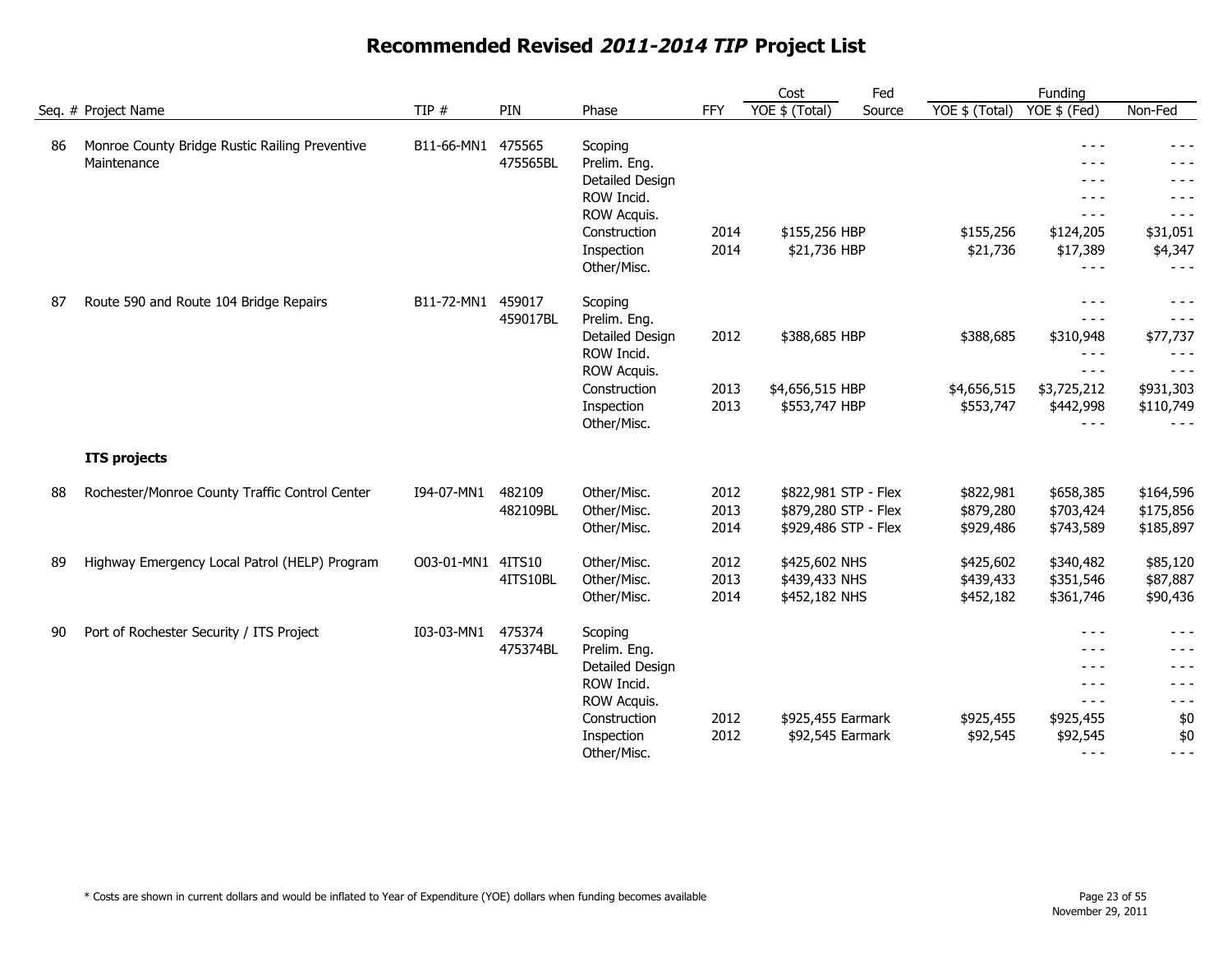|    |                                                |                   |          |                 |            | Cost                 | Fed    |                | Funding      |           |
|----|------------------------------------------------|-------------------|----------|-----------------|------------|----------------------|--------|----------------|--------------|-----------|
|    | Seq. # Project Name                            | TIP $#$           | PIN      | Phase           | <b>FFY</b> | YOE \$ (Total)       | Source | YOE \$ (Total) | YOE \$ (Fed) | Non-Fed   |
| 86 | Monroe County Bridge Rustic Railing Preventive | B11-66-MN1        | 475565   | Scoping         |            |                      |        |                | $- - -$      | - - -     |
|    | Maintenance                                    |                   | 475565BL | Prelim. Eng.    |            |                      |        |                | - - -        |           |
|    |                                                |                   |          | Detailed Design |            |                      |        |                | $- - -$      | - - -     |
|    |                                                |                   |          | ROW Incid.      |            |                      |        |                | $- - -$      | - - -     |
|    |                                                |                   |          | ROW Acquis.     |            |                      |        |                | $- - -$      | - - -     |
|    |                                                |                   |          | Construction    | 2014       | \$155,256 HBP        |        | \$155,256      | \$124,205    | \$31,051  |
|    |                                                |                   |          | Inspection      | 2014       | \$21,736 HBP         |        | \$21,736       | \$17,389     | \$4,347   |
|    |                                                |                   |          | Other/Misc.     |            |                      |        |                | $- - -$      | - - -     |
| 87 | Route 590 and Route 104 Bridge Repairs         | B11-72-MN1        | 459017   | Scoping         |            |                      |        |                | $- - -$      | $- - -$   |
|    |                                                |                   | 459017BL | Prelim. Eng.    |            |                      |        |                | $- - -$      | $- - -$   |
|    |                                                |                   |          | Detailed Design | 2012       | \$388,685 HBP        |        | \$388,685      | \$310,948    | \$77,737  |
|    |                                                |                   |          | ROW Incid.      |            |                      |        |                | $- - -$      | - - -     |
|    |                                                |                   |          | ROW Acquis.     |            |                      |        |                | $- - -$      | $- - -$   |
|    |                                                |                   |          | Construction    | 2013       | \$4,656,515 HBP      |        | \$4,656,515    | \$3,725,212  | \$931,303 |
|    |                                                |                   |          | Inspection      | 2013       | \$553,747 HBP        |        | \$553,747      | \$442,998    | \$110,749 |
|    |                                                |                   |          | Other/Misc.     |            |                      |        |                | $- - -$      | $- - -$   |
|    | <b>ITS projects</b>                            |                   |          |                 |            |                      |        |                |              |           |
| 88 | Rochester/Monroe County Traffic Control Center | I94-07-MN1        | 482109   | Other/Misc.     | 2012       | \$822,981 STP - Flex |        | \$822,981      | \$658,385    | \$164,596 |
|    |                                                |                   | 482109BL | Other/Misc.     | 2013       | \$879,280 STP - Flex |        | \$879,280      | \$703,424    | \$175,856 |
|    |                                                |                   |          | Other/Misc.     | 2014       | \$929,486 STP - Flex |        | \$929,486      | \$743,589    | \$185,897 |
| 89 | Highway Emergency Local Patrol (HELP) Program  | O03-01-MN1 4ITS10 |          | Other/Misc.     | 2012       | \$425,602 NHS        |        | \$425,602      | \$340,482    | \$85,120  |
|    |                                                |                   | 4ITS10BL | Other/Misc.     | 2013       | \$439,433 NHS        |        | \$439,433      | \$351,546    | \$87,887  |
|    |                                                |                   |          | Other/Misc.     | 2014       | \$452,182 NHS        |        | \$452,182      | \$361,746    | \$90,436  |
| 90 | Port of Rochester Security / ITS Project       | I03-03-MN1        | 475374   | Scoping         |            |                      |        |                | $- - -$      | - - -     |
|    |                                                |                   | 475374BL | Prelim. Eng.    |            |                      |        |                | $- - -$      | - - -     |
|    |                                                |                   |          | Detailed Design |            |                      |        |                | $- - -$      | - - -     |
|    |                                                |                   |          | ROW Incid.      |            |                      |        |                | $- - -$      | - - -     |
|    |                                                |                   |          | ROW Acquis.     |            |                      |        |                | $- - -$      | - - -     |
|    |                                                |                   |          | Construction    | 2012       | \$925,455 Earmark    |        | \$925,455      | \$925,455    | \$0       |
|    |                                                |                   |          | Inspection      | 2012       | \$92,545 Earmark     |        | \$92,545       | \$92,545     | \$0       |
|    |                                                |                   |          | Other/Misc.     |            |                      |        |                | $- - -$      | $- - -$   |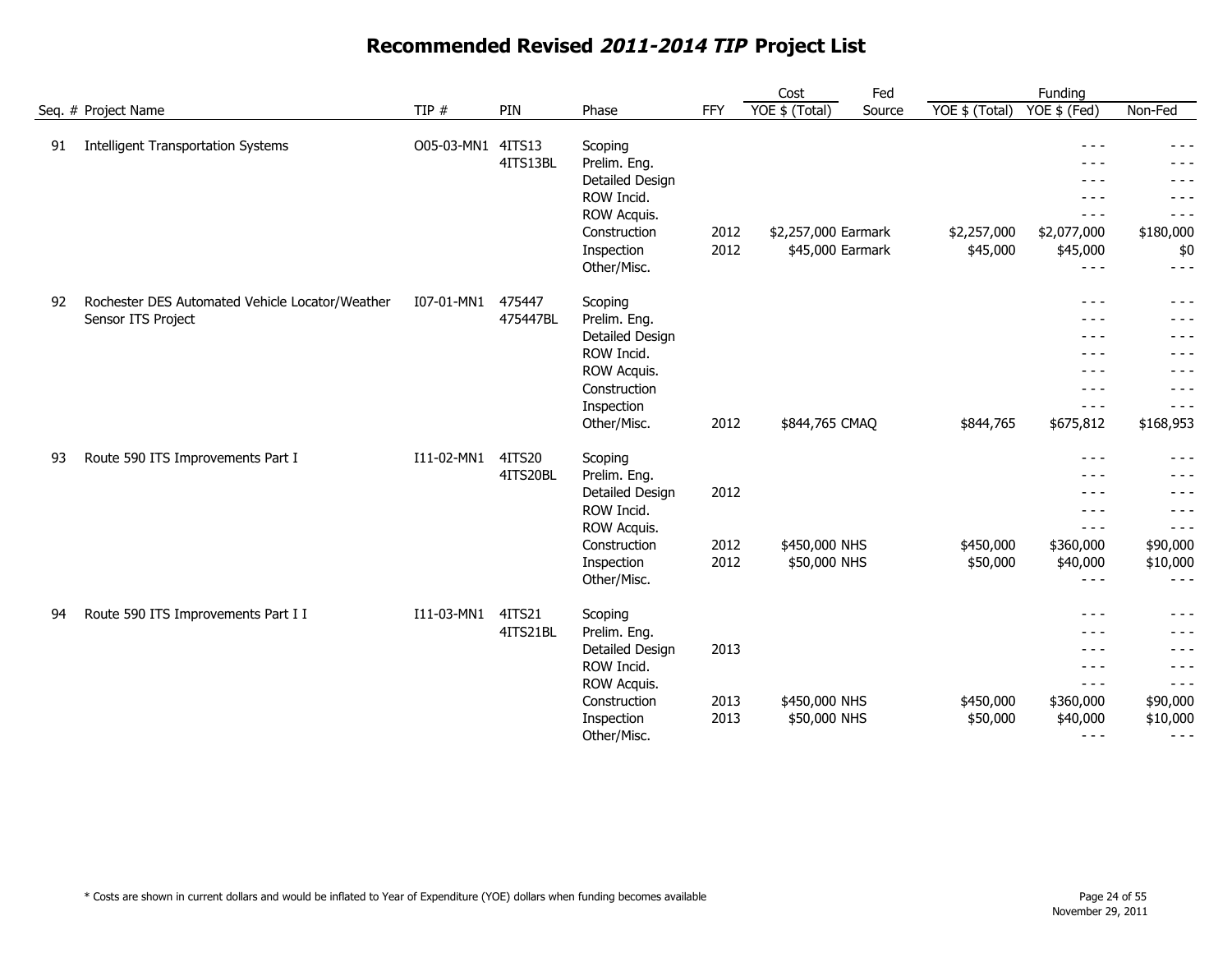|    |                                                 |            |                    |                         |            | Cost                | Fed    |                | Funding                                                                                                                                                                                                                                                                                                                                                                                      |           |
|----|-------------------------------------------------|------------|--------------------|-------------------------|------------|---------------------|--------|----------------|----------------------------------------------------------------------------------------------------------------------------------------------------------------------------------------------------------------------------------------------------------------------------------------------------------------------------------------------------------------------------------------------|-----------|
|    | Seq. # Project Name                             | TIP $#$    | PIN                | Phase                   | <b>FFY</b> | YOE \$ (Total)      | Source | YOE \$ (Total) | YOE \$ (Fed)                                                                                                                                                                                                                                                                                                                                                                                 | Non-Fed   |
| 91 | <b>Intelligent Transportation Systems</b>       | O05-03-MN1 | 4ITS13<br>4ITS13BL | Scoping<br>Prelim. Eng. |            |                     |        |                | $- - -$<br>- - -                                                                                                                                                                                                                                                                                                                                                                             | - - -     |
|    |                                                 |            |                    | Detailed Design         |            |                     |        |                | - - -                                                                                                                                                                                                                                                                                                                                                                                        | - - -     |
|    |                                                 |            |                    | ROW Incid.              |            |                     |        |                | $- - -$                                                                                                                                                                                                                                                                                                                                                                                      | $- - -$   |
|    |                                                 |            |                    | ROW Acquis.             |            |                     |        |                | $- - -$                                                                                                                                                                                                                                                                                                                                                                                      | $- - -$   |
|    |                                                 |            |                    | Construction            | 2012       | \$2,257,000 Earmark |        | \$2,257,000    | \$2,077,000                                                                                                                                                                                                                                                                                                                                                                                  | \$180,000 |
|    |                                                 |            |                    | Inspection              | 2012       | \$45,000 Earmark    |        | \$45,000       | \$45,000                                                                                                                                                                                                                                                                                                                                                                                     | \$0       |
|    |                                                 |            |                    | Other/Misc.             |            |                     |        |                | $- - -$                                                                                                                                                                                                                                                                                                                                                                                      | $- - -$   |
| 92 | Rochester DES Automated Vehicle Locator/Weather | I07-01-MN1 | 475447             | Scoping                 |            |                     |        |                | $- - -$                                                                                                                                                                                                                                                                                                                                                                                      | - - -     |
|    | Sensor ITS Project                              |            | 475447BL           | Prelim. Eng.            |            |                     |        |                | $- - -$                                                                                                                                                                                                                                                                                                                                                                                      | - - -     |
|    |                                                 |            |                    | Detailed Design         |            |                     |        |                | $- - -$                                                                                                                                                                                                                                                                                                                                                                                      | - - -     |
|    |                                                 |            |                    | ROW Incid.              |            |                     |        |                | $- - -$                                                                                                                                                                                                                                                                                                                                                                                      | $- - -$   |
|    |                                                 |            |                    | ROW Acquis.             |            |                     |        |                | $- - -$                                                                                                                                                                                                                                                                                                                                                                                      | $- - -$   |
|    |                                                 |            |                    | Construction            |            |                     |        |                | $- - -$                                                                                                                                                                                                                                                                                                                                                                                      | $- - -$   |
|    |                                                 |            |                    | Inspection              |            |                     |        |                | $- - -$                                                                                                                                                                                                                                                                                                                                                                                      | $- - -$   |
|    |                                                 |            |                    | Other/Misc.             | 2012       | \$844,765 CMAQ      |        | \$844,765      | \$675,812                                                                                                                                                                                                                                                                                                                                                                                    | \$168,953 |
| 93 | Route 590 ITS Improvements Part I               | I11-02-MN1 | 4ITS20             | Scoping                 |            |                     |        |                | $- - -$                                                                                                                                                                                                                                                                                                                                                                                      | $- - -$   |
|    |                                                 |            | 4ITS20BL           | Prelim. Eng.            |            |                     |        |                | $  -$                                                                                                                                                                                                                                                                                                                                                                                        | - - -     |
|    |                                                 |            |                    | Detailed Design         | 2012       |                     |        |                | $- - -$                                                                                                                                                                                                                                                                                                                                                                                      | - - -     |
|    |                                                 |            |                    | ROW Incid.              |            |                     |        |                | $- - -$                                                                                                                                                                                                                                                                                                                                                                                      | - - -     |
|    |                                                 |            |                    | ROW Acquis.             |            |                     |        |                | $- - -$                                                                                                                                                                                                                                                                                                                                                                                      | $- - -$   |
|    |                                                 |            |                    | Construction            | 2012       | \$450,000 NHS       |        | \$450,000      | \$360,000                                                                                                                                                                                                                                                                                                                                                                                    | \$90,000  |
|    |                                                 |            |                    | Inspection              | 2012       | \$50,000 NHS        |        | \$50,000       | \$40,000                                                                                                                                                                                                                                                                                                                                                                                     | \$10,000  |
|    |                                                 |            |                    | Other/Misc.             |            |                     |        |                | $- - -$                                                                                                                                                                                                                                                                                                                                                                                      | - - -     |
| 94 | Route 590 ITS Improvements Part I I             | I11-03-MN1 | 4ITS21             | Scoping                 |            |                     |        |                | $- - -$                                                                                                                                                                                                                                                                                                                                                                                      | $- - -$   |
|    |                                                 |            | 4ITS21BL           | Prelim. Eng.            |            |                     |        |                | $- - -$                                                                                                                                                                                                                                                                                                                                                                                      | - - -     |
|    |                                                 |            |                    | Detailed Design         | 2013       |                     |        |                | $- - -$                                                                                                                                                                                                                                                                                                                                                                                      | $- - -$   |
|    |                                                 |            |                    | ROW Incid.              |            |                     |        |                | $- - -$                                                                                                                                                                                                                                                                                                                                                                                      | $- - -$   |
|    |                                                 |            |                    | ROW Acquis.             |            |                     |        |                | $\frac{1}{2} \frac{1}{2} \frac{1}{2} \frac{1}{2} \frac{1}{2} \frac{1}{2} \frac{1}{2} \frac{1}{2} \frac{1}{2} \frac{1}{2} \frac{1}{2} \frac{1}{2} \frac{1}{2} \frac{1}{2} \frac{1}{2} \frac{1}{2} \frac{1}{2} \frac{1}{2} \frac{1}{2} \frac{1}{2} \frac{1}{2} \frac{1}{2} \frac{1}{2} \frac{1}{2} \frac{1}{2} \frac{1}{2} \frac{1}{2} \frac{1}{2} \frac{1}{2} \frac{1}{2} \frac{1}{2} \frac{$ | $- - -$   |
|    |                                                 |            |                    | Construction            | 2013       | \$450,000 NHS       |        | \$450,000      | \$360,000                                                                                                                                                                                                                                                                                                                                                                                    | \$90,000  |
|    |                                                 |            |                    | Inspection              | 2013       | \$50,000 NHS        |        | \$50,000       | \$40,000                                                                                                                                                                                                                                                                                                                                                                                     | \$10,000  |
|    |                                                 |            |                    | Other/Misc.             |            |                     |        |                | $- - -$                                                                                                                                                                                                                                                                                                                                                                                      | $- - -$   |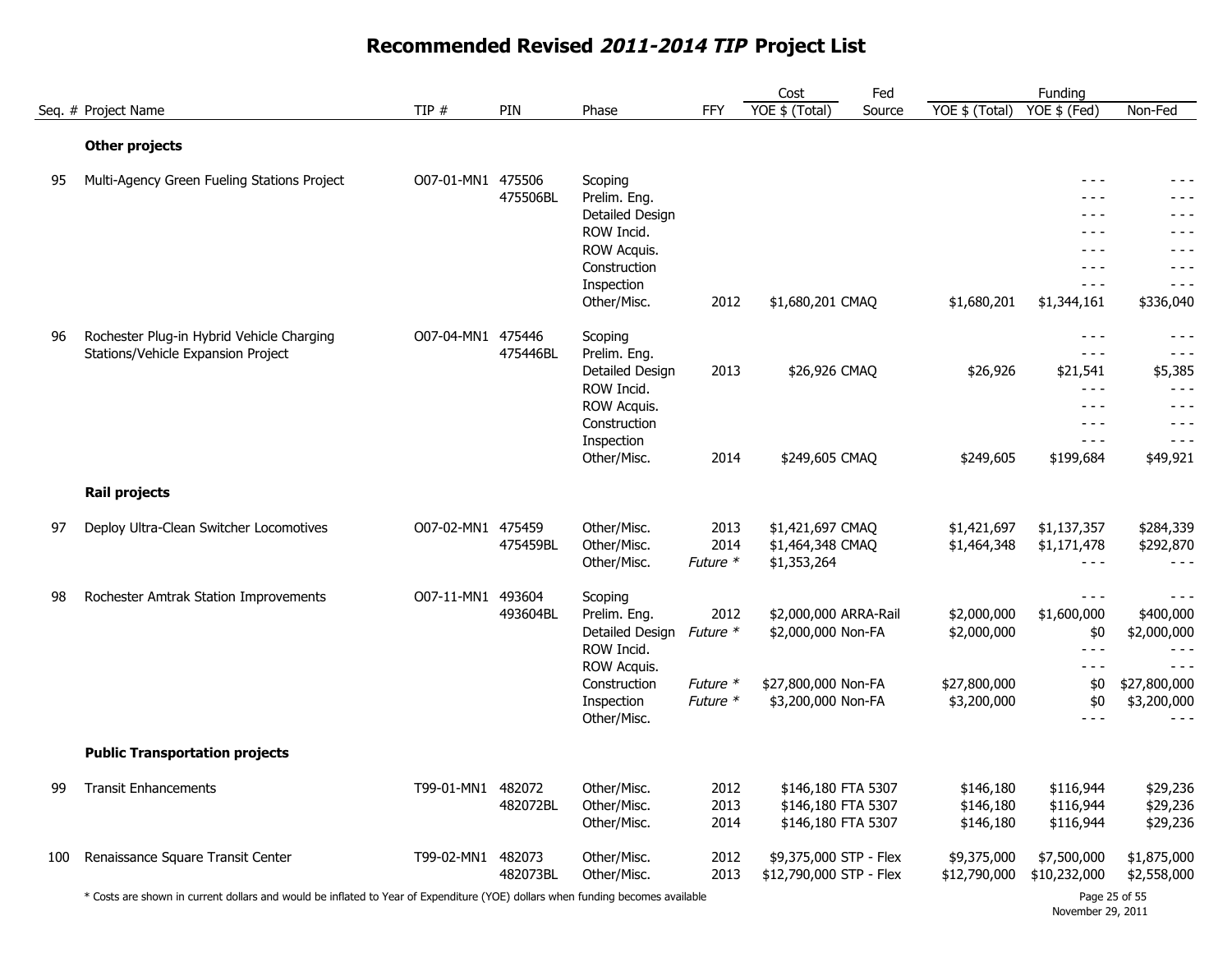|     |                                                                                 |                   |                    |                                                                   |                          | Cost                                                           | Fed    |                                     | Funding                                  |                                                   |
|-----|---------------------------------------------------------------------------------|-------------------|--------------------|-------------------------------------------------------------------|--------------------------|----------------------------------------------------------------|--------|-------------------------------------|------------------------------------------|---------------------------------------------------|
|     | Seg. # Project Name                                                             | TIP $#$           | PIN                | Phase                                                             | <b>FFY</b>               | YOE \$ (Total)                                                 | Source | YOE \$ (Total)                      | YOE \$ (Fed)                             | Non-Fed                                           |
|     | <b>Other projects</b>                                                           |                   |                    |                                                                   |                          |                                                                |        |                                     |                                          |                                                   |
| 95  | Multi-Agency Green Fueling Stations Project                                     | O07-01-MN1 475506 | 475506BL           | Scoping<br>Prelim. Eng.<br>Detailed Design                        |                          |                                                                |        |                                     | $- - -$<br>$- - -$<br>- - -              | - - -<br>- - -<br>- - -                           |
|     |                                                                                 |                   |                    | ROW Incid.<br>ROW Acquis.<br>Construction<br>Inspection           |                          |                                                                |        |                                     | $- - -$<br>$- - -$<br>$- - -$<br>$- - -$ | $- - -$<br>- - -<br>$- - -$<br>$- - -$            |
|     |                                                                                 |                   |                    | Other/Misc.                                                       | 2012                     | \$1,680,201 CMAQ                                               |        | \$1,680,201                         | \$1,344,161                              | \$336,040                                         |
| 96  | Rochester Plug-in Hybrid Vehicle Charging<br>Stations/Vehicle Expansion Project | O07-04-MN1 475446 | 475446BL           | Scoping<br>Prelim. Eng.                                           |                          |                                                                |        |                                     | $- - -$<br>$- - -$                       | - - -<br>$- - -$                                  |
|     |                                                                                 |                   |                    | Detailed Design<br>ROW Incid.                                     | 2013                     | \$26,926 CMAQ                                                  |        | \$26,926                            | \$21,541<br>$- - -$<br>$- - -$           | \$5,385<br>$- - -$<br>$- - -$                     |
|     |                                                                                 |                   |                    | ROW Acquis.<br>Construction<br>Inspection                         |                          |                                                                |        |                                     | $- - -$<br>$- - -$                       | $- - -$<br>$- - -$                                |
|     |                                                                                 |                   |                    | Other/Misc.                                                       | 2014                     | \$249,605 CMAQ                                                 |        | \$249,605                           | \$199,684                                | \$49,921                                          |
|     | <b>Rail projects</b>                                                            |                   |                    |                                                                   |                          |                                                                |        |                                     |                                          |                                                   |
| 97  | Deploy Ultra-Clean Switcher Locomotives                                         | O07-02-MN1 475459 | 475459BL           | Other/Misc.<br>Other/Misc.<br>Other/Misc.                         | 2013<br>2014<br>Future * | \$1,421,697 CMAQ<br>\$1,464,348 CMAQ<br>\$1,353,264            |        | \$1,421,697<br>\$1,464,348          | \$1,137,357<br>\$1,171,478<br>$- - -$    | \$284,339<br>\$292,870<br>$- - -$                 |
| 98  | Rochester Amtrak Station Improvements                                           | O07-11-MN1 493604 | 493604BL           | Scoping<br>Prelim. Eng.<br>Detailed Design Future *<br>ROW Incid. | 2012                     | \$2,000,000 ARRA-Rail<br>\$2,000,000 Non-FA                    |        | \$2,000,000<br>\$2,000,000          | $- - -$<br>\$1,600,000<br>\$0<br>$- - -$ | $- - -$<br>\$400,000<br>\$2,000,000<br>$- - -$    |
|     |                                                                                 |                   |                    | ROW Acquis.<br>Construction<br>Inspection<br>Other/Misc.          | Future *<br>Future *     | \$27,800,000 Non-FA<br>\$3,200,000 Non-FA                      |        | \$27,800,000<br>\$3,200,000         | $- - -$<br>\$0<br>\$0<br>$- - -$         | $- - -$<br>\$27,800,000<br>\$3,200,000<br>$- - -$ |
|     | <b>Public Transportation projects</b>                                           |                   |                    |                                                                   |                          |                                                                |        |                                     |                                          |                                                   |
| 99  | <b>Transit Enhancements</b>                                                     | T99-01-MN1 482072 | 482072BL           | Other/Misc.<br>Other/Misc.<br>Other/Misc.                         | 2012<br>2013<br>2014     | \$146,180 FTA 5307<br>\$146,180 FTA 5307<br>\$146,180 FTA 5307 |        | \$146,180<br>\$146,180<br>\$146,180 | \$116,944<br>\$116,944<br>\$116,944      | \$29,236<br>\$29,236<br>\$29,236                  |
| 100 | Renaissance Square Transit Center                                               | T99-02-MN1        | 482073<br>482073BL | Other/Misc.<br>Other/Misc.                                        | 2012<br>2013             | \$9,375,000 STP - Flex<br>\$12,790,000 STP - Flex              |        | \$9,375,000<br>\$12,790,000         | \$7,500,000<br>\$10,232,000              | \$1,875,000<br>\$2,558,000                        |

\* Costs are shown in current dollars and would be inflated to Year of Expenditure (YOE) dollars when funding becomes available Page 25 of 55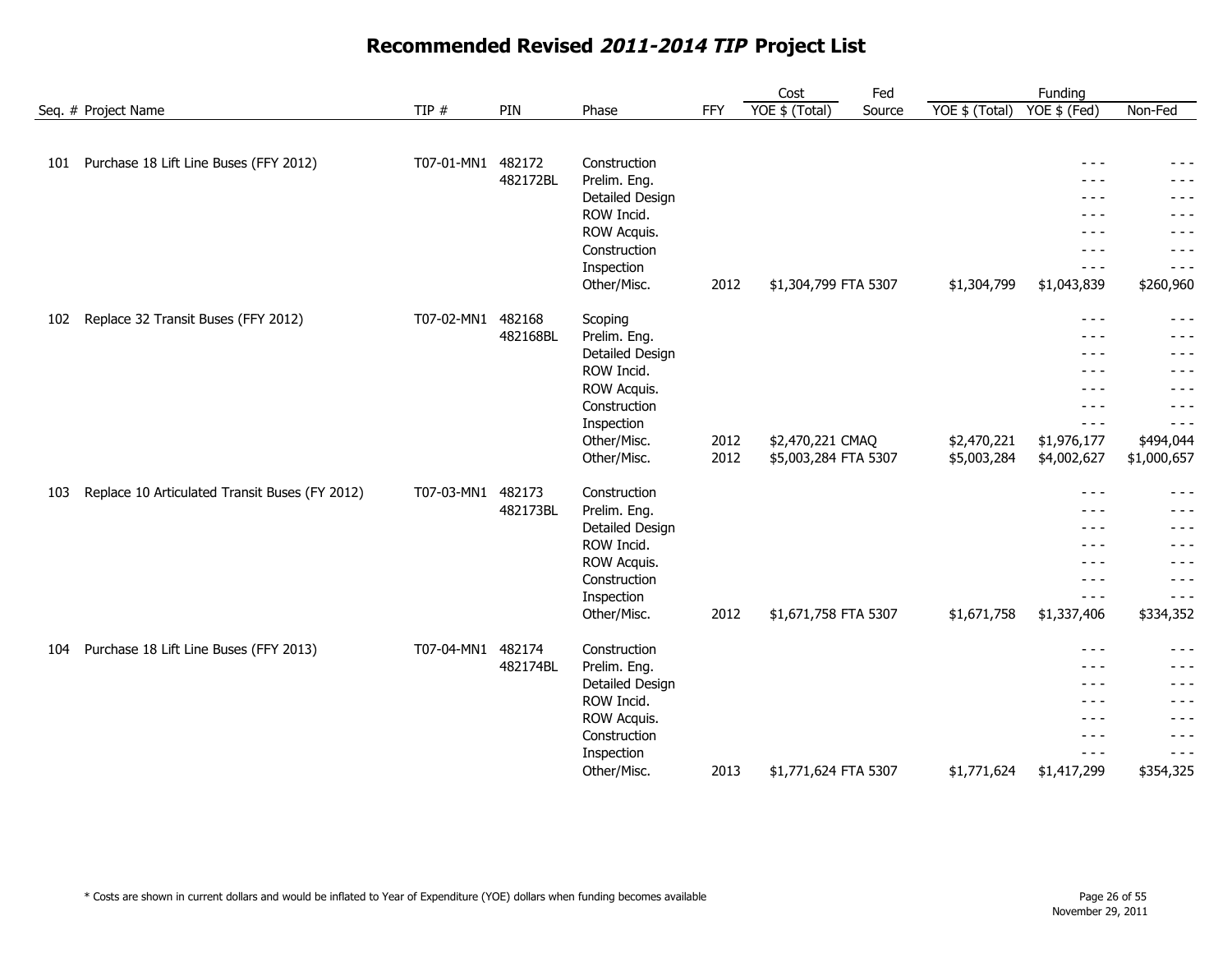|     |                                                |            |          |                            |            | Cost                 | Fed    |                | Funding          |                    |
|-----|------------------------------------------------|------------|----------|----------------------------|------------|----------------------|--------|----------------|------------------|--------------------|
|     | Seq. # Project Name                            | TIP #      | PIN      | Phase                      | <b>FFY</b> | YOE \$ (Total)       | Source | YOE \$ (Total) | YOE \$ (Fed)     | Non-Fed            |
|     |                                                |            |          |                            |            |                      |        |                |                  |                    |
| 101 | Purchase 18 Lift Line Buses (FFY 2012)         | T07-01-MN1 | 482172   | Construction               |            |                      |        |                | $  -$            | - - -              |
|     |                                                |            | 482172BL | Prelim. Eng.               |            |                      |        |                | $- - -$          | $- - -$            |
|     |                                                |            |          | Detailed Design            |            |                      |        |                | $- - -$          | - - -              |
|     |                                                |            |          | ROW Incid.                 |            |                      |        |                | $\frac{1}{2}$    | $- - -$            |
|     |                                                |            |          | ROW Acquis.                |            |                      |        |                | $- - -$          | - - -              |
|     |                                                |            |          | Construction               |            |                      |        |                | $- - -$          | $- - -$            |
|     |                                                |            |          | Inspection                 |            |                      |        |                | $- - -$          | $- - -$            |
|     |                                                |            |          | Other/Misc.                | 2012       | \$1,304,799 FTA 5307 |        | \$1,304,799    | \$1,043,839      | \$260,960          |
| 102 | Replace 32 Transit Buses (FFY 2012)            | T07-02-MN1 | 482168   | Scoping                    |            |                      |        |                | $\frac{1}{2}$    | $- - -$            |
|     |                                                |            | 482168BL | Prelim. Eng.               |            |                      |        |                | $- - -$          | $- - -$            |
|     |                                                |            |          | Detailed Design            |            |                      |        |                | $- - -$          | - - -              |
|     |                                                |            |          | ROW Incid.                 |            |                      |        |                | $- - -$          | $- - -$            |
|     |                                                |            |          | ROW Acquis.                |            |                      |        |                | - - -            | - - -              |
|     |                                                |            |          | Construction<br>Inspection |            |                      |        |                | $  -$<br>$- - -$ | - - -<br>$- - -$   |
|     |                                                |            |          | Other/Misc.                | 2012       | \$2,470,221 CMAQ     |        | \$2,470,221    | \$1,976,177      | \$494,044          |
|     |                                                |            |          | Other/Misc.                | 2012       | \$5,003,284 FTA 5307 |        | \$5,003,284    | \$4,002,627      | \$1,000,657        |
|     |                                                |            |          |                            |            |                      |        |                |                  |                    |
| 103 | Replace 10 Articulated Transit Buses (FY 2012) | T07-03-MN1 | 482173   | Construction               |            |                      |        |                | $\frac{1}{2}$    | $- - -$            |
|     |                                                |            | 482173BL | Prelim. Eng.               |            |                      |        |                | $\frac{1}{2}$    | $- - -$            |
|     |                                                |            |          | Detailed Design            |            |                      |        |                | $\frac{1}{2}$    | $- - -$            |
|     |                                                |            |          | ROW Incid.                 |            |                      |        |                | $\frac{1}{2}$    | $- - -$            |
|     |                                                |            |          | ROW Acquis.                |            |                      |        |                | $- - -$          | $- - -$            |
|     |                                                |            |          | Construction               |            |                      |        |                | $  -$            | $- - -$            |
|     |                                                |            |          | Inspection                 |            |                      |        |                | $- - -$          | $- - -$            |
|     |                                                |            |          | Other/Misc.                | 2012       | \$1,671,758 FTA 5307 |        | \$1,671,758    | \$1,337,406      | \$334,352          |
| 104 | Purchase 18 Lift Line Buses (FFY 2013)         | T07-04-MN1 | 482174   | Construction               |            |                      |        |                | $- - -$          | $- - -$            |
|     |                                                |            | 482174BL | Prelim. Eng.               |            |                      |        |                | $- - -$          | $- - -$            |
|     |                                                |            |          | Detailed Design            |            |                      |        |                | $- - -$          | $- - -$            |
|     |                                                |            |          | ROW Incid.                 |            |                      |        |                | $  -$            | $- - -$            |
|     |                                                |            |          | ROW Acquis.                |            |                      |        |                | $- - -$<br>$  -$ | $- - -$<br>$- - -$ |
|     |                                                |            |          | Construction<br>Inspection |            |                      |        |                | $\frac{1}{2}$    | $- - -$            |
|     |                                                |            |          | Other/Misc.                | 2013       | \$1,771,624 FTA 5307 |        | \$1,771,624    | \$1,417,299      | \$354,325          |
|     |                                                |            |          |                            |            |                      |        |                |                  |                    |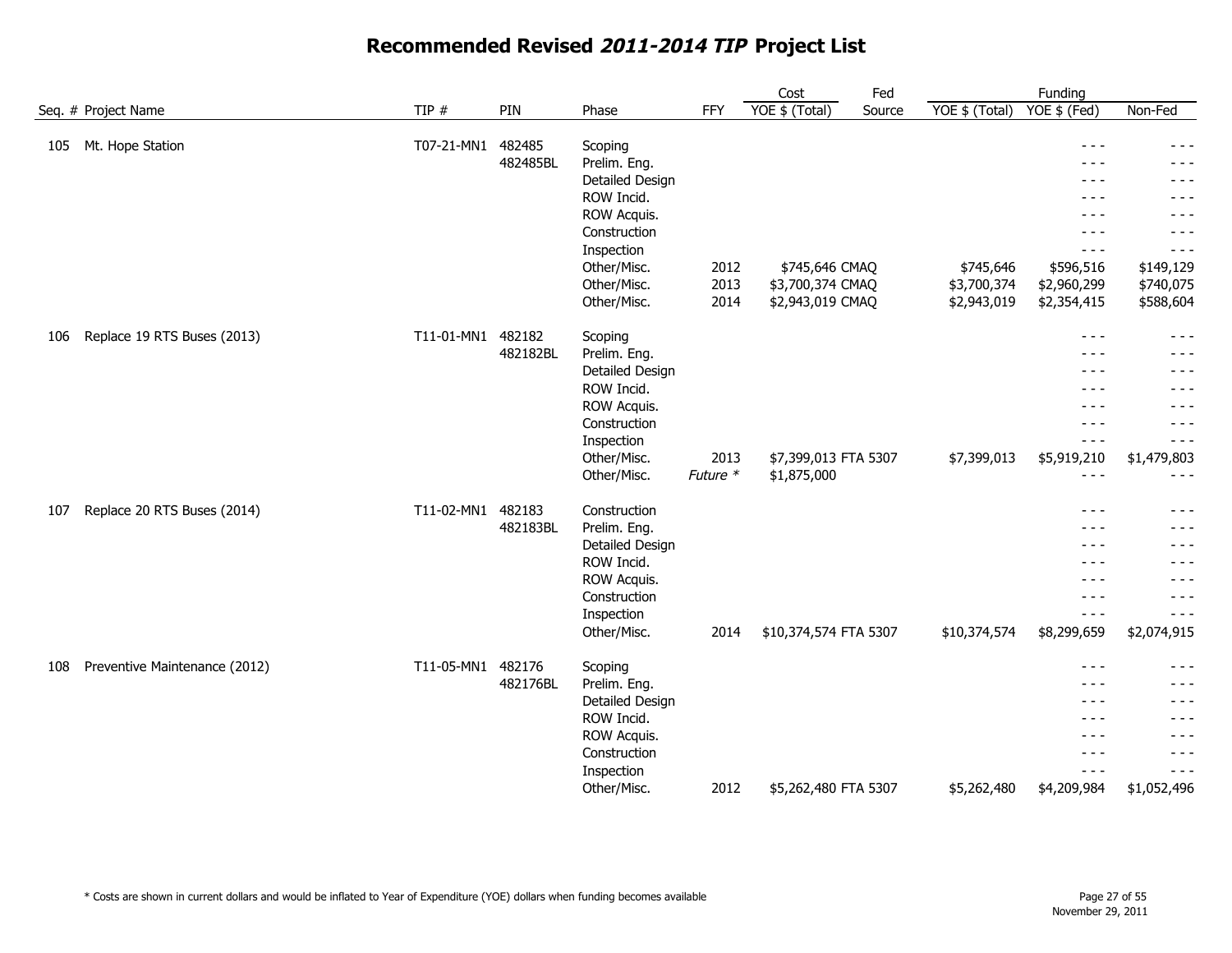|     |                               |            |                    |                                                                                                                                                    |                      | Cost                                                   | Fed    |                                         | Funding                                                                                                                                                                                                                                                                                                                                                                                                                                                                                                  |                                                                                                                |
|-----|-------------------------------|------------|--------------------|----------------------------------------------------------------------------------------------------------------------------------------------------|----------------------|--------------------------------------------------------|--------|-----------------------------------------|----------------------------------------------------------------------------------------------------------------------------------------------------------------------------------------------------------------------------------------------------------------------------------------------------------------------------------------------------------------------------------------------------------------------------------------------------------------------------------------------------------|----------------------------------------------------------------------------------------------------------------|
|     | Seq. # Project Name           | TIP #      | PIN                | Phase                                                                                                                                              | <b>FFY</b>           | YOE \$ (Total)                                         | Source | YOE \$ (Total)                          | $YOE$ \$ (Fed)                                                                                                                                                                                                                                                                                                                                                                                                                                                                                           | Non-Fed                                                                                                        |
| 105 | Mt. Hope Station              | T07-21-MN1 | 482485<br>482485BL | Scoping<br>Prelim. Eng.<br>Detailed Design<br>ROW Incid.<br>ROW Acquis.<br>Construction<br>Inspection<br>Other/Misc.<br>Other/Misc.<br>Other/Misc. | 2012<br>2013<br>2014 | \$745,646 CMAQ<br>\$3,700,374 CMAQ<br>\$2,943,019 CMAQ |        | \$745,646<br>\$3,700,374<br>\$2,943,019 | $- - -$<br>$- - -$<br>$- - -$<br>$- - -$<br>$  -$<br>$\frac{1}{2}$<br>$- - -$<br>\$596,516<br>\$2,960,299<br>\$2,354,415                                                                                                                                                                                                                                                                                                                                                                                 | $- - -$<br>$- - -$<br>$- - -$<br>- - -<br>$- - -$<br>$- - -$<br>$- - -$<br>\$149,129<br>\$740,075<br>\$588,604 |
| 106 | Replace 19 RTS Buses (2013)   | T11-01-MN1 | 482182<br>482182BL | Scoping<br>Prelim. Eng.<br>Detailed Design<br>ROW Incid.<br>ROW Acquis.<br>Construction<br>Inspection<br>Other/Misc.<br>Other/Misc.                | 2013<br>Future *     | \$7,399,013 FTA 5307<br>\$1,875,000                    |        | \$7,399,013                             | $\frac{1}{2} \frac{1}{2} \frac{1}{2} \frac{1}{2} \frac{1}{2} \frac{1}{2} \frac{1}{2} \frac{1}{2} \frac{1}{2} \frac{1}{2} \frac{1}{2} \frac{1}{2} \frac{1}{2} \frac{1}{2} \frac{1}{2} \frac{1}{2} \frac{1}{2} \frac{1}{2} \frac{1}{2} \frac{1}{2} \frac{1}{2} \frac{1}{2} \frac{1}{2} \frac{1}{2} \frac{1}{2} \frac{1}{2} \frac{1}{2} \frac{1}{2} \frac{1}{2} \frac{1}{2} \frac{1}{2} \frac{$<br>$  -$<br>$\frac{1}{2}$<br>$\frac{1}{2}$<br>$\frac{1}{2}$<br>$- - -$<br>$- - -$<br>\$5,919,210<br>$- - -$ | $\frac{1}{2}$<br>$- - -$<br>- - -<br>$- - -$<br>$- - -$<br>$- - -$<br>$- - -$<br>\$1,479,803<br>$- - -$        |
| 107 | Replace 20 RTS Buses (2014)   | T11-02-MN1 | 482183<br>482183BL | Construction<br>Prelim. Eng.<br>Detailed Design<br>ROW Incid.<br>ROW Acquis.<br>Construction<br>Inspection<br>Other/Misc.                          | 2014                 | \$10,374,574 FTA 5307                                  |        | \$10,374,574                            | $\frac{1}{2}$<br>$- - -$<br>$\frac{1}{2}$<br>$\frac{1}{2}$<br>$  -$<br>$  -$<br>$- - -$<br>\$8,299,659                                                                                                                                                                                                                                                                                                                                                                                                   | $- - -$<br>- - -<br>$- - -$<br>- - -<br>$- - -$<br>$- - -$<br>$- - -$<br>\$2,074,915                           |
| 108 | Preventive Maintenance (2012) | T11-05-MN1 | 482176<br>482176BL | Scoping<br>Prelim. Eng.<br>Detailed Design<br>ROW Incid.<br>ROW Acquis.<br>Construction<br>Inspection<br>Other/Misc.                               | 2012                 | \$5,262,480 FTA 5307                                   |        | \$5,262,480                             | $- - -$<br>$- - -$<br>$- - -$<br>$  -$<br>$- - -$<br>$\frac{1}{2}$<br>$\frac{1}{2} \frac{1}{2} \frac{1}{2} \frac{1}{2} \frac{1}{2} \frac{1}{2} \frac{1}{2} \frac{1}{2} \frac{1}{2} \frac{1}{2} \frac{1}{2} \frac{1}{2} \frac{1}{2} \frac{1}{2} \frac{1}{2} \frac{1}{2} \frac{1}{2} \frac{1}{2} \frac{1}{2} \frac{1}{2} \frac{1}{2} \frac{1}{2} \frac{1}{2} \frac{1}{2} \frac{1}{2} \frac{1}{2} \frac{1}{2} \frac{1}{2} \frac{1}{2} \frac{1}{2} \frac{1}{2} \frac{$<br>\$4,209,984                        | $- - -$<br>- - -<br>$- - -$<br>$- - -$<br>$- - -$<br>$- - -$<br>$- - -$<br>\$1,052,496                         |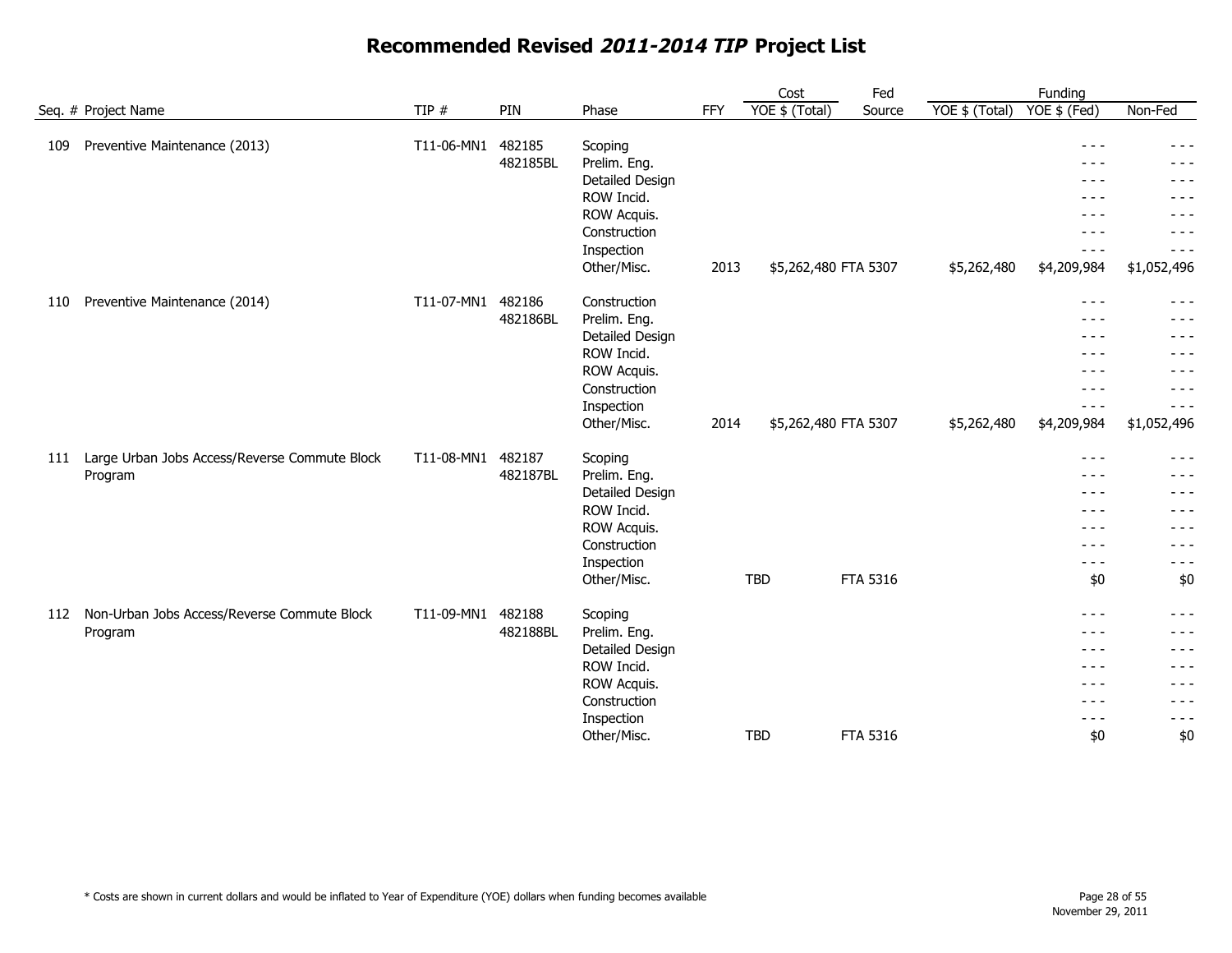|     |                                               |            |          |                            |            | Cost                 | Fed             |                | Funding                        |                                                                                                                                                                                                                                                                                                                                                                                              |
|-----|-----------------------------------------------|------------|----------|----------------------------|------------|----------------------|-----------------|----------------|--------------------------------|----------------------------------------------------------------------------------------------------------------------------------------------------------------------------------------------------------------------------------------------------------------------------------------------------------------------------------------------------------------------------------------------|
|     | Seq. # Project Name                           | TIP $#$    | PIN      | Phase                      | <b>FFY</b> | YOE \$ (Total)       | Source          | YOE \$ (Total) | $YOE$ \$ (Fed)                 | Non-Fed                                                                                                                                                                                                                                                                                                                                                                                      |
| 109 | Preventive Maintenance (2013)                 | T11-06-MN1 | 482185   | Scoping                    |            |                      |                 |                | $\frac{1}{2}$                  | - - -                                                                                                                                                                                                                                                                                                                                                                                        |
|     |                                               |            | 482185BL | Prelim. Eng.               |            |                      |                 |                | - - -                          | - - -                                                                                                                                                                                                                                                                                                                                                                                        |
|     |                                               |            |          | Detailed Design            |            |                      |                 |                | $- - -$                        | - - -                                                                                                                                                                                                                                                                                                                                                                                        |
|     |                                               |            |          | ROW Incid.                 |            |                      |                 |                | - - -                          | $- - -$                                                                                                                                                                                                                                                                                                                                                                                      |
|     |                                               |            |          | ROW Acquis.                |            |                      |                 |                | $\frac{1}{2}$                  | $- - -$                                                                                                                                                                                                                                                                                                                                                                                      |
|     |                                               |            |          | Construction               |            |                      |                 |                | $- - -$                        | - - -                                                                                                                                                                                                                                                                                                                                                                                        |
|     |                                               |            |          | Inspection                 |            |                      |                 |                | $- - - -$                      | - - -                                                                                                                                                                                                                                                                                                                                                                                        |
|     |                                               |            |          | Other/Misc.                | 2013       | \$5,262,480 FTA 5307 |                 | \$5,262,480    | \$4,209,984                    | \$1,052,496                                                                                                                                                                                                                                                                                                                                                                                  |
| 110 | Preventive Maintenance (2014)                 | T11-07-MN1 | 482186   | Construction               |            |                      |                 |                | $\frac{1}{2}$                  | $- - -$                                                                                                                                                                                                                                                                                                                                                                                      |
|     |                                               |            | 482186BL | Prelim. Eng.               |            |                      |                 |                | $- - -$                        | $- - -$                                                                                                                                                                                                                                                                                                                                                                                      |
|     |                                               |            |          | Detailed Design            |            |                      |                 |                | $- - - -$                      | $- - -$                                                                                                                                                                                                                                                                                                                                                                                      |
|     |                                               |            |          | ROW Incid.                 |            |                      |                 |                | $- - -$                        | $- - -$                                                                                                                                                                                                                                                                                                                                                                                      |
|     |                                               |            |          | ROW Acquis.                |            |                      |                 |                | $  -$                          | $  -$                                                                                                                                                                                                                                                                                                                                                                                        |
|     |                                               |            |          | Construction               |            |                      |                 |                | $- - -$                        | $- - -$                                                                                                                                                                                                                                                                                                                                                                                      |
|     |                                               |            |          | Inspection                 |            |                      |                 |                | $- - -$                        | $- - -$                                                                                                                                                                                                                                                                                                                                                                                      |
|     |                                               |            |          | Other/Misc.                | 2014       | \$5,262,480 FTA 5307 |                 | \$5,262,480    | \$4,209,984                    | \$1,052,496                                                                                                                                                                                                                                                                                                                                                                                  |
| 111 | Large Urban Jobs Access/Reverse Commute Block | T11-08-MN1 | 482187   | Scoping                    |            |                      |                 |                | $\frac{1}{2}$                  | $\frac{1}{2} \frac{1}{2} \frac{1}{2} \frac{1}{2} \frac{1}{2} \frac{1}{2} \frac{1}{2} \frac{1}{2} \frac{1}{2} \frac{1}{2} \frac{1}{2} \frac{1}{2} \frac{1}{2} \frac{1}{2} \frac{1}{2} \frac{1}{2} \frac{1}{2} \frac{1}{2} \frac{1}{2} \frac{1}{2} \frac{1}{2} \frac{1}{2} \frac{1}{2} \frac{1}{2} \frac{1}{2} \frac{1}{2} \frac{1}{2} \frac{1}{2} \frac{1}{2} \frac{1}{2} \frac{1}{2} \frac{$ |
|     | Program                                       |            | 482187BL | Prelim. Eng.               |            |                      |                 |                | $- - -$                        | - - -                                                                                                                                                                                                                                                                                                                                                                                        |
|     |                                               |            |          | Detailed Design            |            |                      |                 |                | $- - -$                        | - - -                                                                                                                                                                                                                                                                                                                                                                                        |
|     |                                               |            |          | ROW Incid.                 |            |                      |                 |                | $- - -$                        | - - -                                                                                                                                                                                                                                                                                                                                                                                        |
|     |                                               |            |          | ROW Acquis.                |            |                      |                 |                | $\frac{1}{2}$                  | - - -                                                                                                                                                                                                                                                                                                                                                                                        |
|     |                                               |            |          | Construction               |            |                      |                 |                | $\frac{1}{2}$                  | $- - -$                                                                                                                                                                                                                                                                                                                                                                                      |
|     |                                               |            |          | Inspection                 |            |                      |                 |                | $  -$                          | $- - -$                                                                                                                                                                                                                                                                                                                                                                                      |
|     |                                               |            |          | Other/Misc.                |            | <b>TBD</b>           | <b>FTA 5316</b> |                | \$0                            | \$0                                                                                                                                                                                                                                                                                                                                                                                          |
| 112 | Non-Urban Jobs Access/Reverse Commute Block   | T11-09-MN1 | 482188   | Scoping                    |            |                      |                 |                | $- - -$                        | $- - -$                                                                                                                                                                                                                                                                                                                                                                                      |
|     | Program                                       |            | 482188BL | Prelim. Eng.               |            |                      |                 |                | $\frac{1}{2}$                  | - - -                                                                                                                                                                                                                                                                                                                                                                                        |
|     |                                               |            |          | Detailed Design            |            |                      |                 |                | $- - -$                        | - - -                                                                                                                                                                                                                                                                                                                                                                                        |
|     |                                               |            |          | ROW Incid.                 |            |                      |                 |                | $- - -$                        | - - -                                                                                                                                                                                                                                                                                                                                                                                        |
|     |                                               |            |          | ROW Acquis.                |            |                      |                 |                | $\frac{1}{2}$                  | $- - -$                                                                                                                                                                                                                                                                                                                                                                                      |
|     |                                               |            |          | Construction<br>Inspection |            |                      |                 |                | $\frac{1}{2}$<br>$\frac{1}{2}$ | $- - -$<br>$- - -$                                                                                                                                                                                                                                                                                                                                                                           |
|     |                                               |            |          | Other/Misc.                |            | <b>TBD</b>           | FTA 5316        |                | \$0                            | \$0                                                                                                                                                                                                                                                                                                                                                                                          |
|     |                                               |            |          |                            |            |                      |                 |                |                                |                                                                                                                                                                                                                                                                                                                                                                                              |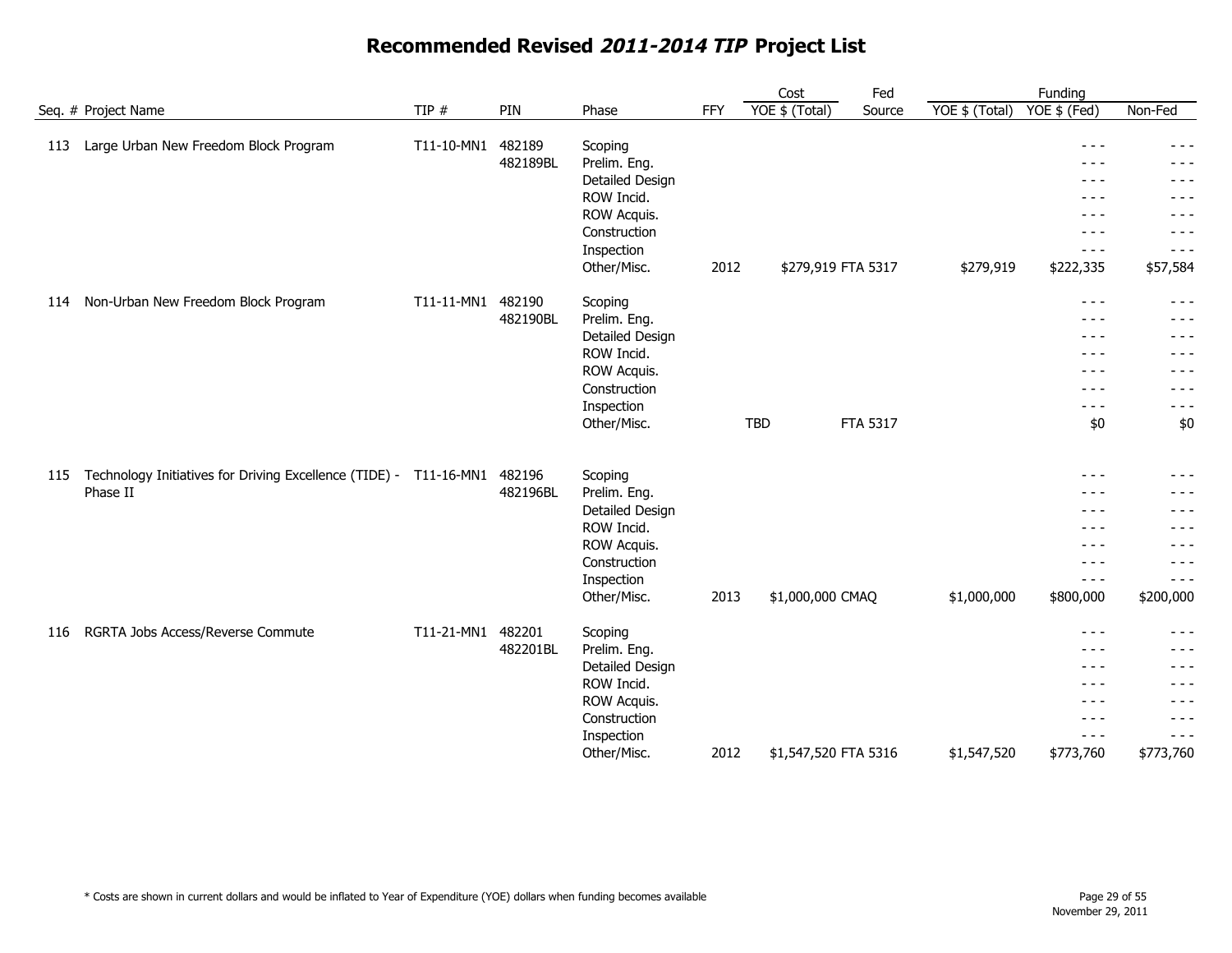|                     |                                                                    |                   |                    |                                                                                                                      |            | Cost                 | Fed             |                | Funding                                                                                                        |                                                                                  |
|---------------------|--------------------------------------------------------------------|-------------------|--------------------|----------------------------------------------------------------------------------------------------------------------|------------|----------------------|-----------------|----------------|----------------------------------------------------------------------------------------------------------------|----------------------------------------------------------------------------------|
| Seq. # Project Name |                                                                    | TIP $#$           | PIN                | Phase                                                                                                                | <b>FFY</b> | YOE \$ (Total)       | Source          | YOE \$ (Total) | YOE \$ (Fed)                                                                                                   | Non-Fed                                                                          |
| 113                 | Large Urban New Freedom Block Program                              | T11-10-MN1        | 482189<br>482189BL | Scoping<br>Prelim. Eng.<br>Detailed Design<br>ROW Incid.<br>ROW Acquis.<br>Construction<br>Inspection<br>Other/Misc. | 2012       | \$279,919 FTA 5317   |                 | \$279,919      | $- - -$<br>- - -<br>$\frac{1}{2}$<br>$  -$<br>$- - -$<br>$- - -$<br>$- - -$<br>\$222,335                       | $- - -$<br>- - -<br>$- - -$<br>$- - -$<br>$- - -$<br>- - -<br>- - -<br>\$57,584  |
| 114                 | Non-Urban New Freedom Block Program                                | T11-11-MN1 482190 | 482190BL           | Scoping<br>Prelim. Eng.<br>Detailed Design<br>ROW Incid.<br>ROW Acquis.<br>Construction<br>Inspection<br>Other/Misc. |            | <b>TBD</b>           | <b>FTA 5317</b> |                | $\frac{1}{2}$<br>$\frac{1}{2}$<br>$\frac{1}{2}$<br>$\frac{1}{2}$<br>$- - -$<br>$- - -$<br>$\frac{1}{2}$<br>\$0 | $- - -$<br>- - -<br>$- - -$<br>- - -<br>- - -<br>$- - -$<br>$- - -$<br>\$0       |
| 115                 | Technology Initiatives for Driving Excellence (TIDE) -<br>Phase II | T11-16-MN1        | 482196<br>482196BL | Scoping<br>Prelim. Eng.<br>Detailed Design<br>ROW Incid.<br>ROW Acquis.<br>Construction<br>Inspection<br>Other/Misc. | 2013       | \$1,000,000 CMAQ     |                 | \$1,000,000    | $- - -$<br>$  -$<br>$- - -$<br>- - -<br>$- - -$<br>$- - - -$<br>$\frac{1}{2}$<br>\$800,000                     | $- - -$<br>$- - -$<br>$- - -$<br>- - -<br>- - -<br>- - -<br>- - -<br>\$200,000   |
| 116                 | RGRTA Jobs Access/Reverse Commute                                  | T11-21-MN1        | 482201<br>482201BL | Scoping<br>Prelim. Eng.<br>Detailed Design<br>ROW Incid.<br>ROW Acquis.<br>Construction<br>Inspection<br>Other/Misc. | 2012       | \$1,547,520 FTA 5316 |                 | \$1,547,520    | $- - -$<br>$- - -$<br>$\frac{1}{2}$<br>$\frac{1}{2}$<br>$\frac{1}{2}$<br>$\frac{1}{2}$<br>$- - -$<br>\$773,760 | - - -<br>- - -<br>$- - -$<br>- - -<br>$- - -$<br>$- - -$<br>$- - -$<br>\$773,760 |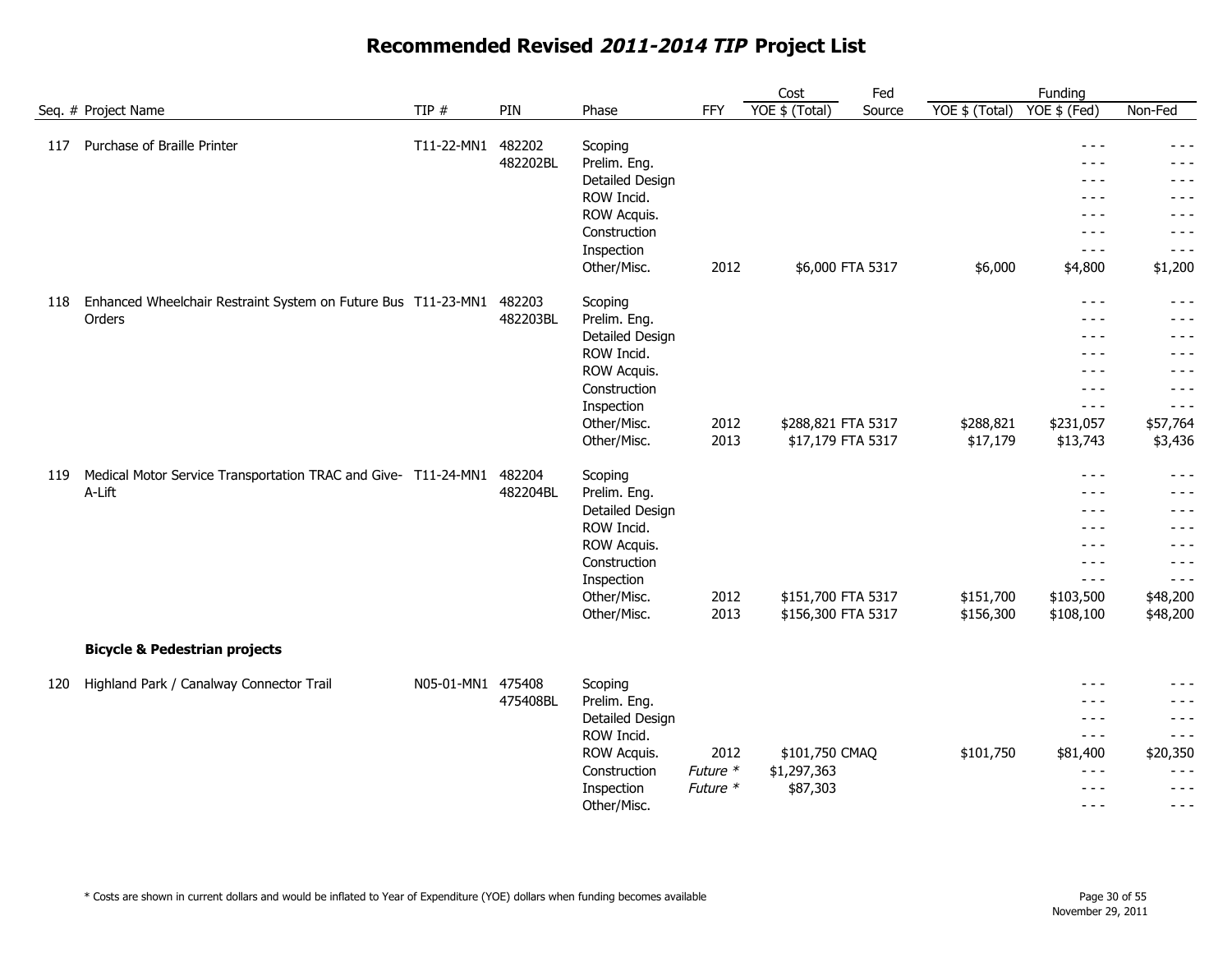|     |                                                                |                   |          |                         |          | Cost               | Fed    |                  | Funding                                                                                                                                                                                                                                                                                                                                                                                      |          |
|-----|----------------------------------------------------------------|-------------------|----------|-------------------------|----------|--------------------|--------|------------------|----------------------------------------------------------------------------------------------------------------------------------------------------------------------------------------------------------------------------------------------------------------------------------------------------------------------------------------------------------------------------------------------|----------|
|     | Seq. # Project Name                                            | TIP#              | PIN      | Phase                   | FFY      | YOE \$ (Total)     | Source | $YOE$ \$ (Total) | YOE \$ (Fed)                                                                                                                                                                                                                                                                                                                                                                                 | Non-Fed  |
| 117 | Purchase of Braille Printer                                    | T11-22-MN1        | 482202   |                         |          |                    |        |                  | $\frac{1}{2}$                                                                                                                                                                                                                                                                                                                                                                                | $- - -$  |
|     |                                                                |                   | 482202BL | Scoping<br>Prelim. Eng. |          |                    |        |                  | $  -$                                                                                                                                                                                                                                                                                                                                                                                        | $- - -$  |
|     |                                                                |                   |          | Detailed Design         |          |                    |        |                  | $  -$                                                                                                                                                                                                                                                                                                                                                                                        | $- - -$  |
|     |                                                                |                   |          | ROW Incid.              |          |                    |        |                  | $- - -$                                                                                                                                                                                                                                                                                                                                                                                      | $- - -$  |
|     |                                                                |                   |          | ROW Acquis.             |          |                    |        |                  | $- - -$                                                                                                                                                                                                                                                                                                                                                                                      | - - -    |
|     |                                                                |                   |          | Construction            |          |                    |        |                  | $- - -$                                                                                                                                                                                                                                                                                                                                                                                      | $- - -$  |
|     |                                                                |                   |          | Inspection              |          |                    |        |                  | $- - -$                                                                                                                                                                                                                                                                                                                                                                                      | $- - -$  |
|     |                                                                |                   |          | Other/Misc.             | 2012     | \$6,000 FTA 5317   |        | \$6,000          | \$4,800                                                                                                                                                                                                                                                                                                                                                                                      | \$1,200  |
|     |                                                                |                   |          |                         |          |                    |        |                  |                                                                                                                                                                                                                                                                                                                                                                                              |          |
| 118 | Enhanced Wheelchair Restraint System on Future Bus T11-23-MN1  |                   | 482203   | Scoping                 |          |                    |        |                  | $- - -$                                                                                                                                                                                                                                                                                                                                                                                      | $- - -$  |
|     | Orders                                                         |                   | 482203BL | Prelim. Eng.            |          |                    |        |                  | $\frac{1}{2}$                                                                                                                                                                                                                                                                                                                                                                                | $- - -$  |
|     |                                                                |                   |          | Detailed Design         |          |                    |        |                  | $\frac{1}{2}$                                                                                                                                                                                                                                                                                                                                                                                | - - -    |
|     |                                                                |                   |          | ROW Incid.              |          |                    |        |                  | $\frac{1}{2}$                                                                                                                                                                                                                                                                                                                                                                                | - - -    |
|     |                                                                |                   |          | ROW Acquis.             |          |                    |        |                  | $- - -$                                                                                                                                                                                                                                                                                                                                                                                      | $- - -$  |
|     |                                                                |                   |          | Construction            |          |                    |        |                  | $- - -$                                                                                                                                                                                                                                                                                                                                                                                      | $- - -$  |
|     |                                                                |                   |          | Inspection              |          |                    |        |                  | $- - -$                                                                                                                                                                                                                                                                                                                                                                                      | $- - -$  |
|     |                                                                |                   |          | Other/Misc.             | 2012     | \$288,821 FTA 5317 |        | \$288,821        | \$231,057                                                                                                                                                                                                                                                                                                                                                                                    | \$57,764 |
|     |                                                                |                   |          | Other/Misc.             | 2013     | \$17,179 FTA 5317  |        | \$17,179         | \$13,743                                                                                                                                                                                                                                                                                                                                                                                     | \$3,436  |
| 119 | Medical Motor Service Transportation TRAC and Give- T11-24-MN1 |                   | 482204   | Scoping                 |          |                    |        |                  | $\frac{1}{2}$                                                                                                                                                                                                                                                                                                                                                                                | $- - -$  |
|     | A-Lift                                                         |                   | 482204BL | Prelim. Eng.            |          |                    |        |                  | $\frac{1}{2}$                                                                                                                                                                                                                                                                                                                                                                                | - - -    |
|     |                                                                |                   |          | Detailed Design         |          |                    |        |                  | $- - -$                                                                                                                                                                                                                                                                                                                                                                                      | $- - -$  |
|     |                                                                |                   |          | ROW Incid.              |          |                    |        |                  | $- - -$                                                                                                                                                                                                                                                                                                                                                                                      | $- - -$  |
|     |                                                                |                   |          | ROW Acquis.             |          |                    |        |                  | $- - -$                                                                                                                                                                                                                                                                                                                                                                                      | $- - -$  |
|     |                                                                |                   |          | Construction            |          |                    |        |                  | $\frac{1}{2}$                                                                                                                                                                                                                                                                                                                                                                                | $- - -$  |
|     |                                                                |                   |          | Inspection              |          |                    |        |                  | $- - -$                                                                                                                                                                                                                                                                                                                                                                                      | $- - -$  |
|     |                                                                |                   |          | Other/Misc.             | 2012     | \$151,700 FTA 5317 |        | \$151,700        | \$103,500                                                                                                                                                                                                                                                                                                                                                                                    | \$48,200 |
|     |                                                                |                   |          | Other/Misc.             | 2013     | \$156,300 FTA 5317 |        | \$156,300        | \$108,100                                                                                                                                                                                                                                                                                                                                                                                    | \$48,200 |
|     | <b>Bicycle &amp; Pedestrian projects</b>                       |                   |          |                         |          |                    |        |                  |                                                                                                                                                                                                                                                                                                                                                                                              |          |
| 120 | Highland Park / Canalway Connector Trail                       | N05-01-MN1 475408 |          | Scoping                 |          |                    |        |                  | $- - -$                                                                                                                                                                                                                                                                                                                                                                                      | $- - -$  |
|     |                                                                |                   | 475408BL | Prelim. Eng.            |          |                    |        |                  | $\frac{1}{2}$                                                                                                                                                                                                                                                                                                                                                                                | - - -    |
|     |                                                                |                   |          | Detailed Design         |          |                    |        |                  | $\frac{1}{2}$                                                                                                                                                                                                                                                                                                                                                                                | $- - -$  |
|     |                                                                |                   |          | ROW Incid.              |          |                    |        |                  | $- - -$                                                                                                                                                                                                                                                                                                                                                                                      | $- - -$  |
|     |                                                                |                   |          | ROW Acquis.             | 2012     | \$101,750 CMAQ     |        | \$101,750        | \$81,400                                                                                                                                                                                                                                                                                                                                                                                     | \$20,350 |
|     |                                                                |                   |          | Construction            | Future * | \$1,297,363        |        |                  | $\frac{1}{2} \frac{1}{2} \frac{1}{2} \frac{1}{2} \frac{1}{2} \frac{1}{2} \frac{1}{2} \frac{1}{2} \frac{1}{2} \frac{1}{2} \frac{1}{2} \frac{1}{2} \frac{1}{2} \frac{1}{2} \frac{1}{2} \frac{1}{2} \frac{1}{2} \frac{1}{2} \frac{1}{2} \frac{1}{2} \frac{1}{2} \frac{1}{2} \frac{1}{2} \frac{1}{2} \frac{1}{2} \frac{1}{2} \frac{1}{2} \frac{1}{2} \frac{1}{2} \frac{1}{2} \frac{1}{2} \frac{$ | $- - -$  |
|     |                                                                |                   |          | Inspection              | Future * | \$87,303           |        |                  | $- - -$                                                                                                                                                                                                                                                                                                                                                                                      | $- - -$  |
|     |                                                                |                   |          | Other/Misc.             |          |                    |        |                  | $  -$                                                                                                                                                                                                                                                                                                                                                                                        | $- - -$  |
|     |                                                                |                   |          |                         |          |                    |        |                  |                                                                                                                                                                                                                                                                                                                                                                                              |          |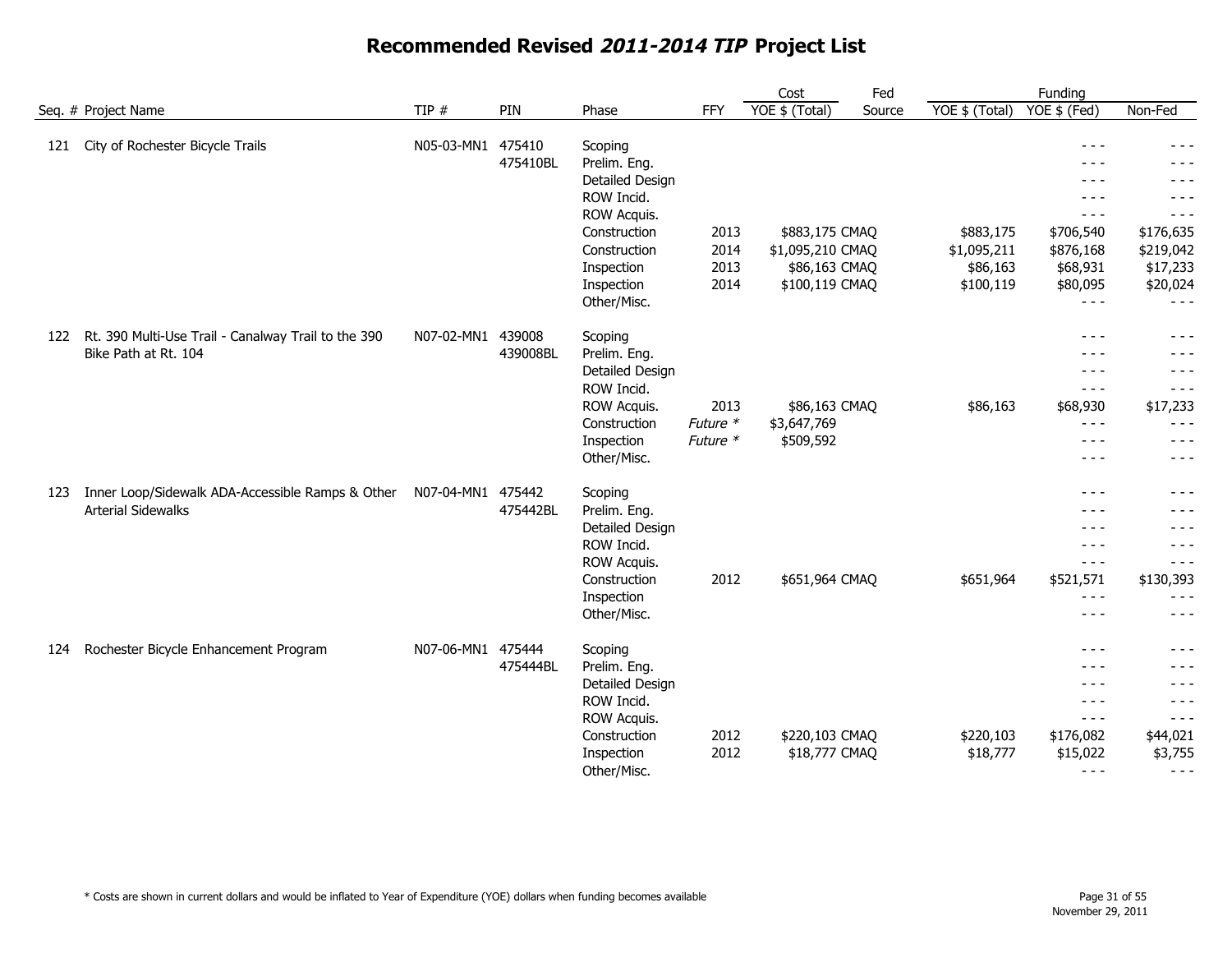|     |                                                                               |                   |          |                                                                                                           |                              | Cost                                                                  | Fed    |                                                   | Funding                                                                      |                                                                    |
|-----|-------------------------------------------------------------------------------|-------------------|----------|-----------------------------------------------------------------------------------------------------------|------------------------------|-----------------------------------------------------------------------|--------|---------------------------------------------------|------------------------------------------------------------------------------|--------------------------------------------------------------------|
|     | Seq. # Project Name                                                           | TIP $#$           | PIN      | Phase                                                                                                     | <b>FFY</b>                   | YOE \$ (Total)                                                        | Source | YOE \$ (Total)                                    | YOE \$ (Fed)                                                                 | Non-Fed                                                            |
| 121 | City of Rochester Bicycle Trails                                              | N05-03-MN1 475410 | 475410BL | Scoping<br>Prelim. Eng.<br>Detailed Design<br>ROW Incid.<br>ROW Acquis.                                   |                              |                                                                       |        |                                                   | $- - -$<br>$- - -$<br>$- - -$<br>$- - -$<br>$- - -$                          | - - -<br>- - -<br>- - -<br>$- - -$<br>$- - -$                      |
|     |                                                                               |                   |          | Construction<br>Construction<br>Inspection<br>Inspection<br>Other/Misc.                                   | 2013<br>2014<br>2013<br>2014 | \$883,175 CMAQ<br>\$1,095,210 CMAQ<br>\$86,163 CMAQ<br>\$100,119 CMAQ |        | \$883,175<br>\$1,095,211<br>\$86,163<br>\$100,119 | \$706,540<br>\$876,168<br>\$68,931<br>\$80,095<br>$- - -$                    | \$176,635<br>\$219,042<br>\$17,233<br>\$20,024<br>$- - -$          |
| 122 | Rt. 390 Multi-Use Trail - Canalway Trail to the 390<br>Bike Path at Rt. 104   | N07-02-MN1 439008 | 439008BL | Scoping<br>Prelim. Eng.<br>Detailed Design<br>ROW Incid.<br>ROW Acquis.<br>Construction<br>Inspection     | 2013<br>Future *<br>Future * | \$86,163 CMAQ<br>\$3,647,769<br>\$509,592                             |        | \$86,163                                          | $- - -$<br>$- - -$<br>- - -<br>$- - -$<br>\$68,930<br>$- - -$<br>$- - -$     | $- - -$<br>- - -<br>$- - -$<br>\$17,233<br>- - -<br>$- - -$        |
| 123 | Inner Loop/Sidewalk ADA-Accessible Ramps & Other<br><b>Arterial Sidewalks</b> | N07-04-MN1 475442 | 475442BL | Other/Misc.<br>Scoping<br>Prelim. Eng.<br>Detailed Design<br>ROW Incid.<br>ROW Acquis.                    |                              |                                                                       |        |                                                   | $- - -$<br>$- - -$<br>- - -<br>- - -<br>$- - -$<br>$- - -$                   | $  -$<br>- - -<br>- - -<br>- - -<br>- - -<br>- - -                 |
| 124 | Rochester Bicycle Enhancement Program                                         | N07-06-MN1 475444 |          | Construction<br>Inspection<br>Other/Misc.<br>Scoping                                                      | 2012                         | \$651,964 CMAQ                                                        |        | \$651,964                                         | \$521,571<br>$- - -$<br>$  -$<br>$- - -$                                     | \$130,393<br>- - -<br>- - -<br>- - -                               |
|     |                                                                               |                   | 475444BL | Prelim. Eng.<br>Detailed Design<br>ROW Incid.<br>ROW Acquis.<br>Construction<br>Inspection<br>Other/Misc. | 2012<br>2012                 | \$220,103 CMAQ<br>\$18,777 CMAQ                                       |        | \$220,103<br>\$18,777                             | $- - -$<br>$- - -$<br>$- - -$<br>$- - -$<br>\$176,082<br>\$15,022<br>$- - -$ | - - -<br>- - -<br>- - -<br>- - -<br>\$44,021<br>\$3,755<br>$- - -$ |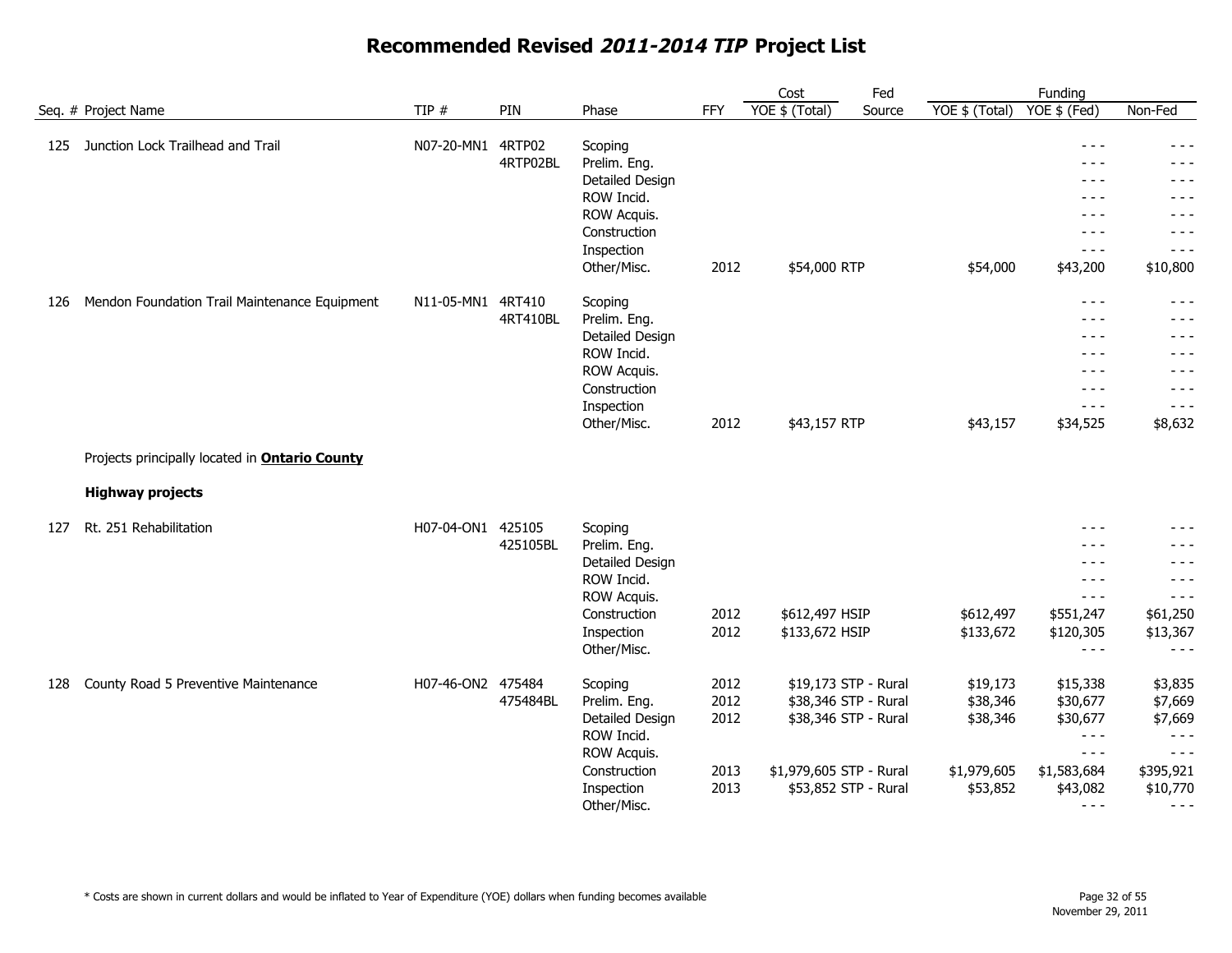|     |                                                       |                   |          |                                                                                                                      |                                      | Cost                                                                                                                    | Fed    |                                                             | Funding                                                                                      |                                                                                               |
|-----|-------------------------------------------------------|-------------------|----------|----------------------------------------------------------------------------------------------------------------------|--------------------------------------|-------------------------------------------------------------------------------------------------------------------------|--------|-------------------------------------------------------------|----------------------------------------------------------------------------------------------|-----------------------------------------------------------------------------------------------|
|     | Seq. # Project Name                                   | TIP#              | PIN      | Phase                                                                                                                | <b>FFY</b>                           | YOE $$$ (Total)                                                                                                         | Source | YOE \$ (Total)                                              | YOE \$ (Fed)                                                                                 | Non-Fed                                                                                       |
| 125 | Junction Lock Trailhead and Trail                     | N07-20-MN1 4RTP02 | 4RTP02BL | Scoping<br>Prelim. Eng.<br>Detailed Design<br>ROW Incid.<br>ROW Acquis.<br>Construction<br>Inspection<br>Other/Misc. | 2012                                 | \$54,000 RTP                                                                                                            |        | \$54,000                                                    | $- - -$<br>- - -<br>$- - -$<br>$- - -$<br>$- - -$<br>$- - -$<br>$- - -$<br>\$43,200          | $- - -$<br>- - -<br>- - -<br>- - -<br>- - -<br>- - -<br>- - -<br>\$10,800                     |
| 126 | Mendon Foundation Trail Maintenance Equipment         | N11-05-MN1 4RT410 | 4RT410BL | Scoping<br>Prelim. Eng.<br>Detailed Design<br>ROW Incid.<br>ROW Acquis.<br>Construction<br>Inspection<br>Other/Misc. | 2012                                 | \$43,157 RTP                                                                                                            |        | \$43,157                                                    | $- - -$<br>$- - -$<br>$- - -$<br>$- - -$<br>- - -<br>$- - -$<br>$- - -$<br>\$34,525          | $- - -$<br>- - -<br>- - -<br>- - -<br>- - -<br>- - -<br>$- - -$<br>\$8,632                    |
|     | Projects principally located in <b>Ontario County</b> |                   |          |                                                                                                                      |                                      |                                                                                                                         |        |                                                             |                                                                                              |                                                                                               |
|     | <b>Highway projects</b>                               |                   |          |                                                                                                                      |                                      |                                                                                                                         |        |                                                             |                                                                                              |                                                                                               |
| 127 | Rt. 251 Rehabilitation                                | H07-04-ON1 425105 | 425105BL | Scoping<br>Prelim. Eng.<br>Detailed Design<br>ROW Incid.<br>ROW Acquis.<br>Construction<br>Inspection<br>Other/Misc. | 2012<br>2012                         | \$612,497 HSIP<br>\$133,672 HSIP                                                                                        |        | \$612,497<br>\$133,672                                      | $- - -$<br>- - -<br>- - -<br>$- - -$<br>$- - -$<br>\$551,247<br>\$120,305<br>$- - -$         | - - -<br>- - -<br>- - -<br>- - -<br>$- - -$<br>\$61,250<br>\$13,367<br>$- - -$                |
| 128 | County Road 5 Preventive Maintenance                  | H07-46-ON2 475484 | 475484BL | Scoping<br>Prelim. Eng.<br>Detailed Design<br>ROW Incid.<br>ROW Acquis.<br>Construction<br>Inspection<br>Other/Misc. | 2012<br>2012<br>2012<br>2013<br>2013 | \$19,173 STP - Rural<br>\$38,346 STP - Rural<br>\$38,346 STP - Rural<br>\$1,979,605 STP - Rural<br>\$53,852 STP - Rural |        | \$19,173<br>\$38,346<br>\$38,346<br>\$1,979,605<br>\$53,852 | \$15,338<br>\$30,677<br>\$30,677<br>$- - -$<br>$- - -$<br>\$1,583,684<br>\$43,082<br>$- - -$ | \$3,835<br>\$7,669<br>\$7,669<br>$- - -$<br>$- - -$<br>\$395,921<br>\$10,770<br>$\frac{1}{2}$ |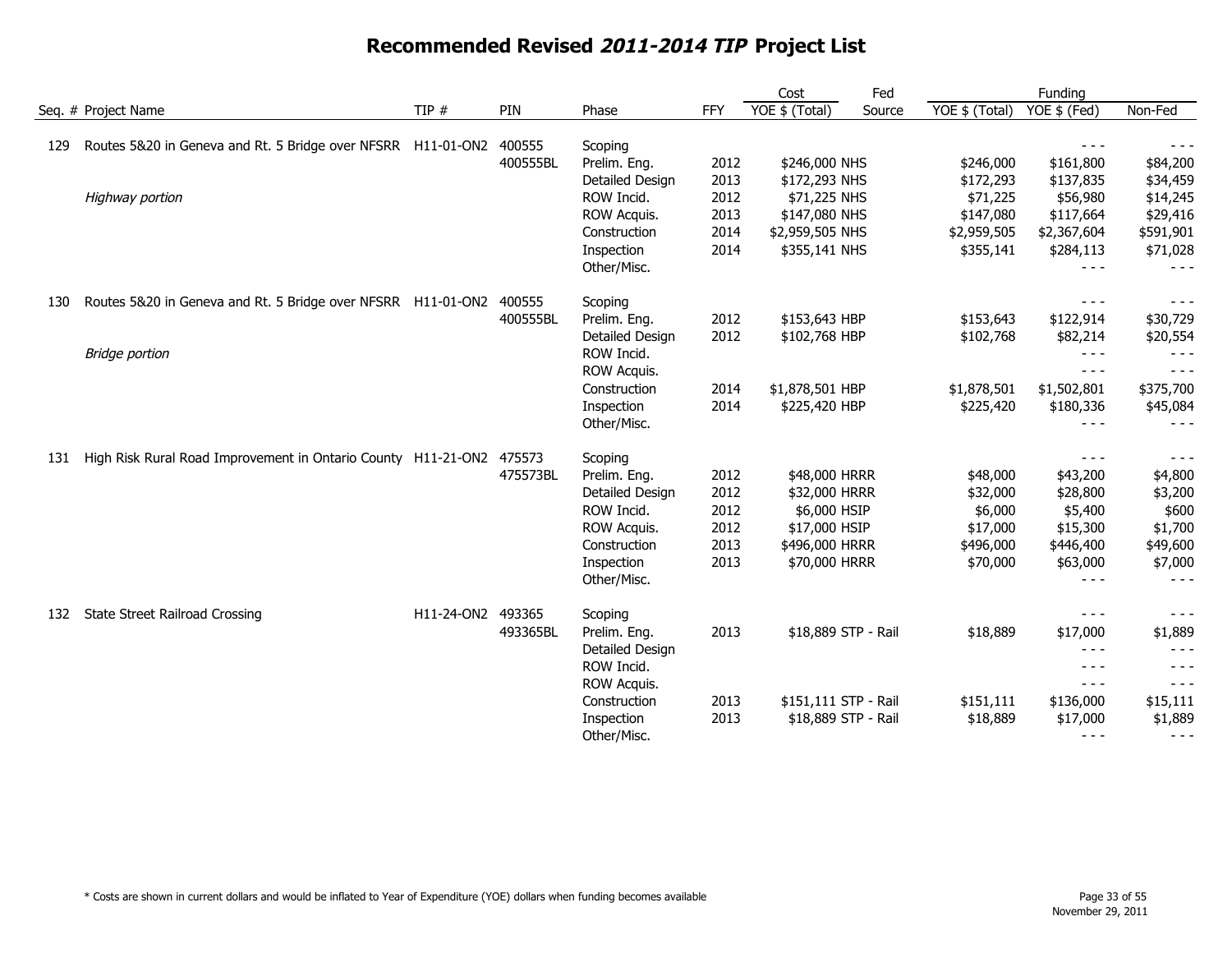|     |                                                                      |                   |          |                 | Cost       | Fed                  |        | Funding        |                                                                                                                                                                                                                                                                                                                                                                                              |           |
|-----|----------------------------------------------------------------------|-------------------|----------|-----------------|------------|----------------------|--------|----------------|----------------------------------------------------------------------------------------------------------------------------------------------------------------------------------------------------------------------------------------------------------------------------------------------------------------------------------------------------------------------------------------------|-----------|
|     | Seq. # Project Name                                                  | TIP #             | PIN      | Phase           | <b>FFY</b> | $YOE$ \$ (Total)     | Source | YOE \$ (Total) | YOE \$ (Fed)                                                                                                                                                                                                                                                                                                                                                                                 | Non-Fed   |
| 129 | Routes 5&20 in Geneva and Rt. 5 Bridge over NFSRR H11-01-ON2         |                   | 400555   | Scoping         |            |                      |        |                |                                                                                                                                                                                                                                                                                                                                                                                              |           |
|     |                                                                      |                   | 400555BL | Prelim. Eng.    | 2012       | \$246,000 NHS        |        | \$246,000      | \$161,800                                                                                                                                                                                                                                                                                                                                                                                    | \$84,200  |
|     |                                                                      |                   |          | Detailed Design | 2013       | \$172,293 NHS        |        | \$172,293      | \$137,835                                                                                                                                                                                                                                                                                                                                                                                    | \$34,459  |
|     | Highway portion                                                      |                   |          | ROW Incid.      | 2012       | \$71,225 NHS         |        | \$71,225       | \$56,980                                                                                                                                                                                                                                                                                                                                                                                     | \$14,245  |
|     |                                                                      |                   |          | ROW Acquis.     | 2013       | \$147,080 NHS        |        | \$147,080      | \$117,664                                                                                                                                                                                                                                                                                                                                                                                    | \$29,416  |
|     |                                                                      |                   |          | Construction    | 2014       | \$2,959,505 NHS      |        | \$2,959,505    | \$2,367,604                                                                                                                                                                                                                                                                                                                                                                                  | \$591,901 |
|     |                                                                      |                   |          | Inspection      | 2014       | \$355,141 NHS        |        | \$355,141      | \$284,113                                                                                                                                                                                                                                                                                                                                                                                    | \$71,028  |
|     |                                                                      |                   |          | Other/Misc.     |            |                      |        |                | $- - -$                                                                                                                                                                                                                                                                                                                                                                                      | $- - -$   |
| 130 | Routes 5&20 in Geneva and Rt. 5 Bridge over NFSRR H11-01-ON2         |                   | 400555   | Scoping         |            |                      |        |                | $- - -$                                                                                                                                                                                                                                                                                                                                                                                      | $- - -$   |
|     |                                                                      |                   | 400555BL | Prelim. Eng.    | 2012       | \$153,643 HBP        |        | \$153,643      | \$122,914                                                                                                                                                                                                                                                                                                                                                                                    | \$30,729  |
|     |                                                                      |                   |          | Detailed Design | 2012       | \$102,768 HBP        |        | \$102,768      | \$82,214                                                                                                                                                                                                                                                                                                                                                                                     | \$20,554  |
|     | <b>Bridge portion</b>                                                |                   |          | ROW Incid.      |            |                      |        |                | $- - -$                                                                                                                                                                                                                                                                                                                                                                                      | $- - -$   |
|     |                                                                      |                   |          | ROW Acquis.     |            |                      |        |                | $- - -$                                                                                                                                                                                                                                                                                                                                                                                      | $- - -$   |
|     |                                                                      |                   |          | Construction    | 2014       | \$1,878,501 HBP      |        | \$1,878,501    | \$1,502,801                                                                                                                                                                                                                                                                                                                                                                                  | \$375,700 |
|     |                                                                      |                   |          | Inspection      | 2014       | \$225,420 HBP        |        | \$225,420      | \$180,336                                                                                                                                                                                                                                                                                                                                                                                    | \$45,084  |
|     |                                                                      |                   |          | Other/Misc.     |            |                      |        |                | $- - -$                                                                                                                                                                                                                                                                                                                                                                                      | $- - -$   |
| 131 | High Risk Rural Road Improvement in Ontario County H11-21-ON2 475573 |                   |          | Scoping         |            |                      |        |                | $- - -$                                                                                                                                                                                                                                                                                                                                                                                      | $- - -$   |
|     |                                                                      |                   | 475573BL | Prelim. Eng.    | 2012       | \$48,000 HRRR        |        | \$48,000       | \$43,200                                                                                                                                                                                                                                                                                                                                                                                     | \$4,800   |
|     |                                                                      |                   |          | Detailed Design | 2012       | \$32,000 HRRR        |        | \$32,000       | \$28,800                                                                                                                                                                                                                                                                                                                                                                                     | \$3,200   |
|     |                                                                      |                   |          | ROW Incid.      | 2012       | \$6,000 HSIP         |        | \$6,000        | \$5,400                                                                                                                                                                                                                                                                                                                                                                                      | \$600     |
|     |                                                                      |                   |          | ROW Acquis.     | 2012       | \$17,000 HSIP        |        | \$17,000       | \$15,300                                                                                                                                                                                                                                                                                                                                                                                     | \$1,700   |
|     |                                                                      |                   |          | Construction    | 2013       | \$496,000 HRRR       |        | \$496,000      | \$446,400                                                                                                                                                                                                                                                                                                                                                                                    | \$49,600  |
|     |                                                                      |                   |          | Inspection      | 2013       | \$70,000 HRRR        |        | \$70,000       | \$63,000                                                                                                                                                                                                                                                                                                                                                                                     | \$7,000   |
|     |                                                                      |                   |          | Other/Misc.     |            |                      |        |                | $- - -$                                                                                                                                                                                                                                                                                                                                                                                      | - - -     |
| 132 | <b>State Street Railroad Crossing</b>                                | H11-24-ON2 493365 |          | Scoping         |            |                      |        |                | $- - -$                                                                                                                                                                                                                                                                                                                                                                                      | $- - -$   |
|     |                                                                      |                   | 493365BL | Prelim. Eng.    | 2013       | \$18,889 STP - Rail  |        | \$18,889       | \$17,000                                                                                                                                                                                                                                                                                                                                                                                     | \$1,889   |
|     |                                                                      |                   |          | Detailed Design |            |                      |        |                | $\frac{1}{2} \frac{1}{2} \frac{1}{2} \frac{1}{2} \frac{1}{2} \frac{1}{2} \frac{1}{2} \frac{1}{2} \frac{1}{2} \frac{1}{2} \frac{1}{2} \frac{1}{2} \frac{1}{2} \frac{1}{2} \frac{1}{2} \frac{1}{2} \frac{1}{2} \frac{1}{2} \frac{1}{2} \frac{1}{2} \frac{1}{2} \frac{1}{2} \frac{1}{2} \frac{1}{2} \frac{1}{2} \frac{1}{2} \frac{1}{2} \frac{1}{2} \frac{1}{2} \frac{1}{2} \frac{1}{2} \frac{$ | - - -     |
|     |                                                                      |                   |          | ROW Incid.      |            |                      |        |                | $- - -$                                                                                                                                                                                                                                                                                                                                                                                      | $- - -$   |
|     |                                                                      |                   |          | ROW Acquis.     |            |                      |        |                | $- - -$                                                                                                                                                                                                                                                                                                                                                                                      | $- - -$   |
|     |                                                                      |                   |          | Construction    | 2013       | \$151,111 STP - Rail |        | \$151,111      | \$136,000                                                                                                                                                                                                                                                                                                                                                                                    | \$15,111  |
|     |                                                                      |                   |          | Inspection      | 2013       | \$18,889 STP - Rail  |        | \$18,889       | \$17,000                                                                                                                                                                                                                                                                                                                                                                                     | \$1,889   |
|     |                                                                      |                   |          | Other/Misc.     |            |                      |        |                | $- - -$                                                                                                                                                                                                                                                                                                                                                                                      | $- - -$   |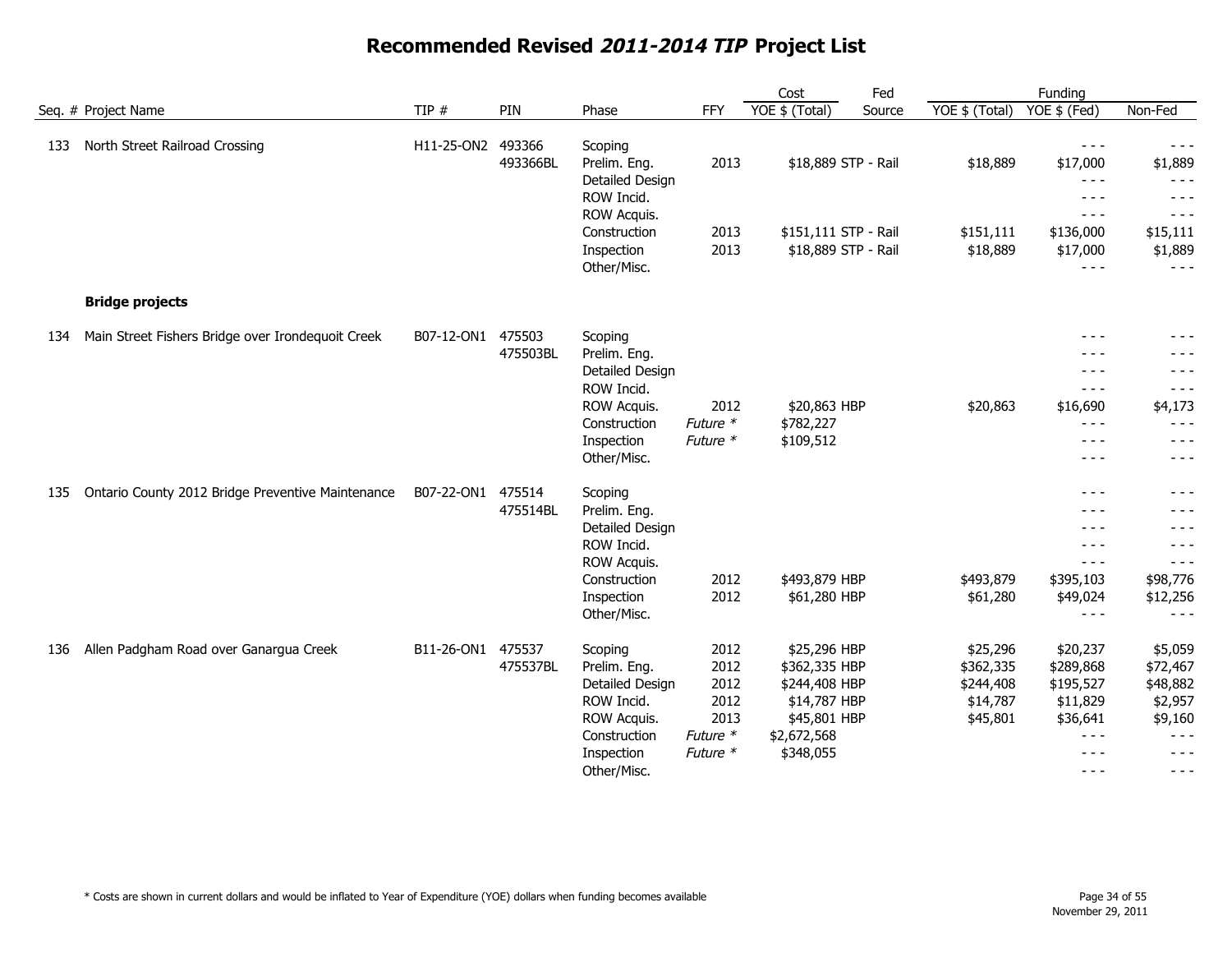|     |                                                   |                   |                    |                                                                                                                      |                                                              | Cost                                                                                                       | Fed    |                                                            | Funding                                                                                                                                                                                                                                                                                                                                                                                                                                                                                                                                                                                                                                                                                                                                                                                                                                     |                                                                                        |
|-----|---------------------------------------------------|-------------------|--------------------|----------------------------------------------------------------------------------------------------------------------|--------------------------------------------------------------|------------------------------------------------------------------------------------------------------------|--------|------------------------------------------------------------|---------------------------------------------------------------------------------------------------------------------------------------------------------------------------------------------------------------------------------------------------------------------------------------------------------------------------------------------------------------------------------------------------------------------------------------------------------------------------------------------------------------------------------------------------------------------------------------------------------------------------------------------------------------------------------------------------------------------------------------------------------------------------------------------------------------------------------------------|----------------------------------------------------------------------------------------|
|     | Seq. # Project Name                               | TIP $#$           | PIN                | Phase                                                                                                                | FFY                                                          | YOE \$ (Total)                                                                                             | Source | YOE \$ (Total)                                             | YOE \$ (Fed)                                                                                                                                                                                                                                                                                                                                                                                                                                                                                                                                                                                                                                                                                                                                                                                                                                | Non-Fed                                                                                |
| 133 | North Street Railroad Crossing                    | H11-25-ON2        | 493366<br>493366BL | Scoping<br>Prelim. Eng.<br>Detailed Design<br>ROW Incid.<br>ROW Acquis.<br>Construction                              | 2013<br>2013                                                 | \$18,889 STP - Rail<br>\$151,111 STP - Rail                                                                |        | \$18,889<br>\$151,111                                      | $- - -$<br>\$17,000<br>$\frac{1}{2} \frac{1}{2} \frac{1}{2} \frac{1}{2} \frac{1}{2} \frac{1}{2} \frac{1}{2} \frac{1}{2} \frac{1}{2} \frac{1}{2} \frac{1}{2} \frac{1}{2} \frac{1}{2} \frac{1}{2} \frac{1}{2} \frac{1}{2} \frac{1}{2} \frac{1}{2} \frac{1}{2} \frac{1}{2} \frac{1}{2} \frac{1}{2} \frac{1}{2} \frac{1}{2} \frac{1}{2} \frac{1}{2} \frac{1}{2} \frac{1}{2} \frac{1}{2} \frac{1}{2} \frac{1}{2} \frac{$<br>$- - -$<br>$\frac{1}{2} \frac{1}{2} \frac{1}{2} \frac{1}{2} \frac{1}{2} \frac{1}{2} \frac{1}{2} \frac{1}{2} \frac{1}{2} \frac{1}{2} \frac{1}{2} \frac{1}{2} \frac{1}{2} \frac{1}{2} \frac{1}{2} \frac{1}{2} \frac{1}{2} \frac{1}{2} \frac{1}{2} \frac{1}{2} \frac{1}{2} \frac{1}{2} \frac{1}{2} \frac{1}{2} \frac{1}{2} \frac{1}{2} \frac{1}{2} \frac{1}{2} \frac{1}{2} \frac{1}{2} \frac{1}{2} \frac{$<br>\$136,000 | $- - -$<br>\$1,889<br>$- - -$<br>$- - -$<br>$- - -$<br>\$15,111                        |
|     |                                                   |                   |                    | Inspection<br>Other/Misc.                                                                                            | 2013                                                         | \$18,889 STP - Rail                                                                                        |        | \$18,889                                                   | \$17,000<br>$- - -$                                                                                                                                                                                                                                                                                                                                                                                                                                                                                                                                                                                                                                                                                                                                                                                                                         | \$1,889<br>$- - -$                                                                     |
|     | <b>Bridge projects</b>                            |                   |                    |                                                                                                                      |                                                              |                                                                                                            |        |                                                            |                                                                                                                                                                                                                                                                                                                                                                                                                                                                                                                                                                                                                                                                                                                                                                                                                                             |                                                                                        |
| 134 | Main Street Fishers Bridge over Irondequoit Creek | B07-12-ON1 475503 | 475503BL           | Scoping<br>Prelim. Eng.<br>Detailed Design<br>ROW Incid.<br>ROW Acquis.<br>Construction<br>Inspection<br>Other/Misc. | 2012<br>Future *<br>Future *                                 | \$20,863 HBP<br>\$782,227<br>\$109,512                                                                     |        | \$20,863                                                   | $- - -$<br>$- - -$<br>$- - -$<br>$\frac{1}{2}$<br>\$16,690<br>$- - -$<br>$- - -$<br>$- - -$                                                                                                                                                                                                                                                                                                                                                                                                                                                                                                                                                                                                                                                                                                                                                 | $- - -$<br>$- - -$<br>- - -<br>$- - -$<br>\$4,173<br>$- - -$<br>$- - -$<br>$- - -$     |
| 135 | Ontario County 2012 Bridge Preventive Maintenance | B07-22-ON1 475514 | 475514BL           | Scoping<br>Prelim. Eng.<br>Detailed Design<br>ROW Incid.<br>ROW Acquis.<br>Construction<br>Inspection<br>Other/Misc. | 2012<br>2012                                                 | \$493,879 HBP<br>\$61,280 HBP                                                                              |        | \$493,879<br>\$61,280                                      | $- - -$<br>$- - -$<br>$- - -$<br>$  -$<br>$- - -$<br>\$395,103<br>\$49,024<br>$- - -$                                                                                                                                                                                                                                                                                                                                                                                                                                                                                                                                                                                                                                                                                                                                                       | $- - -$<br>$- - -$<br>$- - -$<br>$- - -$<br>$- - -$<br>\$98,776<br>\$12,256            |
| 136 | Allen Padgham Road over Ganargua Creek            | B11-26-ON1        | 475537<br>475537BL | Scoping<br>Prelim. Eng.<br>Detailed Design<br>ROW Incid.<br>ROW Acquis.<br>Construction<br>Inspection<br>Other/Misc. | 2012<br>2012<br>2012<br>2012<br>2013<br>Future *<br>Future * | \$25,296 HBP<br>\$362,335 HBP<br>\$244,408 HBP<br>\$14,787 HBP<br>\$45,801 HBP<br>\$2,672,568<br>\$348,055 |        | \$25,296<br>\$362,335<br>\$244,408<br>\$14,787<br>\$45,801 | \$20,237<br>\$289,868<br>\$195,527<br>\$11,829<br>\$36,641<br>$\frac{1}{2}$<br>$- - -$<br>$\frac{1}{2}$                                                                                                                                                                                                                                                                                                                                                                                                                                                                                                                                                                                                                                                                                                                                     | \$5,059<br>\$72,467<br>\$48,882<br>\$2,957<br>\$9,160<br>$- - -$<br>$- - -$<br>$- - -$ |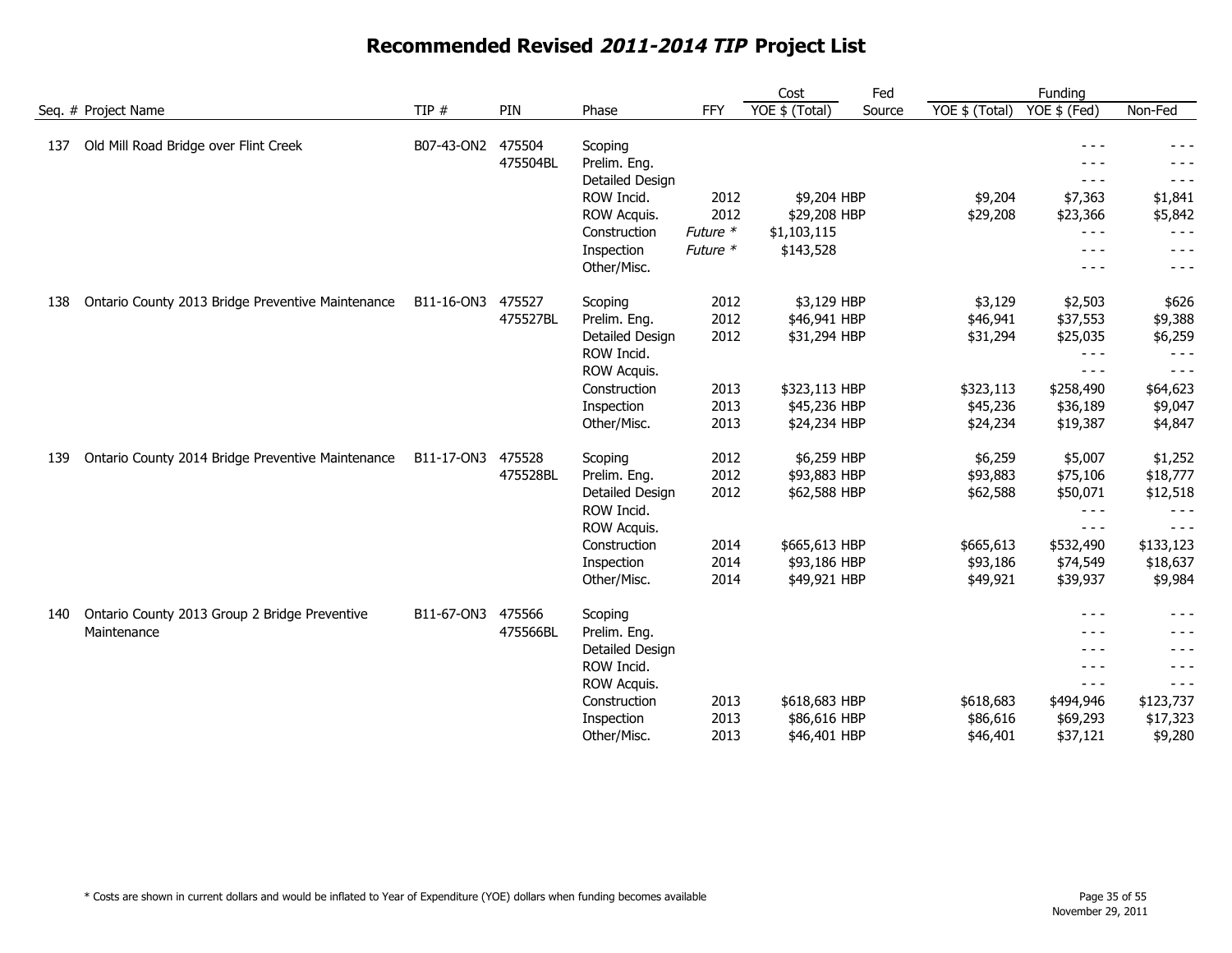|                                                                     |            |                    |                                                                                                       |                              | Cost                                          | Fed    |                                   | Funding                                                                                                                                                                                                                                                                                                                                                                                                                                    |                                                                      |
|---------------------------------------------------------------------|------------|--------------------|-------------------------------------------------------------------------------------------------------|------------------------------|-----------------------------------------------|--------|-----------------------------------|--------------------------------------------------------------------------------------------------------------------------------------------------------------------------------------------------------------------------------------------------------------------------------------------------------------------------------------------------------------------------------------------------------------------------------------------|----------------------------------------------------------------------|
| Seq. # Project Name                                                 | TIP $#$    | PIN                | Phase                                                                                                 | <b>FFY</b>                   | YOE \$ (Total)                                | Source | YOE \$ (Total)                    | YOE \$ (Fed)                                                                                                                                                                                                                                                                                                                                                                                                                               | Non-Fed                                                              |
| Old Mill Road Bridge over Flint Creek<br>137                        | B07-43-ON2 | 475504<br>475504BL | Scoping<br>Prelim. Eng.<br>Detailed Design<br>ROW Incid.                                              | 2012                         | \$9,204 HBP                                   |        | \$9,204                           | - - -<br>$- - -$<br>\$7,363                                                                                                                                                                                                                                                                                                                                                                                                                | $- - -$<br>\$1,841                                                   |
|                                                                     |            |                    | ROW Acquis.<br>Construction<br>Inspection<br>Other/Misc.                                              | 2012<br>Future *<br>Future * | \$29,208 HBP<br>\$1,103,115<br>\$143,528      |        | \$29,208                          | \$23,366<br>$- - -$<br>$- - -$<br>$- - -$                                                                                                                                                                                                                                                                                                                                                                                                  | \$5,842<br>$- - -$<br>$- - -$<br>$- - -$                             |
| Ontario County 2013 Bridge Preventive Maintenance<br>138            | B11-16-ON3 | 475527<br>475527BL | Scoping<br>Prelim. Eng.<br>Detailed Design<br>ROW Incid.<br>ROW Acquis.                               | 2012<br>2012<br>2012         | \$3,129 HBP<br>\$46,941 HBP<br>\$31,294 HBP   |        | \$3,129<br>\$46,941<br>\$31,294   | \$2,503<br>\$37,553<br>\$25,035<br>$- - -$<br>$- - -$                                                                                                                                                                                                                                                                                                                                                                                      | \$626<br>\$9,388<br>\$6,259<br>$- - -$<br>$- - -$                    |
|                                                                     |            |                    | Construction<br>Inspection<br>Other/Misc.                                                             | 2013<br>2013<br>2013         | \$323,113 HBP<br>\$45,236 HBP<br>\$24,234 HBP |        | \$323,113<br>\$45,236<br>\$24,234 | \$258,490<br>\$36,189<br>\$19,387                                                                                                                                                                                                                                                                                                                                                                                                          | \$64,623<br>\$9,047<br>\$4,847                                       |
| Ontario County 2014 Bridge Preventive Maintenance<br>139            | B11-17-ON3 | 475528<br>475528BL | Scoping<br>Prelim. Eng.<br>Detailed Design<br>ROW Incid.<br>ROW Acquis.                               | 2012<br>2012<br>2012         | \$6,259 HBP<br>\$93,883 HBP<br>\$62,588 HBP   |        | \$6,259<br>\$93,883<br>\$62,588   | \$5,007<br>\$75,106<br>\$50,071<br>$- - -$<br>$\frac{1}{2} \frac{1}{2} \frac{1}{2} \frac{1}{2} \frac{1}{2} \frac{1}{2} \frac{1}{2} \frac{1}{2} \frac{1}{2} \frac{1}{2} \frac{1}{2} \frac{1}{2} \frac{1}{2} \frac{1}{2} \frac{1}{2} \frac{1}{2} \frac{1}{2} \frac{1}{2} \frac{1}{2} \frac{1}{2} \frac{1}{2} \frac{1}{2} \frac{1}{2} \frac{1}{2} \frac{1}{2} \frac{1}{2} \frac{1}{2} \frac{1}{2} \frac{1}{2} \frac{1}{2} \frac{1}{2} \frac{$ | \$1,252<br>\$18,777<br>\$12,518<br>$- - -$<br>- - -                  |
|                                                                     |            |                    | Construction<br>Inspection<br>Other/Misc.                                                             | 2014<br>2014<br>2014         | \$665,613 HBP<br>\$93,186 HBP<br>\$49,921 HBP |        | \$665,613<br>\$93,186<br>\$49,921 | \$532,490<br>\$74,549<br>\$39,937                                                                                                                                                                                                                                                                                                                                                                                                          | \$133,123<br>\$18,637<br>\$9,984                                     |
| Ontario County 2013 Group 2 Bridge Preventive<br>140<br>Maintenance | B11-67-ON3 | 475566<br>475566BL | Scoping<br>Prelim. Eng.<br>Detailed Design<br>ROW Incid.<br>ROW Acquis.<br>Construction<br>Inspection | 2013<br>2013                 | \$618,683 HBP<br>\$86,616 HBP                 |        | \$618,683<br>\$86,616             | $- - -$<br>$- - -$<br>$- - -$<br>$\frac{1}{2}$<br>$\sim$ $\sim$ $\sim$<br>\$494,946<br>\$69,293                                                                                                                                                                                                                                                                                                                                            | - - -<br>- - -<br>- - -<br>- - -<br>$- - -$<br>\$123,737<br>\$17,323 |
|                                                                     |            |                    | Other/Misc.                                                                                           | 2013                         | \$46,401 HBP                                  |        | \$46,401                          | \$37,121                                                                                                                                                                                                                                                                                                                                                                                                                                   | \$9,280                                                              |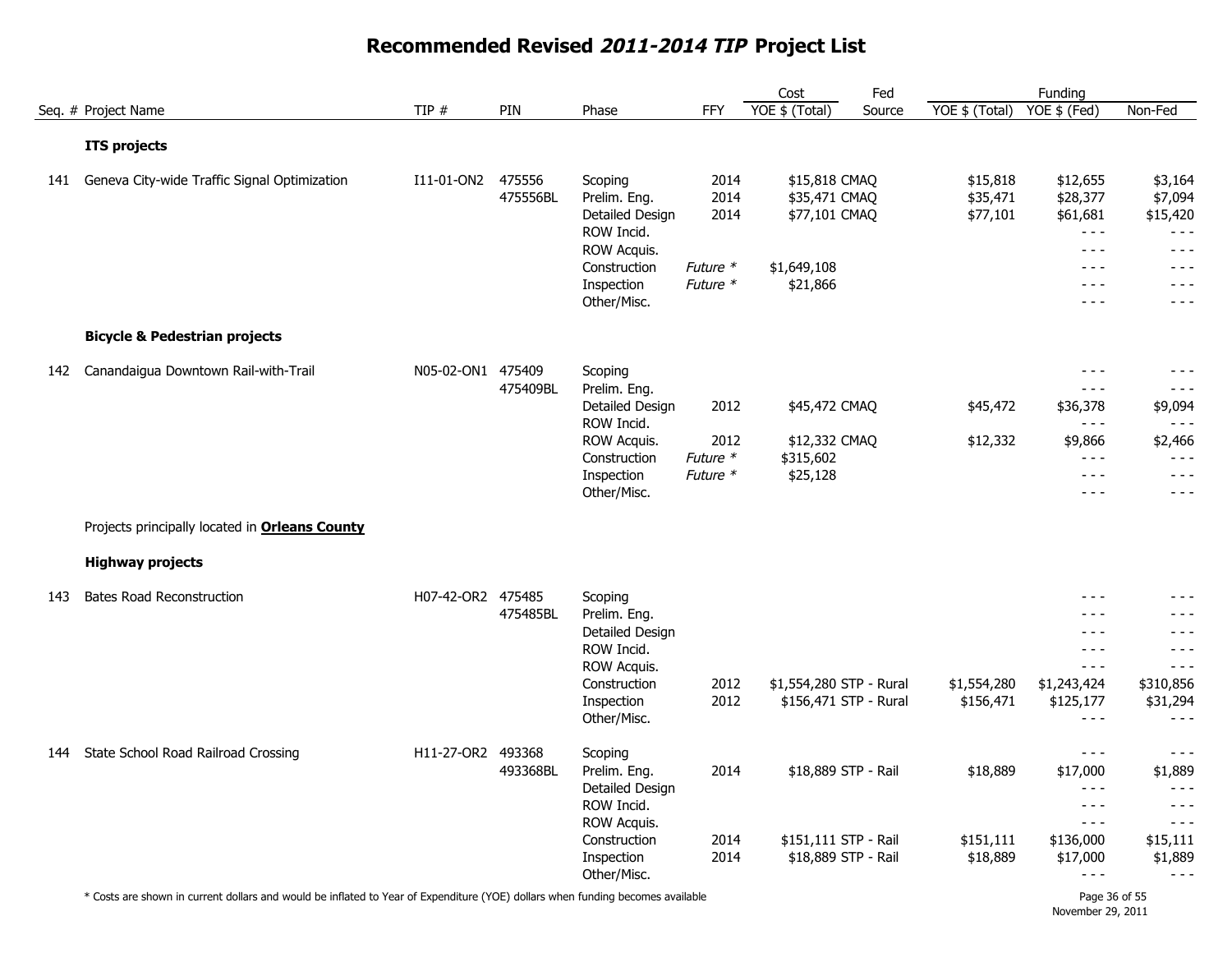|     |                                                       |                   |                    |                                                                                                                      |                                              | Cost                                                                       | Fed    |                                   | Funding                                                                                                                                                                                                                                                                                                                                                                                                                                                                                                                                                                                                                                                                                                                                                                                                                                                                                                                                                                                                                                                                                                                                                                                                                                                                                                                                                                                                                                                                                                                                                                                                                        |                                                                                                                                                                                                                                                                                                                                                                                                                                                                            |
|-----|-------------------------------------------------------|-------------------|--------------------|----------------------------------------------------------------------------------------------------------------------|----------------------------------------------|----------------------------------------------------------------------------|--------|-----------------------------------|--------------------------------------------------------------------------------------------------------------------------------------------------------------------------------------------------------------------------------------------------------------------------------------------------------------------------------------------------------------------------------------------------------------------------------------------------------------------------------------------------------------------------------------------------------------------------------------------------------------------------------------------------------------------------------------------------------------------------------------------------------------------------------------------------------------------------------------------------------------------------------------------------------------------------------------------------------------------------------------------------------------------------------------------------------------------------------------------------------------------------------------------------------------------------------------------------------------------------------------------------------------------------------------------------------------------------------------------------------------------------------------------------------------------------------------------------------------------------------------------------------------------------------------------------------------------------------------------------------------------------------|----------------------------------------------------------------------------------------------------------------------------------------------------------------------------------------------------------------------------------------------------------------------------------------------------------------------------------------------------------------------------------------------------------------------------------------------------------------------------|
|     | Seq. # Project Name                                   | TIP $#$           | PIN                | Phase                                                                                                                | <b>FFY</b>                                   | YOE \$ (Total)                                                             | Source | YOE $$$ (Total)                   | YOE \$ (Fed)                                                                                                                                                                                                                                                                                                                                                                                                                                                                                                                                                                                                                                                                                                                                                                                                                                                                                                                                                                                                                                                                                                                                                                                                                                                                                                                                                                                                                                                                                                                                                                                                                   | Non-Fed                                                                                                                                                                                                                                                                                                                                                                                                                                                                    |
|     | <b>ITS projects</b>                                   |                   |                    |                                                                                                                      |                                              |                                                                            |        |                                   |                                                                                                                                                                                                                                                                                                                                                                                                                                                                                                                                                                                                                                                                                                                                                                                                                                                                                                                                                                                                                                                                                                                                                                                                                                                                                                                                                                                                                                                                                                                                                                                                                                |                                                                                                                                                                                                                                                                                                                                                                                                                                                                            |
| 141 | Geneva City-wide Traffic Signal Optimization          | I11-01-ON2        | 475556<br>475556BL | Scoping<br>Prelim. Eng.<br>Detailed Design<br>ROW Incid.<br>ROW Acquis.<br>Construction<br>Inspection<br>Other/Misc. | 2014<br>2014<br>2014<br>Future *<br>Future * | \$15,818 CMAQ<br>\$35,471 CMAQ<br>\$77,101 CMAQ<br>\$1,649,108<br>\$21,866 |        | \$15,818<br>\$35,471<br>\$77,101  | \$12,655<br>\$28,377<br>\$61,681<br>$\sim$ $\sim$ $\sim$<br>$\frac{1}{2} \frac{1}{2} \frac{1}{2} \frac{1}{2} \frac{1}{2} \frac{1}{2} \frac{1}{2} \frac{1}{2} \frac{1}{2} \frac{1}{2} \frac{1}{2} \frac{1}{2} \frac{1}{2} \frac{1}{2} \frac{1}{2} \frac{1}{2} \frac{1}{2} \frac{1}{2} \frac{1}{2} \frac{1}{2} \frac{1}{2} \frac{1}{2} \frac{1}{2} \frac{1}{2} \frac{1}{2} \frac{1}{2} \frac{1}{2} \frac{1}{2} \frac{1}{2} \frac{1}{2} \frac{1}{2} \frac{$<br>$- - -$<br>$- - -$<br>$- - -$                                                                                                                                                                                                                                                                                                                                                                                                                                                                                                                                                                                                                                                                                                                                                                                                                                                                                                                                                                                                                                                                                                                                      | \$3,164<br>\$7,094<br>\$15,420<br>$- - -$<br>$\frac{1}{2} \frac{1}{2} \frac{1}{2} \frac{1}{2} \frac{1}{2} \frac{1}{2} \frac{1}{2} \frac{1}{2} \frac{1}{2} \frac{1}{2} \frac{1}{2} \frac{1}{2} \frac{1}{2} \frac{1}{2} \frac{1}{2} \frac{1}{2} \frac{1}{2} \frac{1}{2} \frac{1}{2} \frac{1}{2} \frac{1}{2} \frac{1}{2} \frac{1}{2} \frac{1}{2} \frac{1}{2} \frac{1}{2} \frac{1}{2} \frac{1}{2} \frac{1}{2} \frac{1}{2} \frac{1}{2} \frac{$<br>$- - -$<br>$- - -$<br>$- - -$ |
|     | <b>Bicycle &amp; Pedestrian projects</b>              |                   |                    |                                                                                                                      |                                              |                                                                            |        |                                   |                                                                                                                                                                                                                                                                                                                                                                                                                                                                                                                                                                                                                                                                                                                                                                                                                                                                                                                                                                                                                                                                                                                                                                                                                                                                                                                                                                                                                                                                                                                                                                                                                                |                                                                                                                                                                                                                                                                                                                                                                                                                                                                            |
| 142 | Canandaigua Downtown Rail-with-Trail                  | N05-02-ON1 475409 | 475409BL           | Scoping<br>Prelim. Eng.<br>Detailed Design<br>ROW Incid.<br>ROW Acquis.<br>Construction<br>Inspection                | 2012<br>2012<br>Future *<br>Future *         | \$45,472 CMAQ<br>\$12,332 CMAQ<br>\$315,602<br>\$25,128                    |        | \$45,472<br>\$12,332              | $\frac{1}{2} \frac{1}{2} \frac{1}{2} \frac{1}{2} \frac{1}{2} \frac{1}{2} \frac{1}{2} \frac{1}{2} \frac{1}{2} \frac{1}{2} \frac{1}{2} \frac{1}{2} \frac{1}{2} \frac{1}{2} \frac{1}{2} \frac{1}{2} \frac{1}{2} \frac{1}{2} \frac{1}{2} \frac{1}{2} \frac{1}{2} \frac{1}{2} \frac{1}{2} \frac{1}{2} \frac{1}{2} \frac{1}{2} \frac{1}{2} \frac{1}{2} \frac{1}{2} \frac{1}{2} \frac{1}{2} \frac{$<br>$- - -$<br>\$36,378<br>$\frac{1}{2} \frac{1}{2} \frac{1}{2} \frac{1}{2} \frac{1}{2} \frac{1}{2} \frac{1}{2} \frac{1}{2} \frac{1}{2} \frac{1}{2} \frac{1}{2} \frac{1}{2} \frac{1}{2} \frac{1}{2} \frac{1}{2} \frac{1}{2} \frac{1}{2} \frac{1}{2} \frac{1}{2} \frac{1}{2} \frac{1}{2} \frac{1}{2} \frac{1}{2} \frac{1}{2} \frac{1}{2} \frac{1}{2} \frac{1}{2} \frac{1}{2} \frac{1}{2} \frac{1}{2} \frac{1}{2} \frac{$<br>\$9,866<br>$\frac{1}{2} \frac{1}{2} \frac{1}{2} \frac{1}{2} \frac{1}{2} \frac{1}{2} \frac{1}{2} \frac{1}{2} \frac{1}{2} \frac{1}{2} \frac{1}{2} \frac{1}{2} \frac{1}{2} \frac{1}{2} \frac{1}{2} \frac{1}{2} \frac{1}{2} \frac{1}{2} \frac{1}{2} \frac{1}{2} \frac{1}{2} \frac{1}{2} \frac{1}{2} \frac{1}{2} \frac{1}{2} \frac{1}{2} \frac{1}{2} \frac{1}{2} \frac{1}{2} \frac{1}{2} \frac{1}{2} \frac{$<br>$\frac{1}{2} \frac{1}{2} \frac{1}{2} \frac{1}{2} \frac{1}{2} \frac{1}{2} \frac{1}{2} \frac{1}{2} \frac{1}{2} \frac{1}{2} \frac{1}{2} \frac{1}{2} \frac{1}{2} \frac{1}{2} \frac{1}{2} \frac{1}{2} \frac{1}{2} \frac{1}{2} \frac{1}{2} \frac{1}{2} \frac{1}{2} \frac{1}{2} \frac{1}{2} \frac{1}{2} \frac{1}{2} \frac{1}{2} \frac{1}{2} \frac{1}{2} \frac{1}{2} \frac{1}{2} \frac{1}{2} \frac{$ | $- - -$<br>$- - -$<br>\$9,094<br>$- - -$<br>\$2,466<br>$- - -$<br>$- - -$                                                                                                                                                                                                                                                                                                                                                                                                  |
|     |                                                       |                   |                    | Other/Misc.                                                                                                          |                                              |                                                                            |        |                                   | $- - -$                                                                                                                                                                                                                                                                                                                                                                                                                                                                                                                                                                                                                                                                                                                                                                                                                                                                                                                                                                                                                                                                                                                                                                                                                                                                                                                                                                                                                                                                                                                                                                                                                        | $- - -$                                                                                                                                                                                                                                                                                                                                                                                                                                                                    |
|     | Projects principally located in <b>Orleans County</b> |                   |                    |                                                                                                                      |                                              |                                                                            |        |                                   |                                                                                                                                                                                                                                                                                                                                                                                                                                                                                                                                                                                                                                                                                                                                                                                                                                                                                                                                                                                                                                                                                                                                                                                                                                                                                                                                                                                                                                                                                                                                                                                                                                |                                                                                                                                                                                                                                                                                                                                                                                                                                                                            |
|     | <b>Highway projects</b>                               |                   |                    |                                                                                                                      |                                              |                                                                            |        |                                   |                                                                                                                                                                                                                                                                                                                                                                                                                                                                                                                                                                                                                                                                                                                                                                                                                                                                                                                                                                                                                                                                                                                                                                                                                                                                                                                                                                                                                                                                                                                                                                                                                                |                                                                                                                                                                                                                                                                                                                                                                                                                                                                            |
| 143 | <b>Bates Road Reconstruction</b>                      | H07-42-OR2 475485 | 475485BL           | Scoping<br>Prelim. Eng.<br>Detailed Design<br>ROW Incid.<br>ROW Acquis.<br>Construction<br>Inspection<br>Other/Misc. | 2012<br>2012                                 | \$1,554,280 STP - Rural<br>\$156,471 STP - Rural                           |        | \$1,554,280<br>\$156,471          | - - -<br>$- - -$<br>$  -$<br>$\frac{1}{2} \frac{1}{2} \frac{1}{2} \frac{1}{2} \frac{1}{2} \frac{1}{2} \frac{1}{2} \frac{1}{2} \frac{1}{2} \frac{1}{2} \frac{1}{2} \frac{1}{2} \frac{1}{2} \frac{1}{2} \frac{1}{2} \frac{1}{2} \frac{1}{2} \frac{1}{2} \frac{1}{2} \frac{1}{2} \frac{1}{2} \frac{1}{2} \frac{1}{2} \frac{1}{2} \frac{1}{2} \frac{1}{2} \frac{1}{2} \frac{1}{2} \frac{1}{2} \frac{1}{2} \frac{1}{2} \frac{$<br>$\frac{1}{2} \frac{1}{2} \frac{1}{2} \frac{1}{2} \frac{1}{2} \frac{1}{2} \frac{1}{2} \frac{1}{2} \frac{1}{2} \frac{1}{2} \frac{1}{2} \frac{1}{2} \frac{1}{2} \frac{1}{2} \frac{1}{2} \frac{1}{2} \frac{1}{2} \frac{1}{2} \frac{1}{2} \frac{1}{2} \frac{1}{2} \frac{1}{2} \frac{1}{2} \frac{1}{2} \frac{1}{2} \frac{1}{2} \frac{1}{2} \frac{1}{2} \frac{1}{2} \frac{1}{2} \frac{1}{2} \frac{$<br>\$1,243,424<br>\$125,177<br>$\frac{1}{2} \frac{1}{2} \frac{1}{2} \frac{1}{2} \frac{1}{2} \frac{1}{2} \frac{1}{2} \frac{1}{2} \frac{1}{2} \frac{1}{2} \frac{1}{2} \frac{1}{2} \frac{1}{2} \frac{1}{2} \frac{1}{2} \frac{1}{2} \frac{1}{2} \frac{1}{2} \frac{1}{2} \frac{1}{2} \frac{1}{2} \frac{1}{2} \frac{1}{2} \frac{1}{2} \frac{1}{2} \frac{1}{2} \frac{1}{2} \frac{1}{2} \frac{1}{2} \frac{1}{2} \frac{1}{2} \frac{$                                                                                                                                                                                                                                                                                                                                                                          | $- - -$<br>$- - -$<br>$- - -$<br>$- - -$<br>\$310,856<br>\$31,294<br>$- - -$                                                                                                                                                                                                                                                                                                                                                                                               |
| 144 | State School Road Railroad Crossing                   | H11-27-OR2 493368 | 493368BL           | Scoping<br>Prelim. Eng.<br>Detailed Design<br>ROW Incid.<br>ROW Acquis.<br>Construction<br>Inspection<br>Other/Misc. | 2014<br>2014<br>2014                         | \$18,889 STP - Rail<br>\$151,111 STP - Rail<br>\$18,889 STP - Rail         |        | \$18,889<br>\$151,111<br>\$18,889 | $\frac{1}{2} \frac{1}{2} \frac{1}{2} \frac{1}{2} \frac{1}{2} \frac{1}{2} \frac{1}{2} \frac{1}{2} \frac{1}{2} \frac{1}{2} \frac{1}{2} \frac{1}{2} \frac{1}{2} \frac{1}{2} \frac{1}{2} \frac{1}{2} \frac{1}{2} \frac{1}{2} \frac{1}{2} \frac{1}{2} \frac{1}{2} \frac{1}{2} \frac{1}{2} \frac{1}{2} \frac{1}{2} \frac{1}{2} \frac{1}{2} \frac{1}{2} \frac{1}{2} \frac{1}{2} \frac{1}{2} \frac{$<br>\$17,000<br>$- - -$<br>$- - -$<br>$- - -$<br>\$136,000<br>\$17,000<br>$\frac{1}{2} \frac{1}{2} \frac{1}{2} \frac{1}{2} \frac{1}{2}$                                                                                                                                                                                                                                                                                                                                                                                                                                                                                                                                                                                                                                                                                                                                                                                                                                                                                                                                                                                                                                                                                            | $- - -$<br>\$1,889<br>$- - -$<br>$- - -$<br>$- - -$<br>\$15,111<br>\$1,889<br>$- - -$                                                                                                                                                                                                                                                                                                                                                                                      |

\* Costs are shown in current dollars and would be inflated to Year of Expenditure (YOE) dollars when funding becomes available Page 36 of 55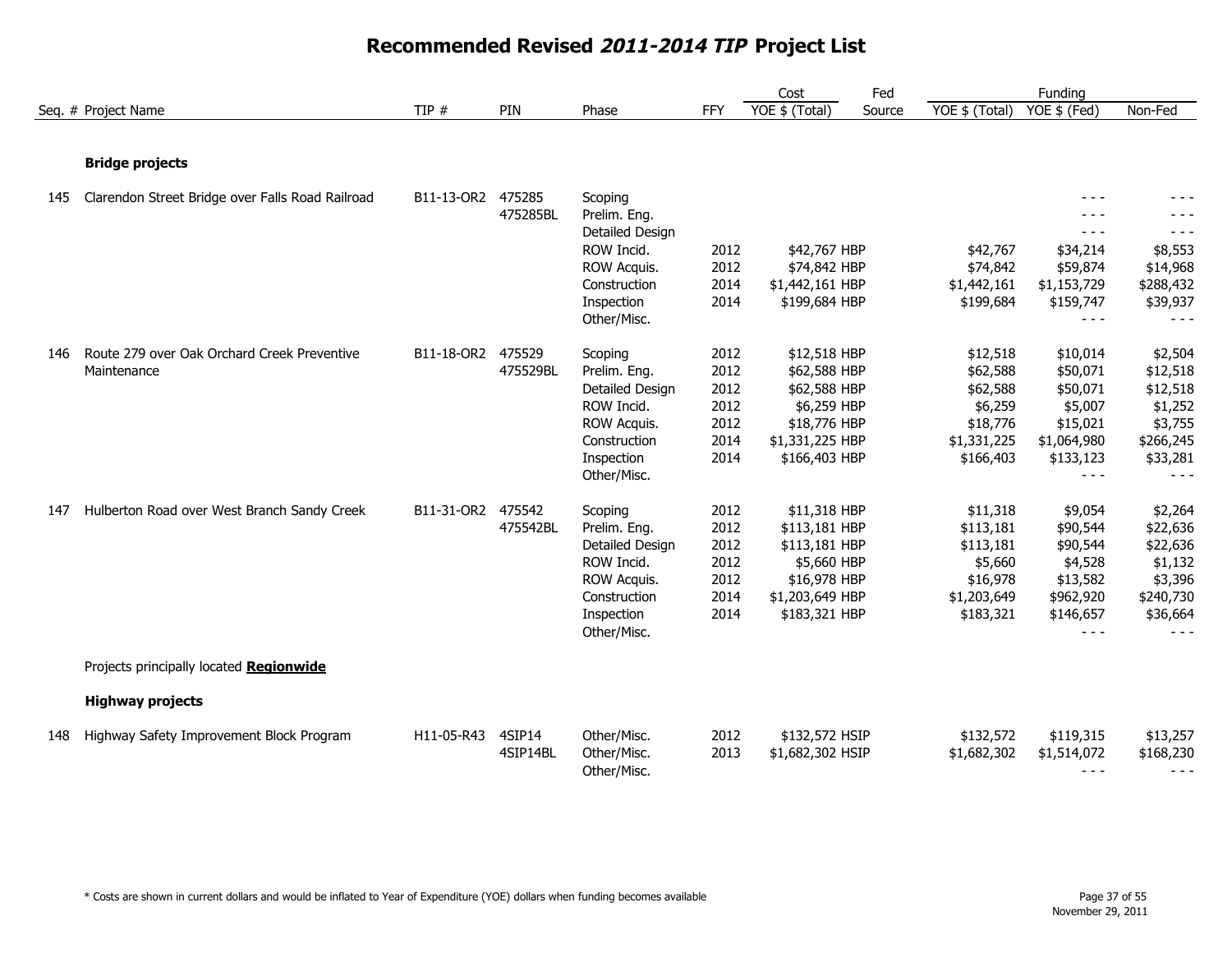|     |                                                  |                   |          |                 |            | Cost             | Fed    |                | Funding      |           |
|-----|--------------------------------------------------|-------------------|----------|-----------------|------------|------------------|--------|----------------|--------------|-----------|
|     | Seq. # Project Name                              | TIP $#$           | PIN      | Phase           | <b>FFY</b> | YOE \$ (Total)   | Source | YOE \$ (Total) | YOE \$ (Fed) | Non-Fed   |
|     |                                                  |                   |          |                 |            |                  |        |                |              |           |
|     | <b>Bridge projects</b>                           |                   |          |                 |            |                  |        |                |              |           |
| 145 | Clarendon Street Bridge over Falls Road Railroad | B11-13-OR2 475285 |          | Scoping         |            |                  |        |                | - - -        |           |
|     |                                                  |                   | 475285BL | Prelim. Eng.    |            |                  |        |                | - - -        |           |
|     |                                                  |                   |          | Detailed Design |            |                  |        |                | $- - -$      | $- - -$   |
|     |                                                  |                   |          | ROW Incid.      | 2012       | \$42,767 HBP     |        | \$42,767       | \$34,214     | \$8,553   |
|     |                                                  |                   |          | ROW Acquis.     | 2012       | \$74,842 HBP     |        | \$74,842       | \$59,874     | \$14,968  |
|     |                                                  |                   |          | Construction    | 2014       | \$1,442,161 HBP  |        | \$1,442,161    | \$1,153,729  | \$288,432 |
|     |                                                  |                   |          | Inspection      | 2014       | \$199,684 HBP    |        | \$199,684      | \$159,747    | \$39,937  |
|     |                                                  |                   |          | Other/Misc.     |            |                  |        |                | $- - -$      | $- - -$   |
| 146 | Route 279 over Oak Orchard Creek Preventive      | B11-18-OR2 475529 |          | Scoping         | 2012       | \$12,518 HBP     |        | \$12,518       | \$10,014     | \$2,504   |
|     | Maintenance                                      |                   | 475529BL | Prelim. Eng.    | 2012       | \$62,588 HBP     |        | \$62,588       | \$50,071     | \$12,518  |
|     |                                                  |                   |          | Detailed Design | 2012       | \$62,588 HBP     |        | \$62,588       | \$50,071     | \$12,518  |
|     |                                                  |                   |          | ROW Incid.      | 2012       | \$6,259 HBP      |        | \$6,259        | \$5,007      | \$1,252   |
|     |                                                  |                   |          | ROW Acquis.     | 2012       | \$18,776 HBP     |        | \$18,776       | \$15,021     | \$3,755   |
|     |                                                  |                   |          | Construction    | 2014       | \$1,331,225 HBP  |        | \$1,331,225    | \$1,064,980  | \$266,245 |
|     |                                                  |                   |          | Inspection      | 2014       | \$166,403 HBP    |        | \$166,403      | \$133,123    | \$33,281  |
|     |                                                  |                   |          | Other/Misc.     |            |                  |        |                | $- - -$      | $- - -$   |
| 147 | Hulberton Road over West Branch Sandy Creek      | B11-31-OR2 475542 |          | Scoping         | 2012       | \$11,318 HBP     |        | \$11,318       | \$9,054      | \$2,264   |
|     |                                                  |                   | 475542BL | Prelim. Eng.    | 2012       | \$113,181 HBP    |        | \$113,181      | \$90,544     | \$22,636  |
|     |                                                  |                   |          | Detailed Design | 2012       | \$113,181 HBP    |        | \$113,181      | \$90,544     | \$22,636  |
|     |                                                  |                   |          | ROW Incid.      | 2012       | \$5,660 HBP      |        | \$5,660        | \$4,528      | \$1,132   |
|     |                                                  |                   |          | ROW Acquis.     | 2012       | \$16,978 HBP     |        | \$16,978       | \$13,582     | \$3,396   |
|     |                                                  |                   |          | Construction    | 2014       | \$1,203,649 HBP  |        | \$1,203,649    | \$962,920    | \$240,730 |
|     |                                                  |                   |          | Inspection      | 2014       | \$183,321 HBP    |        | \$183,321      | \$146,657    | \$36,664  |
|     |                                                  |                   |          | Other/Misc.     |            |                  |        |                | $- - -$      | $- - -$   |
|     | Projects principally located Regionwide          |                   |          |                 |            |                  |        |                |              |           |
|     | <b>Highway projects</b>                          |                   |          |                 |            |                  |        |                |              |           |
| 148 | Highway Safety Improvement Block Program         | H11-05-R43        | 4SIP14   | Other/Misc.     | 2012       | \$132,572 HSIP   |        | \$132,572      | \$119,315    | \$13,257  |
|     |                                                  |                   | 4SIP14BL | Other/Misc.     | 2013       | \$1,682,302 HSIP |        | \$1,682,302    | \$1,514,072  | \$168,230 |
|     |                                                  |                   |          | Other/Misc.     |            |                  |        |                | $- - -$      | $- - -$   |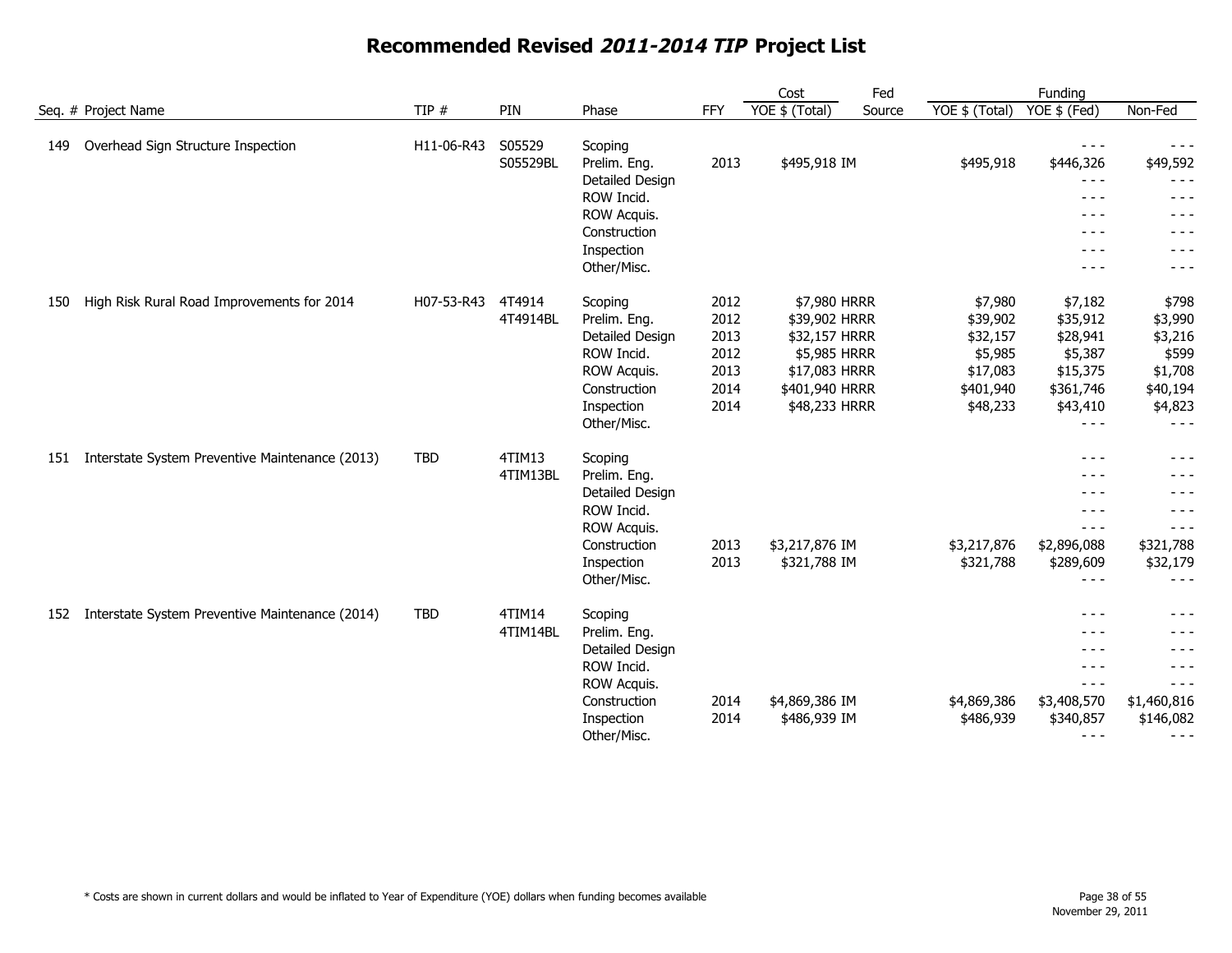|                                                        |            |                    |                         |      | Cost           | Fed    |                | Funding                    |                     |
|--------------------------------------------------------|------------|--------------------|-------------------------|------|----------------|--------|----------------|----------------------------|---------------------|
| Seq. # Project Name                                    | TIP #      | PIN                | Phase                   | FFY  | YOE \$ (Total) | Source | YOE \$ (Total) | $YOE$ \$ (Fed)             | Non-Fed             |
| Overhead Sign Structure Inspection<br>149              | H11-06-R43 | S05529<br>S05529BL | Scoping<br>Prelim. Eng. | 2013 | \$495,918 IM   |        | \$495,918      | $\frac{1}{2}$<br>\$446,326 | $- - -$<br>\$49,592 |
|                                                        |            |                    | Detailed Design         |      |                |        |                | $- - -$                    | $- - -$             |
|                                                        |            |                    | ROW Incid.              |      |                |        |                | $- - - -$                  | $- - -$             |
|                                                        |            |                    | ROW Acquis.             |      |                |        |                | - - -                      | $- - -$             |
|                                                        |            |                    | Construction            |      |                |        |                | $- - -$                    | - - -               |
|                                                        |            |                    | Inspection              |      |                |        |                | - - -                      | - - -               |
|                                                        |            |                    | Other/Misc.             |      |                |        |                | - - -                      | - - -               |
| High Risk Rural Road Improvements for 2014<br>150      | H07-53-R43 | 4T4914             | Scoping                 | 2012 | \$7,980 HRRR   |        | \$7,980        | \$7,182                    | \$798               |
|                                                        |            | 4T4914BL           | Prelim. Eng.            | 2012 | \$39,902 HRRR  |        | \$39,902       | \$35,912                   | \$3,990             |
|                                                        |            |                    | Detailed Design         | 2013 | \$32,157 HRRR  |        | \$32,157       | \$28,941                   | \$3,216             |
|                                                        |            |                    | ROW Incid.              | 2012 | \$5,985 HRRR   |        | \$5,985        | \$5,387                    | \$599               |
|                                                        |            |                    | ROW Acquis.             | 2013 | \$17,083 HRRR  |        | \$17,083       | \$15,375                   | \$1,708             |
|                                                        |            |                    | Construction            | 2014 | \$401,940 HRRR |        | \$401,940      | \$361,746                  | \$40,194            |
|                                                        |            |                    | Inspection              | 2014 | \$48,233 HRRR  |        | \$48,233       | \$43,410                   | \$4,823             |
|                                                        |            |                    | Other/Misc.             |      |                |        |                | $- - -$                    | $- - -$             |
| Interstate System Preventive Maintenance (2013)<br>151 | <b>TBD</b> | 4TIM13             | Scoping                 |      |                |        |                | $- - -$                    | $- - -$             |
|                                                        |            | 4TIM13BL           | Prelim. Eng.            |      |                |        |                | - - -                      | - - -               |
|                                                        |            |                    | Detailed Design         |      |                |        |                | $- - -$                    | $- - -$             |
|                                                        |            |                    | ROW Incid.              |      |                |        |                | $  -$                      | $- - -$             |
|                                                        |            |                    | ROW Acquis.             |      |                |        |                | $- - -$                    | $- - -$             |
|                                                        |            |                    | Construction            | 2013 | \$3,217,876 IM |        | \$3,217,876    | \$2,896,088                | \$321,788           |
|                                                        |            |                    | Inspection              | 2013 | \$321,788 IM   |        | \$321,788      | \$289,609                  | \$32,179            |
|                                                        |            |                    | Other/Misc.             |      |                |        |                | $- - -$                    | - - -               |
| Interstate System Preventive Maintenance (2014)<br>152 | <b>TBD</b> | 4TIM14             | Scoping                 |      |                |        |                | $- - -$                    | $- - -$             |
|                                                        |            | 4TIM14BL           | Prelim. Eng.            |      |                |        |                | $- - -$                    | - - -               |
|                                                        |            |                    | Detailed Design         |      |                |        |                | $\frac{1}{2}$              | - - -               |
|                                                        |            |                    | ROW Incid.              |      |                |        |                | $- - -$                    | - - -               |
|                                                        |            |                    | ROW Acquis.             |      |                |        |                | $- - -$                    | $- - -$             |
|                                                        |            |                    | Construction            | 2014 | \$4,869,386 IM |        | \$4,869,386    | \$3,408,570                | \$1,460,816         |
|                                                        |            |                    | Inspection              | 2014 | \$486,939 IM   |        | \$486,939      | \$340,857                  | \$146,082           |
|                                                        |            |                    | Other/Misc.             |      |                |        |                | $- - -$                    | $- - -$             |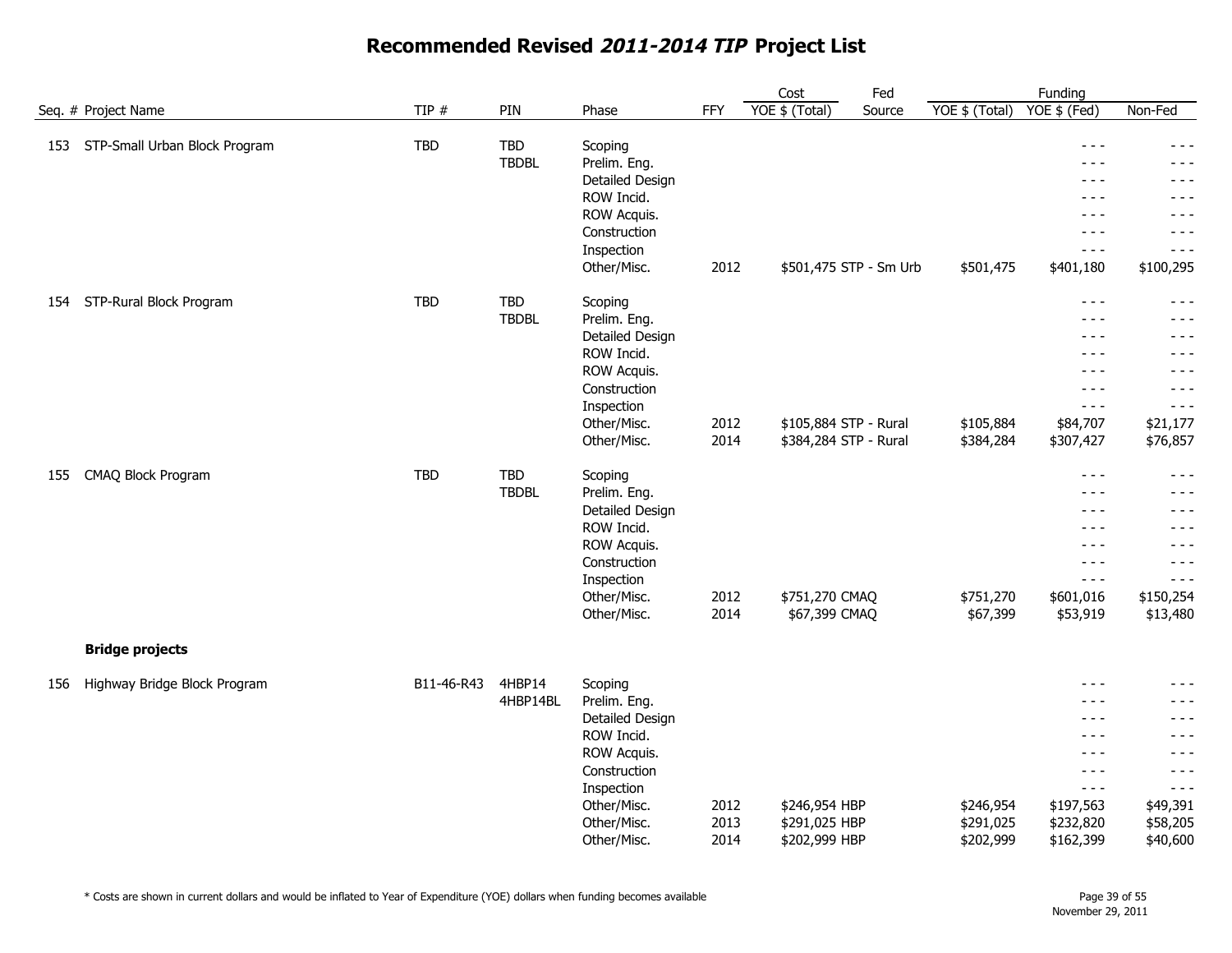|     |                                   |            |                     |                                                                         |              | Cost                           | Fed                    |                        | Funding                                                                                                                                                                                                                                                                                                                                                                                      |                                           |
|-----|-----------------------------------|------------|---------------------|-------------------------------------------------------------------------|--------------|--------------------------------|------------------------|------------------------|----------------------------------------------------------------------------------------------------------------------------------------------------------------------------------------------------------------------------------------------------------------------------------------------------------------------------------------------------------------------------------------------|-------------------------------------------|
|     | Seq. # Project Name               | TIP #      | PIN                 | Phase                                                                   | <b>FFY</b>   | YOE \$ (Total)                 | Source                 | YOE \$ (Total)         | YOE \$ (Fed)                                                                                                                                                                                                                                                                                                                                                                                 | Non-Fed                                   |
|     | 153 STP-Small Urban Block Program | TBD        | TBD<br><b>TBDBL</b> | Scoping<br>Prelim. Eng.<br>Detailed Design<br>ROW Incid.<br>ROW Acquis. |              |                                |                        |                        | $  -$<br>$- - -$<br>$- - -$<br>$- - -$<br>- - -                                                                                                                                                                                                                                                                                                                                              | - - -<br>- - -<br>- - -<br>- - -<br>- - - |
|     |                                   |            |                     | Construction                                                            |              |                                |                        |                        | $- - -$                                                                                                                                                                                                                                                                                                                                                                                      | - - -                                     |
|     |                                   |            |                     | Inspection                                                              |              |                                |                        |                        | $- - -$                                                                                                                                                                                                                                                                                                                                                                                      | - - -                                     |
|     |                                   |            |                     | Other/Misc.                                                             | 2012         |                                | \$501,475 STP - Sm Urb | \$501,475              | \$401,180                                                                                                                                                                                                                                                                                                                                                                                    | \$100,295                                 |
| 154 | STP-Rural Block Program           | <b>TBD</b> | TBD                 | Scoping                                                                 |              |                                |                        |                        | $\sim$ $\sim$ $\sim$                                                                                                                                                                                                                                                                                                                                                                         | $- - -$                                   |
|     |                                   |            | <b>TBDBL</b>        | Prelim. Eng.                                                            |              |                                |                        |                        | - - -                                                                                                                                                                                                                                                                                                                                                                                        | - - -                                     |
|     |                                   |            |                     | Detailed Design                                                         |              |                                |                        |                        | $- - -$                                                                                                                                                                                                                                                                                                                                                                                      | - - -                                     |
|     |                                   |            |                     | ROW Incid.<br>ROW Acquis.                                               |              |                                |                        |                        | $- - -$<br>$- - -$                                                                                                                                                                                                                                                                                                                                                                           | - - -<br>- - -                            |
|     |                                   |            |                     | Construction                                                            |              |                                |                        |                        | $- - -$                                                                                                                                                                                                                                                                                                                                                                                      | $- - -$                                   |
|     |                                   |            |                     | Inspection                                                              |              |                                |                        |                        | $- - -$                                                                                                                                                                                                                                                                                                                                                                                      | $- - -$                                   |
|     |                                   |            |                     | Other/Misc.                                                             | 2012         | \$105,884 STP - Rural          |                        | \$105,884              | \$84,707                                                                                                                                                                                                                                                                                                                                                                                     | \$21,177                                  |
|     |                                   |            |                     | Other/Misc.                                                             | 2014         | \$384,284 STP - Rural          |                        | \$384,284              | \$307,427                                                                                                                                                                                                                                                                                                                                                                                    | \$76,857                                  |
| 155 | CMAQ Block Program                | <b>TBD</b> | <b>TBD</b>          | Scoping                                                                 |              |                                |                        |                        | $- - -$                                                                                                                                                                                                                                                                                                                                                                                      | $- - -$                                   |
|     |                                   |            | <b>TBDBL</b>        | Prelim. Eng.                                                            |              |                                |                        |                        | $- - -$                                                                                                                                                                                                                                                                                                                                                                                      | $- - -$                                   |
|     |                                   |            |                     | Detailed Design                                                         |              |                                |                        |                        | $\frac{1}{2} \frac{1}{2} \frac{1}{2} \frac{1}{2} \frac{1}{2} \frac{1}{2} \frac{1}{2} \frac{1}{2} \frac{1}{2} \frac{1}{2} \frac{1}{2} \frac{1}{2} \frac{1}{2} \frac{1}{2} \frac{1}{2} \frac{1}{2} \frac{1}{2} \frac{1}{2} \frac{1}{2} \frac{1}{2} \frac{1}{2} \frac{1}{2} \frac{1}{2} \frac{1}{2} \frac{1}{2} \frac{1}{2} \frac{1}{2} \frac{1}{2} \frac{1}{2} \frac{1}{2} \frac{1}{2} \frac{$ | - - -                                     |
|     |                                   |            |                     | ROW Incid.                                                              |              |                                |                        |                        | $- - -$                                                                                                                                                                                                                                                                                                                                                                                      | - - -                                     |
|     |                                   |            |                     | ROW Acquis.<br>Construction                                             |              |                                |                        |                        | $- - -$<br>$- - -$                                                                                                                                                                                                                                                                                                                                                                           | - - -<br>- - -                            |
|     |                                   |            |                     | Inspection                                                              |              |                                |                        |                        | $- - -$                                                                                                                                                                                                                                                                                                                                                                                      | $- - -$                                   |
|     |                                   |            |                     | Other/Misc.                                                             | 2012         | \$751,270 CMAQ                 |                        | \$751,270              | \$601,016                                                                                                                                                                                                                                                                                                                                                                                    | \$150,254                                 |
|     |                                   |            |                     | Other/Misc.                                                             | 2014         | \$67,399 CMAQ                  |                        | \$67,399               | \$53,919                                                                                                                                                                                                                                                                                                                                                                                     | \$13,480                                  |
|     | <b>Bridge projects</b>            |            |                     |                                                                         |              |                                |                        |                        |                                                                                                                                                                                                                                                                                                                                                                                              |                                           |
| 156 | Highway Bridge Block Program      | B11-46-R43 | 4HBP14              | Scoping                                                                 |              |                                |                        |                        | $- - -$                                                                                                                                                                                                                                                                                                                                                                                      | - - -                                     |
|     |                                   |            | 4HBP14BL            | Prelim. Eng.                                                            |              |                                |                        |                        | $- - -$                                                                                                                                                                                                                                                                                                                                                                                      | - - -                                     |
|     |                                   |            |                     | Detailed Design                                                         |              |                                |                        |                        | $- - -$                                                                                                                                                                                                                                                                                                                                                                                      | - - -                                     |
|     |                                   |            |                     | ROW Incid.                                                              |              |                                |                        |                        | $- - -$                                                                                                                                                                                                                                                                                                                                                                                      | - - -                                     |
|     |                                   |            |                     | ROW Acquis.                                                             |              |                                |                        |                        | $- - -$                                                                                                                                                                                                                                                                                                                                                                                      | - - -                                     |
|     |                                   |            |                     | Construction                                                            |              |                                |                        |                        | $- - -$                                                                                                                                                                                                                                                                                                                                                                                      | - - -                                     |
|     |                                   |            |                     | Inspection                                                              |              |                                |                        |                        | $- - -$                                                                                                                                                                                                                                                                                                                                                                                      | $- - -$                                   |
|     |                                   |            |                     | Other/Misc.<br>Other/Misc.                                              | 2012<br>2013 | \$246,954 HBP<br>\$291,025 HBP |                        | \$246,954<br>\$291,025 | \$197,563<br>\$232,820                                                                                                                                                                                                                                                                                                                                                                       | \$49,391<br>\$58,205                      |
|     |                                   |            |                     | Other/Misc.                                                             | 2014         | \$202,999 HBP                  |                        | \$202,999              | \$162,399                                                                                                                                                                                                                                                                                                                                                                                    | \$40,600                                  |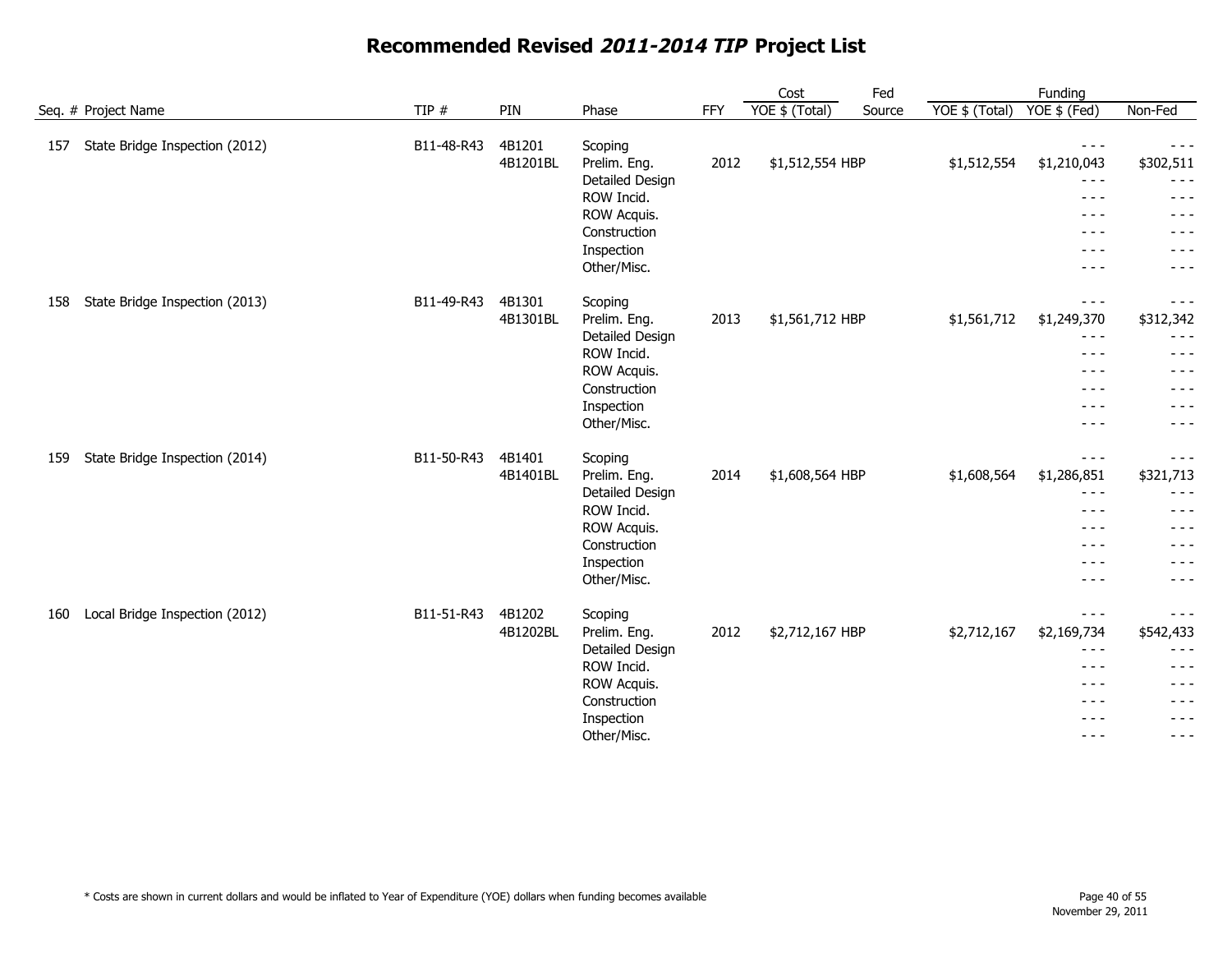|                                       |            |          |                                 |      | Cost            | Fed    |                | Funding                                                                                                                                                                                                                                                                                                                                                                                                     |                                                                                                                                                                                                                                                                                                                                                                                              |
|---------------------------------------|------------|----------|---------------------------------|------|-----------------|--------|----------------|-------------------------------------------------------------------------------------------------------------------------------------------------------------------------------------------------------------------------------------------------------------------------------------------------------------------------------------------------------------------------------------------------------------|----------------------------------------------------------------------------------------------------------------------------------------------------------------------------------------------------------------------------------------------------------------------------------------------------------------------------------------------------------------------------------------------|
| Seq. # Project Name                   | TIP $#$    | PIN      | Phase                           | FFY  | YOE \$ (Total)  | Source | YOE \$ (Total) | $YOE$ \$ (Fed)                                                                                                                                                                                                                                                                                                                                                                                              | Non-Fed                                                                                                                                                                                                                                                                                                                                                                                      |
| State Bridge Inspection (2012)<br>157 | B11-48-R43 | 4B1201   | Scoping                         |      |                 |        |                | $\frac{1}{2}$                                                                                                                                                                                                                                                                                                                                                                                               | $\frac{1}{2}$                                                                                                                                                                                                                                                                                                                                                                                |
|                                       |            | 4B1201BL | Prelim. Eng.<br>Detailed Design | 2012 | \$1,512,554 HBP |        | \$1,512,554    | \$1,210,043<br>$\frac{1}{2} \frac{1}{2} \frac{1}{2} \frac{1}{2} \frac{1}{2} \frac{1}{2} \frac{1}{2} \frac{1}{2} \frac{1}{2} \frac{1}{2} \frac{1}{2} \frac{1}{2} \frac{1}{2} \frac{1}{2} \frac{1}{2} \frac{1}{2} \frac{1}{2} \frac{1}{2} \frac{1}{2} \frac{1}{2} \frac{1}{2} \frac{1}{2} \frac{1}{2} \frac{1}{2} \frac{1}{2} \frac{1}{2} \frac{1}{2} \frac{1}{2} \frac{1}{2} \frac{1}{2} \frac{1}{2} \frac{$ | \$302,511<br>$- - -$                                                                                                                                                                                                                                                                                                                                                                         |
|                                       |            |          | ROW Incid.                      |      |                 |        |                | $\frac{1}{2}$                                                                                                                                                                                                                                                                                                                                                                                               | - - -                                                                                                                                                                                                                                                                                                                                                                                        |
|                                       |            |          | ROW Acquis.                     |      |                 |        |                | $\frac{1}{2}$                                                                                                                                                                                                                                                                                                                                                                                               | - - -                                                                                                                                                                                                                                                                                                                                                                                        |
|                                       |            |          | Construction                    |      |                 |        |                | $- - -$                                                                                                                                                                                                                                                                                                                                                                                                     | - - -                                                                                                                                                                                                                                                                                                                                                                                        |
|                                       |            |          | Inspection                      |      |                 |        |                | $- - -$                                                                                                                                                                                                                                                                                                                                                                                                     | - - -                                                                                                                                                                                                                                                                                                                                                                                        |
|                                       |            |          | Other/Misc.                     |      |                 |        |                | $- - - -$                                                                                                                                                                                                                                                                                                                                                                                                   | $- - -$                                                                                                                                                                                                                                                                                                                                                                                      |
| State Bridge Inspection (2013)<br>158 | B11-49-R43 | 4B1301   | Scoping                         |      |                 |        |                | $\frac{1}{2}$                                                                                                                                                                                                                                                                                                                                                                                               | $\frac{1}{2}$                                                                                                                                                                                                                                                                                                                                                                                |
|                                       |            | 4B1301BL | Prelim. Eng.                    | 2013 | \$1,561,712 HBP |        | \$1,561,712    | \$1,249,370                                                                                                                                                                                                                                                                                                                                                                                                 | \$312,342                                                                                                                                                                                                                                                                                                                                                                                    |
|                                       |            |          | Detailed Design                 |      |                 |        |                | $\frac{1}{2}$                                                                                                                                                                                                                                                                                                                                                                                               | $- - -$                                                                                                                                                                                                                                                                                                                                                                                      |
|                                       |            |          | ROW Incid.                      |      |                 |        |                | $  -$                                                                                                                                                                                                                                                                                                                                                                                                       | $- - -$                                                                                                                                                                                                                                                                                                                                                                                      |
|                                       |            |          | ROW Acquis.                     |      |                 |        |                | $\frac{1}{2}$                                                                                                                                                                                                                                                                                                                                                                                               | - - -                                                                                                                                                                                                                                                                                                                                                                                        |
|                                       |            |          | Construction                    |      |                 |        |                | $\frac{1}{2}$                                                                                                                                                                                                                                                                                                                                                                                               | $- - -$                                                                                                                                                                                                                                                                                                                                                                                      |
|                                       |            |          | Inspection                      |      |                 |        |                | $- - - -$                                                                                                                                                                                                                                                                                                                                                                                                   | $- - -$                                                                                                                                                                                                                                                                                                                                                                                      |
|                                       |            |          | Other/Misc.                     |      |                 |        |                | $\frac{1}{2}$                                                                                                                                                                                                                                                                                                                                                                                               | $- - -$                                                                                                                                                                                                                                                                                                                                                                                      |
| State Bridge Inspection (2014)<br>159 | B11-50-R43 | 4B1401   | Scoping                         |      |                 |        |                | $\frac{1}{2} \frac{1}{2} \frac{1}{2} \frac{1}{2} \frac{1}{2} \frac{1}{2} \frac{1}{2} \frac{1}{2} \frac{1}{2} \frac{1}{2} \frac{1}{2} \frac{1}{2} \frac{1}{2} \frac{1}{2} \frac{1}{2} \frac{1}{2} \frac{1}{2} \frac{1}{2} \frac{1}{2} \frac{1}{2} \frac{1}{2} \frac{1}{2} \frac{1}{2} \frac{1}{2} \frac{1}{2} \frac{1}{2} \frac{1}{2} \frac{1}{2} \frac{1}{2} \frac{1}{2} \frac{1}{2} \frac{$                | $- - -$                                                                                                                                                                                                                                                                                                                                                                                      |
|                                       |            | 4B1401BL | Prelim. Eng.                    | 2014 | \$1,608,564 HBP |        | \$1,608,564    | \$1,286,851                                                                                                                                                                                                                                                                                                                                                                                                 | \$321,713                                                                                                                                                                                                                                                                                                                                                                                    |
|                                       |            |          | Detailed Design                 |      |                 |        |                | $- - -$                                                                                                                                                                                                                                                                                                                                                                                                     | $- - -$                                                                                                                                                                                                                                                                                                                                                                                      |
|                                       |            |          | ROW Incid.                      |      |                 |        |                | $\frac{1}{2} \frac{1}{2} \frac{1}{2} \frac{1}{2} \frac{1}{2} \frac{1}{2} \frac{1}{2} \frac{1}{2} \frac{1}{2} \frac{1}{2} \frac{1}{2} \frac{1}{2} \frac{1}{2} \frac{1}{2} \frac{1}{2} \frac{1}{2} \frac{1}{2} \frac{1}{2} \frac{1}{2} \frac{1}{2} \frac{1}{2} \frac{1}{2} \frac{1}{2} \frac{1}{2} \frac{1}{2} \frac{1}{2} \frac{1}{2} \frac{1}{2} \frac{1}{2} \frac{1}{2} \frac{1}{2} \frac{$                | - - -                                                                                                                                                                                                                                                                                                                                                                                        |
|                                       |            |          | ROW Acquis.                     |      |                 |        |                | $- - -$                                                                                                                                                                                                                                                                                                                                                                                                     | $- - -$                                                                                                                                                                                                                                                                                                                                                                                      |
|                                       |            |          | Construction                    |      |                 |        |                | $\frac{1}{2}$                                                                                                                                                                                                                                                                                                                                                                                               | - - -                                                                                                                                                                                                                                                                                                                                                                                        |
|                                       |            |          | Inspection                      |      |                 |        |                | $- - -$                                                                                                                                                                                                                                                                                                                                                                                                     | $- - - -$                                                                                                                                                                                                                                                                                                                                                                                    |
|                                       |            |          | Other/Misc.                     |      |                 |        |                | $\frac{1}{2}$                                                                                                                                                                                                                                                                                                                                                                                               | $- - -$                                                                                                                                                                                                                                                                                                                                                                                      |
| Local Bridge Inspection (2012)<br>160 | B11-51-R43 | 4B1202   | Scoping                         |      |                 |        |                | $\frac{1}{2}$                                                                                                                                                                                                                                                                                                                                                                                               | - - -                                                                                                                                                                                                                                                                                                                                                                                        |
|                                       |            | 4B1202BL | Prelim. Eng.                    | 2012 | \$2,712,167 HBP |        | \$2,712,167    | \$2,169,734                                                                                                                                                                                                                                                                                                                                                                                                 | \$542,433                                                                                                                                                                                                                                                                                                                                                                                    |
|                                       |            |          | Detailed Design                 |      |                 |        |                | $- - -$                                                                                                                                                                                                                                                                                                                                                                                                     | - - -                                                                                                                                                                                                                                                                                                                                                                                        |
|                                       |            |          | ROW Incid.                      |      |                 |        |                | $- - -$                                                                                                                                                                                                                                                                                                                                                                                                     | $- - - -$                                                                                                                                                                                                                                                                                                                                                                                    |
|                                       |            |          | ROW Acquis.                     |      |                 |        |                | $\frac{1}{2}$                                                                                                                                                                                                                                                                                                                                                                                               | $- - - -$                                                                                                                                                                                                                                                                                                                                                                                    |
|                                       |            |          | Construction                    |      |                 |        |                | $\frac{1}{2}$                                                                                                                                                                                                                                                                                                                                                                                               | $\frac{1}{2} \frac{1}{2} \frac{1}{2} \frac{1}{2} \frac{1}{2} \frac{1}{2} \frac{1}{2} \frac{1}{2} \frac{1}{2} \frac{1}{2} \frac{1}{2} \frac{1}{2} \frac{1}{2} \frac{1}{2} \frac{1}{2} \frac{1}{2} \frac{1}{2} \frac{1}{2} \frac{1}{2} \frac{1}{2} \frac{1}{2} \frac{1}{2} \frac{1}{2} \frac{1}{2} \frac{1}{2} \frac{1}{2} \frac{1}{2} \frac{1}{2} \frac{1}{2} \frac{1}{2} \frac{1}{2} \frac{$ |
|                                       |            |          | Inspection                      |      |                 |        |                | $\frac{1}{2}$                                                                                                                                                                                                                                                                                                                                                                                               | $- - -$                                                                                                                                                                                                                                                                                                                                                                                      |
|                                       |            |          | Other/Misc.                     |      |                 |        |                | $- - - -$                                                                                                                                                                                                                                                                                                                                                                                                   | $- - -$                                                                                                                                                                                                                                                                                                                                                                                      |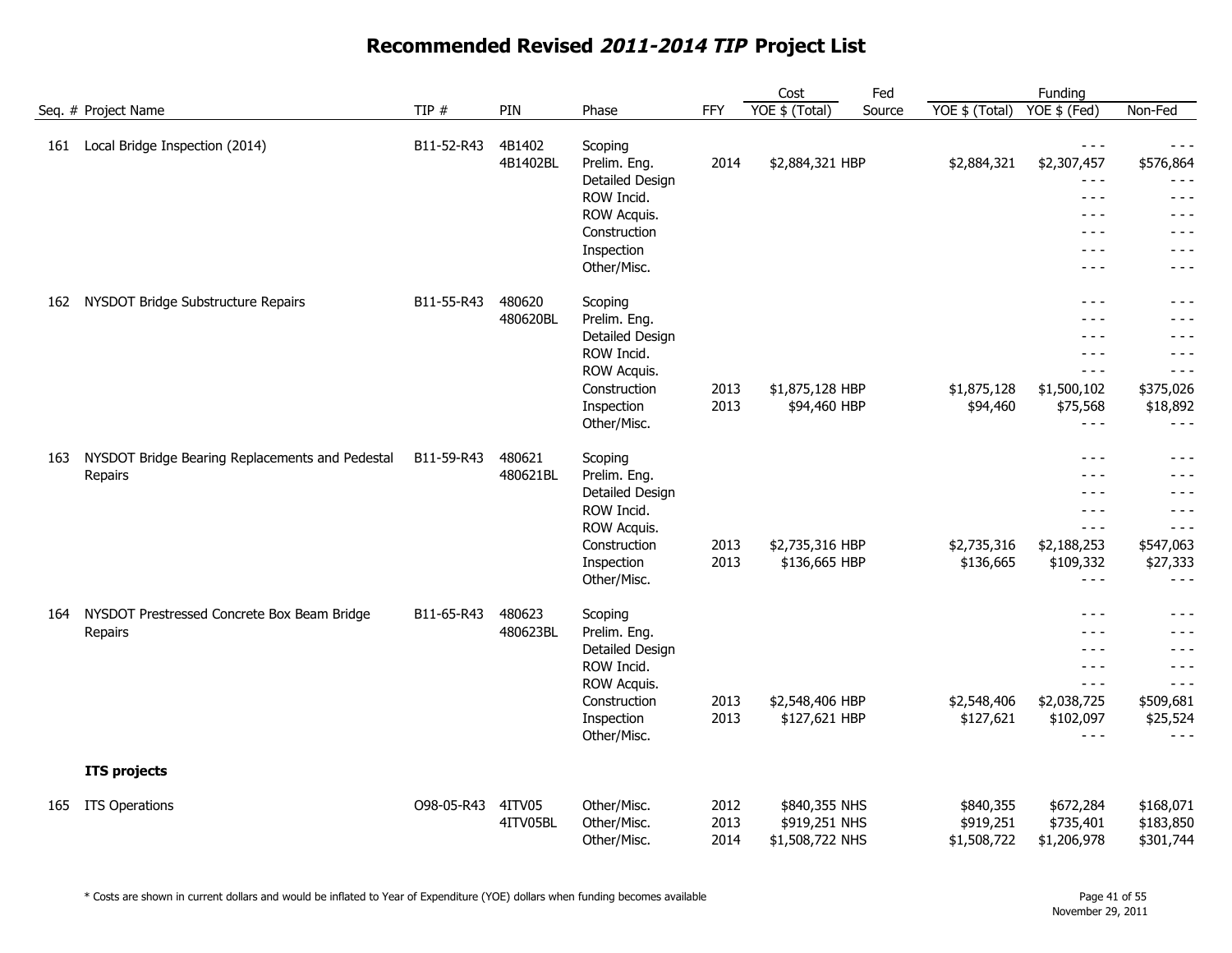|     |                                                            |            |                    |                                                                                                                      |                      | Cost                                              | Fed    |                                       | Funding                                                                                  |                                                                                   |
|-----|------------------------------------------------------------|------------|--------------------|----------------------------------------------------------------------------------------------------------------------|----------------------|---------------------------------------------------|--------|---------------------------------------|------------------------------------------------------------------------------------------|-----------------------------------------------------------------------------------|
|     | Seq. # Project Name                                        | TIP #      | PIN                | Phase                                                                                                                | FFY                  | YOE \$ (Total)                                    | Source | YOE \$ (Total)                        | YOE \$ (Fed)                                                                             | Non-Fed                                                                           |
| 161 | Local Bridge Inspection (2014)                             | B11-52-R43 | 4B1402<br>4B1402BL | Scoping<br>Prelim. Eng.<br>Detailed Design<br>ROW Incid.<br>ROW Acquis.<br>Construction<br>Inspection<br>Other/Misc. | 2014                 | \$2,884,321 HBP                                   |        | \$2,884,321                           | $- - -$<br>\$2,307,457<br>$- - -$<br>$  -$<br>$- - -$<br>$- - -$<br>$- - -$<br>$- - -$   | - - -<br>\$576,864<br>- - -<br>$- - -$<br>- - -<br>- - -<br>$- - -$<br>$- - -$    |
| 162 | NYSDOT Bridge Substructure Repairs                         | B11-55-R43 | 480620<br>480620BL | Scoping<br>Prelim. Eng.<br>Detailed Design<br>ROW Incid.<br>ROW Acquis.<br>Construction<br>Inspection<br>Other/Misc. | 2013<br>2013         | \$1,875,128 HBP<br>\$94,460 HBP                   |        | \$1,875,128<br>\$94,460               | $- - -$<br>- - -<br>$- - -$<br>$  -$<br>$  -$<br>\$1,500,102<br>\$75,568<br>$- - -$      | $- - -$<br>- - -<br>- - -<br>$- - -$<br>$- - -$<br>\$375,026<br>\$18,892<br>- - - |
| 163 | NYSDOT Bridge Bearing Replacements and Pedestal<br>Repairs | B11-59-R43 | 480621<br>480621BL | Scoping<br>Prelim. Eng.<br>Detailed Design<br>ROW Incid.<br>ROW Acquis.<br>Construction<br>Inspection<br>Other/Misc. | 2013<br>2013         | \$2,735,316 HBP<br>\$136,665 HBP                  |        | \$2,735,316<br>\$136,665              | $  -$<br>- - -<br>$- - -$<br>$  -$<br>$- - -$<br>\$2,188,253<br>\$109,332<br>$- - -$     | $- - -$<br>- - -<br>- - -<br>$- - -$<br>- - -<br>\$547,063<br>\$27,333<br>- - -   |
| 164 | NYSDOT Prestressed Concrete Box Beam Bridge<br>Repairs     | B11-65-R43 | 480623<br>480623BL | Scoping<br>Prelim. Eng.<br>Detailed Design<br>ROW Incid.<br>ROW Acquis.<br>Construction<br>Inspection<br>Other/Misc. | 2013<br>2013         | \$2,548,406 HBP<br>\$127,621 HBP                  |        | \$2,548,406<br>\$127,621              | $- - -$<br>$- - -$<br>$- - -$<br>$- - -$<br>$- - -$<br>\$2,038,725<br>\$102,097<br>$  -$ | - - -<br>- - -<br>- - -<br>$- - -$<br>- - -<br>\$509,681<br>\$25,524<br>$  -$     |
|     | <b>ITS projects</b>                                        |            |                    |                                                                                                                      |                      |                                                   |        |                                       |                                                                                          |                                                                                   |
| 165 | <b>ITS Operations</b>                                      | O98-05-R43 | 4ITV05<br>4ITV05BL | Other/Misc.<br>Other/Misc.<br>Other/Misc.                                                                            | 2012<br>2013<br>2014 | \$840,355 NHS<br>\$919,251 NHS<br>\$1,508,722 NHS |        | \$840,355<br>\$919,251<br>\$1,508,722 | \$672,284<br>\$735,401<br>\$1,206,978                                                    | \$168,071<br>\$183,850<br>\$301,744                                               |

\* Costs are shown in current dollars and would be inflated to Year of Expenditure (YOE) dollars when funding becomes available Page 41 of 55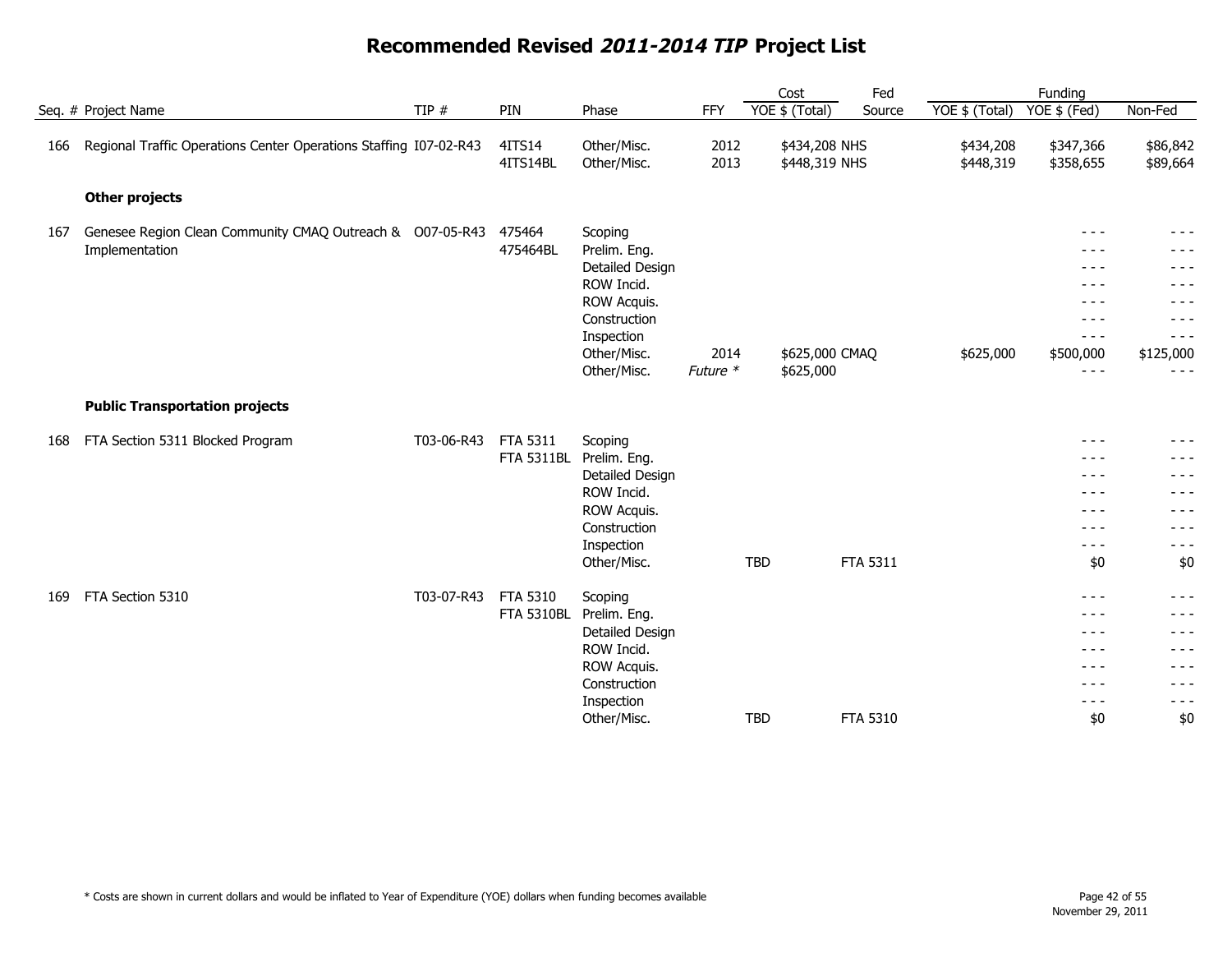|     |                                                                             |            |                    |                                            |                  |            | Cost                           | Fed             |                        | Funding                         |                               |
|-----|-----------------------------------------------------------------------------|------------|--------------------|--------------------------------------------|------------------|------------|--------------------------------|-----------------|------------------------|---------------------------------|-------------------------------|
|     | Seq. # Project Name                                                         | TIP $#$    | PIN                | Phase                                      | <b>FFY</b>       |            | YOE \$ (Total)                 | Source          | YOE \$ (Total)         | YOE \$ (Fed)                    | Non-Fed                       |
| 166 | Regional Traffic Operations Center Operations Staffing I07-02-R43           |            | 4ITS14<br>4ITS14BL | Other/Misc.<br>Other/Misc.                 | 2012<br>2013     |            | \$434,208 NHS<br>\$448,319 NHS |                 | \$434,208<br>\$448,319 | \$347,366<br>\$358,655          | \$86,842<br>\$89,664          |
|     | <b>Other projects</b>                                                       |            |                    |                                            |                  |            |                                |                 |                        |                                 |                               |
| 167 | Genesee Region Clean Community CMAQ Outreach & O07-05-R43<br>Implementation |            | 475464<br>475464BL | Scoping<br>Prelim. Eng.<br>Detailed Design |                  |            |                                |                 |                        | $- - -$<br>- - -<br>- - -       | $- - -$<br>- - -<br>$- - -$   |
|     |                                                                             |            |                    | ROW Incid.<br>ROW Acquis.<br>Construction  |                  |            |                                |                 |                        | - - -<br>- - -<br>$- - -$       | $- - -$                       |
|     |                                                                             |            |                    | Inspection<br>Other/Misc.<br>Other/Misc.   | 2014<br>Future * |            | \$625,000 CMAQ<br>\$625,000    |                 | \$625,000              | $- - -$<br>\$500,000<br>$- - -$ | $- - -$<br>\$125,000<br>- - - |
|     | <b>Public Transportation projects</b>                                       |            |                    |                                            |                  |            |                                |                 |                        |                                 |                               |
| 168 | FTA Section 5311 Blocked Program                                            | T03-06-R43 | FTA 5311           | Scoping                                    |                  |            |                                |                 |                        | $- - -$                         | $- - -$                       |
|     |                                                                             |            | <b>FTA 5311BL</b>  | Prelim. Eng.                               |                  |            |                                |                 |                        | - - -                           |                               |
|     |                                                                             |            |                    | Detailed Design                            |                  |            |                                |                 |                        | $- - -$                         | - - -                         |
|     |                                                                             |            |                    | ROW Incid.                                 |                  |            |                                |                 |                        | $- - -$                         | - - -                         |
|     |                                                                             |            |                    | ROW Acquis.                                |                  |            |                                |                 |                        | $  -$                           | $- - -$                       |
|     |                                                                             |            |                    | Construction                               |                  |            |                                |                 |                        | $- - -$                         | - - -                         |
|     |                                                                             |            |                    | Inspection                                 |                  |            |                                |                 |                        | $- - -$                         | $- - -$                       |
|     |                                                                             |            |                    | Other/Misc.                                |                  | <b>TBD</b> |                                | FTA 5311        |                        | \$0                             | \$0                           |
| 169 | FTA Section 5310                                                            | T03-07-R43 | FTA 5310           | Scoping                                    |                  |            |                                |                 |                        | $- - -$                         | $- - -$                       |
|     |                                                                             |            | <b>FTA 5310BL</b>  | Prelim. Eng.                               |                  |            |                                |                 |                        | $  -$                           | - - -                         |
|     |                                                                             |            |                    | Detailed Design                            |                  |            |                                |                 |                        | $- - -$                         |                               |
|     |                                                                             |            |                    | ROW Incid.                                 |                  |            |                                |                 |                        | $  -$                           | $  -$                         |
|     |                                                                             |            |                    | ROW Acquis.                                |                  |            |                                |                 |                        | $- - -$                         | $- - -$                       |
|     |                                                                             |            |                    | Construction                               |                  |            |                                |                 |                        | $  -$                           | - - -                         |
|     |                                                                             |            |                    | Inspection                                 |                  |            |                                |                 |                        | $- - -$                         | $- - -$                       |
|     |                                                                             |            |                    | Other/Misc.                                |                  | <b>TBD</b> |                                | <b>FTA 5310</b> |                        | \$0                             | \$0                           |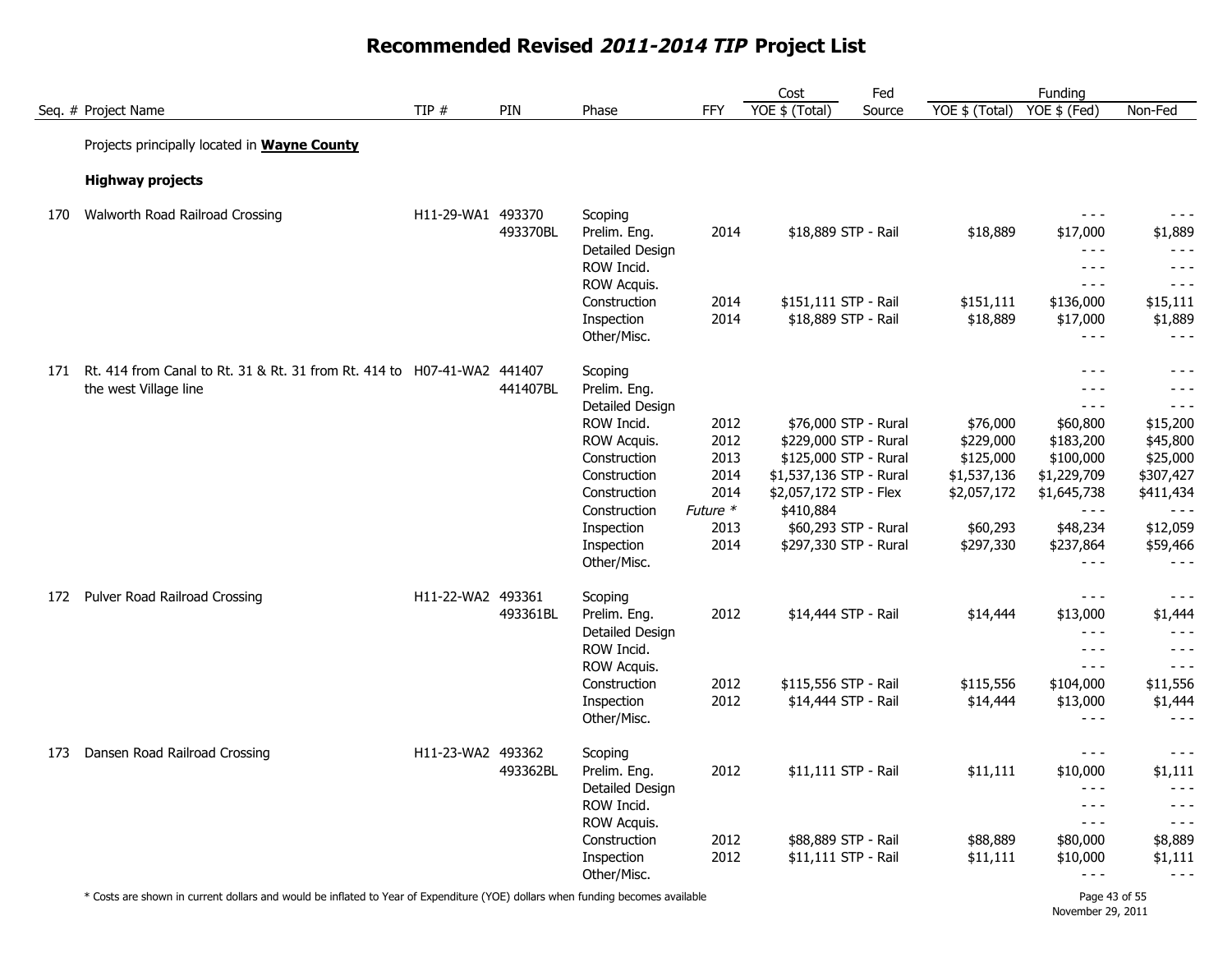|     |                                                                                                  |                   |          |                                                                         |                  | Cost                                          | Fed    |                       | Funding                                                                                                                                                                                                                                                                                                                                                                                                  |                                                     |
|-----|--------------------------------------------------------------------------------------------------|-------------------|----------|-------------------------------------------------------------------------|------------------|-----------------------------------------------|--------|-----------------------|----------------------------------------------------------------------------------------------------------------------------------------------------------------------------------------------------------------------------------------------------------------------------------------------------------------------------------------------------------------------------------------------------------|-----------------------------------------------------|
|     | Seq. # Project Name                                                                              | TIP #             | PIN      | Phase                                                                   | FFY              | YOE \$ (Total)                                | Source | YOE \$ (Total)        | YOE \$ (Fed)                                                                                                                                                                                                                                                                                                                                                                                             | Non-Fed                                             |
|     | Projects principally located in <b>Wayne County</b>                                              |                   |          |                                                                         |                  |                                               |        |                       |                                                                                                                                                                                                                                                                                                                                                                                                          |                                                     |
|     | <b>Highway projects</b>                                                                          |                   |          |                                                                         |                  |                                               |        |                       |                                                                                                                                                                                                                                                                                                                                                                                                          |                                                     |
| 170 | Walworth Road Railroad Crossing                                                                  | H11-29-WA1 493370 | 493370BL | Scoping<br>Prelim. Eng.<br>Detailed Design<br>ROW Incid.<br>ROW Acquis. | 2014             | \$18,889 STP - Rail                           |        | \$18,889              | $- - -$<br>\$17,000<br>$\frac{1}{2}$<br>$- - -$<br>$- - -$                                                                                                                                                                                                                                                                                                                                               | $- - -$<br>\$1,889<br>$- - -$<br>$- - -$<br>$- - -$ |
|     |                                                                                                  |                   |          | Construction                                                            | 2014             | \$151,111 STP - Rail                          |        | \$151,111             | \$136,000                                                                                                                                                                                                                                                                                                                                                                                                | \$15,111                                            |
|     |                                                                                                  |                   |          | Inspection<br>Other/Misc.                                               | 2014             | \$18,889 STP - Rail                           |        | \$18,889              | \$17,000<br>$- - -$                                                                                                                                                                                                                                                                                                                                                                                      | \$1,889<br>$- - -$                                  |
| 171 | Rt. 414 from Canal to Rt. 31 & Rt. 31 from Rt. 414 to H07-41-WA2 441407<br>the west Village line |                   | 441407BL | Scoping<br>Prelim. Eng.<br>Detailed Design                              |                  |                                               |        |                       | $- - -$<br>$- - -$<br>$- - -$                                                                                                                                                                                                                                                                                                                                                                            | $- - -$<br>- - -<br>$- - -$                         |
|     |                                                                                                  |                   |          | ROW Incid.                                                              | 2012             | \$76,000 STP - Rural                          |        | \$76,000              | \$60,800                                                                                                                                                                                                                                                                                                                                                                                                 | \$15,200                                            |
|     |                                                                                                  |                   |          | ROW Acquis.                                                             | 2012             | \$229,000 STP - Rural                         |        | \$229,000             | \$183,200                                                                                                                                                                                                                                                                                                                                                                                                | \$45,800                                            |
|     |                                                                                                  |                   |          | Construction                                                            | 2013             | \$125,000 STP - Rural                         |        | \$125,000             | \$100,000                                                                                                                                                                                                                                                                                                                                                                                                | \$25,000                                            |
|     |                                                                                                  |                   |          | Construction                                                            | 2014             | \$1,537,136 STP - Rural                       |        | \$1,537,136           | \$1,229,709                                                                                                                                                                                                                                                                                                                                                                                              | \$307,427                                           |
|     |                                                                                                  |                   |          | Construction<br>Construction                                            | 2014<br>Future * | \$2,057,172 STP - Flex<br>\$410,884           |        | \$2,057,172           | \$1,645,738<br>$  -$                                                                                                                                                                                                                                                                                                                                                                                     | \$411,434                                           |
|     |                                                                                                  |                   |          | Inspection<br>Inspection<br>Other/Misc.                                 | 2013<br>2014     | \$60,293 STP - Rural<br>\$297,330 STP - Rural |        | \$60,293<br>\$297,330 | \$48,234<br>\$237,864<br>$- - -$                                                                                                                                                                                                                                                                                                                                                                         | \$12,059<br>\$59,466<br>$- - -$                     |
| 172 | Pulver Road Railroad Crossing                                                                    | H11-22-WA2 493361 | 493361BL | Scoping<br>Prelim. Eng.<br>Detailed Design<br>ROW Incid.                | 2012             | \$14,444 STP - Rail                           |        | \$14,444              | $- - -$<br>\$13,000<br>$- - -$<br>$- - -$                                                                                                                                                                                                                                                                                                                                                                | $- - -$<br>\$1,444<br>$- - -$<br>$- - -$            |
|     |                                                                                                  |                   |          | ROW Acquis.                                                             |                  |                                               |        |                       | $- - -$                                                                                                                                                                                                                                                                                                                                                                                                  | $- - -$                                             |
|     |                                                                                                  |                   |          | Construction                                                            | 2012             | \$115,556 STP - Rail                          |        | \$115,556             | \$104,000                                                                                                                                                                                                                                                                                                                                                                                                | \$11,556                                            |
|     |                                                                                                  |                   |          | Inspection<br>Other/Misc.                                               | 2012             | \$14,444 STP - Rail                           |        | \$14,444              | \$13,000<br>$\frac{1}{2} \frac{1}{2} \frac{1}{2} \frac{1}{2} \frac{1}{2} \frac{1}{2} \frac{1}{2} \frac{1}{2} \frac{1}{2} \frac{1}{2} \frac{1}{2} \frac{1}{2} \frac{1}{2} \frac{1}{2} \frac{1}{2} \frac{1}{2} \frac{1}{2} \frac{1}{2} \frac{1}{2} \frac{1}{2} \frac{1}{2} \frac{1}{2} \frac{1}{2} \frac{1}{2} \frac{1}{2} \frac{1}{2} \frac{1}{2} \frac{1}{2} \frac{1}{2} \frac{1}{2} \frac{1}{2} \frac{$ | \$1,444<br>$- - -$                                  |
| 173 | Dansen Road Railroad Crossing                                                                    | H11-23-WA2 493362 | 493362BL | Scoping<br>Prelim. Eng.<br>Detailed Design<br>ROW Incid.                | 2012             | \$11,111 STP - Rail                           |        | \$11,111              | $- - -$<br>\$10,000<br>$- - -$<br>$- - -$                                                                                                                                                                                                                                                                                                                                                                | $- - -$<br>\$1,111<br>$- - -$<br>$- - -$            |
|     |                                                                                                  |                   |          | ROW Acquis.                                                             |                  |                                               |        |                       | $- - -$                                                                                                                                                                                                                                                                                                                                                                                                  | $\sim$ $\sim$ $\sim$                                |
|     |                                                                                                  |                   |          | Construction                                                            | 2012             | \$88,889 STP - Rail                           |        | \$88,889              | \$80,000                                                                                                                                                                                                                                                                                                                                                                                                 | \$8,889                                             |
|     |                                                                                                  |                   |          | Inspection<br>Other/Misc.                                               | 2012             | \$11,111 STP - Rail                           |        | \$11,111              | \$10,000<br>$- - -$                                                                                                                                                                                                                                                                                                                                                                                      | \$1,111<br>$- - -$                                  |

\* Costs are shown in current dollars and would be inflated to Year of Expenditure (YOE) dollars when funding becomes available Page 43 of 55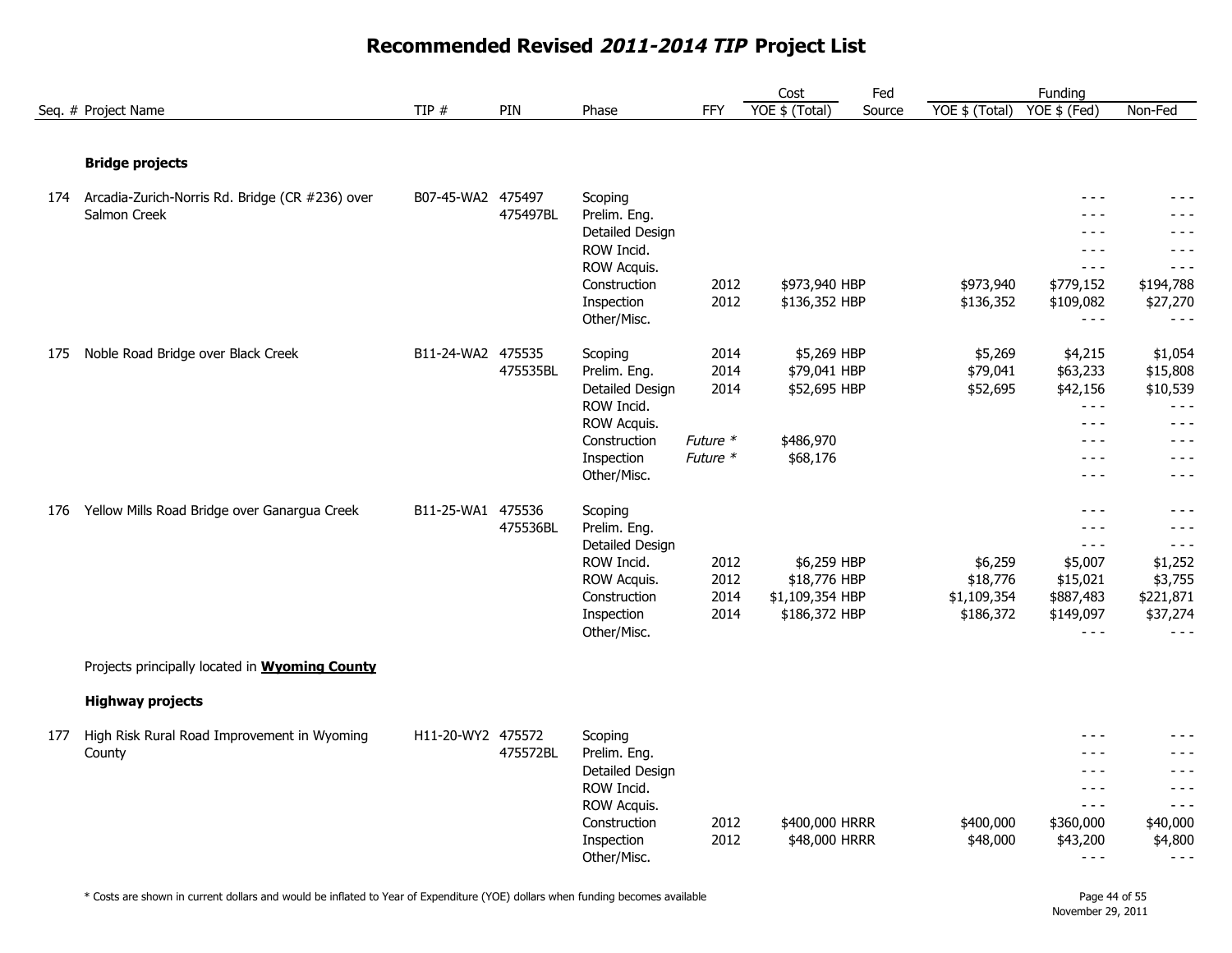#### Cost Seq. # Project Name TIP # TIP # PIN Phase FFY YOE \$ (Total) Source YOE \$ (Total) YOE \$ (Fed) Non-Fed Fed Funding Source **Bridge projects** 174 B07-45-WA2 475497 Scoping - - - - - - Arcadia-Zurich-Norris Rd. Bridge (CR #236) over 475497BL Prelim. Eng. - - - - - - Detailed Design - - - - - - ROW Incid. **All the second contract of the second contract of the second contract of the second contract of the second contract of the second contract of the second contract of the second contract of the second contract of** ROW Acquis. - - - - - - Construction 2012 \$973,940 HBP \$973,940 \$779,152 \$194,788 Inspection 2012 \$136,352 HBP \$136,352 \$109,082 \$27,270 Other/Misc. - - - - - - 175 Noble Road Bridge over Black Creek **B11-24-WA2 475535** Scoping 2014 \$5,269 HBP \$5,269 \$4,215 \$1,054 475535BL Prelim. Eng. 2014 \$79,041 HBP \$79,041 \$63,233 \$15,808 Detailed Design 2014 \$52,695 HBP \$52,695 \$42,156 \$10,539 ROW Incid. **All the second contract of the second contract of the second contract of the second contract of the second contract of the second contract of the second contract of the second contract of the second contract of** ROW Acquis. **Acquis.**  $\overline{a}$  -  $\overline{b}$  -  $\overline{c}$  -  $\overline{c}$  -  $\overline{c}$  -  $\overline{c}$  -  $\overline{c}$  -  $\overline{c}$  -  $\overline{c}$  -  $\overline{c}$  -  $\overline{c}$  -  $\overline{c}$  -  $\overline{c}$  -  $\overline{c}$  -  $\overline{c}$  -  $\overline{c}$  -  $\overline{c}$  -  $\overline{c}$  -  $\$ Construction Future \* \$486,970 - - - - - - Inspection  $Future *$   $$68,176$   $588,176$   $588,176$   $588,176$   $588,176$   $588,176$   $588,176$   $588,176$   $588,176$   $588,176$   $588,176$   $588,176$   $588,176$   $588,176$   $588,176$   $588,176$   $588,176$   $588,176$   $588,176$   $588,176$   $588,$ Other/Misc. - - - - - - 176 Yellow Mills Road Bridge over Ganargua Creek B11-25-WA1 475536 Scoping Scoping Franch Communication of the Scoping Scoping Scoping Scoping Scoping Scoping Scoping Scoping Scoping Scoping Scoping Scoping Scoping Scoping 475536BL Prelim. Eng. - - - - - - Detailed Design - - - - - - ROW Incid. 2012 \$6,259 HBP \$6,259 \$5,007 \$1,252 ROW Acquis. 2012 \$18,776 HBP \$18,776 \$15,021 \$3,755 Construction 2014 \$1,109,354 HBP \$1,109,354 \$887,483 \$221,871 Inspection 2014 \$186,372 HBP \$186,372 \$149,097 \$37,274 Other/Misc. - - - - - - Projects principally located in **Wyoming County Highway projects** 177 High Risk Rural Road Improvement in Wyoming 1991-11-20-WY2 475572 Scoping 1997 1998 1999 1999 1999 1999 199 475572BL Prelim. Eng. - - - - - - Detailed Design - - - - - - ROW Incid. - - - - - - ROW Acquis. The second service of the service of the service of the service of the service of the service of the service of the service of the service of the service of the service of the service of the service of the serv Construction 2012 \$400,000 HRRR \$400,000 \$360,000 \$40,000 Inspection 2012 \$48,000 HRRR \$48,000 \$43,200 \$4,800 Other/Misc. - - - - - - Salmon Creek County

#### **Recommended Revised 2011-2014 TIP Project List**

\* Costs are shown in current dollars and would be inflated to Year of Expenditure (YOE) dollars when funding becomes available Page 44 of 55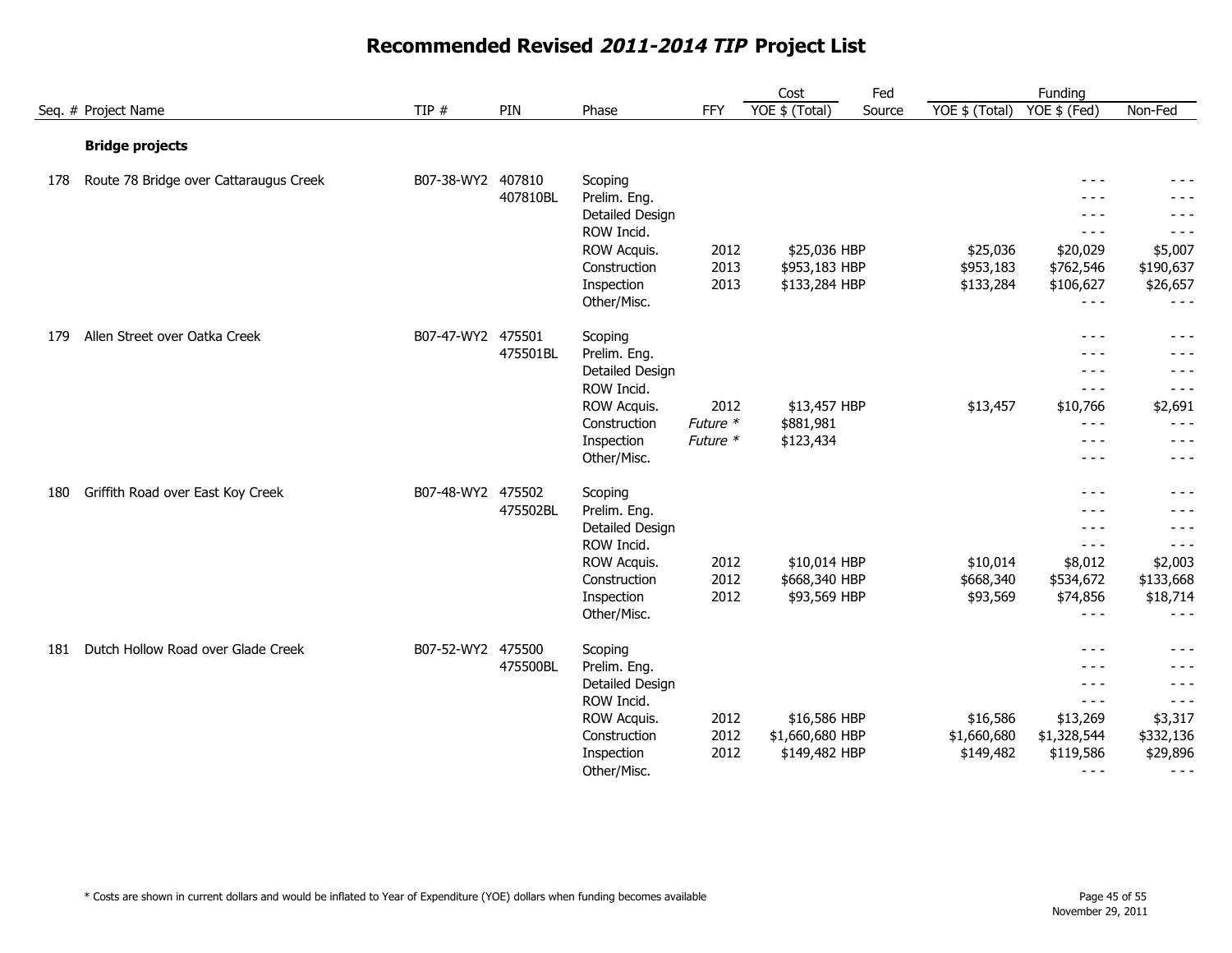|     |                                        |                   |          |                 |          | Cost            | Fed    |                | Funding                                                                                                                                                                                                                                                                                                                                                                                      |           |
|-----|----------------------------------------|-------------------|----------|-----------------|----------|-----------------|--------|----------------|----------------------------------------------------------------------------------------------------------------------------------------------------------------------------------------------------------------------------------------------------------------------------------------------------------------------------------------------------------------------------------------------|-----------|
|     | Seq. # Project Name                    | TIP $#$           | PIN      | Phase           | FFY      | YOE \$ (Total)  | Source | YOE \$ (Total) | YOE \$ (Fed)                                                                                                                                                                                                                                                                                                                                                                                 | Non-Fed   |
|     | <b>Bridge projects</b>                 |                   |          |                 |          |                 |        |                |                                                                                                                                                                                                                                                                                                                                                                                              |           |
| 178 | Route 78 Bridge over Cattaraugus Creek | B07-38-WY2 407810 |          | Scoping         |          |                 |        |                | $  -$                                                                                                                                                                                                                                                                                                                                                                                        | $- - -$   |
|     |                                        |                   | 407810BL | Prelim. Eng.    |          |                 |        |                | $- - -$                                                                                                                                                                                                                                                                                                                                                                                      | $- - -$   |
|     |                                        |                   |          | Detailed Design |          |                 |        |                | $- - -$                                                                                                                                                                                                                                                                                                                                                                                      | - - -     |
|     |                                        |                   |          | ROW Incid.      |          |                 |        |                | $- - -$                                                                                                                                                                                                                                                                                                                                                                                      | $- - -$   |
|     |                                        |                   |          | ROW Acquis.     | 2012     | \$25,036 HBP    |        | \$25,036       | \$20,029                                                                                                                                                                                                                                                                                                                                                                                     | \$5,007   |
|     |                                        |                   |          | Construction    | 2013     | \$953,183 HBP   |        | \$953,183      | \$762,546                                                                                                                                                                                                                                                                                                                                                                                    | \$190,637 |
|     |                                        |                   |          | Inspection      | 2013     | \$133,284 HBP   |        | \$133,284      | \$106,627                                                                                                                                                                                                                                                                                                                                                                                    | \$26,657  |
|     |                                        |                   |          | Other/Misc.     |          |                 |        |                | $- - -$                                                                                                                                                                                                                                                                                                                                                                                      | $- - -$   |
| 179 | Allen Street over Oatka Creek          | B07-47-WY2 475501 |          | Scoping         |          |                 |        |                | $- - -$                                                                                                                                                                                                                                                                                                                                                                                      | $- - -$   |
|     |                                        |                   | 475501BL | Prelim. Eng.    |          |                 |        |                | $- - -$                                                                                                                                                                                                                                                                                                                                                                                      | $- - -$   |
|     |                                        |                   |          | Detailed Design |          |                 |        |                | $\frac{1}{2}$                                                                                                                                                                                                                                                                                                                                                                                | - - -     |
|     |                                        |                   |          | ROW Incid.      |          |                 |        |                | $- - -$                                                                                                                                                                                                                                                                                                                                                                                      | $- - -$   |
|     |                                        |                   |          | ROW Acquis.     | 2012     | \$13,457 HBP    |        | \$13,457       | \$10,766                                                                                                                                                                                                                                                                                                                                                                                     | \$2,691   |
|     |                                        |                   |          | Construction    | Future * | \$881,981       |        |                | $- - -$                                                                                                                                                                                                                                                                                                                                                                                      | $- - -$   |
|     |                                        |                   |          | Inspection      | Future * | \$123,434       |        |                | $- - -$                                                                                                                                                                                                                                                                                                                                                                                      | $- - -$   |
|     |                                        |                   |          | Other/Misc.     |          |                 |        |                | $- - -$                                                                                                                                                                                                                                                                                                                                                                                      | - - -     |
| 180 | Griffith Road over East Koy Creek      | B07-48-WY2 475502 |          | Scoping         |          |                 |        |                | $- - -$                                                                                                                                                                                                                                                                                                                                                                                      | $- - -$   |
|     |                                        |                   | 475502BL | Prelim. Eng.    |          |                 |        |                | $- - -$                                                                                                                                                                                                                                                                                                                                                                                      | $- - -$   |
|     |                                        |                   |          | Detailed Design |          |                 |        |                | $- - -$                                                                                                                                                                                                                                                                                                                                                                                      | $- - -$   |
|     |                                        |                   |          | ROW Incid.      |          |                 |        |                | $\frac{1}{2} \frac{1}{2} \frac{1}{2} \frac{1}{2} \frac{1}{2} \frac{1}{2} \frac{1}{2} \frac{1}{2} \frac{1}{2} \frac{1}{2} \frac{1}{2} \frac{1}{2} \frac{1}{2} \frac{1}{2} \frac{1}{2} \frac{1}{2} \frac{1}{2} \frac{1}{2} \frac{1}{2} \frac{1}{2} \frac{1}{2} \frac{1}{2} \frac{1}{2} \frac{1}{2} \frac{1}{2} \frac{1}{2} \frac{1}{2} \frac{1}{2} \frac{1}{2} \frac{1}{2} \frac{1}{2} \frac{$ | $- - -$   |
|     |                                        |                   |          | ROW Acquis.     | 2012     | \$10,014 HBP    |        | \$10,014       | \$8,012                                                                                                                                                                                                                                                                                                                                                                                      | \$2,003   |
|     |                                        |                   |          | Construction    | 2012     | \$668,340 HBP   |        | \$668,340      | \$534,672                                                                                                                                                                                                                                                                                                                                                                                    | \$133,668 |
|     |                                        |                   |          | Inspection      | 2012     | \$93,569 HBP    |        | \$93,569       | \$74,856                                                                                                                                                                                                                                                                                                                                                                                     | \$18,714  |
|     |                                        |                   |          | Other/Misc.     |          |                 |        |                | $- - -$                                                                                                                                                                                                                                                                                                                                                                                      | $- - -$   |
| 181 | Dutch Hollow Road over Glade Creek     | B07-52-WY2 475500 |          | Scoping         |          |                 |        |                | $- - -$                                                                                                                                                                                                                                                                                                                                                                                      | - - -     |
|     |                                        |                   | 475500BL | Prelim. Eng.    |          |                 |        |                | - - -                                                                                                                                                                                                                                                                                                                                                                                        |           |
|     |                                        |                   |          | Detailed Design |          |                 |        |                | $- - -$                                                                                                                                                                                                                                                                                                                                                                                      | $- - -$   |
|     |                                        |                   |          | ROW Incid.      |          |                 |        |                | $- - -$                                                                                                                                                                                                                                                                                                                                                                                      | $- - -$   |
|     |                                        |                   |          | ROW Acquis.     | 2012     | \$16,586 HBP    |        | \$16,586       | \$13,269                                                                                                                                                                                                                                                                                                                                                                                     | \$3,317   |
|     |                                        |                   |          | Construction    | 2012     | \$1,660,680 HBP |        | \$1,660,680    | \$1,328,544                                                                                                                                                                                                                                                                                                                                                                                  | \$332,136 |
|     |                                        |                   |          | Inspection      | 2012     | \$149,482 HBP   |        | \$149,482      | \$119,586                                                                                                                                                                                                                                                                                                                                                                                    | \$29,896  |
|     |                                        |                   |          | Other/Misc.     |          |                 |        |                | $- - -$                                                                                                                                                                                                                                                                                                                                                                                      | $- - -$   |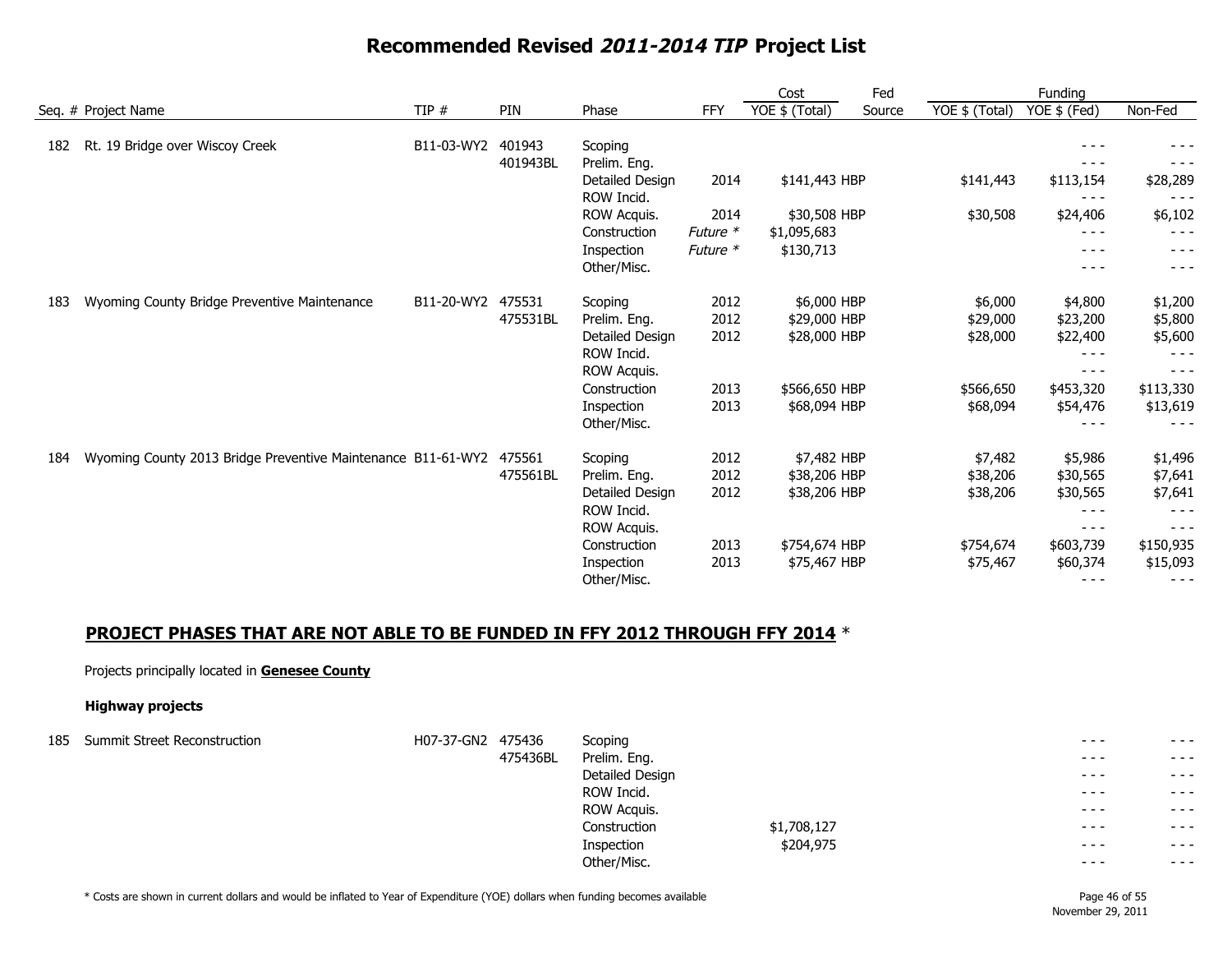|     |                                                              |            |          |                 |            | Cost           | Fed    |                | Funding      |           |
|-----|--------------------------------------------------------------|------------|----------|-----------------|------------|----------------|--------|----------------|--------------|-----------|
|     | Seq. # Project Name                                          | TIP#       | PIN      | Phase           | <b>FFY</b> | YOE \$ (Total) | Source | YOE \$ (Total) | YOE \$ (Fed) | Non-Fed   |
| 182 | Rt. 19 Bridge over Wiscoy Creek                              | B11-03-WY2 | 401943   | Scoping         |            |                |        |                |              |           |
|     |                                                              |            | 401943BL | Prelim. Eng.    |            |                |        |                |              |           |
|     |                                                              |            |          | Detailed Design | 2014       | \$141,443 HBP  |        | \$141,443      | \$113,154    | \$28,289  |
|     |                                                              |            |          | ROW Incid.      |            |                |        |                | $- - -$      |           |
|     |                                                              |            |          | ROW Acquis.     | 2014       | \$30,508 HBP   |        | \$30,508       | \$24,406     | \$6,102   |
|     |                                                              |            |          | Construction    | Future $*$ | \$1,095,683    |        |                | $- - -$      |           |
|     |                                                              |            |          | Inspection      | Future *   | \$130,713      |        |                | $- - -$      | - - -     |
|     |                                                              |            |          | Other/Misc.     |            |                |        |                | $- - -$      | - - -     |
| 183 | Wyoming County Bridge Preventive Maintenance                 | B11-20-WY2 | 475531   | Scoping         | 2012       | \$6,000 HBP    |        | \$6,000        | \$4,800      | \$1,200   |
|     |                                                              |            | 475531BL | Prelim. Eng.    | 2012       | \$29,000 HBP   |        | \$29,000       | \$23,200     | \$5,800   |
|     |                                                              |            |          | Detailed Design | 2012       | \$28,000 HBP   |        | \$28,000       | \$22,400     | \$5,600   |
|     |                                                              |            |          | ROW Incid.      |            |                |        |                | $- - -$      |           |
|     |                                                              |            |          | ROW Acquis.     |            |                |        |                | $- - -$      | $- - -$   |
|     |                                                              |            |          | Construction    | 2013       | \$566,650 HBP  |        | \$566,650      | \$453,320    | \$113,330 |
|     |                                                              |            |          | Inspection      | 2013       | \$68,094 HBP   |        | \$68,094       | \$54,476     | \$13,619  |
|     |                                                              |            |          | Other/Misc.     |            |                |        |                |              |           |
| 184 | Wyoming County 2013 Bridge Preventive Maintenance B11-61-WY2 |            | 475561   | Scoping         | 2012       | \$7,482 HBP    |        | \$7,482        | \$5,986      | \$1,496   |
|     |                                                              |            | 475561BL | Prelim. Eng.    | 2012       | \$38,206 HBP   |        | \$38,206       | \$30,565     | \$7,641   |
|     |                                                              |            |          | Detailed Design | 2012       | \$38,206 HBP   |        | \$38,206       | \$30,565     | \$7,641   |
|     |                                                              |            |          | ROW Incid.      |            |                |        |                | $- - -$      |           |
|     |                                                              |            |          | ROW Acquis.     |            |                |        |                | $- - -$      | - - -     |
|     |                                                              |            |          | Construction    | 2013       | \$754,674 HBP  |        | \$754,674      | \$603,739    | \$150,935 |
|     |                                                              |            |          | Inspection      | 2013       | \$75,467 HBP   |        | \$75,467       | \$60,374     | \$15,093  |
|     |                                                              |            |          | Other/Misc.     |            |                |        |                | $- - -$      | $- - -$   |

#### **PROJECT PHASES THAT ARE NOT ABLE TO BE FUNDED IN FFY 2012 THROUGH FFY 2014** \*

#### Projects principally located in **Genesee County**

#### **Highway projects**

| 185 Summit Street Reconstruction | H07-37-GN2 475436 |          | Scoping         |             | $- - -$  | $\frac{1}{2}$                                                                                                                                                                                                                                                                                                                                                                                                                                  |
|----------------------------------|-------------------|----------|-----------------|-------------|----------|------------------------------------------------------------------------------------------------------------------------------------------------------------------------------------------------------------------------------------------------------------------------------------------------------------------------------------------------------------------------------------------------------------------------------------------------|
|                                  |                   | 475436BL | Prelim. Eng.    |             | $- - -$  | $- - -$                                                                                                                                                                                                                                                                                                                                                                                                                                        |
|                                  |                   |          | Detailed Design |             | $- - -$  | $- - -$                                                                                                                                                                                                                                                                                                                                                                                                                                        |
|                                  |                   |          | ROW Incid.      |             | $- - -$  | $- - -$                                                                                                                                                                                                                                                                                                                                                                                                                                        |
|                                  |                   |          | ROW Acquis.     |             | $- - -$  | $- - -$                                                                                                                                                                                                                                                                                                                                                                                                                                        |
|                                  |                   |          | Construction    | \$1,708,127 | $- - -$  | $\frac{1}{2} \left( \frac{1}{2} \right) + \frac{1}{2} \left( \frac{1}{2} \right) + \frac{1}{2} \left( \frac{1}{2} \right) + \frac{1}{2} \left( \frac{1}{2} \right) + \frac{1}{2} \left( \frac{1}{2} \right) + \frac{1}{2} \left( \frac{1}{2} \right) + \frac{1}{2} \left( \frac{1}{2} \right) + \frac{1}{2} \left( \frac{1}{2} \right) + \frac{1}{2} \left( \frac{1}{2} \right) + \frac{1}{2} \left( \frac{1}{2} \right) + \frac{1}{2} \left($ |
|                                  |                   |          | Inspection      | \$204,975   | $- - -$  | $- - -$                                                                                                                                                                                                                                                                                                                                                                                                                                        |
|                                  |                   |          | Other/Misc.     |             | $\cdots$ | $- - -$                                                                                                                                                                                                                                                                                                                                                                                                                                        |

\* Costs are shown in current dollars and would be inflated to Year of Expenditure (YOE) dollars when funding becomes available Page 46 of 55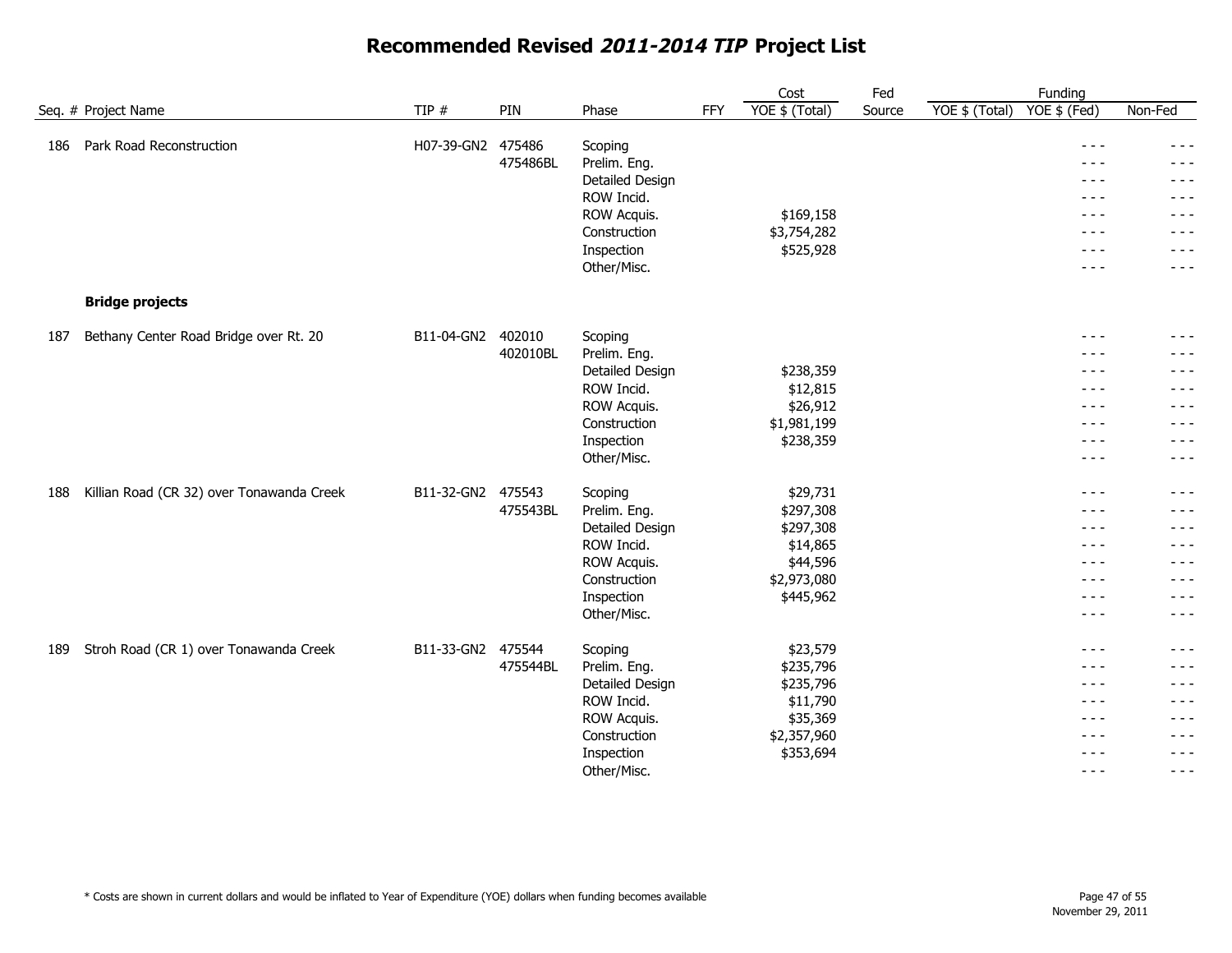|     |                                           |                   |                    |                                                                                                                      |     | Cost                                                                                   | Fed    | Funding                                                                                                            |                                                                                                                                                                                                                                                                                                                                                                                                                                                                         |
|-----|-------------------------------------------|-------------------|--------------------|----------------------------------------------------------------------------------------------------------------------|-----|----------------------------------------------------------------------------------------|--------|--------------------------------------------------------------------------------------------------------------------|-------------------------------------------------------------------------------------------------------------------------------------------------------------------------------------------------------------------------------------------------------------------------------------------------------------------------------------------------------------------------------------------------------------------------------------------------------------------------|
|     | Seq. # Project Name                       | TIP #             | PIN                | Phase                                                                                                                | FFY | YOE \$ (Total)                                                                         | Source | YOE \$ (Fed)<br>YOE \$ (Total)                                                                                     | Non-Fed                                                                                                                                                                                                                                                                                                                                                                                                                                                                 |
| 186 | Park Road Reconstruction                  | H07-39-GN2        | 475486<br>475486BL | Scoping<br>Prelim. Eng.<br>Detailed Design<br>ROW Incid.<br>ROW Acquis.<br>Construction<br>Inspection<br>Other/Misc. |     | \$169,158<br>\$3,754,282<br>\$525,928                                                  |        | $\frac{1}{2}$<br>$- - -$<br>$- - -$<br>$- - -$<br>$\frac{1}{2}$<br>$\frac{1}{2}$<br>$\frac{1}{2}$<br>$- - -$       | $\frac{1}{2}$<br>- - -<br>- - -<br>$- - -$<br>$\frac{1}{2} \frac{1}{2} \frac{1}{2} \frac{1}{2} \frac{1}{2} \frac{1}{2} \frac{1}{2} \frac{1}{2} \frac{1}{2} \frac{1}{2} \frac{1}{2} \frac{1}{2} \frac{1}{2} \frac{1}{2} \frac{1}{2} \frac{1}{2} \frac{1}{2} \frac{1}{2} \frac{1}{2} \frac{1}{2} \frac{1}{2} \frac{1}{2} \frac{1}{2} \frac{1}{2} \frac{1}{2} \frac{1}{2} \frac{1}{2} \frac{1}{2} \frac{1}{2} \frac{1}{2} \frac{1}{2} \frac{$<br>- - -<br>- - -<br>$- - -$ |
|     | <b>Bridge projects</b>                    |                   |                    |                                                                                                                      |     |                                                                                        |        |                                                                                                                    |                                                                                                                                                                                                                                                                                                                                                                                                                                                                         |
| 187 | Bethany Center Road Bridge over Rt. 20    | B11-04-GN2 402010 | 402010BL           | Scoping<br>Prelim. Eng.<br>Detailed Design<br>ROW Incid.<br>ROW Acquis.<br>Construction<br>Inspection<br>Other/Misc. |     | \$238,359<br>\$12,815<br>\$26,912<br>\$1,981,199<br>\$238,359                          |        | $\frac{1}{2}$<br>- - -<br>$- - -$<br>$- - -$<br>$\frac{1}{2}$<br>$- - -$<br>$\frac{1}{2}$<br>$- - -$               | $- - -$<br>- - -<br>- - -<br>- - -<br>$- - -$<br>$- - -$<br>- - -<br>$- - -$                                                                                                                                                                                                                                                                                                                                                                                            |
| 188 | Killian Road (CR 32) over Tonawanda Creek | B11-32-GN2 475543 | 475543BL           | Scoping<br>Prelim. Eng.<br>Detailed Design<br>ROW Incid.<br>ROW Acquis.<br>Construction<br>Inspection<br>Other/Misc. |     | \$29,731<br>\$297,308<br>\$297,308<br>\$14,865<br>\$44,596<br>\$2,973,080<br>\$445,962 |        | $- - -$<br>$\frac{1}{2}$<br>$\frac{1}{2}$<br>$- - -$<br>$\frac{1}{2}$<br>$- - -$<br>$\frac{1}{2}$<br>$\frac{1}{2}$ | $- - -$<br>$- - -$<br>$- - -$<br>$- - -$<br>$- - -$<br>- - -<br>$- - -$<br>- - -                                                                                                                                                                                                                                                                                                                                                                                        |
| 189 | Stroh Road (CR 1) over Tonawanda Creek    | B11-33-GN2        | 475544<br>475544BL | Scoping<br>Prelim. Eng.<br>Detailed Design<br>ROW Incid.<br>ROW Acquis.<br>Construction<br>Inspection<br>Other/Misc. |     | \$23,579<br>\$235,796<br>\$235,796<br>\$11,790<br>\$35,369<br>\$2,357,960<br>\$353,694 |        | $- - -$<br>$- - -$<br>$- - -$<br>$- - -$<br>$- - -$<br>$\frac{1}{2}$<br>$- - -$<br>$\frac{1}{2}$                   | - - -<br>$- - -$<br>$- - -$<br>$- - -$<br>- - -<br>$- - -$<br>- - -<br>$\frac{1}{2}$                                                                                                                                                                                                                                                                                                                                                                                    |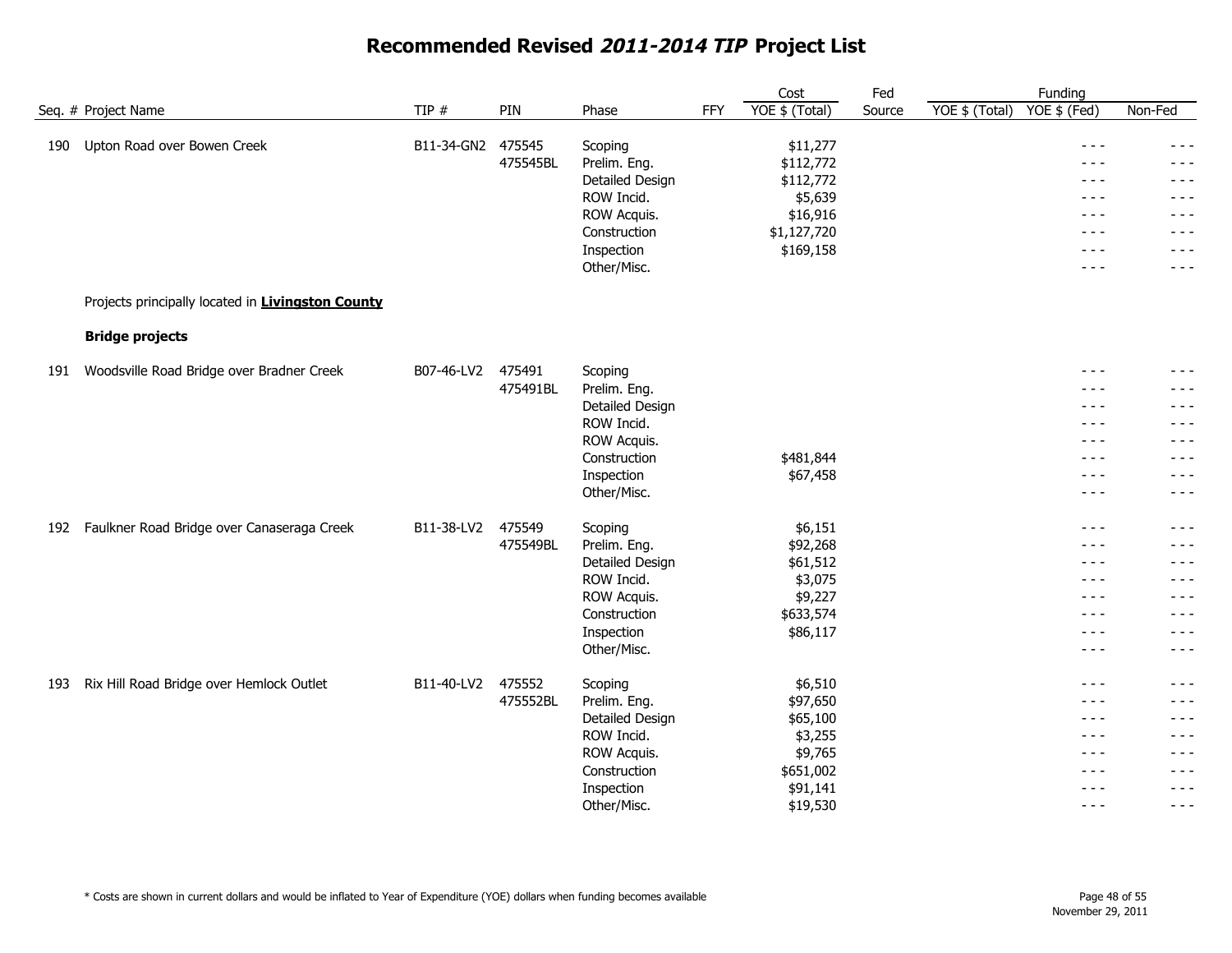|     |                                                   |                   |          |                         |            | Cost                  | Fed    |                | Funding                                                                                                                                                                                                                                                                                                                                                                                      |                  |
|-----|---------------------------------------------------|-------------------|----------|-------------------------|------------|-----------------------|--------|----------------|----------------------------------------------------------------------------------------------------------------------------------------------------------------------------------------------------------------------------------------------------------------------------------------------------------------------------------------------------------------------------------------------|------------------|
|     | Seq. # Project Name                               | TIP #             | PIN      | Phase                   | <b>FFY</b> | YOE \$ (Total)        | Source | YOE \$ (Total) | $YOE$ \$ (Fed)                                                                                                                                                                                                                                                                                                                                                                               | Non-Fed          |
|     |                                                   |                   |          |                         |            |                       |        |                | $- - -$                                                                                                                                                                                                                                                                                                                                                                                      |                  |
| 190 | Upton Road over Bowen Creek                       | B11-34-GN2 475545 | 475545BL | Scoping<br>Prelim. Eng. |            | \$11,277<br>\$112,772 |        |                | $- - -$                                                                                                                                                                                                                                                                                                                                                                                      | $- - -$<br>- - - |
|     |                                                   |                   |          | Detailed Design         |            | \$112,772             |        |                | $- - -$                                                                                                                                                                                                                                                                                                                                                                                      | $- - -$          |
|     |                                                   |                   |          | ROW Incid.              |            | \$5,639               |        |                | $- - -$                                                                                                                                                                                                                                                                                                                                                                                      | - - -            |
|     |                                                   |                   |          | ROW Acquis.             |            | \$16,916              |        |                | $- - -$                                                                                                                                                                                                                                                                                                                                                                                      | $- - -$          |
|     |                                                   |                   |          | Construction            |            | \$1,127,720           |        |                | $\frac{1}{2} \frac{1}{2} \frac{1}{2} \frac{1}{2} \frac{1}{2} \frac{1}{2} \frac{1}{2} \frac{1}{2} \frac{1}{2} \frac{1}{2} \frac{1}{2} \frac{1}{2} \frac{1}{2} \frac{1}{2} \frac{1}{2} \frac{1}{2} \frac{1}{2} \frac{1}{2} \frac{1}{2} \frac{1}{2} \frac{1}{2} \frac{1}{2} \frac{1}{2} \frac{1}{2} \frac{1}{2} \frac{1}{2} \frac{1}{2} \frac{1}{2} \frac{1}{2} \frac{1}{2} \frac{1}{2} \frac{$ | $- - -$          |
|     |                                                   |                   |          | Inspection              |            | \$169,158             |        |                | $- - -$                                                                                                                                                                                                                                                                                                                                                                                      | $- - -$          |
|     |                                                   |                   |          | Other/Misc.             |            |                       |        |                | $- - -$                                                                                                                                                                                                                                                                                                                                                                                      | $- - -$          |
|     | Projects principally located in Livingston County |                   |          |                         |            |                       |        |                |                                                                                                                                                                                                                                                                                                                                                                                              |                  |
|     | <b>Bridge projects</b>                            |                   |          |                         |            |                       |        |                |                                                                                                                                                                                                                                                                                                                                                                                              |                  |
| 191 | Woodsville Road Bridge over Bradner Creek         | B07-46-LV2        | 475491   | Scoping                 |            |                       |        |                | $\frac{1}{2} \frac{1}{2} \frac{1}{2} \frac{1}{2} \frac{1}{2} \frac{1}{2} \frac{1}{2} \frac{1}{2} \frac{1}{2} \frac{1}{2} \frac{1}{2} \frac{1}{2} \frac{1}{2} \frac{1}{2} \frac{1}{2} \frac{1}{2} \frac{1}{2} \frac{1}{2} \frac{1}{2} \frac{1}{2} \frac{1}{2} \frac{1}{2} \frac{1}{2} \frac{1}{2} \frac{1}{2} \frac{1}{2} \frac{1}{2} \frac{1}{2} \frac{1}{2} \frac{1}{2} \frac{1}{2} \frac{$ | $- - -$          |
|     |                                                   |                   | 475491BL | Prelim. Eng.            |            |                       |        |                | $- - -$                                                                                                                                                                                                                                                                                                                                                                                      | $- - -$          |
|     |                                                   |                   |          | Detailed Design         |            |                       |        |                | $- - -$                                                                                                                                                                                                                                                                                                                                                                                      | $- - -$          |
|     |                                                   |                   |          | ROW Incid.              |            |                       |        |                | $- - -$                                                                                                                                                                                                                                                                                                                                                                                      | $- - -$          |
|     |                                                   |                   |          | ROW Acquis.             |            |                       |        |                | $- - -$                                                                                                                                                                                                                                                                                                                                                                                      | $- - -$          |
|     |                                                   |                   |          | Construction            |            | \$481,844             |        |                | $- - -$                                                                                                                                                                                                                                                                                                                                                                                      | $- - -$          |
|     |                                                   |                   |          | Inspection              |            | \$67,458              |        |                | $\frac{1}{2} \frac{1}{2} \frac{1}{2} \frac{1}{2} \frac{1}{2} \frac{1}{2} \frac{1}{2} \frac{1}{2} \frac{1}{2} \frac{1}{2} \frac{1}{2} \frac{1}{2} \frac{1}{2} \frac{1}{2} \frac{1}{2} \frac{1}{2} \frac{1}{2} \frac{1}{2} \frac{1}{2} \frac{1}{2} \frac{1}{2} \frac{1}{2} \frac{1}{2} \frac{1}{2} \frac{1}{2} \frac{1}{2} \frac{1}{2} \frac{1}{2} \frac{1}{2} \frac{1}{2} \frac{1}{2} \frac{$ | - - -            |
|     |                                                   |                   |          | Other/Misc.             |            |                       |        |                | $\frac{1}{2} \frac{1}{2} \frac{1}{2} \frac{1}{2} \frac{1}{2} \frac{1}{2} \frac{1}{2} \frac{1}{2} \frac{1}{2} \frac{1}{2} \frac{1}{2} \frac{1}{2} \frac{1}{2} \frac{1}{2} \frac{1}{2} \frac{1}{2} \frac{1}{2} \frac{1}{2} \frac{1}{2} \frac{1}{2} \frac{1}{2} \frac{1}{2} \frac{1}{2} \frac{1}{2} \frac{1}{2} \frac{1}{2} \frac{1}{2} \frac{1}{2} \frac{1}{2} \frac{1}{2} \frac{1}{2} \frac{$ | $- - -$          |
| 192 | Faulkner Road Bridge over Canaseraga Creek        | B11-38-LV2        | 475549   | Scoping                 |            | \$6,151               |        |                | $\frac{1}{2}$                                                                                                                                                                                                                                                                                                                                                                                | $- - -$          |
|     |                                                   |                   | 475549BL | Prelim. Eng.            |            | \$92,268              |        |                | $- - -$                                                                                                                                                                                                                                                                                                                                                                                      | - - -            |
|     |                                                   |                   |          | Detailed Design         |            | \$61,512              |        |                | $- - -$                                                                                                                                                                                                                                                                                                                                                                                      | $- - -$          |
|     |                                                   |                   |          | ROW Incid.              |            | \$3,075               |        |                | $- - -$                                                                                                                                                                                                                                                                                                                                                                                      | $- - -$          |
|     |                                                   |                   |          | ROW Acquis.             |            | \$9,227               |        |                | $- - -$                                                                                                                                                                                                                                                                                                                                                                                      | - - -            |
|     |                                                   |                   |          | Construction            |            | \$633,574             |        |                | $- - -$                                                                                                                                                                                                                                                                                                                                                                                      | - - -            |
|     |                                                   |                   |          | Inspection              |            | \$86,117              |        |                | $\frac{1}{2}$                                                                                                                                                                                                                                                                                                                                                                                | - - -            |
|     |                                                   |                   |          | Other/Misc.             |            |                       |        |                | $- - -$                                                                                                                                                                                                                                                                                                                                                                                      | $- - -$          |
| 193 | Rix Hill Road Bridge over Hemlock Outlet          | B11-40-LV2        | 475552   | Scoping                 |            | \$6,510               |        |                | $- - -$                                                                                                                                                                                                                                                                                                                                                                                      | $- - -$          |
|     |                                                   |                   | 475552BL | Prelim. Eng.            |            | \$97,650              |        |                | $- - -$                                                                                                                                                                                                                                                                                                                                                                                      | $- - -$          |
|     |                                                   |                   |          | Detailed Design         |            | \$65,100              |        |                | $- - -$                                                                                                                                                                                                                                                                                                                                                                                      | $- - -$          |
|     |                                                   |                   |          | ROW Incid.              |            | \$3,255               |        |                | $- - -$                                                                                                                                                                                                                                                                                                                                                                                      | $- - -$          |
|     |                                                   |                   |          | ROW Acquis.             |            | \$9,765               |        |                | $- - -$                                                                                                                                                                                                                                                                                                                                                                                      | - - -            |
|     |                                                   |                   |          | Construction            |            | \$651,002             |        |                | $  -$                                                                                                                                                                                                                                                                                                                                                                                        | $- - -$          |
|     |                                                   |                   |          | Inspection              |            | \$91,141              |        |                | $- - -$                                                                                                                                                                                                                                                                                                                                                                                      | ---              |
|     |                                                   |                   |          | Other/Misc.             |            | \$19,530              |        |                | $\frac{1}{2} \frac{1}{2} \frac{1}{2} \frac{1}{2} \frac{1}{2} \frac{1}{2} \frac{1}{2} \frac{1}{2} \frac{1}{2} \frac{1}{2} \frac{1}{2} \frac{1}{2} \frac{1}{2} \frac{1}{2} \frac{1}{2} \frac{1}{2} \frac{1}{2} \frac{1}{2} \frac{1}{2} \frac{1}{2} \frac{1}{2} \frac{1}{2} \frac{1}{2} \frac{1}{2} \frac{1}{2} \frac{1}{2} \frac{1}{2} \frac{1}{2} \frac{1}{2} \frac{1}{2} \frac{1}{2} \frac{$ | $- - -$          |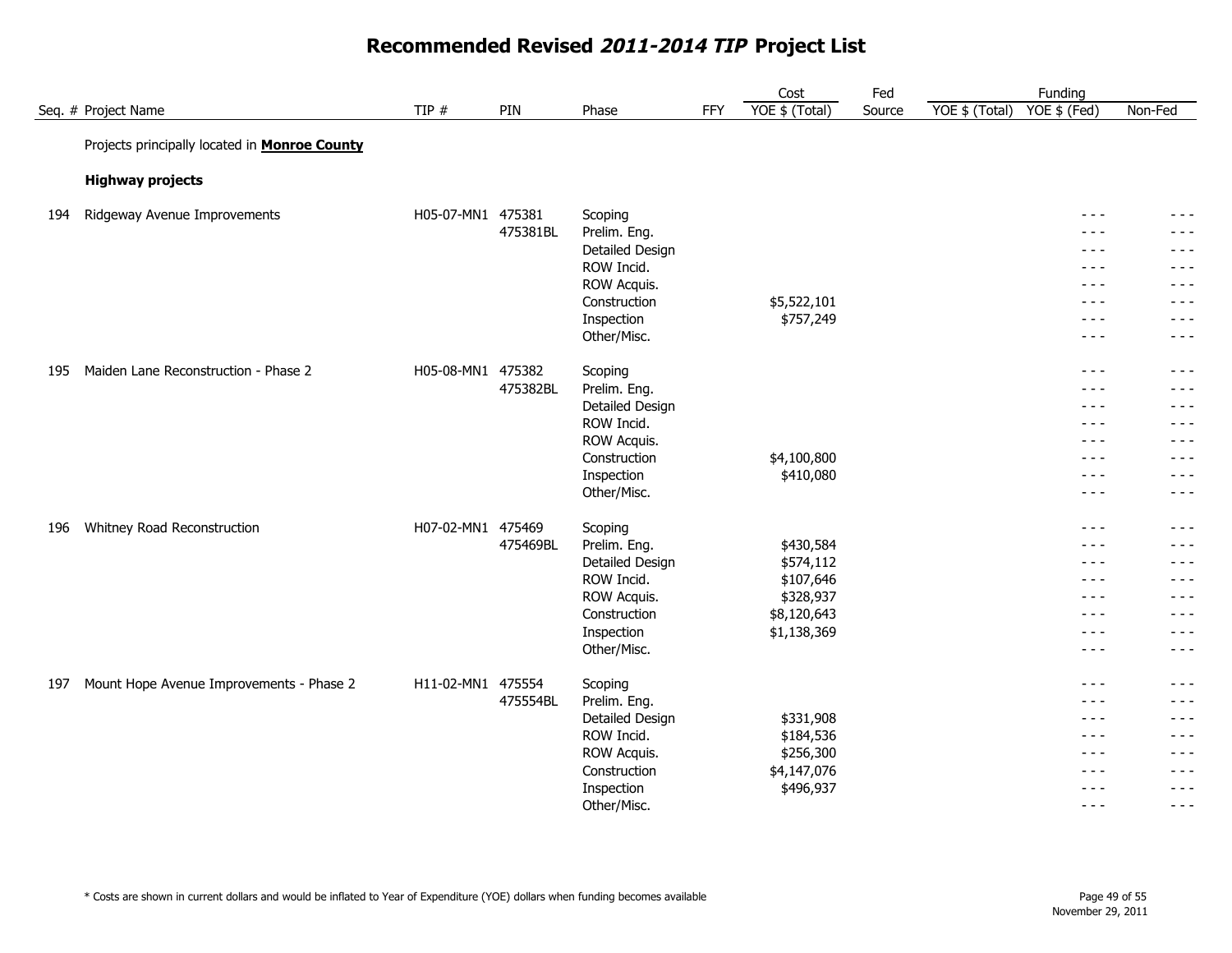|     |                                                      |                   |          |                           |     | Cost           | Fed    |                | Funding                  |                    |
|-----|------------------------------------------------------|-------------------|----------|---------------------------|-----|----------------|--------|----------------|--------------------------|--------------------|
|     | Seq. # Project Name                                  | TIP $#$           | PIN      | Phase                     | FFY | YOE \$ (Total) | Source | YOE \$ (Total) | YOE \$ (Fed)             | Non-Fed            |
|     | Projects principally located in <b>Monroe County</b> |                   |          |                           |     |                |        |                |                          |                    |
|     |                                                      |                   |          |                           |     |                |        |                |                          |                    |
|     | <b>Highway projects</b>                              |                   |          |                           |     |                |        |                |                          |                    |
| 194 | Ridgeway Avenue Improvements                         | H05-07-MN1 475381 |          | Scoping                   |     |                |        |                | $- - -$                  | - - -              |
|     |                                                      |                   | 475381BL | Prelim. Eng.              |     |                |        |                | $- - -$                  | $- - -$            |
|     |                                                      |                   |          | Detailed Design           |     |                |        |                | $- - -$                  | $- - -$            |
|     |                                                      |                   |          | ROW Incid.                |     |                |        |                | $\frac{1}{2}$            | $- - -$            |
|     |                                                      |                   |          | ROW Acquis.               |     |                |        |                | $\frac{1}{2}$            | - - -              |
|     |                                                      |                   |          | Construction              |     | \$5,522,101    |        |                | $- - -$                  | $- - -$            |
|     |                                                      |                   |          | Inspection<br>Other/Misc. |     | \$757,249      |        |                | $\frac{1}{2}$<br>$  -$   | $- - -$<br>$- - -$ |
|     |                                                      |                   |          |                           |     |                |        |                |                          |                    |
| 195 | Maiden Lane Reconstruction - Phase 2                 | H05-08-MN1 475382 |          | Scoping                   |     |                |        |                | $\frac{1}{2}$            | $- - -$            |
|     |                                                      |                   | 475382BL | Prelim. Eng.              |     |                |        |                | $- - -$                  | $- - -$            |
|     |                                                      |                   |          | Detailed Design           |     |                |        |                | $- - -$                  | $- - -$            |
|     |                                                      |                   |          | ROW Incid.                |     |                |        |                | $- - -$                  | $- - -$            |
|     |                                                      |                   |          | ROW Acquis.               |     |                |        |                | $- - -$                  | - - -              |
|     |                                                      |                   |          | Construction              |     | \$4,100,800    |        |                | $- - -$                  | $- - -$            |
|     |                                                      |                   |          | Inspection<br>Other/Misc. |     | \$410,080      |        |                | $\frac{1}{2}$<br>$- - -$ | $- - -$<br>$- - -$ |
|     |                                                      |                   |          |                           |     |                |        |                |                          |                    |
| 196 | Whitney Road Reconstruction                          | H07-02-MN1 475469 |          | Scoping                   |     |                |        |                | $\frac{1}{2}$            | $- - -$            |
|     |                                                      |                   | 475469BL | Prelim. Eng.              |     | \$430,584      |        |                | $- - -$                  | $- - -$            |
|     |                                                      |                   |          | Detailed Design           |     | \$574,112      |        |                | $\frac{1}{2}$            | $- - -$            |
|     |                                                      |                   |          | ROW Incid.                |     | \$107,646      |        |                | $  -$                    | $- - -$            |
|     |                                                      |                   |          | ROW Acquis.               |     | \$328,937      |        |                | $- - -$                  | $- - -$            |
|     |                                                      |                   |          | Construction              |     | \$8,120,643    |        |                | $\frac{1}{2}$            | $- - -$            |
|     |                                                      |                   |          | Inspection                |     | \$1,138,369    |        |                | $- - -$                  | - - -              |
|     |                                                      |                   |          | Other/Misc.               |     |                |        |                | $- - -$                  | - - -              |
| 197 | Mount Hope Avenue Improvements - Phase 2             | H11-02-MN1 475554 |          | Scoping                   |     |                |        |                | $- - -$                  | $- - -$            |
|     |                                                      |                   | 475554BL | Prelim. Eng.              |     |                |        |                | $\frac{1}{2}$            | $- - -$            |
|     |                                                      |                   |          | Detailed Design           |     | \$331,908      |        |                | $- - -$                  | - - -              |
|     |                                                      |                   |          | ROW Incid.                |     | \$184,536      |        |                | $- - -$                  | $- - -$            |
|     |                                                      |                   |          | ROW Acquis.               |     | \$256,300      |        |                | $- - -$                  | - - -              |
|     |                                                      |                   |          | Construction              |     | \$4,147,076    |        |                | - - -                    | - - -              |
|     |                                                      |                   |          | Inspection                |     | \$496,937      |        |                | $- - -$                  | $- - -$            |
|     |                                                      |                   |          | Other/Misc.               |     |                |        |                | $- - -$                  | $- - -$            |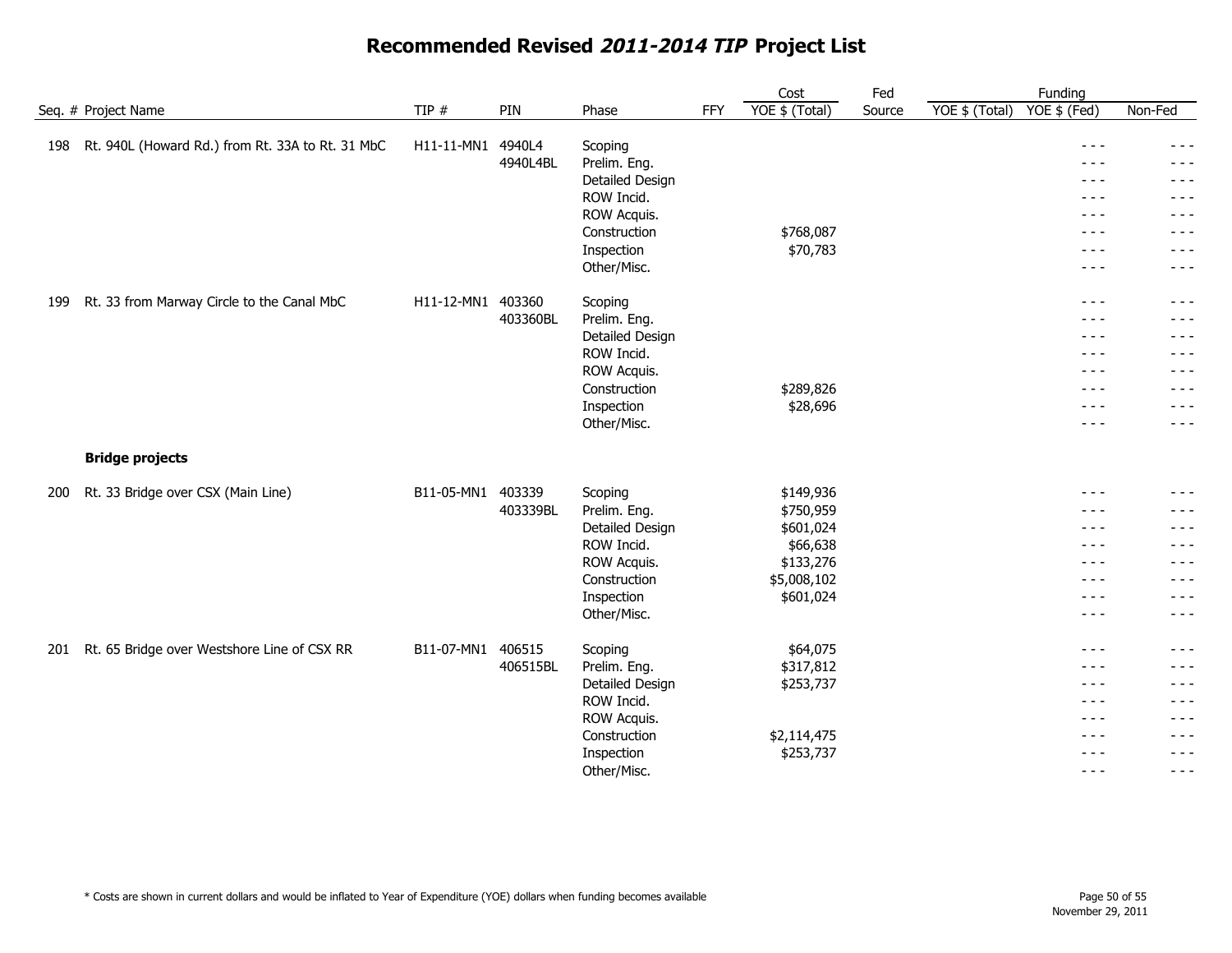|     |                                                  |                   |          |                           |            | Cost           | Fed    |                | Funding                                                                                                                                                                                                                                                                                                                                                                                      |                  |
|-----|--------------------------------------------------|-------------------|----------|---------------------------|------------|----------------|--------|----------------|----------------------------------------------------------------------------------------------------------------------------------------------------------------------------------------------------------------------------------------------------------------------------------------------------------------------------------------------------------------------------------------------|------------------|
|     | Seq. # Project Name                              | TIP #             | PIN      | Phase                     | <b>FFY</b> | YOE \$ (Total) | Source | YOE \$ (Total) | YOE \$ (Fed)                                                                                                                                                                                                                                                                                                                                                                                 | Non-Fed          |
| 198 | Rt. 940L (Howard Rd.) from Rt. 33A to Rt. 31 MbC | H11-11-MN1        | 4940L4   | Scoping                   |            |                |        |                | $- - -$                                                                                                                                                                                                                                                                                                                                                                                      | $- - -$          |
|     |                                                  |                   | 4940L4BL | Prelim. Eng.              |            |                |        |                | $- - -$                                                                                                                                                                                                                                                                                                                                                                                      | - - -            |
|     |                                                  |                   |          | Detailed Design           |            |                |        |                | $- - -$                                                                                                                                                                                                                                                                                                                                                                                      | - - -            |
|     |                                                  |                   |          | ROW Incid.                |            |                |        |                | $- - -$                                                                                                                                                                                                                                                                                                                                                                                      | $- - -$          |
|     |                                                  |                   |          | ROW Acquis.               |            |                |        |                | $- - -$                                                                                                                                                                                                                                                                                                                                                                                      | $- - -$          |
|     |                                                  |                   |          | Construction              |            | \$768,087      |        |                | $- - -$                                                                                                                                                                                                                                                                                                                                                                                      | - - -            |
|     |                                                  |                   |          | Inspection                |            | \$70,783       |        |                | $- - -$                                                                                                                                                                                                                                                                                                                                                                                      | - - -            |
|     |                                                  |                   |          | Other/Misc.               |            |                |        |                | $- - -$                                                                                                                                                                                                                                                                                                                                                                                      | $- - -$          |
| 199 | Rt. 33 from Marway Circle to the Canal MbC       | H11-12-MN1 403360 |          | Scoping                   |            |                |        |                | $- - -$                                                                                                                                                                                                                                                                                                                                                                                      | $- - -$          |
|     |                                                  |                   | 403360BL | Prelim. Eng.              |            |                |        |                | - - -                                                                                                                                                                                                                                                                                                                                                                                        | - - -            |
|     |                                                  |                   |          | Detailed Design           |            |                |        |                | $\frac{1}{2} \frac{1}{2} \frac{1}{2} \frac{1}{2} \frac{1}{2} \frac{1}{2} \frac{1}{2} \frac{1}{2} \frac{1}{2} \frac{1}{2} \frac{1}{2} \frac{1}{2} \frac{1}{2} \frac{1}{2} \frac{1}{2} \frac{1}{2} \frac{1}{2} \frac{1}{2} \frac{1}{2} \frac{1}{2} \frac{1}{2} \frac{1}{2} \frac{1}{2} \frac{1}{2} \frac{1}{2} \frac{1}{2} \frac{1}{2} \frac{1}{2} \frac{1}{2} \frac{1}{2} \frac{1}{2} \frac{$ | $\frac{1}{2}$    |
|     |                                                  |                   |          | ROW Incid.                |            |                |        |                | $- - -$                                                                                                                                                                                                                                                                                                                                                                                      | - - -            |
|     |                                                  |                   |          | ROW Acquis.               |            |                |        |                | $- - -$                                                                                                                                                                                                                                                                                                                                                                                      | - - -            |
|     |                                                  |                   |          | Construction              |            | \$289,826      |        |                | - - -                                                                                                                                                                                                                                                                                                                                                                                        | - - -            |
|     |                                                  |                   |          | Inspection                |            | \$28,696       |        |                | $- - -$<br>$- - -$                                                                                                                                                                                                                                                                                                                                                                           | - - -<br>- - -   |
|     |                                                  |                   |          | Other/Misc.               |            |                |        |                |                                                                                                                                                                                                                                                                                                                                                                                              |                  |
|     | <b>Bridge projects</b>                           |                   |          |                           |            |                |        |                |                                                                                                                                                                                                                                                                                                                                                                                              |                  |
| 200 | Rt. 33 Bridge over CSX (Main Line)               | B11-05-MN1 403339 |          | Scoping                   |            | \$149,936      |        |                | $- - -$                                                                                                                                                                                                                                                                                                                                                                                      | - - -            |
|     |                                                  |                   | 403339BL | Prelim. Eng.              |            | \$750,959      |        |                | $- - -$                                                                                                                                                                                                                                                                                                                                                                                      | - - -            |
|     |                                                  |                   |          | Detailed Design           |            | \$601,024      |        |                | $- - -$                                                                                                                                                                                                                                                                                                                                                                                      | - - -            |
|     |                                                  |                   |          | ROW Incid.                |            | \$66,638       |        |                | $- - -$                                                                                                                                                                                                                                                                                                                                                                                      | - - -            |
|     |                                                  |                   |          | ROW Acquis.               |            | \$133,276      |        |                | $- - -$                                                                                                                                                                                                                                                                                                                                                                                      | - - -            |
|     |                                                  |                   |          | Construction              |            | \$5,008,102    |        |                | $- - -$                                                                                                                                                                                                                                                                                                                                                                                      | - - -            |
|     |                                                  |                   |          | Inspection                |            | \$601,024      |        |                | $- - -$                                                                                                                                                                                                                                                                                                                                                                                      | - - -            |
|     |                                                  |                   |          | Other/Misc.               |            |                |        |                | $- - -$                                                                                                                                                                                                                                                                                                                                                                                      | $- - -$          |
| 201 | Rt. 65 Bridge over Westshore Line of CSX RR      | B11-07-MN1        | 406515   | Scoping                   |            | \$64,075       |        |                | $- - -$                                                                                                                                                                                                                                                                                                                                                                                      | - - -            |
|     |                                                  |                   | 406515BL | Prelim. Eng.              |            | \$317,812      |        |                | - - -                                                                                                                                                                                                                                                                                                                                                                                        | - - -            |
|     |                                                  |                   |          | Detailed Design           |            | \$253,737      |        |                | $- - -$                                                                                                                                                                                                                                                                                                                                                                                      | - - -            |
|     |                                                  |                   |          | ROW Incid.                |            |                |        |                | $- - -$                                                                                                                                                                                                                                                                                                                                                                                      | - - -            |
|     |                                                  |                   |          | ROW Acquis.               |            |                |        |                | $- - -$                                                                                                                                                                                                                                                                                                                                                                                      | $- - -$          |
|     |                                                  |                   |          | Construction              |            | \$2,114,475    |        |                | $- - -$                                                                                                                                                                                                                                                                                                                                                                                      | $- - -$          |
|     |                                                  |                   |          | Inspection<br>Other/Misc. |            | \$253,737      |        |                | $- - -$<br>$- - -$                                                                                                                                                                                                                                                                                                                                                                           | - - -<br>$- - -$ |
|     |                                                  |                   |          |                           |            |                |        |                |                                                                                                                                                                                                                                                                                                                                                                                              |                  |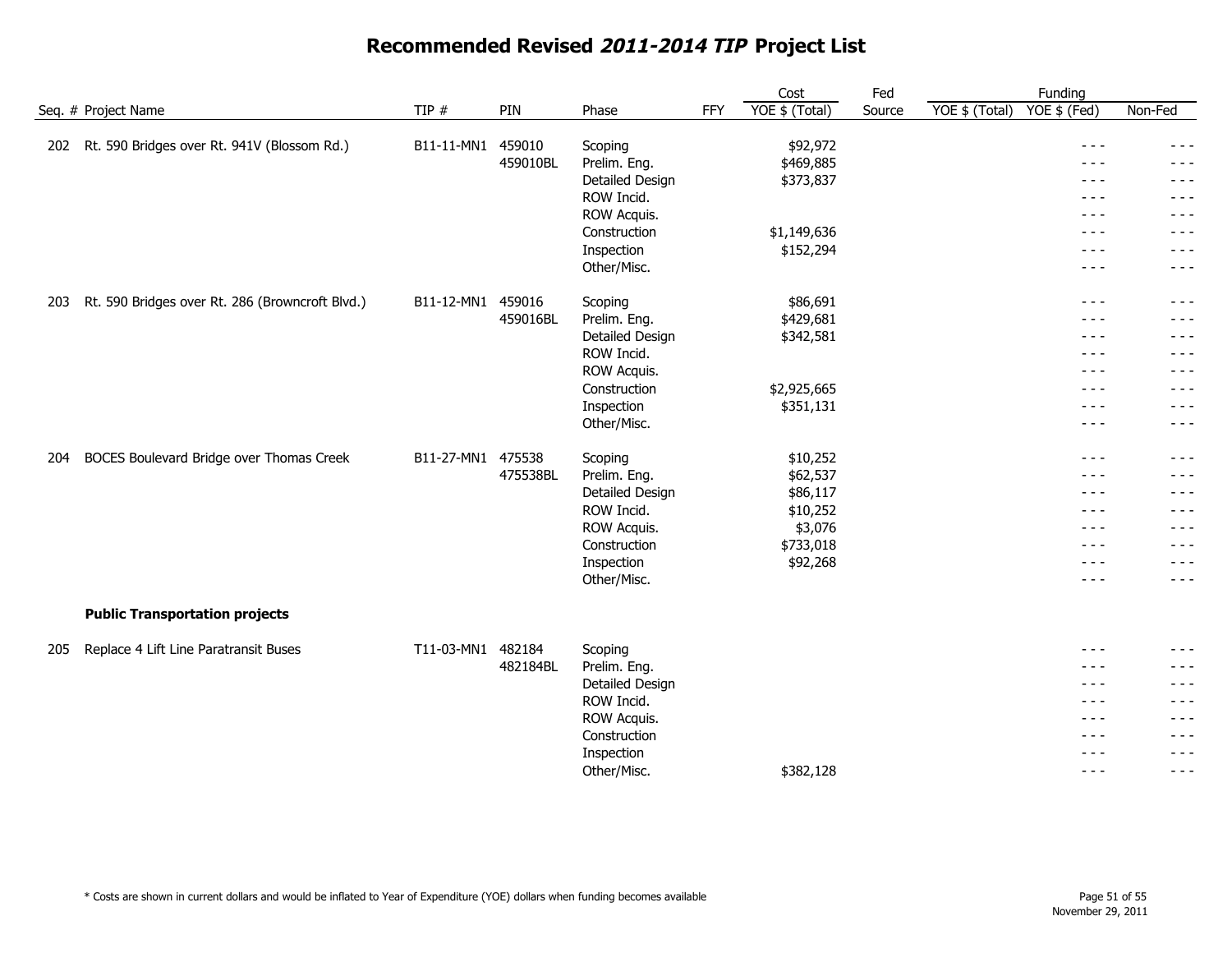|     |                                                 |                   |          |                 |     | Cost           | Fed    | Funding                        |         |
|-----|-------------------------------------------------|-------------------|----------|-----------------|-----|----------------|--------|--------------------------------|---------|
|     | Seq. # Project Name                             | TIP $#$           | PIN      | Phase           | FFY | YOE \$ (Total) | Source | YOE \$ (Total)<br>YOE \$ (Fed) | Non-Fed |
| 202 | Rt. 590 Bridges over Rt. 941V (Blossom Rd.)     | B11-11-MN1        | 459010   | Scoping         |     | \$92,972       |        | $\frac{1}{2}$                  | $- - -$ |
|     |                                                 |                   | 459010BL | Prelim. Eng.    |     | \$469,885      |        | $- - -$                        | - - -   |
|     |                                                 |                   |          | Detailed Design |     | \$373,837      |        | $\frac{1}{2}$                  | $- - -$ |
|     |                                                 |                   |          | ROW Incid.      |     |                |        | $- - -$                        | - - -   |
|     |                                                 |                   |          | ROW Acquis.     |     |                |        | $- - -$                        | $- - -$ |
|     |                                                 |                   |          | Construction    |     | \$1,149,636    |        | $\frac{1}{2}$                  | - - -   |
|     |                                                 |                   |          | Inspection      |     | \$152,294      |        | $\frac{1}{2}$                  | $- - -$ |
|     |                                                 |                   |          | Other/Misc.     |     |                |        | $- - -$                        | - - -   |
| 203 | Rt. 590 Bridges over Rt. 286 (Browncroft Blvd.) | B11-12-MN1 459016 |          | Scoping         |     | \$86,691       |        | $\frac{1}{2}$                  | - - -   |
|     |                                                 |                   | 459016BL | Prelim. Eng.    |     | \$429,681      |        | - - -                          | $- - -$ |
|     |                                                 |                   |          | Detailed Design |     | \$342,581      |        | - - -                          | $  -$   |
|     |                                                 |                   |          | ROW Incid.      |     |                |        | $  -$                          | $- - -$ |
|     |                                                 |                   |          | ROW Acquis.     |     |                |        | $\frac{1}{2}$                  | - - -   |
|     |                                                 |                   |          | Construction    |     | \$2,925,665    |        | - - -                          | - - -   |
|     |                                                 |                   |          | Inspection      |     | \$351,131      |        | - - -                          | $- - -$ |
|     |                                                 |                   |          | Other/Misc.     |     |                |        | $- - -$                        | $- - -$ |
| 204 | BOCES Boulevard Bridge over Thomas Creek        | B11-27-MN1 475538 |          | Scoping         |     | \$10,252       |        | $- - -$                        | - - -   |
|     |                                                 |                   | 475538BL | Prelim. Eng.    |     | \$62,537       |        | $- - -$                        | - - -   |
|     |                                                 |                   |          | Detailed Design |     | \$86,117       |        | $  -$                          | $- - -$ |
|     |                                                 |                   |          | ROW Incid.      |     | \$10,252       |        | $\frac{1}{2}$                  | - - -   |
|     |                                                 |                   |          | ROW Acquis.     |     | \$3,076        |        | $- - -$                        | - - -   |
|     |                                                 |                   |          | Construction    |     | \$733,018      |        | $- - -$                        | - - -   |
|     |                                                 |                   |          | Inspection      |     | \$92,268       |        | $\frac{1}{2}$                  | $- - -$ |
|     |                                                 |                   |          | Other/Misc.     |     |                |        | $\frac{1}{2}$                  | $- - -$ |
|     | <b>Public Transportation projects</b>           |                   |          |                 |     |                |        |                                |         |
| 205 | Replace 4 Lift Line Paratransit Buses           | T11-03-MN1 482184 |          | Scoping         |     |                |        | $\frac{1}{2}$                  | - - -   |
|     |                                                 |                   | 482184BL | Prelim. Eng.    |     |                |        | - - -                          | - - -   |
|     |                                                 |                   |          | Detailed Design |     |                |        | - - -                          | $- - -$ |
|     |                                                 |                   |          | ROW Incid.      |     |                |        | - - -                          | $- - -$ |
|     |                                                 |                   |          | ROW Acquis.     |     |                |        | $- - -$                        | $- - -$ |
|     |                                                 |                   |          | Construction    |     |                |        | - - -                          | - - -   |
|     |                                                 |                   |          | Inspection      |     |                |        | - - -                          | $- - -$ |
|     |                                                 |                   |          | Other/Misc.     |     | \$382,128      |        | $- - -$                        | $- - -$ |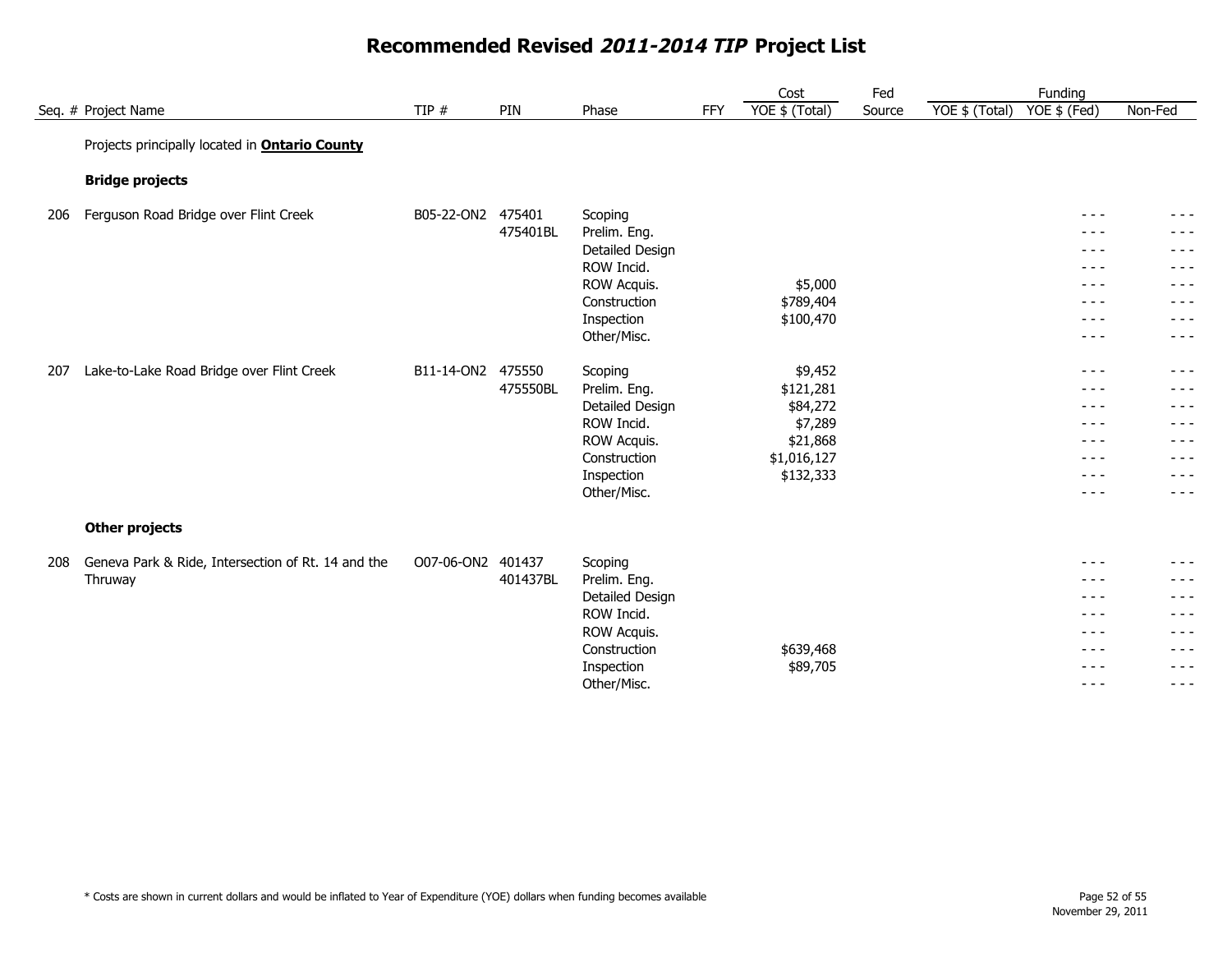|     |                                                       |                   |                    |                                 |            | Cost                  | Fed    |                | Funding            |                  |
|-----|-------------------------------------------------------|-------------------|--------------------|---------------------------------|------------|-----------------------|--------|----------------|--------------------|------------------|
|     | Seq. # Project Name                                   | TIP $#$           | PIN                | Phase                           | <b>FFY</b> | YOE \$ (Total)        | Source | YOE \$ (Total) | YOE \$ (Fed)       | Non-Fed          |
|     | Projects principally located in <b>Ontario County</b> |                   |                    |                                 |            |                       |        |                |                    |                  |
|     | <b>Bridge projects</b>                                |                   |                    |                                 |            |                       |        |                |                    |                  |
| 206 | Ferguson Road Bridge over Flint Creek                 | B05-22-ON2        | 475401             | Scoping                         |            |                       |        |                | $- - -$            | $- - -$          |
|     |                                                       |                   | 475401BL           | Prelim. Eng.                    |            |                       |        |                | $- - -$            | - - -            |
|     |                                                       |                   |                    | Detailed Design                 |            |                       |        |                | $- - -$            | - - -            |
|     |                                                       |                   |                    | ROW Incid.                      |            |                       |        |                | $- - -$            | - - -            |
|     |                                                       |                   |                    | ROW Acquis.                     |            | \$5,000               |        |                | $- - -$            | - - -            |
|     |                                                       |                   |                    | Construction                    |            | \$789,404             |        |                | $- - -$            | - - -            |
|     |                                                       |                   |                    | Inspection                      |            | \$100,470             |        |                | $- - -$            | - - -            |
|     |                                                       |                   |                    | Other/Misc.                     |            |                       |        |                | $- - -$            | - - -            |
|     |                                                       |                   |                    |                                 |            |                       |        |                |                    |                  |
| 207 | Lake-to-Lake Road Bridge over Flint Creek             | B11-14-ON2        | 475550<br>475550BL | Scoping                         |            | \$9,452               |        |                | $- - -$            | $- - - -$        |
|     |                                                       |                   |                    | Prelim. Eng.<br>Detailed Design |            | \$121,281<br>\$84,272 |        |                | $- - -$<br>$- - -$ | - - -<br>$- - -$ |
|     |                                                       |                   |                    | ROW Incid.                      |            | \$7,289               |        |                | $- - -$            | - - -            |
|     |                                                       |                   |                    | ROW Acquis.                     |            | \$21,868              |        |                | $- - -$            | - - -            |
|     |                                                       |                   |                    | Construction                    |            | \$1,016,127           |        |                | $- - -$            | - - -            |
|     |                                                       |                   |                    | Inspection                      |            | \$132,333             |        |                | $- - -$            | - - -            |
|     |                                                       |                   |                    | Other/Misc.                     |            |                       |        |                | $- - -$            | - - -            |
|     |                                                       |                   |                    |                                 |            |                       |        |                |                    |                  |
|     | <b>Other projects</b>                                 |                   |                    |                                 |            |                       |        |                |                    |                  |
| 208 | Geneva Park & Ride, Intersection of Rt. 14 and the    | O07-06-ON2 401437 |                    | Scoping                         |            |                       |        |                | $- - -$            | - - -            |
|     | Thruway                                               |                   | 401437BL           | Prelim. Eng.                    |            |                       |        |                | $- - -$            | - - -            |
|     |                                                       |                   |                    | Detailed Design                 |            |                       |        |                | $- - -$            | - - -            |
|     |                                                       |                   |                    | ROW Incid.                      |            |                       |        |                | $- - -$            | - - -            |
|     |                                                       |                   |                    | ROW Acquis.                     |            |                       |        |                | $- - -$            | - - -            |
|     |                                                       |                   |                    | Construction                    |            | \$639,468             |        |                | $- - -$            | - - -            |
|     |                                                       |                   |                    | Inspection                      |            | \$89,705              |        |                | $- - -$            | - - -            |
|     |                                                       |                   |                    | Other/Misc.                     |            |                       |        |                | $- - -$            | $- - -$          |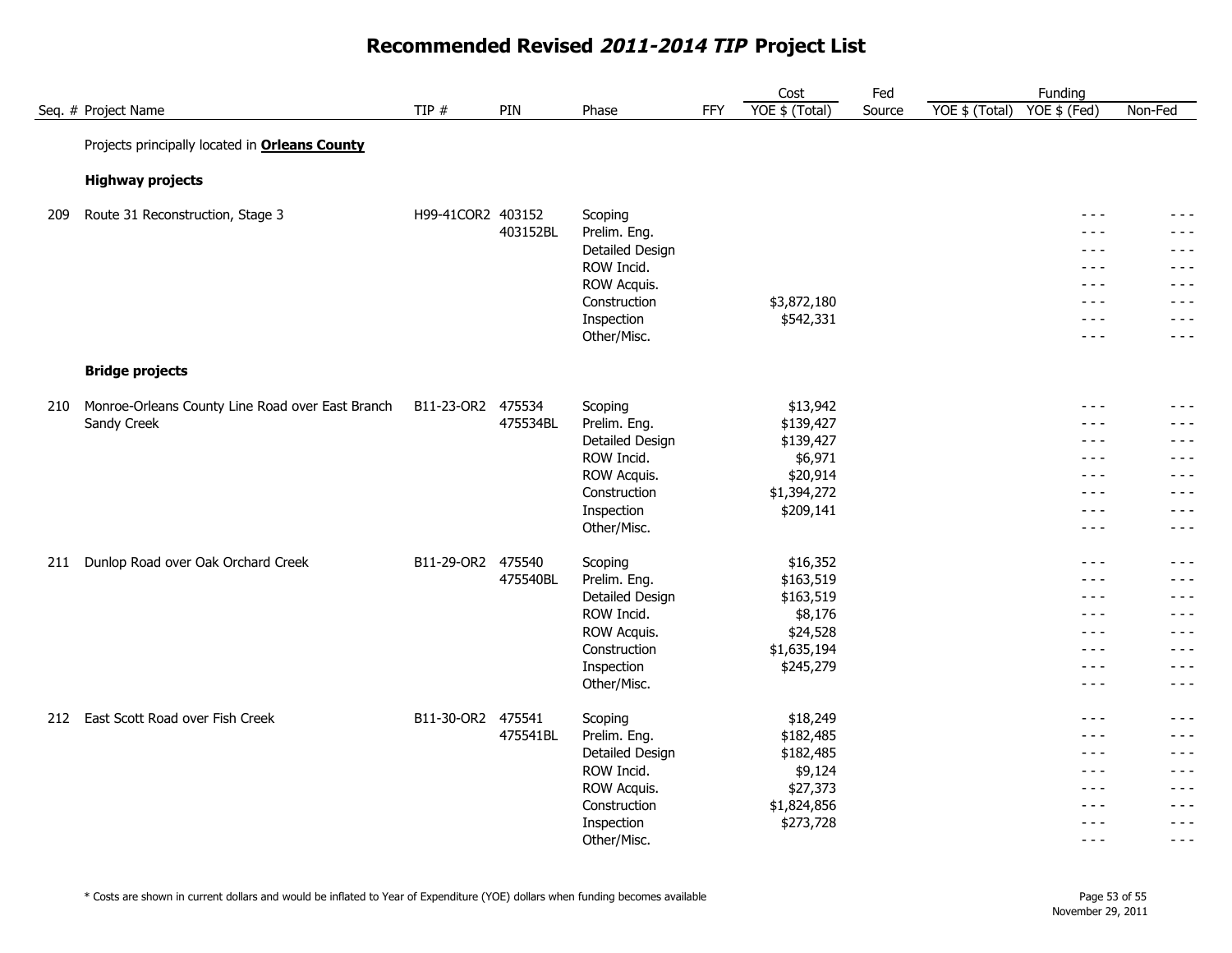#### Cost Seq. # Project Name TIP # TIP # PIN Phase FFY YOE \$ (Total) Source YOE \$ (Total) YOE \$ (Fed) Non-Fed Fed
Funding
Funding
Funding
<sub>Funding</sub> Source Projects principally located in **Orleans County Highway projects** 209 Route 31 Reconstruction, Stage 3 The Structure H99-41COR2 403152 Scoping Scoping Services and the structure of the structure of the structure of the structure of the structure of the H99-41COR2 403152 Scoping Services 403152BL Prelim. Eng. - - - - - - Detailed Design - - - - - - ROW Incid. **All the second contract of the second contract of the second contract of the second contract of the second contract of the second contract of the second contract of the second contract of the second contract of** ROW Acquis. The second service of the service of the service of the service of the service of the service of the service of the service of the service of the service of the service of the service of the service of the serv Construction  $$3,872,180$  $\text{Inspection}$   $\text{\$542,331}$   $\text{\$542,331}$ Other/Misc. - - - - - - **Bridge projects** 210 Monroe-Orleans County Line Road over East Branch B11-23-OR2 475534 Scoping 513,942 5600 \$13,942 75534 7569 F 475534BL Prelim. Eng. \$139,427 - - - - - - Detailed Design \$139,427 - - - - - - ROW Incid. \$6,971 - - - - - - ROW Acquis. \$20,914 - - - - - - Construction \$1,394,272 - - - - - -  $\text{Inspection}$   $\text{\$209,141}$   $\text{\$209,141}$ Other/Misc. - - - - - - 211 Dunlop Road over Oak Orchard Creek B11-29-OR2 475540 Scoping \$16,352 - - - - - - 475540BL Prelim. Eng. \$163,519 - - - - - - Detailed Design \$163,519 - - - - - - ROW Incid. \$8,176 - - - - - - ROW Acquis. \$24,528 - - - - - - Construction \$1,635,194 - - - - - -  $\text{Inspection}$   $\text{\$245,279}$   $\text{\$245,279}$ Other/Misc. - - - - - - 212 East Scott Road over Fish Creek **B11-30-OR2 475541** Scoping \$18,249 518,249 518,249 518,249 518,249 518,249 518,249 518,249 518,249 518,249 518,249 518,249 518,249 518,249 518,249 518,249 518,249 518,249 518,249 518,24 475541BL Prelim. Eng. \$182,485 - - - - - - Detailed Design \$182,485 - - - - - - ROW Incid. \$9,124 - - - - - - ROW Acquis. \$27,373 - - - - - -  $\text{Construction}$   $$1,824,856$   $$1,824,856$  $\text{Inspection}$   $\text{\$273,728}$   $\text{\$273,728}$ Other/Misc. - - - - - - Sandy Creek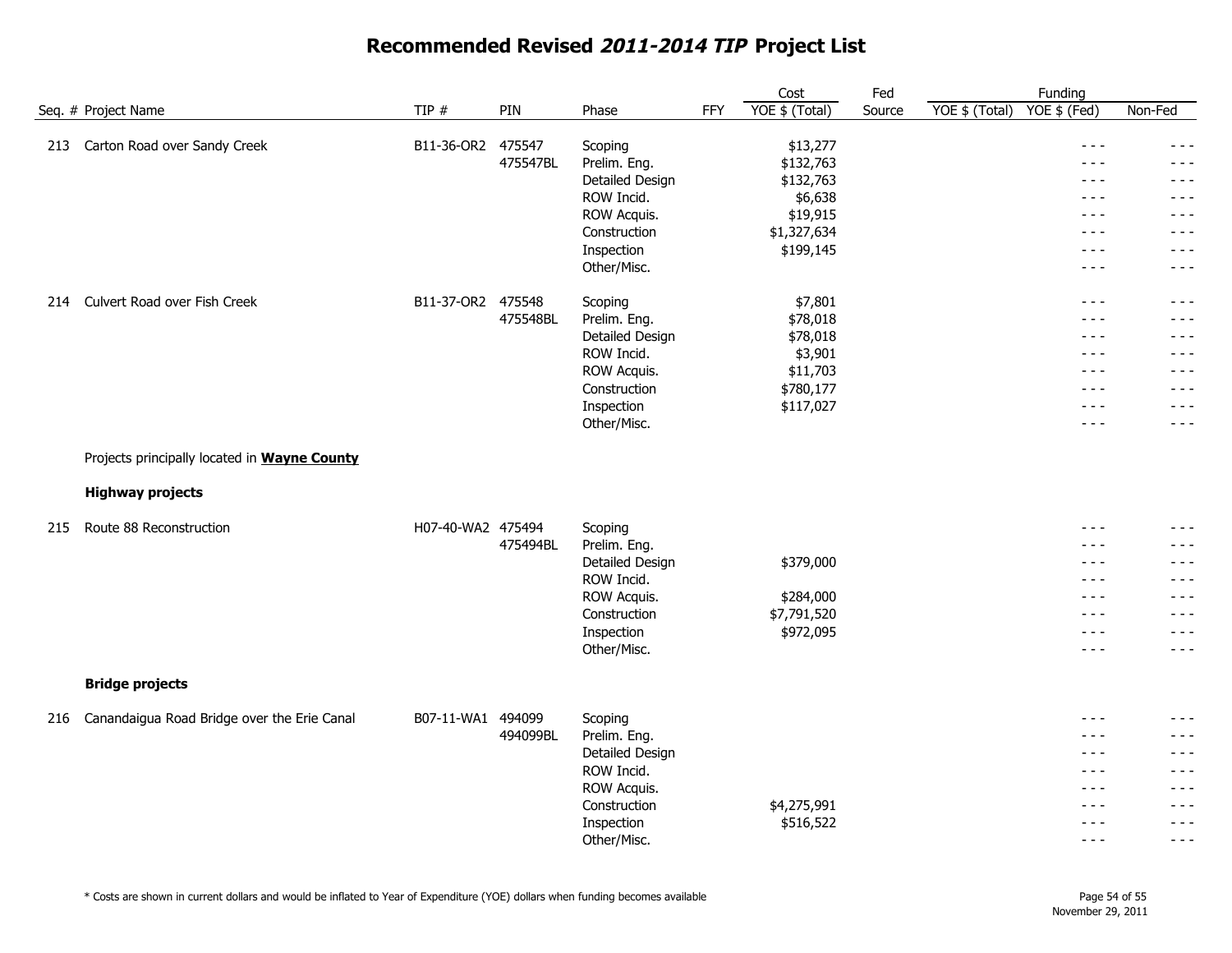|                                                     |                   |                    |                           |            | Cost                  | Fed    |                | Funding                                                                                                                                                                                                                                                                                                                                                                                                 |                    |
|-----------------------------------------------------|-------------------|--------------------|---------------------------|------------|-----------------------|--------|----------------|---------------------------------------------------------------------------------------------------------------------------------------------------------------------------------------------------------------------------------------------------------------------------------------------------------------------------------------------------------------------------------------------------------|--------------------|
| Seq. # Project Name                                 | TIP #             | PIN                | Phase                     | <b>FFY</b> | YOE \$ (Total)        | Source | YOE \$ (Total) | YOE \$ (Fed)                                                                                                                                                                                                                                                                                                                                                                                            | Non-Fed            |
| Carton Road over Sandy Creek<br>213                 | B11-36-OR2        | 475547<br>475547BL | Scoping<br>Prelim. Eng.   |            | \$13,277<br>\$132,763 |        |                | $\frac{1}{2} \frac{1}{2} \frac{1}{2} \frac{1}{2} \frac{1}{2} \frac{1}{2} \frac{1}{2} \frac{1}{2} \frac{1}{2} \frac{1}{2} \frac{1}{2} \frac{1}{2} \frac{1}{2} \frac{1}{2} \frac{1}{2} \frac{1}{2} \frac{1}{2} \frac{1}{2} \frac{1}{2} \frac{1}{2} \frac{1}{2} \frac{1}{2} \frac{1}{2} \frac{1}{2} \frac{1}{2} \frac{1}{2} \frac{1}{2} \frac{1}{2} \frac{1}{2} \frac{1}{2} \frac{1}{2} \frac{$<br>$- - -$ | - - -<br>$- - -$   |
|                                                     |                   |                    | Detailed Design           |            | \$132,763             |        |                | $\frac{1}{2}$<br>$- - -$                                                                                                                                                                                                                                                                                                                                                                                | $- - -$<br>$- - -$ |
|                                                     |                   |                    | ROW Incid.<br>ROW Acquis. |            | \$6,638<br>\$19,915   |        |                | $\frac{1}{2} \frac{1}{2} \frac{1}{2} \frac{1}{2} \frac{1}{2} \frac{1}{2} \frac{1}{2} \frac{1}{2} \frac{1}{2} \frac{1}{2} \frac{1}{2} \frac{1}{2} \frac{1}{2} \frac{1}{2} \frac{1}{2} \frac{1}{2} \frac{1}{2} \frac{1}{2} \frac{1}{2} \frac{1}{2} \frac{1}{2} \frac{1}{2} \frac{1}{2} \frac{1}{2} \frac{1}{2} \frac{1}{2} \frac{1}{2} \frac{1}{2} \frac{1}{2} \frac{1}{2} \frac{1}{2} \frac{$            | $- - -$            |
|                                                     |                   |                    | Construction              |            | \$1,327,634           |        |                | $- - -$                                                                                                                                                                                                                                                                                                                                                                                                 | $- - -$            |
|                                                     |                   |                    | Inspection                |            | \$199,145             |        |                | $- - -$                                                                                                                                                                                                                                                                                                                                                                                                 | $- - -$            |
|                                                     |                   |                    | Other/Misc.               |            |                       |        |                | $\frac{1}{2} \frac{1}{2} \frac{1}{2} \frac{1}{2} \frac{1}{2} \frac{1}{2} \frac{1}{2} \frac{1}{2} \frac{1}{2} \frac{1}{2} \frac{1}{2} \frac{1}{2} \frac{1}{2} \frac{1}{2} \frac{1}{2} \frac{1}{2} \frac{1}{2} \frac{1}{2} \frac{1}{2} \frac{1}{2} \frac{1}{2} \frac{1}{2} \frac{1}{2} \frac{1}{2} \frac{1}{2} \frac{1}{2} \frac{1}{2} \frac{1}{2} \frac{1}{2} \frac{1}{2} \frac{1}{2} \frac{$            | $- - -$            |
| Culvert Road over Fish Creek<br>214                 | B11-37-OR2 475548 |                    | Scoping                   |            | \$7,801               |        |                | $\frac{1}{2}$                                                                                                                                                                                                                                                                                                                                                                                           | - - -              |
|                                                     |                   | 475548BL           | Prelim. Eng.              |            | \$78,018              |        |                | $- - -$                                                                                                                                                                                                                                                                                                                                                                                                 | $- - -$            |
|                                                     |                   |                    | Detailed Design           |            | \$78,018              |        |                | $- - -$                                                                                                                                                                                                                                                                                                                                                                                                 | $- - -$            |
|                                                     |                   |                    | ROW Incid.                |            | \$3,901               |        |                | $\frac{1}{2}$                                                                                                                                                                                                                                                                                                                                                                                           | - - -              |
|                                                     |                   |                    | ROW Acquis.               |            | \$11,703              |        |                | $- - -$                                                                                                                                                                                                                                                                                                                                                                                                 | $- - -$            |
|                                                     |                   |                    | Construction              |            | \$780,177             |        |                | $\frac{1}{2}$                                                                                                                                                                                                                                                                                                                                                                                           | $- - -$            |
|                                                     |                   |                    | Inspection<br>Other/Misc. |            | \$117,027             |        |                | $- - -$<br>$  -$                                                                                                                                                                                                                                                                                                                                                                                        | $- - -$<br>$- - -$ |
| Projects principally located in <b>Wayne County</b> |                   |                    |                           |            |                       |        |                |                                                                                                                                                                                                                                                                                                                                                                                                         |                    |
| <b>Highway projects</b>                             |                   |                    |                           |            |                       |        |                |                                                                                                                                                                                                                                                                                                                                                                                                         |                    |
| Route 88 Reconstruction<br>215                      | H07-40-WA2 475494 |                    | Scoping                   |            |                       |        |                | $\frac{1}{2} \frac{1}{2} \frac{1}{2} \frac{1}{2} \frac{1}{2} \frac{1}{2} \frac{1}{2} \frac{1}{2} \frac{1}{2} \frac{1}{2} \frac{1}{2} \frac{1}{2} \frac{1}{2} \frac{1}{2} \frac{1}{2} \frac{1}{2} \frac{1}{2} \frac{1}{2} \frac{1}{2} \frac{1}{2} \frac{1}{2} \frac{1}{2} \frac{1}{2} \frac{1}{2} \frac{1}{2} \frac{1}{2} \frac{1}{2} \frac{1}{2} \frac{1}{2} \frac{1}{2} \frac{1}{2} \frac{$            | $- - -$            |
|                                                     |                   | 475494BL           | Prelim. Eng.              |            |                       |        |                | $- - -$                                                                                                                                                                                                                                                                                                                                                                                                 | $- - -$            |
|                                                     |                   |                    | Detailed Design           |            | \$379,000             |        |                | $\frac{1}{2}$                                                                                                                                                                                                                                                                                                                                                                                           | $- - -$            |
|                                                     |                   |                    | ROW Incid.                |            |                       |        |                | $\frac{1}{2} \frac{1}{2} \frac{1}{2} \frac{1}{2} \frac{1}{2} \frac{1}{2} \frac{1}{2} \frac{1}{2} \frac{1}{2} \frac{1}{2} \frac{1}{2} \frac{1}{2} \frac{1}{2} \frac{1}{2} \frac{1}{2} \frac{1}{2} \frac{1}{2} \frac{1}{2} \frac{1}{2} \frac{1}{2} \frac{1}{2} \frac{1}{2} \frac{1}{2} \frac{1}{2} \frac{1}{2} \frac{1}{2} \frac{1}{2} \frac{1}{2} \frac{1}{2} \frac{1}{2} \frac{1}{2} \frac{$            | $- - -$            |
|                                                     |                   |                    | ROW Acquis.               |            | \$284,000             |        |                | $- - -$                                                                                                                                                                                                                                                                                                                                                                                                 | $- - -$            |
|                                                     |                   |                    | Construction              |            | \$7,791,520           |        |                | $\frac{1}{2}$                                                                                                                                                                                                                                                                                                                                                                                           | - - -              |
|                                                     |                   |                    | Inspection                |            | \$972,095             |        |                | $- - -$                                                                                                                                                                                                                                                                                                                                                                                                 | $- - -$            |
|                                                     |                   |                    | Other/Misc.               |            |                       |        |                | $- - -$                                                                                                                                                                                                                                                                                                                                                                                                 | $- - -$            |
| <b>Bridge projects</b>                              |                   |                    |                           |            |                       |        |                |                                                                                                                                                                                                                                                                                                                                                                                                         |                    |
| Canandaigua Road Bridge over the Erie Canal<br>216  | B07-11-WA1        | 494099             | Scoping                   |            |                       |        |                | $- - -$                                                                                                                                                                                                                                                                                                                                                                                                 | $- - -$            |
|                                                     |                   | 494099BL           | Prelim. Eng.              |            |                       |        |                | $- - -$                                                                                                                                                                                                                                                                                                                                                                                                 | ---                |
|                                                     |                   |                    | Detailed Design           |            |                       |        |                | $- - -$                                                                                                                                                                                                                                                                                                                                                                                                 | $- - -$            |
|                                                     |                   |                    | ROW Incid.                |            |                       |        |                | $- - -$                                                                                                                                                                                                                                                                                                                                                                                                 | $- - -$            |
|                                                     |                   |                    | ROW Acquis.               |            |                       |        |                | $\frac{1}{2}$                                                                                                                                                                                                                                                                                                                                                                                           | $- - -$            |
|                                                     |                   |                    | Construction              |            | \$4,275,991           |        |                | $- - -$                                                                                                                                                                                                                                                                                                                                                                                                 | $- - -$            |
|                                                     |                   |                    | Inspection                |            | \$516,522             |        |                | $- - -$                                                                                                                                                                                                                                                                                                                                                                                                 | $- - -$            |
|                                                     |                   |                    | Other/Misc.               |            |                       |        |                | $- - -$                                                                                                                                                                                                                                                                                                                                                                                                 | $- - -$            |

\* Costs are shown in current dollars and would be inflated to Year of Expenditure (YOE) dollars when funding becomes available Page 54 of 55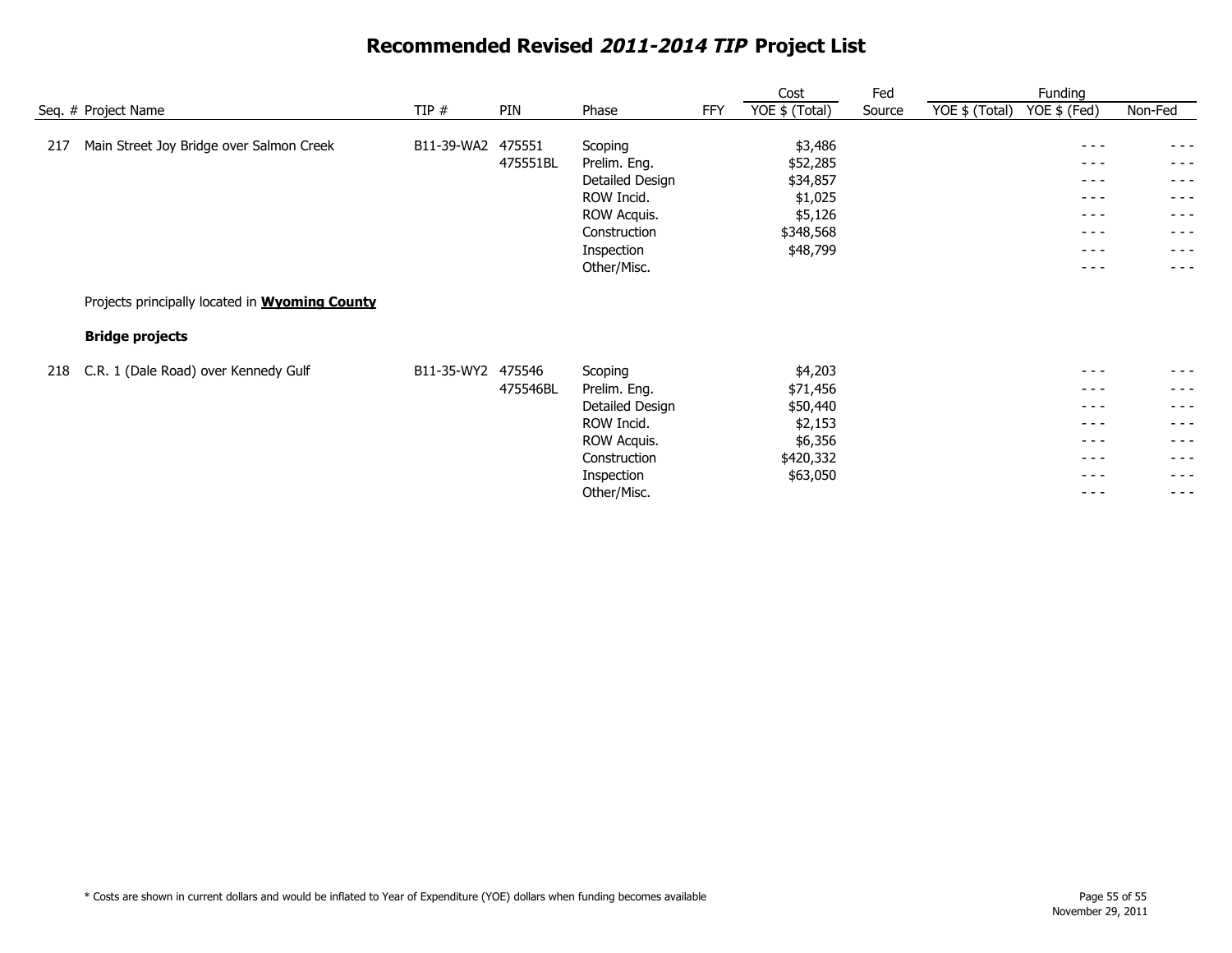|     |                                                                                 |            |                    |                                                                                                                      |            | Cost                                                                           | Fed    |                | Funding                                                                                              |                                                                                    |
|-----|---------------------------------------------------------------------------------|------------|--------------------|----------------------------------------------------------------------------------------------------------------------|------------|--------------------------------------------------------------------------------|--------|----------------|------------------------------------------------------------------------------------------------------|------------------------------------------------------------------------------------|
|     | Seq. # Project Name                                                             | TIP#       | PIN                | Phase                                                                                                                | <b>FFY</b> | YOE \$ (Total)                                                                 | Source | YOE \$ (Total) | YOE \$ (Fed)                                                                                         | Non-Fed                                                                            |
| 217 | Main Street Joy Bridge over Salmon Creek                                        | B11-39-WA2 | 475551<br>475551BL | Scoping<br>Prelim. Eng.<br>Detailed Design<br>ROW Incid.<br>ROW Acquis.<br>Construction<br>Inspection<br>Other/Misc. |            | \$3,486<br>\$52,285<br>\$34,857<br>\$1,025<br>\$5,126<br>\$348,568<br>\$48,799 |        |                | $- - - -$<br>$- - -$<br>$\frac{1}{2}$<br>$- - -$<br>$- - - -$<br>$- - - -$<br>$- - -$<br>$- - -$     | $  -$<br>$- - -$<br>$\frac{1}{2}$<br>$- - -$<br>$  -$<br>$- - -$<br>- - -<br>$  -$ |
|     | Projects principally located in <b>Wyoming County</b><br><b>Bridge projects</b> |            |                    |                                                                                                                      |            |                                                                                |        |                |                                                                                                      |                                                                                    |
| 218 | C.R. 1 (Dale Road) over Kennedy Gulf                                            | B11-35-WY2 | 475546<br>475546BL | Scoping<br>Prelim. Eng.<br>Detailed Design<br>ROW Incid.<br>ROW Acquis.<br>Construction<br>Inspection<br>Other/Misc. |            | \$4,203<br>\$71,456<br>\$50,440<br>\$2,153<br>\$6,356<br>\$420,332<br>\$63,050 |        |                | $- - - -$<br>$- - - -$<br>$- - -$<br>$- - - -$<br>$\frac{1}{2}$<br>$- - -$<br>$- - - -$<br>$- - - -$ | - - -<br>- - -<br>- - -<br>$  -$<br>- - -<br>$- - -$<br>- - -<br>$  -$             |